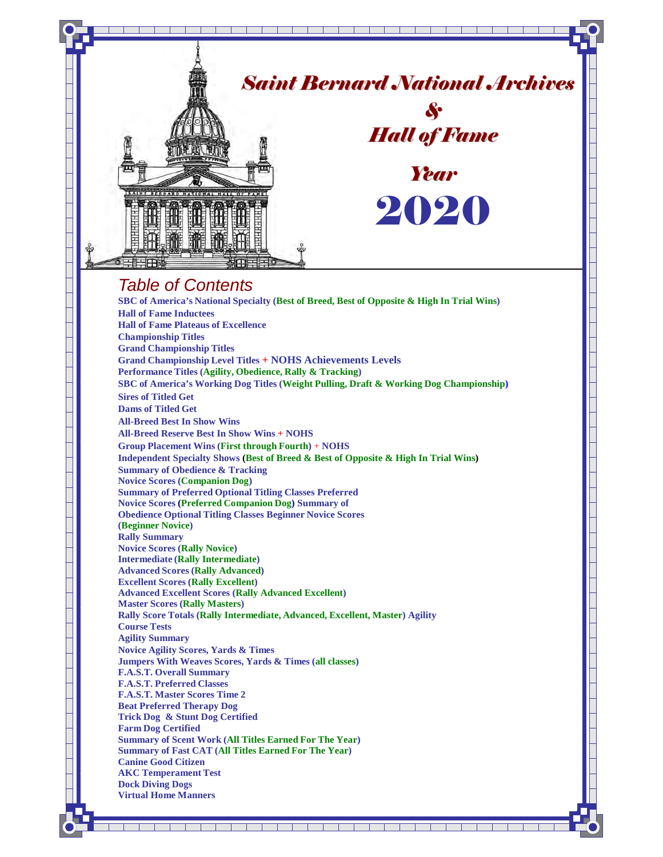

- **F.A.S.T. Master Scores Time 2**
- **Beat Preferred Therapy Dog**
- **Trick Dog & Stunt Dog Certified**
- **Farm Dog Certified Summary of Scent Work (All Titles Earned For The Year) Summary of Fast CAT (All Titles Earned For The Year)**

a kacamatan ing Kabupatèn Kabupatèn Kabupatèn Kabupatèn Kabupatèn Kabupatèn Kabupatèn Kabupatèn Kabupatèn Kabu

a Ta

- **Canine Good Citizen**
- **AKC Temperament Test**
- **Dock Diving Dogs Virtual Home Manners**
	-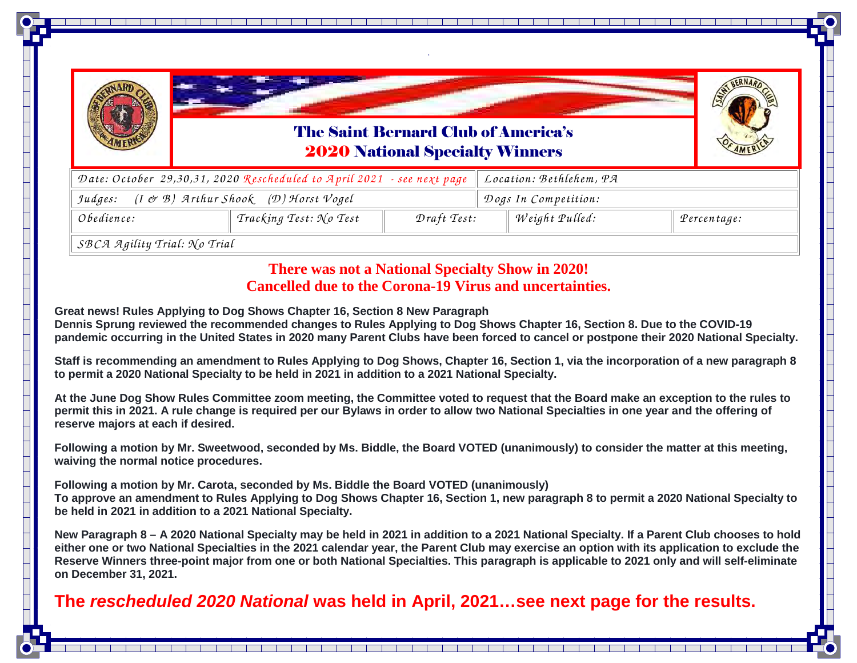

The Saint Bernard Club of America's2020 National Specialty Winners

*.* 



| Date: October 29,30,31, 2020 Rescheduled to April 2021 $\,$ - see next page $\, \parallel$ Location: Bethlehem, PA $\,$ |                                            |             |  |                      |  |             |
|-------------------------------------------------------------------------------------------------------------------------|--------------------------------------------|-------------|--|----------------------|--|-------------|
| $(I \not\subset B)$ Arthur Shook (D) Horst Vogel<br>Judges:                                                             |                                            |             |  | Dogs In Competition: |  |             |
| Obedience:                                                                                                              | $\top$ Tracking Test: $\mathcal{N}$ o Test | Draft Test: |  | Weight Pulled:       |  | Percentage: |
| $\alpha$ $\alpha$ $\alpha$ $\alpha$ $\beta$ $\beta$ $\alpha$ $\beta$ $\alpha$ $\beta$ $\beta$ $\beta$                   |                                            |             |  |                      |  |             |

*SB CA <sup>A</sup> <sup>g</sup>ility Trial: N o Trial*

### **There was not a National Specialty Show in 2020! Cancelled due to the Corona-19 Virus and uncertainties.**

**Great news! Rules Applying to Dog Shows Chapter 16, Section 8 New Paragraph Dennis Sprung reviewed the recommended changes to Rules Applying to Dog Shows Chapter 16, Section 8. Due to the COVID-19 pandemic occurring in the United States in 2020 many Parent Clubs have been forced to cancel or postpone their 2020 National Specialty.** 

**Staff is recommending an amendment to Rules Applying to Dog Shows, Chapter 16, Section 1, via the incorporation of a new paragraph 8 to permit a 2020 National Specialty to be held in 2021 in addition to a 2021 National Specialty.** 

**At the June Dog Show Rules Committee zoom meeting, the Committee voted to request that the Board make an exception to the rules to permit this in 2021. A rule change is required per our Bylaws in order to allow two National Specialties in one year and the offering of reserve majors at each if desired.** 

**Following a motion by Mr. Sweetwood, seconded by Ms. Biddle, the Board VOTED (unanimously) to consider the matter at this meeting, waiving the normal notice procedures.** 

**Following a motion by Mr. Carota, seconded by Ms. Biddle the Board VOTED (unanimously) To approve an amendment to Rules Applying to Dog Shows Chapter 16, Section 1, new paragraph 8 to permit a 2020 National Specialty to be held in 2021 in addition to a 2021 National Specialty.** 

**New Paragraph 8 – A 2020 National Specialty may be held in 2021 in addition to a 2021 National Specialty. If a Parent Club chooses to hold either one or two National Specialties in the 2021 calendar year, the Parent Club may exercise an option with its application to exclude the Reserve Winners three-point major from one or both National Specialties. This paragraph is applicable to 2021 only and will self-eliminate on December 31, 2021.** 

### **The rescheduled 2020 National was held in April, 2021…see next page for the results.**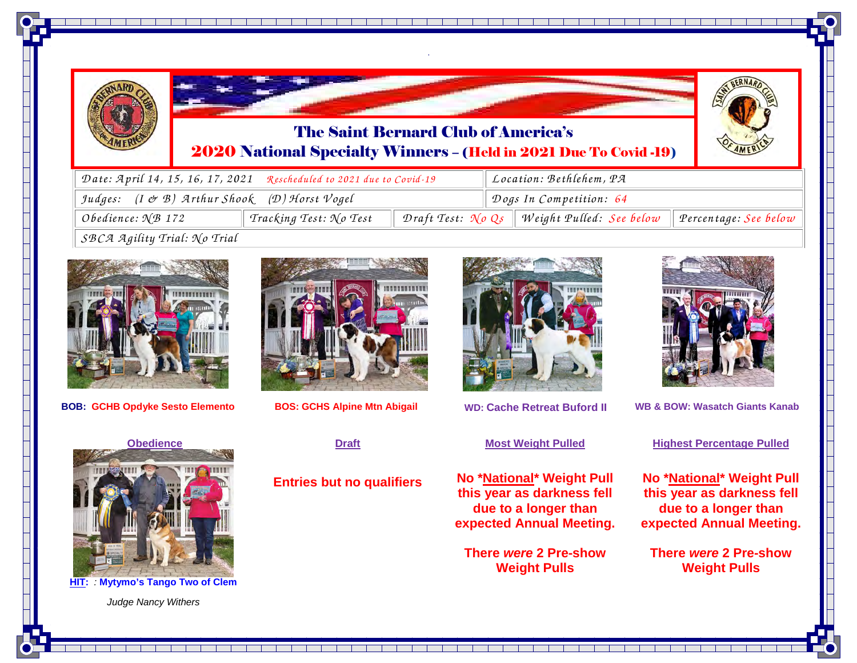

### The Saint Bernard Club of America's2020 National Specialty Winners – (Held in 2021 Due To Covid -19)

*.* 



| Date: April 14, 15, 16, 17, 2021 Rescheduled to 2021 due to Covid-19 |                                              |  |                         | Location: Bethlehem, PA                           |                       |  |
|----------------------------------------------------------------------|----------------------------------------------|--|-------------------------|---------------------------------------------------|-----------------------|--|
| Judges: (I & B) Arthur Shook (D) Horst Vogel                         |                                              |  | Dogs In Competition: 64 |                                                   |                       |  |
| Obedience: $N\mathcal{B}$ 172                                        | $\vdash$ Tracking Test: $\mathcal{N}$ o Test |  |                         | Draft Test: $N\rho$ Qs   Weight Pulled: See below | Percentage: See below |  |
| $SRC2$ $Zailitu$ Trial $N0$ Trial                                    |                                              |  |                         |                                                   |                       |  |





**BOB: GCHB**



**BOS: GCHS Alpine Mtn Abigail WD: Cache Retreat Buford II** 

**Draft**

**Entries but no qualifiers** 



#### **Most Weight Pulled**

**No \*National\* Weight Pull this year as darkness fell due to a longer than expected Annual Meeting.** 

**There were 2 Pre-show Weight Pulls**

\_\_\_\_\_\_\_\_\_\_\_\_\_\_\_\_\_\_\_\_\_\_\_\_\_\_\_\_\_\_



**II WB & BOW: Wasatch Giants Kanab**

#### **Highest Percentage Pulled**

**No \*National\* Weight Pull this year as darkness fell due to a longer than expected Annual Meeting.** 

**There were 2 Pre-show Weight Pulls**



**HIT:** : **Mytymo's Tango Two of Clem** 

Judge Nancy Withers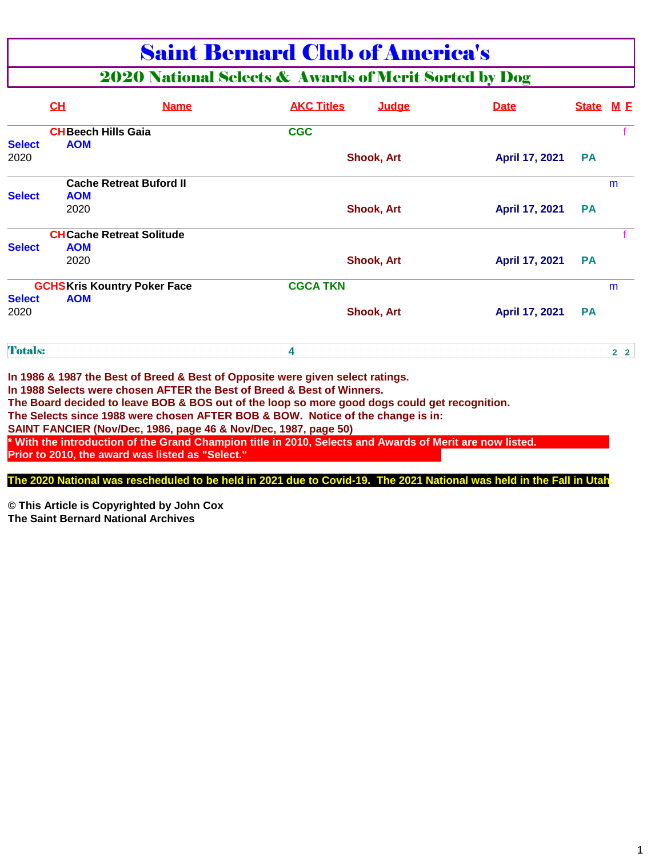### Saint Bernard Club of America's

### 2020 National Selects & Awards of Merit Sorted by Dog

|                | <b>CH</b>                               | <b>Name</b>                                      | <b>AKC Titles</b>                                                                                                                                                                | Judae             | <b>Date</b>    | <b>State</b> | <u>M F</u>     |
|----------------|-----------------------------------------|--------------------------------------------------|----------------------------------------------------------------------------------------------------------------------------------------------------------------------------------|-------------------|----------------|--------------|----------------|
| <b>Select</b>  | <b>CHBeech Hills Gaia</b><br><b>AOM</b> |                                                  | <b>CGC</b>                                                                                                                                                                       |                   |                |              |                |
| 2020           |                                         |                                                  |                                                                                                                                                                                  | <b>Shook, Art</b> | April 17, 2021 | <b>PA</b>    |                |
|                | <b>Cache Retreat Buford II</b>          |                                                  |                                                                                                                                                                                  |                   |                |              | m              |
| <b>Select</b>  | <b>AOM</b>                              |                                                  |                                                                                                                                                                                  |                   |                |              |                |
|                | 2020                                    |                                                  |                                                                                                                                                                                  | <b>Shook, Art</b> | April 17, 2021 | <b>PA</b>    |                |
|                | <b>CHCache Retreat Solitude</b>         |                                                  |                                                                                                                                                                                  |                   |                |              |                |
| <b>Select</b>  | <b>AOM</b>                              |                                                  |                                                                                                                                                                                  |                   |                |              |                |
|                | 2020                                    |                                                  |                                                                                                                                                                                  | <b>Shook, Art</b> | April 17, 2021 | <b>PA</b>    |                |
|                | <b>GCHSKris Kountry Poker Face</b>      |                                                  | <b>CGCA TKN</b>                                                                                                                                                                  |                   |                |              | m              |
| <b>Select</b>  | <b>AOM</b>                              |                                                  |                                                                                                                                                                                  |                   |                |              |                |
| 2020           |                                         |                                                  |                                                                                                                                                                                  | <b>Shook, Art</b> | April 17, 2021 | <b>PA</b>    |                |
| <b>Totals:</b> |                                         |                                                  | 4                                                                                                                                                                                |                   |                |              | 2 <sub>2</sub> |
|                |                                         |                                                  | In 1986 & 1987 the Best of Breed & Best of Opposite were given select ratings.<br>In 1988 Selects were chosen AFTER the Best of Breed & Best of Winners.                         |                   |                |              |                |
|                |                                         |                                                  | The Board decided to leave BOB & BOS out of the loop so more good dogs could get recognition.<br>The Selects since 1988 were chosen AFTER BOB & BOW. Notice of the change is in: |                   |                |              |                |
|                |                                         | Prior to 2010, the award was listed as "Select." | SAINT FANCIER (Nov/Dec, 1986, page 46 & Nov/Dec, 1987, page 50)<br>* With the introduction of the Grand Champion title in 2010, Selects and Awards of Merit are now listed.      |                   |                |              |                |

**The 2020 National was rescheduled to be held in 2021 due to Covid-19. The 2021 National was held in the Fall in Utah.**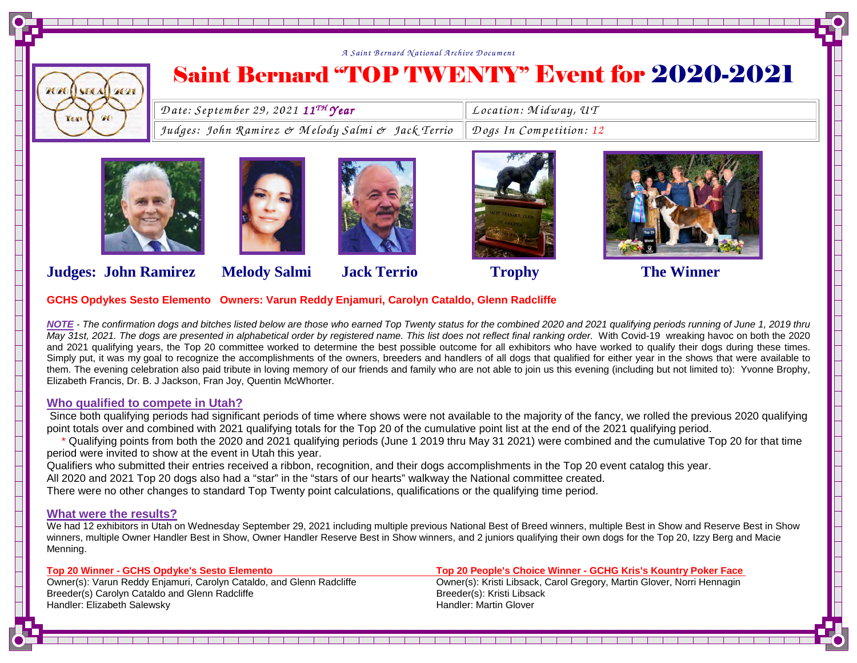

## Saint Bernard "TOP TWENTY" Event for 2020-2021

| $\parallel$ Date: September 29, 2021 11 <sup>TH</sup> Year                | $\parallel$ Location: Midway, UT |
|---------------------------------------------------------------------------|----------------------------------|
| Judges: John Ramirez & Melody Salmi & Jack Terrio Dogs In Competition: 12 |                                  |
|                                                                           |                                  |











### **Judges: John Ramirez Melody Salmi Jack Terrio Trophy The Winner**



**NOTE** - The confirmation dogs and bitches listed below are those who earned Top Twenty status for the combined 2020 and 2021 qualifying periods running of June 1, 2019 thru May 31st, 2021. The dogs are presented in alphabetical order by registered name. This list does not reflect final ranking order. With Covid-19 wreaking havoc on both the 2020 and 2021 qualifying years, the Top 20 committee worked to determine the best possible outcome for all exhibitors who have worked to qualify their dogs during these times. Simply put, it was my goal to recognize the accomplishments of the owners, breeders and handlers of all dogs that qualified for either year in the shows that were available to them. The evening celebration also paid tribute in loving memory of our friends and family who are not able to join us this evening (including but not limited to): Yvonne Brophy, Elizabeth Francis, Dr. B. J Jackson, Fran Joy, Quentin McWhorter.

### **Who qualified to compete in Utah?**

 Since both qualifying periods had significant periods of time where shows were not available to the majority of the fancy, we rolled the previous 2020 qualifying point totals over and combined with 2021 qualifying totals for the Top 20 of the cumulative point list at the end of the 2021 qualifying period.

 \* Qualifying points from both the 2020 and 2021 qualifying periods (June 1 2019 thru May 31 2021) were combined and the cumulative Top 20 for that time period were invited to show at the event in Utah this year.

Qualifiers who submitted their entries received a ribbon, recognition, and their dogs accomplishments in the Top 20 event catalog this year.

All 2020 and 2021 Top 20 dogs also had a "star" in the "stars of our hearts" walkway the National committee created.

There were no other changes to standard Top Twenty point calculations, qualifications or the qualifying time period.

#### **What were the results?**

 We had 12 exhibitors in Utah on Wednesday September 29, 2021 including multiple previous National Best of Breed winners, multiple Best in Show and Reserve Best in Show winners, multiple Owner Handler Best in Show, Owner Handler Reserve Best in Show winners, and 2 juniors qualifying their own dogs for the Top 20, Izzy Berg and Macie Menning.

a janjara janjara janjara janjar

Owner(s): Varun Reddy Enjamuri, Carolyn Cataldo, and Glenn Radcliffe **Owner(s): Kristi Libsack, Carol Greeder**<br>Breeder(s) Carol n Cataldo and Glenn Radcliffe **Carol Greeder Carol Greeder (s): Kristi Libsack** Breeder(s) Carolyn Cataldo and Glenn Radcliffe Handler: Elizabeth Salewsky **Handler: Martin Glover** Handler: Martin Glover

**Top 20 Winner - GCHS Opdyke's Sesto Elemento Top 20 People's Choice Winner - GCHG Kris's Kountry Poker Face** Owner(s): Kristi Libsack, Carol Gregory, Martin Glover, Norri Hennagin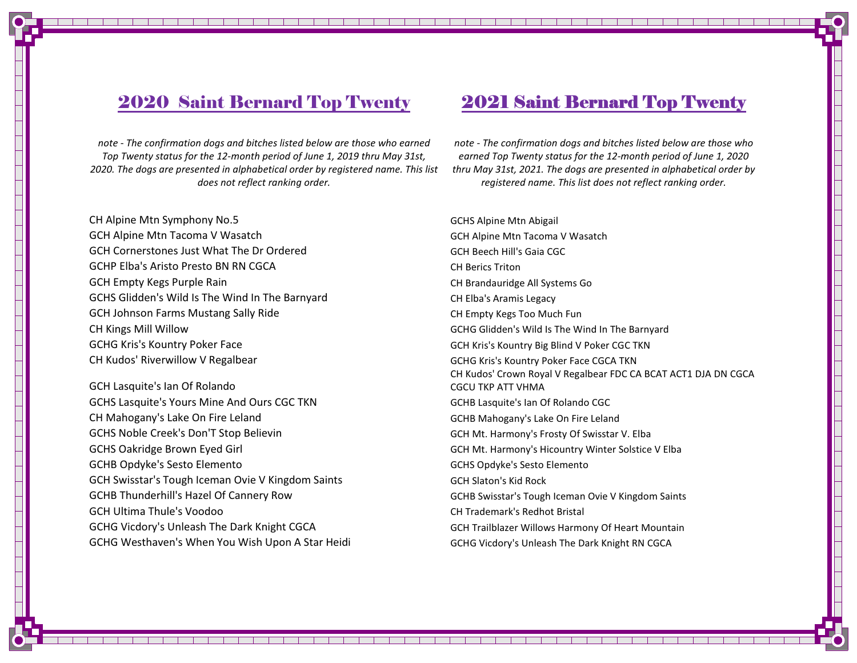### 2020 Saint Bernard Top Twenty 2021 Saint Bernard Top Twenty

note - The confirmation dogs and bitches listed below are those who earned Top Twenty status for the 12-month period of June 1, 2019 thru May 31st, 2020. The dogs are presented in alphabetical order by registered name. This list does not reflect ranking order.

CH Alpine Mtn Symphony No.5 and Superintendent CH Alpine Mtn Abigail GCH Alpine Mtn Tacoma V Wasatch GCH Alpine Mtn Tacoma V WasatchGCH Cornerstones Just What The Dr Ordered GCH Beech Hill's Gaia CGC GCHP Elba's Aristo Presto BN RN CGCA CH Berics TritonGCH Empty Kegs Purple Rain CH Brandauridge All Systems Go GCHS Glidden's Wild Is The Wind In The Barnyard CHELDA's Aramis Legacy GCH Johnson Farms Mustang Sally Ride CH Empty Kegs Too Much Fun CH Kings Mill Willow GCHG Glidden's Wild Is The Wind In The BarnyardGCHG Kris's Kountry Poker Face **GCH CONSERVITY BIGGET ARE ARRIGED AT A CONSERVITY AND A CONSERVITY BIG Blind V Poker CGC TKN** CH Kudos' Riverwillow V Regalbear GCHG CHG Kris's Kountry Poker Face CGCA TKN

GCH Lasquite's Ian Of Rolando GCHS Lasquite's Yours Mine And Ours CGC TKN CH Mahogany's Lake On Fire Leland GCHB Mahogany's Lake On Fire Leland GCHS Noble Creek's Don'T Stop Believin GCH Mt. Harmony's Frosty Of Swisstar V. Elba GCHS Oakridge Brown Eyed Girl GCH Mt. Harmony's Hicountry Winter Solstice V Elba GCHB Opdyke's Sesto Elemento GCHS Opdyke's Sesto ElementoGCH Swisstar's Tough Iceman Ovie V Kingdom Saints GCH Slaton's Kid Rock GCHB Thunderhill's Hazel Of Cannery Row GCHB Swisstar's Tough Iceman Ovie V Kingdom Saints GCH Ultima Thule's Voodoo CH Trademark's Redhot Bristal GCHG Vicdory's Unleash The Dark Knight CGCA GCH Trailblazer Willows Harmony Of Heart Mountain GCHG Westhaven's When You Wish Upon A Star Heidi GCHG Vicdory's Unleash The Dark Knight RN CGCA

note - The confirmation dogs and bitches listed below are those who earned Top Twenty status for the 12-month period of June 1, 2020 thru May 31st, 2021. The dogs are presented in alphabetical order by registered name. This list does not reflect ranking order.

 CH Kudos' Crown Royal V Regalbear FDC CA BCAT ACT1 DJA DN CGCA CGCU TKP ATT VHMAGCHB Lasquite's Ian Of Rolando CGC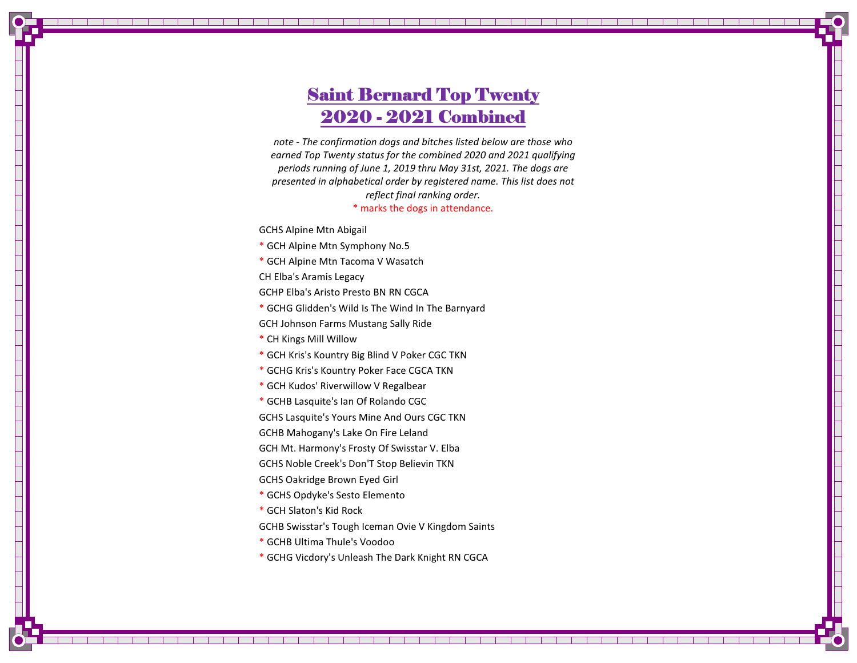### **Saint Bernard Top Twenty** 2020 - 2021 Combined

note - The confirmation dogs and bitches listed below are those who earned Top Twenty status for the combined 2020 and 2021 qualifying periods running of June 1, 2019 thru May 31st, 2021. The dogs are presented in alphabetical order by registered name. This list does not reflect final ranking order. \* marks the dogs in attendance.

GCHS Alpine Mtn Abigail

- \* GCH Alpine Mtn Symphony No.5
- \* GCH Alpine Mtn Tacoma V Wasatch

CH Elba's Aramis Legacy

- GCHP Elba's Aristo Presto BN RN CGCA
- \* GCHG Glidden's Wild Is The Wind In The Barnyard

GCH Johnson Farms Mustang Sally Ride

- \* CH Kings Mill Willow
- \* GCH Kris's Kountry Big Blind V Poker CGC TKN
- \* GCHG Kris's Kountry Poker Face CGCA TKN
- \* GCH Kudos' Riverwillow V Regalbear
- \* GCHB Lasquite's Ian Of Rolando CGC

GCHS Lasquite's Yours Mine And Ours CGC TKN

GCHB Mahogany's Lake On Fire Leland

GCH Mt. Harmony's Frosty Of Swisstar V. Elba

GCHS Noble Creek's Don'T Stop Believin TKN

- GCHS Oakridge Brown Eyed Girl
- \* GCHS Opdyke's Sesto Elemento
- \* GCH Slaton's Kid Rock
- GCHB Swisstar's Tough Iceman Ovie V Kingdom Saints
- \* GCHB Ultima Thule's Voodoo
- \* GCHG Vicdory's Unleash The Dark Knight RN CGCA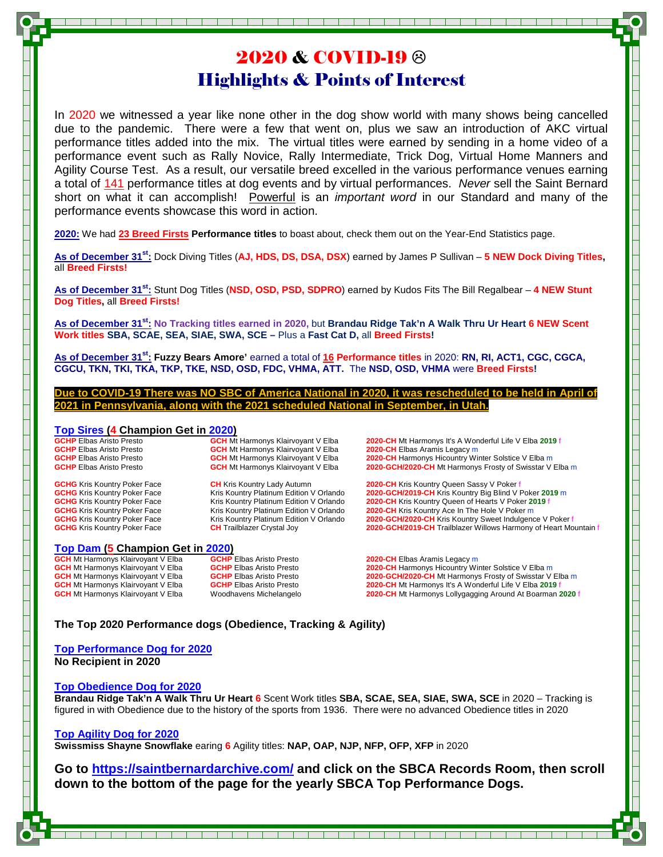### 2020 & COVID-19 Highlights & Points of Interest

In 2020 we witnessed a year like none other in the dog show world with many shows being cancelled due to the pandemic. There were a few that went on, plus we saw an introduction of AKC virtual performance titles added into the mix. The virtual titles were earned by sending in a home video of a performance event such as Rally Novice, Rally Intermediate, Trick Dog, Virtual Home Manners and Agility Course Test. As a result, our versatile breed excelled in the various performance venues earning a total of 141 performance titles at dog events and by virtual performances. Never sell the Saint Bernard short on what it can accomplish! Powerful is an *important word* in our Standard and many of the performance events showcase this word in action.

**2020:** We had **23 Breed Firsts Performance titles** to boast about, check them out on the Year-End Statistics page.

**As of December 31st:** Dock Diving Titles (**AJ, HDS, DS, DSA, DSX**) earned by James P Sullivan – **5 NEW Dock Diving Titles,** all **Breed Firsts!** 

**As of December 31st:** Stunt Dog Titles (**NSD, OSD, PSD, SDPRO**) earned by Kudos Fits The Bill Regalbear – **4 NEW Stunt Dog Titles,** all **Breed Firsts!**

**As of December 31st: No Tracking titles earned in 2020,** but **Brandau Ridge Tak'n A Walk Thru Ur Heart 6 NEW Scent Work titles SBA, SCAE, SEA, SIAE, SWA, SCE –** Plus a **Fast Cat D,** all **Breed Firsts!** 

**As of December 31st: Fuzzy Bears Amore'** earned a total of **16 Performance titles** in 2020: **RN, RI, ACT1, CGC, CGCA, CGCU, TKN, TKI, TKA, TKP, TKE, NSD, OSD, FDC, VHMA, ATT.** The **NSD, OSD, VHMA** were **Breed Firsts!** 

**Due to COVID-19 There was NO SBC of America National in 2020, it was rescheduled to be held in April of 2021 in Pennsylvania, along with the 2021 scheduled National in September, in Utah.**

### **Top Sires (4 Champion Get in 2020)**<br>**GCHP** Elbas Aristo Presto<br>**GCH Mt** Harmonys Klairvoyant V Elba

**Top Dam (5 Champion Get in 2020)**<br>**GCH Mt Harmonys Klairvoyant V Elba GCHP Elbas Aristo Presto GCH** Mt Harmonys Klairvoyant V Elba **GCHP** Elbas Aristo Presto **2020-CH** Elbas Aramis Legacy m

**GCH** Mt Harmonys Klairvoyant V Elba<br>**GCH** Mt Harmonys Klairvoyant V Elba

**GCHP** Elbas Aristo Presto **GCH** Mt Harmonys Klairvoyant V Elba **2020-CH** Mt Harmonys It's A Wonderful Life V Elba 2019 f<br>**GCHP** Elbas Aristo Presto **GCH** Mt Harmonys Klairvoyant V Elba 2020-CH Elbas Aramis Legacy m **GCHP** Elbas Aristo Presto **GCH** Mt Harmonys Klairvoyant V Elba **2020-CH** Harmonys Hicountry Winter Solstice V Elba m **GCHP** Elbas Aristo Presto **GCH** Mt Harmonys Klairvoyant V Elba 2020-GCH/2020-CH Mt Harmonys Frosty of Swisstar V Elba m

**GCHG** Kris Kountry Poker Face **CH** Kris Kountry Lady Autumn **2020-CH** Kris Kountry Queen Sassy V Poker face **CH** Kris Kountry Platinum Edition V Orlando **2020-GCH/2019-CH** Kris Kountry Big Blind V **GCHG** Kris Kountry Poker Face Kris Kountry Platinum Edition V Orlando **2020-GCH/2019-CH** Kris Kountry Big Blind V Poker **2019** m **GCHG** Kris Kountry Poker Face **Kris Kountry Platinum Edition V Orlando 2020-CH** Kris Kountry Queen of Hearts V Poker 2019 f<br> **GCHG** Kris Kountry Poker Face **Kris Kountry Platinum Edition V Orlando** 2020-CH Kris Kountry **GCHG** Kris Kountry Poker Face **Kris Kountry Platinum Edition V Orlando 2020-CH Kris Kountry Ace In The Hole V Poker m**<br>**GCHG** Kris Kountry Poker Face **Kris Kountry Platinum Edition V Orlando 2020-GCH/2020-CH** Kris Kou **GCHG** Kris Kountry Poker Face Kris Kountry Platinum Edition V Orlando **2020-GCH/2020-CH** Kris Kountry Sweet Indulgence V Poker f<br>**CHG** Kris Kountry Poker Face **CH** Trailblazer Crystal Joy **2020-GCH/2019-CH** Trailblazer Wi **CH** Trailblazer Crystal Joy **2020-GCH/2019-CH** Trailblazer Willows Harmony of Heart Mountain f

**GCH** Mt Harmonys Klairvoyant V Elba **GCHP** Elbas Aristo Presto **2020-CH** Harmonys Hicountry Winter Solstice V Elba m **GCH** Mt Harmonys Klairvoyant V Elba **GCHP** Elbas Aristo Presto **2020-GCH/2020-CH** Mt Harmonys Frosty of Swisstar V Elba m<br>**GCH** Mt Harmonys Klairvoyant V Elba **GCHP** Elbas Aristo Presto **2020-CH Mt Harmonys It's A Wonderf GCH** Mt Harmonys Klairvoyant V Elba **GCHP** Elbas Aristo Presto **2020-CH** Mt Harmonys It's A Wonderful Life V Elba 2019<br>**GCH** Mt Harmonys Klairvoyant V Elba Woodhavens Michelangelo **2020-CH** Mt Harmonys Lollygagging Around **2020-CH** Mt Harmonys Lollygagging Around At Boarman 2020 f

#### **The Top 2020 Performance dogs (Obedience, Tracking & Agility)**

**Top Performance Dog for 2020 No Recipient in 2020** 

#### **Top Obedience Dog for 2020**

**Brandau Ridge Tak'n A Walk Thru Ur Heart 6** Scent Work titles **SBA, SCAE, SEA, SIAE, SWA, SCE** in 2020 – Tracking is figured in with Obedience due to the history of the sports from 1936. There were no advanced Obedience titles in 2020

#### **Top Agility Dog for 2020**

**Swissmiss Shayne Snowflake** earing **6** Agility titles: **NAP, OAP, NJP, NFP, OFP, XFP** in 2020

**Go to https://saintbernardarchive.com/ and click on the SBCA Records Room, then scroll down to the bottom of the page for the yearly SBCA Top Performance Dogs.**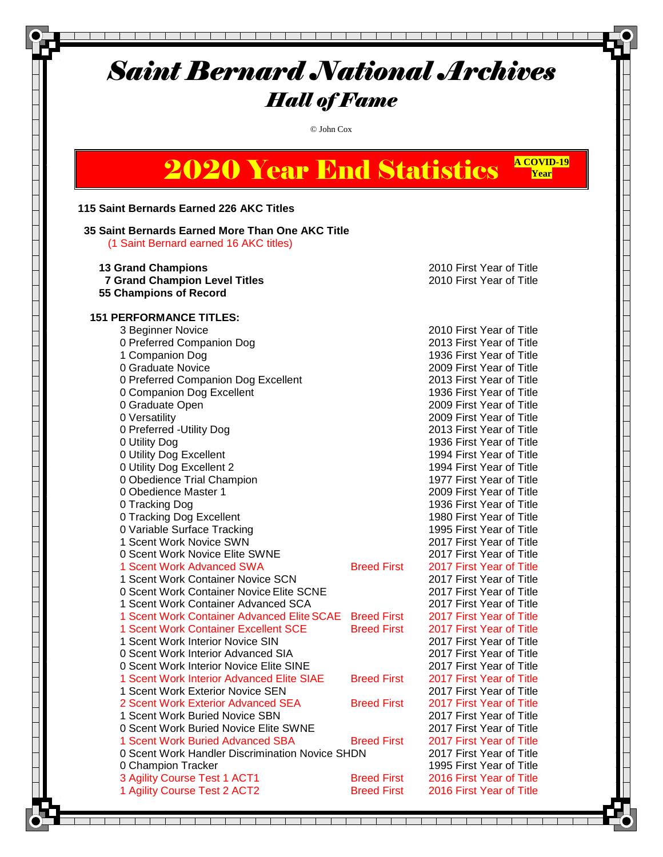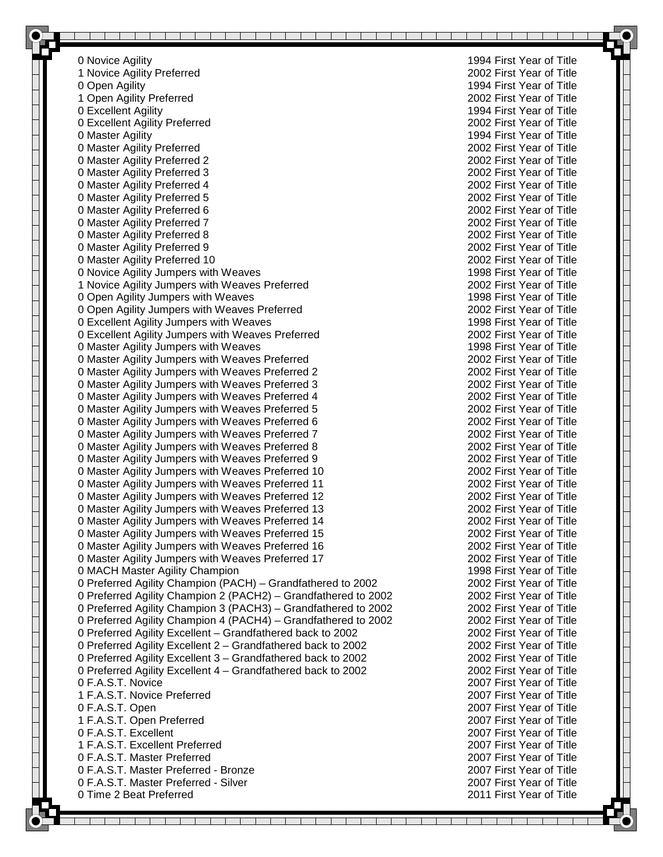0 Novice Agility 1994 First Year of Title 1 Novice Agility Preferred 0 Open Agility 1994 First Year of Title 1 Open Agility Preferred 2002 First Year of Title 0 Excellent Agility 1994 First Year of Title 0 Excellent Agility Preferred 2002 First Year of Title 0 Master Agility 1994 First Year of Title 0 Master Agility Preferred 2002 First Year of Title 0 Master Agility Preferred 2 2002 First Year of Title 0 Master Agility Preferred 3 2002 First Year of Title 0 Master Agility Preferred 4 2002 First Year of Title 0 Master Agility Preferred 5 2002 First Year of Title 0 Master Agility Preferred 6 2002 First Year of Title 0 Master Agility Preferred 7 2002 First Year of Title 0 Master Agility Preferred 8 2002 First Year of Title 0 Master Agility Preferred 9 2002 First Year of Title 0 Master Agility Preferred 10 2002 First Year of Title 0 Novice Agility Jumpers with Weaves 1998 First Year of Title 1 Novice Agility Jumpers with Weaves Preferred 2002 First Year of Title 0 Open Agility Jumpers with Weaves 1998 First Year of Title 0 Open Agility Jumpers with Weaves Preferred 2002 First Year of Title 0 Excellent Agility Jumpers with Weaves 1998 First Year of Title 0 Excellent Agility Jumpers with Weaves Preferred 2002 First Year of Title 0 Master Agility Jumpers with Weaves 1998 First Year of Title 0 Master Agility Jumpers with Weaves Preferred 2002 First Year of Title 0 Master Agility Jumpers with Weaves Preferred 2 2002 First Year of Title 0 Master Agility Jumpers with Weaves Preferred 3 2002 First Year of Title 0 Master Agility Jumpers with Weaves Preferred 4 2002 First Year of Title 0 Master Agility Jumpers with Weaves Preferred 5 2002 First Year of Title 0 Master Agility Jumpers with Weaves Preferred 6 2002 First Year of Title 0 Master Agility Jumpers with Weaves Preferred 7 2002 First Year of Title 0 Master Agility Jumpers with Weaves Preferred 8 2002 First Year of Title 0 Master Agility Jumpers with Weaves Preferred 9 2002 First Year of Title 0 Master Agility Jumpers with Weaves Preferred 10 2002 First Year of Title 0 Master Agility Jumpers with Weaves Preferred 11 2002 First Year of Title 0 Master Agility Jumpers with Weaves Preferred 12 2002 First Year of Title 0 Master Agility Jumpers with Weaves Preferred 13 2002 First Year of Title 0 Master Agility Jumpers with Weaves Preferred 14 2002 First Year of Title 0 Master Agility Jumpers with Weaves Preferred 15 2002 First Year of Title 0 Master Agility Jumpers with Weaves Preferred 16 2002 First Year of Title 0 Master Agility Jumpers with Weaves Preferred 17 2002 First Year of Title 0 MACH Master Agility Champion 1998 First Year of Title 0 Preferred Agility Champion (PACH) – Grandfathered to 2002 2002 2002 First Year of Title 0 Preferred Agility Champion 2 (PACH2) – Grandfathered to 2002 2002 2002 First Year of Title 0 Preferred Agility Champion 3 (PACH3) – Grandfathered to 2002 2002 2002 First Year of Title 0 Preferred Agility Champion 4 (PACH4) – Grandfathered to 2002 2002 2002 First Year of Title 0 Preferred Agility Excellent – Grandfathered back to 2002 2002 2002 First Year of Title 0 Preferred Agility Excellent 2 – Grandfathered back to 2002 2002 2002 First Year of Title 0 Preferred Agility Excellent 3 - Grandfathered back to 2002 2002 2002 First Year of Title 0 Preferred Agility Excellent 4 – Grandfathered back to 2002 2002 2002 First Year of Title 0 F.A.S.T. Novice 2007 First Year of Title 1 F.A.S.T. Novice Preferred 2007 First Year of Title 0 F.A.S.T. Open 2007 First Year of Title 1 F.A.S.T. Open Preferred 2007 First Year of Title 0 F.A.S.T. Excellent 2007 First Year of Title 1 F.A.S.T. Excellent Preferred 2007 First Year of Title 0 F.A.S.T. Master Preferred 2007 First Year of Title 0 F.A.S.T. Master Preferred - Bronze 2007 First Year of Title 0 F.A.S.T. Master Preferred - Silver 2007 First Year of Title 0 Time 2 Beat Preferred 2011 First Year of Title

<u> El segundo de la contrada de la contrada de la contrada de la contrada de la contrada de la contrada de la co</u>

a kara

and the state of the state of the

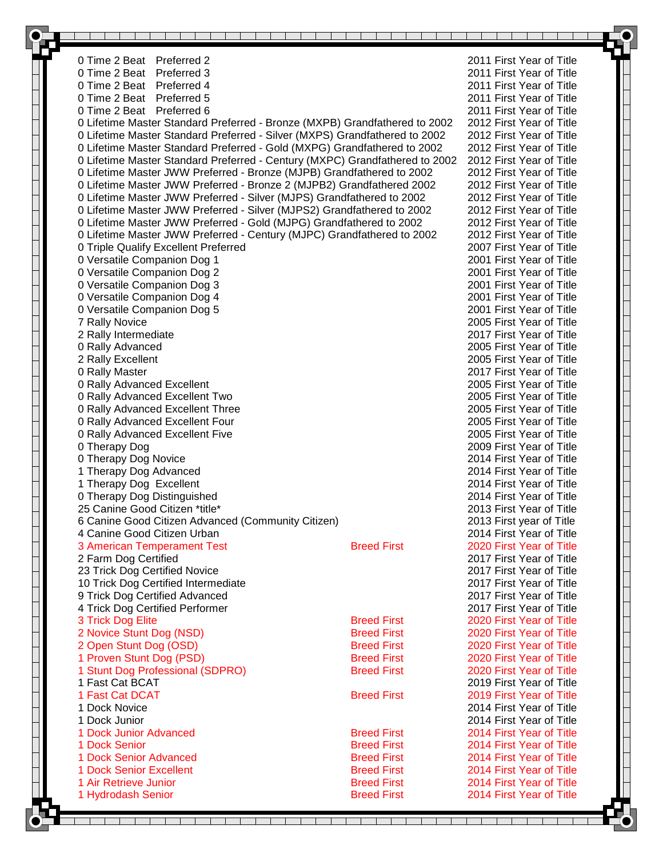| 0 Time 2 Beat Preferred 2                                                   |                    | 2011 First Year of Title                             |  |
|-----------------------------------------------------------------------------|--------------------|------------------------------------------------------|--|
| 0 Time 2 Beat Preferred 3                                                   |                    | 2011 First Year of Title                             |  |
| 0 Time 2 Beat Preferred 4                                                   |                    | 2011 First Year of Title                             |  |
| 0 Time 2 Beat Preferred 5                                                   |                    | 2011 First Year of Title                             |  |
| 0 Time 2 Beat Preferred 6                                                   |                    | 2011 First Year of Title                             |  |
| 0 Lifetime Master Standard Preferred - Bronze (MXPB) Grandfathered to 2002  |                    | 2012 First Year of Title                             |  |
| 0 Lifetime Master Standard Preferred - Silver (MXPS) Grandfathered to 2002  |                    | 2012 First Year of Title                             |  |
| 0 Lifetime Master Standard Preferred - Gold (MXPG) Grandfathered to 2002    |                    | 2012 First Year of Title                             |  |
| 0 Lifetime Master Standard Preferred - Century (MXPC) Grandfathered to 2002 |                    | 2012 First Year of Title                             |  |
| 0 Lifetime Master JWW Preferred - Bronze (MJPB) Grandfathered to 2002       |                    | 2012 First Year of Title                             |  |
| 0 Lifetime Master JWW Preferred - Bronze 2 (MJPB2) Grandfathered 2002       |                    | 2012 First Year of Title                             |  |
| 0 Lifetime Master JWW Preferred - Silver (MJPS) Grandfathered to 2002       |                    | 2012 First Year of Title                             |  |
| 0 Lifetime Master JWW Preferred - Silver (MJPS2) Grandfathered to 2002      |                    | 2012 First Year of Title                             |  |
| 0 Lifetime Master JWW Preferred - Gold (MJPG) Grandfathered to 2002         |                    | 2012 First Year of Title                             |  |
| 0 Lifetime Master JWW Preferred - Century (MJPC) Grandfathered to 2002      |                    | 2012 First Year of Title                             |  |
| 0 Triple Qualify Excellent Preferred                                        |                    | 2007 First Year of Title                             |  |
| 0 Versatile Companion Dog 1                                                 |                    | 2001 First Year of Title                             |  |
| 0 Versatile Companion Dog 2                                                 |                    | 2001 First Year of Title                             |  |
| 0 Versatile Companion Dog 3                                                 |                    | 2001 First Year of Title                             |  |
| 0 Versatile Companion Dog 4                                                 |                    | 2001 First Year of Title                             |  |
| 0 Versatile Companion Dog 5                                                 |                    | 2001 First Year of Title                             |  |
| 7 Rally Novice                                                              |                    | 2005 First Year of Title                             |  |
| 2 Rally Intermediate                                                        |                    | 2017 First Year of Title                             |  |
| 0 Rally Advanced                                                            |                    | 2005 First Year of Title                             |  |
| 2 Rally Excellent                                                           |                    | 2005 First Year of Title                             |  |
| 0 Rally Master                                                              |                    | 2017 First Year of Title                             |  |
| 0 Rally Advanced Excellent                                                  |                    | 2005 First Year of Title                             |  |
| 0 Rally Advanced Excellent Two                                              |                    | 2005 First Year of Title                             |  |
| 0 Rally Advanced Excellent Three                                            |                    | 2005 First Year of Title                             |  |
| 0 Rally Advanced Excellent Four                                             |                    | 2005 First Year of Title                             |  |
| 0 Rally Advanced Excellent Five                                             |                    | 2005 First Year of Title                             |  |
| 0 Therapy Dog                                                               |                    | 2009 First Year of Title                             |  |
| 0 Therapy Dog Novice                                                        |                    | 2014 First Year of Title                             |  |
| 1 Therapy Dog Advanced                                                      |                    | 2014 First Year of Title                             |  |
| 1 Therapy Dog Excellent                                                     |                    | 2014 First Year of Title                             |  |
| 0 Therapy Dog Distinguished                                                 |                    | 2014 First Year of Title                             |  |
| 25 Canine Good Citizen *title*                                              |                    | 2013 First Year of Title                             |  |
| 6 Canine Good Citizen Advanced (Community Citizen)                          |                    | 2013 First year of Title                             |  |
| 4 Canine Good Citizen Urban                                                 |                    | 2014 First Year of Title                             |  |
| 3 American Temperament Test                                                 | <b>Breed First</b> | 2020 First Year of Title                             |  |
| 2 Farm Dog Certified                                                        |                    | 2017 First Year of Title                             |  |
| 23 Trick Dog Certified Novice                                               |                    | 2017 First Year of Title                             |  |
| 10 Trick Dog Certified Intermediate                                         |                    | 2017 First Year of Title                             |  |
| 9 Trick Dog Certified Advanced                                              |                    | 2017 First Year of Title                             |  |
| 4 Trick Dog Certified Performer                                             |                    | 2017 First Year of Title                             |  |
| 3 Trick Dog Elite                                                           | <b>Breed First</b> | 2020 First Year of Title                             |  |
| 2 Novice Stunt Dog (NSD)                                                    | <b>Breed First</b> | 2020 First Year of Title                             |  |
| 2 Open Stunt Dog (OSD)                                                      | <b>Breed First</b> | 2020 First Year of Title                             |  |
| 1 Proven Stunt Dog (PSD)                                                    | <b>Breed First</b> | 2020 First Year of Title                             |  |
| 1 Stunt Dog Professional (SDPRO)<br>1 Fast Cat BCAT                         | <b>Breed First</b> | 2020 First Year of Title                             |  |
| 1 Fast Cat DCAT                                                             |                    | 2019 First Year of Title                             |  |
| 1 Dock Novice                                                               | <b>Breed First</b> | 2019 First Year of Title<br>2014 First Year of Title |  |
| 1 Dock Junior                                                               |                    | 2014 First Year of Title                             |  |
| 1 Dock Junior Advanced                                                      | <b>Breed First</b> | 2014 First Year of Title                             |  |
| 1 Dock Senior                                                               | <b>Breed First</b> | 2014 First Year of Title                             |  |
| 1 Dock Senior Advanced                                                      | <b>Breed First</b> | 2014 First Year of Title                             |  |
| 1 Dock Senior Excellent                                                     | <b>Breed First</b> | 2014 First Year of Title                             |  |
| 1 Air Retrieve Junior                                                       | <b>Breed First</b> | 2014 First Year of Title                             |  |
| 1 Hydrodash Senior                                                          | <b>Breed First</b> | 2014 First Year of Title                             |  |
|                                                                             |                    |                                                      |  |
|                                                                             |                    |                                                      |  |

፶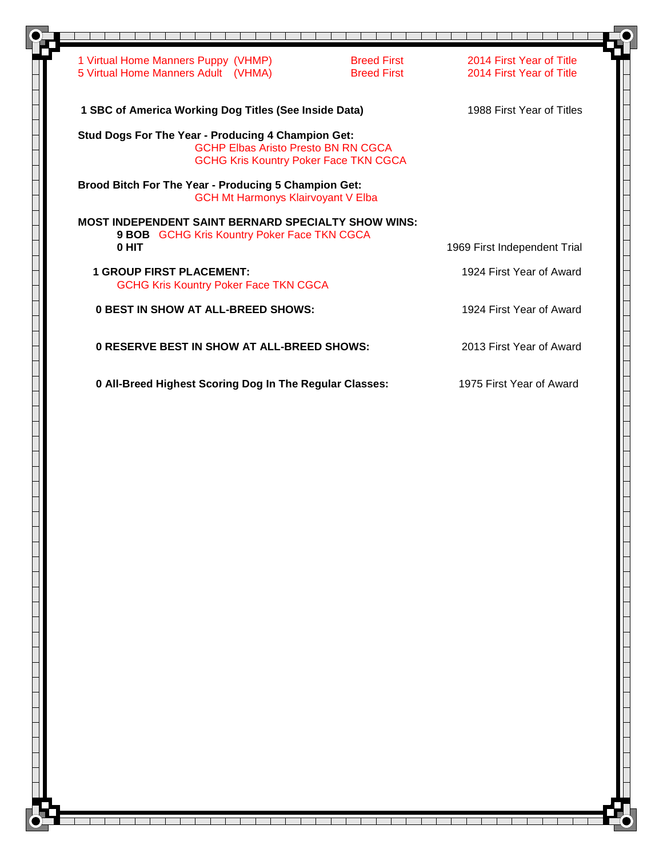|                                 | 1 Virtual Home Manners Puppy (VHMP)                                                                                                              | <b>Breed First</b> | 2014 First Year of Title     |
|---------------------------------|--------------------------------------------------------------------------------------------------------------------------------------------------|--------------------|------------------------------|
|                                 | 5 Virtual Home Manners Adult (VHMA)                                                                                                              | <b>Breed First</b> | 2014 First Year of Title     |
|                                 | 1 SBC of America Working Dog Titles (See Inside Data)                                                                                            |                    | 1988 First Year of Titles    |
|                                 | Stud Dogs For The Year - Producing 4 Champion Get:<br><b>GCHP Elbas Aristo Presto BN RN CGCA</b><br><b>GCHG Kris Kountry Poker Face TKN CGCA</b> |                    |                              |
|                                 | <b>Brood Bitch For The Year - Producing 5 Champion Get:</b><br><b>GCH Mt Harmonys Klairvoyant V Elba</b>                                         |                    |                              |
|                                 | <b>MOST INDEPENDENT SAINT BERNARD SPECIALTY SHOW WINS:</b><br>9 BOB GCHG Kris Kountry Poker Face TKN CGCA                                        |                    |                              |
| 0 HIT                           |                                                                                                                                                  |                    | 1969 First Independent Trial |
| <b>1 GROUP FIRST PLACEMENT:</b> | <b>GCHG Kris Kountry Poker Face TKN CGCA</b>                                                                                                     |                    | 1924 First Year of Award     |
|                                 | <b>0 BEST IN SHOW AT ALL-BREED SHOWS:</b>                                                                                                        |                    | 1924 First Year of Award     |
|                                 | <b>0 RESERVE BEST IN SHOW AT ALL-BREED SHOWS:</b>                                                                                                |                    | 2013 First Year of Award     |
|                                 | 0 All-Breed Highest Scoring Dog In The Regular Classes:                                                                                          |                    | 1975 First Year of Award     |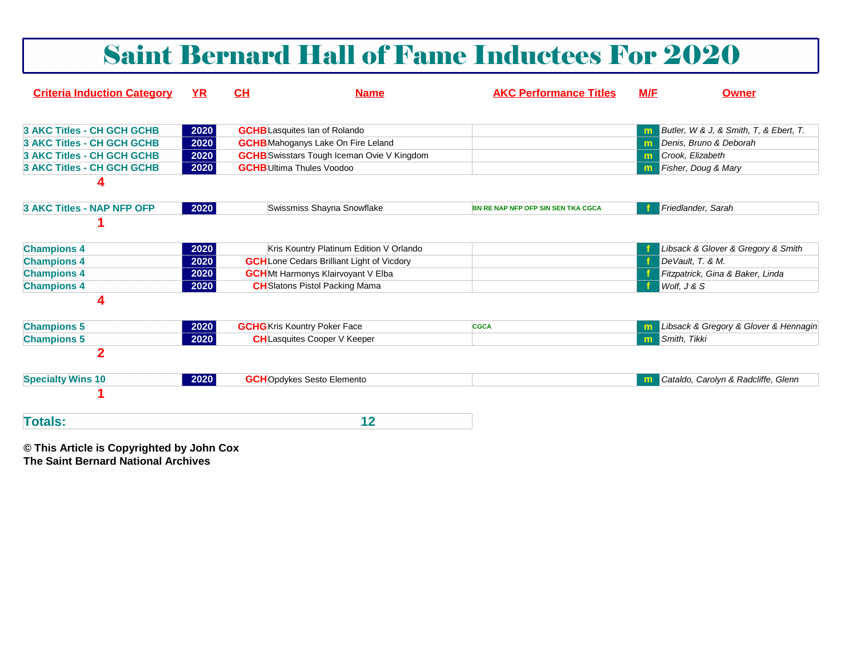|                                    |           |    |                                                   | <b>Saint Bernard Hall of Fame Inductees For 2020</b> |     |                                        |
|------------------------------------|-----------|----|---------------------------------------------------|------------------------------------------------------|-----|----------------------------------------|
| <b>Criteria Induction Category</b> | <b>YR</b> | CH | <b>Name</b>                                       | <b>AKC Performance Titles</b>                        | M/F | <b>Owner</b>                           |
| 3 AKC Titles - CH GCH GCHB         | 2020      |    | <b>GCHB</b> Lasquites Ian of Rolando              |                                                      | m   | Butler, W & J, & Smith, T, & Ebert, T. |
| <b>3 AKC Titles - CH GCH GCHB</b>  | 2020      |    | <b>GCHB</b> Mahoganys Lake On Fire Leland         |                                                      | m   | Denis, Bruno & Deborah                 |
| <b>3 AKC Titles - CH GCH GCHB</b>  | 2020      |    | <b>GCHB</b> Swisstars Tough Iceman Ovie V Kingdom |                                                      | m   | Crook, Elizabeth                       |
| <b>3 AKC Titles - CH GCH GCHB</b>  | 2020      |    | <b>GCHB</b> Ultima Thules Voodoo                  |                                                      | m   | Fisher, Doug & Mary                    |
| 4<br>3 AKC Titles - NAP NFP OFP    | 2020      |    | Swissmiss Shayna Snowflake                        | BN RE NAP NFP OFP SIN SEN TKA CGCA                   |     | Friedlander, Sarah                     |
| <b>Champions 4</b>                 | 2020      |    | Kris Kountry Platinum Edition V Orlando           |                                                      |     | Libsack & Glover & Gregory & Smith     |
| <b>Champions 4</b>                 | 2020      |    | <b>GCH</b> Lone Cedars Brilliant Light of Vicdory |                                                      |     | DeVault, T. & M.                       |
| <b>Champions 4</b>                 | 2020      |    | <b>GCH</b> Mt Harmonys Klairvoyant V Elba         |                                                      |     | Fitzpatrick, Gina & Baker, Linda       |
| <b>Champions 4</b>                 | 2020      |    | <b>CH</b> Slatons Pistol Packing Mama             |                                                      |     | Wolf, J & S                            |
| 4                                  |           |    |                                                   |                                                      |     |                                        |
| <b>Champions 5</b>                 | 2020      |    | <b>GCHG</b> Kris Kountry Poker Face               | <b>CGCA</b>                                          |     | Libsack & Gregory & Glover & Hennagin  |
| <b>Champions 5</b>                 | 2020      |    | <b>CH</b> Lasquites Cooper V Keeper               |                                                      | m   | Smith, Tikki                           |
| $\overline{2}$                     |           |    |                                                   |                                                      |     |                                        |
| <b>Specialty Wins 10</b>           | 2020      |    | <b>GCH</b> Opdykes Sesto Elemento                 |                                                      |     | Cataldo, Carolyn & Radcliffe, Glenn    |
|                                    |           |    |                                                   |                                                      |     |                                        |
| <b>Totals:</b>                     |           |    | 12                                                |                                                      |     |                                        |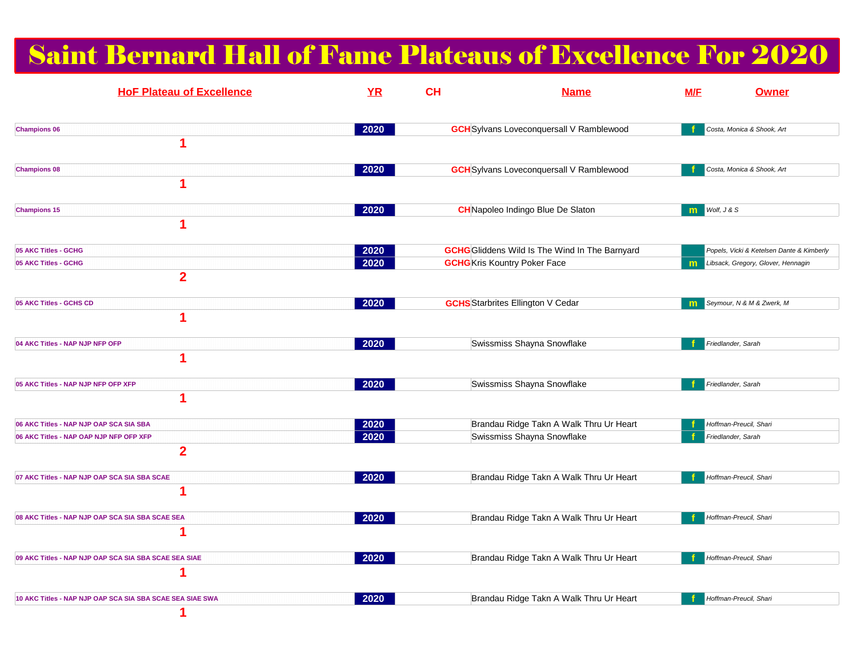# Saint Bernard Hall of Fame Plateaus of Excellence For 2020

| <b>HoF Plateau of Excellence</b>                                                                     | YR           | <b>CH</b> | <b>Name</b>                                                                                  | M/F              | <b>Owner</b>                                                                    |
|------------------------------------------------------------------------------------------------------|--------------|-----------|----------------------------------------------------------------------------------------------|------------------|---------------------------------------------------------------------------------|
| <b>Champions 06</b><br>1                                                                             | 2020         |           | <b>GCH</b> Sylvans Loveconquersall V Ramblewood                                              |                  | Costa, Monica & Shook, Art                                                      |
| <b>Champions 08</b><br>1                                                                             | 2020         |           | <b>GCH</b> Sylvans Loveconquersall V Ramblewood                                              |                  | Costa, Monica & Shook, Art                                                      |
| <b>Champions 15</b><br>1                                                                             | 2020         |           | <b>CH</b> Napoleo Indingo Blue De Slaton                                                     | Wolf, J & S<br>m |                                                                                 |
| 05 AKC Titles - GCHG<br>05 AKC Titles - GCHG<br>$\overline{2}$                                       | 2020<br>2020 |           | <b>GCHG</b> Gliddens Wild Is The Wind In The Barnyard<br><b>GCHG</b> Kris Kountry Poker Face | m                | Popels, Vicki & Ketelsen Dante & Kimberly<br>Libsack, Gregory, Glover, Hennagin |
| 05 AKC Titles - GCHS CD<br>1                                                                         | 2020         |           | <b>GCHS</b> Starbrites Ellington V Cedar                                                     | m                | Seymour, N & M & Zwerk, M                                                       |
| 04 AKC Titles - NAP NJP NFP OFP<br>1                                                                 | 2020         |           | Swissmiss Shayna Snowflake                                                                   |                  | Friedlander, Sarah                                                              |
| 05 AKC Titles - NAP NJP NFP OFP XFP<br>1                                                             | 2020         |           | Swissmiss Shayna Snowflake                                                                   |                  | Friedlander, Sarah                                                              |
| 06 AKC Titles - NAP NJP OAP SCA SIA SBA<br>06 AKC Titles - NAP OAP NJP NFP OFP XFP<br>$\overline{2}$ | 2020<br>2020 |           | Brandau Ridge Takn A Walk Thru Ur Heart<br>Swissmiss Shayna Snowflake                        |                  | Hoffman-Preucil, Shari<br>Friedlander, Sarah                                    |
| 07 AKC Titles - NAP NJP OAP SCA SIA SBA SCAE                                                         | 2020         |           | Brandau Ridge Takn A Walk Thru Ur Heart                                                      |                  | Hoffman-Preucil, Shari                                                          |
| 08 AKC Titles - NAP NJP OAP SCA SIA SBA SCAE SEA<br>1                                                | 2020         |           | Brandau Ridge Takn A Walk Thru Ur Heart                                                      |                  | Hoffman-Preucil, Shari                                                          |
| 09 AKC Titles - NAP NJP OAP SCA SIA SBA SCAE SEA SIAE<br>1                                           | 2020         |           | Brandau Ridge Takn A Walk Thru Ur Heart                                                      |                  | Hoffman-Preucil, Shari                                                          |
| 10 AKC Titles - NAP NJP OAP SCA SIA SBA SCAE SEA SIAE SWA                                            | 2020         |           | Brandau Ridge Takn A Walk Thru Ur Heart                                                      |                  | Hoffman-Preucil, Shari                                                          |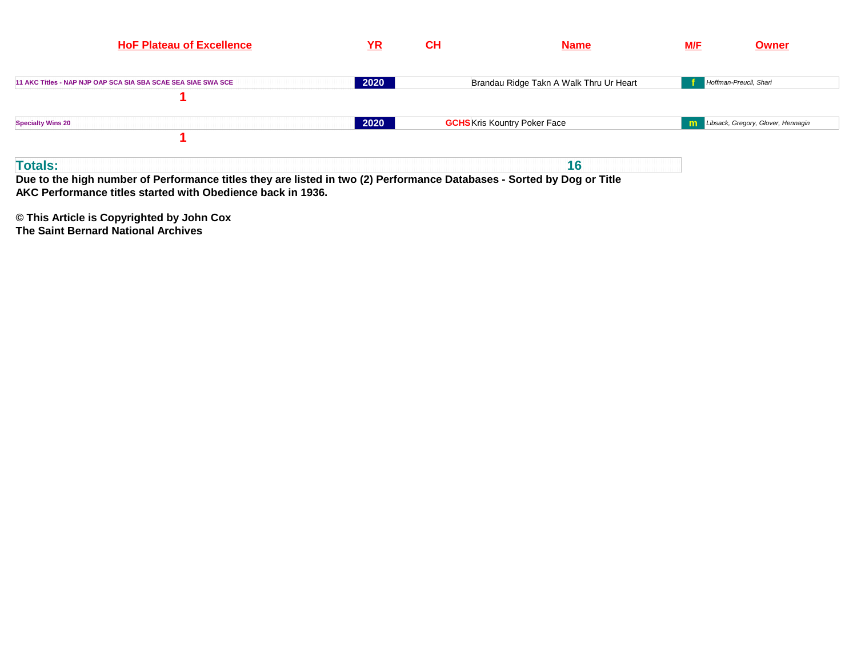| <b>HoF Plateau of Excellence</b>                                                                                                                                                                        | <u>YR</u> | <b>CH</b> | <b>Name</b>                             | M/E | <b>Owner</b>                       |
|---------------------------------------------------------------------------------------------------------------------------------------------------------------------------------------------------------|-----------|-----------|-----------------------------------------|-----|------------------------------------|
| 11 AKC Titles - NAP NJP OAP SCA SIA SBA SCAE SEA SIAE SWA SCE                                                                                                                                           | 2020      |           | Brandau Ridge Takn A Walk Thru Ur Heart |     | Hoffman-Preucil, Shari             |
| <b>Specialty Wins 20</b>                                                                                                                                                                                | 2020      |           | <b>GCHS</b> Kris Kountry Poker Face     | m   | Libsack, Gregory, Glover, Hennagin |
| <b>Totals:</b><br>Due to the high number of Performance titles they are listed in two (2) Performance Databases - Sorted by Dog or Title<br>AKC Performance titles started with Obedience back in 1936. |           |           | 16                                      |     |                                    |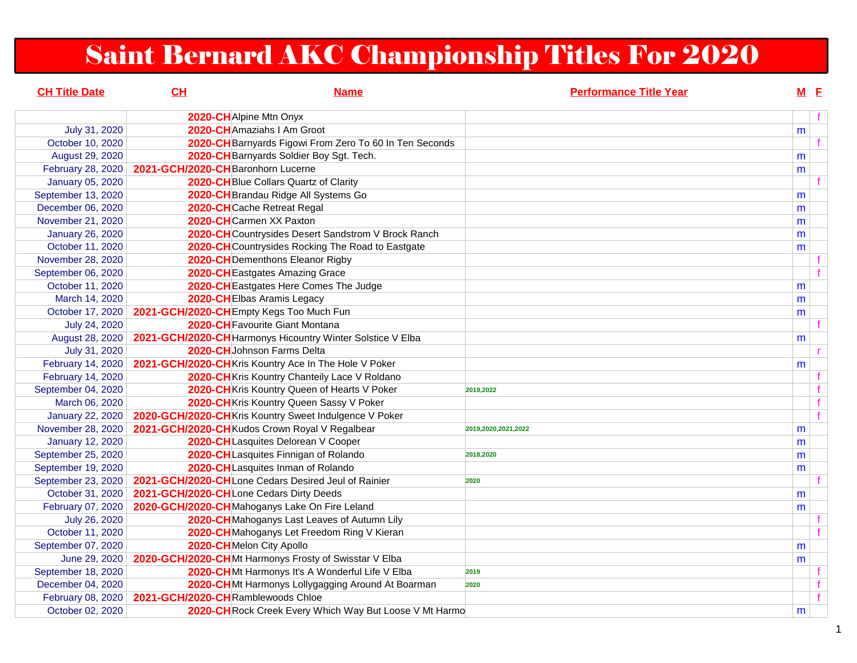# Saint Bernard AKC Championship Titles For 2020

| <b>CH Title Date</b>    | CL                                             | <b>Name</b>                                                | <b>Performance Title Year</b> | $M$ E |              |
|-------------------------|------------------------------------------------|------------------------------------------------------------|-------------------------------|-------|--------------|
|                         | 2020-CHAlpine Mtn Onyx                         |                                                            |                               |       | $\mathbf{f}$ |
| July 31, 2020           |                                                | 2020-CHAmaziahs I Am Groot                                 |                               | m     |              |
| October 10, 2020        |                                                | 2020-CH Barnyards Figowi From Zero To 60 In Ten Seconds    |                               |       | f            |
| August 29, 2020         |                                                | 2020-CH Barnyards Soldier Boy Sgt. Tech.                   |                               | m     |              |
| February 28, 2020       | 2021-GCH/2020-CHBaronhorn Lucerne              |                                                            |                               | m     |              |
| <b>January 05, 2020</b> |                                                | 2020-CH Blue Collars Quartz of Clarity                     |                               |       |              |
| September 13, 2020      |                                                | 2020-CH Brandau Ridge All Systems Go                       |                               | m     |              |
| December 06, 2020       |                                                | 2020-CHCache Retreat Regal                                 |                               | m     |              |
| November 21, 2020       | 2020-CHCarmen XX Paxton                        |                                                            |                               | m     |              |
| <b>January 26, 2020</b> |                                                | 2020-CH Countrysides Desert Sandstrom V Brock Ranch        |                               | m     |              |
| October 11, 2020        |                                                | 2020-CH Countrysides Rocking The Road to Eastgate          |                               | m     |              |
| November 28, 2020       |                                                | 2020-CH Dementhons Eleanor Rigby                           |                               |       |              |
| September 06, 2020      |                                                | 2020-CH Eastgates Amazing Grace                            |                               |       |              |
| October 11, 2020        |                                                | 2020-CH Eastgates Here Comes The Judge                     |                               | m     |              |
| March 14, 2020          |                                                | 2020-CHEIbas Aramis Legacy                                 |                               | m     |              |
| October 17, 2020        | 2021-GCH/2020-CHEmpty Kegs Too Much Fun        |                                                            |                               | m     |              |
| July 24, 2020           |                                                | 2020-CH Favourite Giant Montana                            |                               |       |              |
| August 28, 2020         |                                                | 2021-GCH/2020-CH Harmonys Hicountry Winter Solstice V Elba |                               | m     |              |
| July 31, 2020           |                                                | 2020-CH Johnson Farms Delta                                |                               |       | r.           |
| February 14, 2020       |                                                | 2021-GCH/2020-CHKris Kountry Ace In The Hole V Poker       |                               | m     |              |
| February 14, 2020       |                                                | 2020-CH Kris Kountry Chanteily Lace V Roldano              |                               |       |              |
| September 04, 2020      |                                                | 2020-CHKris Kountry Queen of Hearts V Poker                | 2019,2022                     |       | $\mathbf{f}$ |
| March 06, 2020          |                                                | 2020-CH Kris Kountry Queen Sassy V Poker                   |                               |       | f            |
| <b>January 22, 2020</b> |                                                | 2020-GCH/2020-CHKris Kountry Sweet Indulgence V Poker      |                               |       | f            |
| November 28, 2020       |                                                | 2021-GCH/2020-CH Kudos Crown Royal V Regalbear             | 2019,2020,2021,2022           | m     |              |
| <b>January 12, 2020</b> |                                                | 2020-CHLasquites Delorean V Cooper                         |                               | m     |              |
| September 25, 2020      |                                                | 2020-CH Lasquites Finnigan of Rolando                      | 2018,2020                     | m     |              |
| September 19, 2020      |                                                | 2020-CHLasquites Inman of Rolando                          |                               | m     |              |
| September 23, 2020      |                                                | 2021-GCH/2020-CHLone Cedars Desired Jeul of Rainier        | 2020                          |       |              |
| October 31, 2020        | 2021-GCH/2020-CHLone Cedars Dirty Deeds        |                                                            |                               | m     |              |
| February 07, 2020       | 2020-GCH/2020-CH Mahoganys Lake On Fire Leland |                                                            |                               | m     |              |
| July 26, 2020           |                                                | 2020-CHMahoganys Last Leaves of Autumn Lily                |                               |       |              |
| October 11, 2020        |                                                | 2020-CHMahoganys Let Freedom Ring V Kieran                 |                               |       |              |
| September 07, 2020      | 2020-CHMelon City Apollo                       |                                                            |                               | m     |              |
| June 29, 2020           |                                                | 2020-GCH/2020-CHMt Harmonys Frosty of Swisstar V Elba      |                               | m     |              |
| September 18, 2020      |                                                | 2020-CHMt Harmonys It's A Wonderful Life V Elba            | 2019                          |       | f            |
| December 04, 2020       |                                                | 2020-CHMt Harmonys Lollygagging Around At Boarman          | 2020                          |       |              |
| February 08, 2020       | 2021-GCH/2020-CHRamblewoods Chloe              |                                                            |                               |       |              |
| October 02, 2020        |                                                | 2020-CH Rock Creek Every Which Way But Loose V Mt Harmo    |                               | m     |              |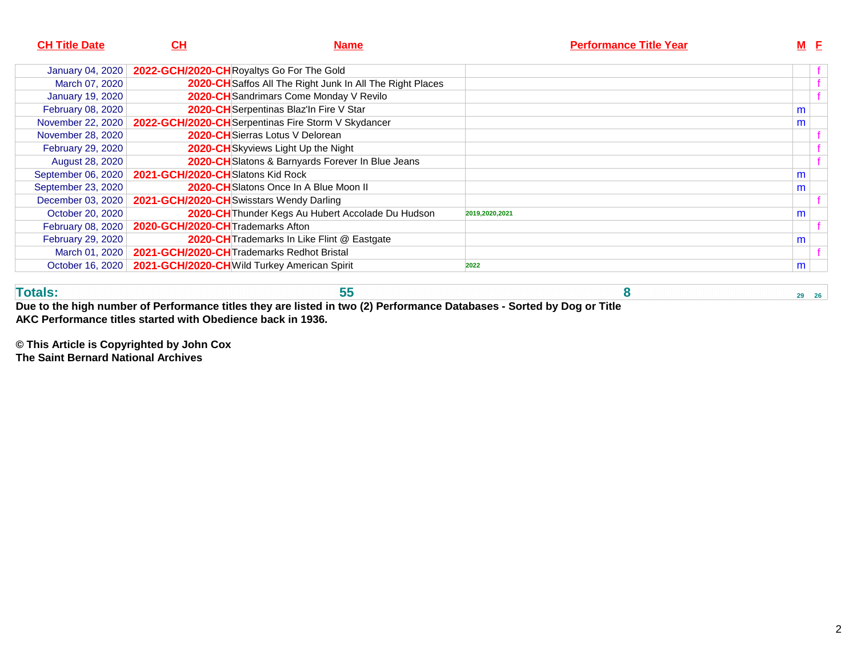| <b>CH Title Date</b>    | <u>СН</u><br><b>Name</b>                     |                                                                  | <b>Performance Title Year</b> |   | <b>M</b> E |  |
|-------------------------|----------------------------------------------|------------------------------------------------------------------|-------------------------------|---|------------|--|
| <b>January 04, 2020</b> | 2022-GCH/2020-CHRoyaltys Go For The Gold     |                                                                  |                               |   |            |  |
| March 07, 2020          |                                              | <b>2020-CH</b> Saffos All The Right Junk In All The Right Places |                               |   |            |  |
| <b>January 19, 2020</b> |                                              | 2020-CH Sandrimars Come Monday V Revilo                          |                               |   |            |  |
| February 08, 2020       |                                              | 2020-CH Serpentinas Blaz'In Fire V Star                          |                               | m |            |  |
| November 22, 2020       |                                              | 2022-GCH/2020-CH Serpentinas Fire Storm V Skydancer              |                               | m |            |  |
| November 28, 2020       |                                              | <b>2020-CH</b> ISierras Lotus V Delorean                         |                               |   |            |  |
| February 29, 2020       |                                              | 2020-CHSkyviews Light Up the Night                               |                               |   |            |  |
| August 28, 2020         |                                              | 2020-CH Slatons & Barnyards Forever In Blue Jeans                |                               |   |            |  |
| September 06, 2020      | 2021-GCH/2020-CHSlatons Kid Rock             |                                                                  |                               | m |            |  |
| September 23, 2020      |                                              | <b>2020-CH</b> Slatons Once In A Blue Moon II                    |                               | m |            |  |
| December 03, 2020       | 2021-GCH/2020-CHSwisstars Wendy Darling      |                                                                  |                               |   |            |  |
| October 20, 2020        |                                              | 2020-CH Thunder Kegs Au Hubert Accolade Du Hudson                | 2019,2020,2021                | m |            |  |
| February 08, 2020       | 2020-GCH/2020-CH Trademarks Afton            |                                                                  |                               |   |            |  |
| February 29, 2020       |                                              | 2020-CH Trademarks In Like Flint @ Eastgate                      |                               | m |            |  |
| March 01, 2020          | 2021-GCH/2020-CHTrademarks Redhot Bristal    |                                                                  |                               |   |            |  |
| October 16, 2020        | 2021-GCH/2020-CH Wild Turkey American Spirit |                                                                  | 2022                          | m |            |  |

**Totals: 55 8 29 26 Due to the high number of Performance titles they are listed in two (2) Performance Databases - Sorted by Dog or TitleAKC Performance titles started with Obedience back in 1936.**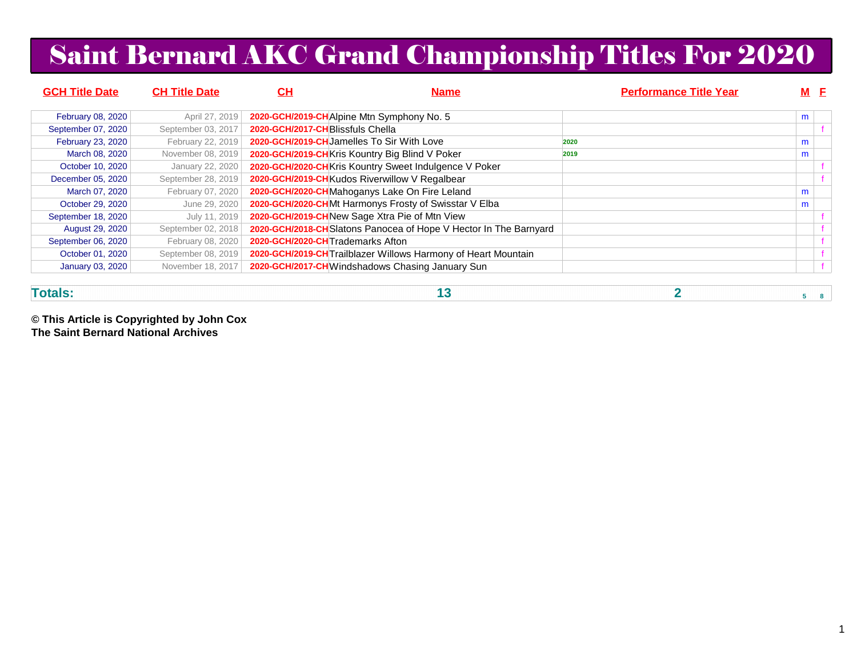# Saint Bernard AKC Grand Championship Titles For 2020

| <b>GCH Title Date</b>   | <b>CH Title Date</b> | <u>СН</u>                        | <b>Name</b>                                                       | <b>Performance Title Year</b> |   | M F |
|-------------------------|----------------------|----------------------------------|-------------------------------------------------------------------|-------------------------------|---|-----|
| February 08, 2020       | April 27, 2019       |                                  | 2020-GCH/2019-CHAlpine Mtn Symphony No. 5                         |                               | m |     |
| September 07, 2020      | September 03, 2017   | 2020-GCH/2017-CHBlissfuls Chella |                                                                   |                               |   |     |
| February 23, 2020       | February 22, 2019    |                                  | 2020-GCH/2019-CH Jamelles To Sir With Love                        | 2020                          | m |     |
| March 08, 2020          | November 08, 2019    |                                  | 2020-GCH/2019-CHKris Kountry Big Blind V Poker                    | 2019                          | m |     |
| October 10, 2020        | January 22, 2020     |                                  | 2020-GCH/2020-CHKris Kountry Sweet Indulgence V Poker             |                               |   |     |
| December 05, 2020       | September 28, 2019   |                                  | 2020-GCH/2019-CHKudos Riverwillow V Regalbear                     |                               |   |     |
| March 07, 2020          | February 07, 2020    |                                  | 2020-GCH/2020-CHMahoganys Lake On Fire Leland                     |                               | m |     |
| October 29, 2020        | June 29, 2020        |                                  | 2020-GCH/2020-CHMt Harmonys Frosty of Swisstar V Elba             |                               | m |     |
| September 18, 2020      | July 11, 2019        |                                  | 2020-GCH/2019-CHNew Sage Xtra Pie of Mtn View                     |                               |   |     |
| <b>August 29, 2020</b>  | September 02, 2018   |                                  | 2020-GCH/2018-CH Slatons Panocea of Hope V Hector In The Barnyard |                               |   |     |
| September 06, 2020      | February 08, 2020    | 2020-GCH/2020-CHTrademarks Afton |                                                                   |                               |   |     |
| October 01, 2020        | September 08, 2019   |                                  | 2020-GCH/2019-CH Trailblazer Willows Harmony of Heart Mountain    |                               |   |     |
| <b>January 03, 2020</b> | November 18, 2017    |                                  | 2020-GCH/2017-CH Windshadows Chasing January Sun                  |                               |   |     |
|                         |                      |                                  |                                                                   |                               |   |     |

**Totals:**

**13 2 5 8**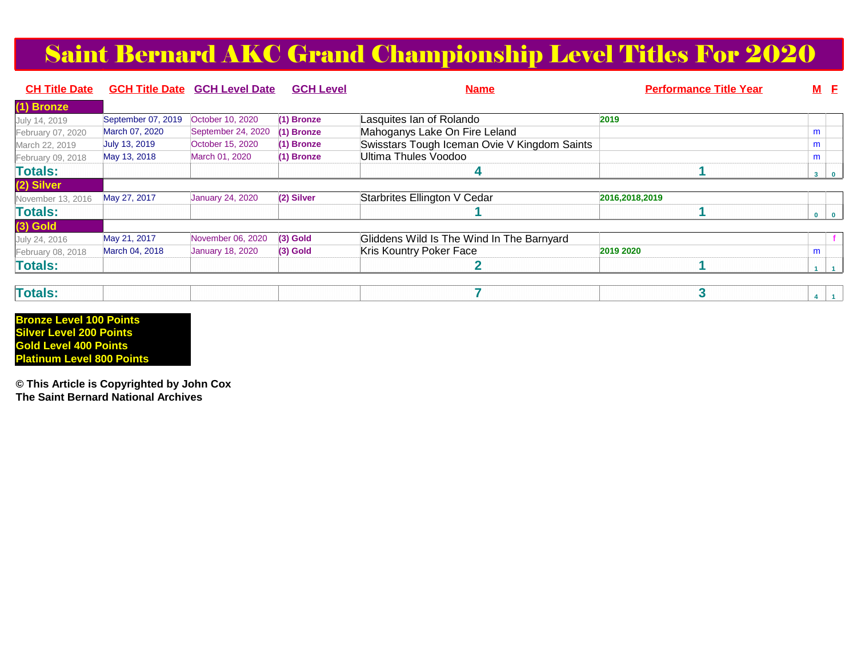# Saint Bernard AKC Grand Championship Level Titles For 2020

| <b>CH Title Date</b> |                    | <b>GCH Title Date GCH Level Date</b> | <b>GCH Level</b> | <b>Name</b>                                  | <b>Performance Title Year</b> |              | <b>M</b> E |
|----------------------|--------------------|--------------------------------------|------------------|----------------------------------------------|-------------------------------|--------------|------------|
| (1) Bronze           |                    |                                      |                  |                                              |                               |              |            |
| July 14, 2019        | September 07, 2019 | October 10, 2020                     | (1) Bronze       | Lasquites lan of Rolando                     | 2019                          |              |            |
| February 07, 2020    | March 07, 2020     | September 24, 2020                   | (1) Bronze       | Mahoganys Lake On Fire Leland                |                               | m            |            |
| March 22, 2019       | July 13, 2019      | October 15, 2020                     | $(1)$ Bronze     | Swisstars Tough Iceman Ovie V Kingdom Saints |                               | m            |            |
| February 09, 2018    | May 13, 2018       | March 01, 2020                       | $(1)$ Bronze     | <b>Ultima Thules Voodoo</b>                  |                               | m            |            |
| <b>Totals:</b>       |                    |                                      |                  | 4                                            |                               | $\mathbf{3}$ | $\bullet$  |
| (2) Silver           |                    |                                      |                  |                                              |                               |              |            |
| November 13, 2016    | May 27, 2017       | <b>January 24, 2020</b>              | (2) Silver       | Starbrites Ellington V Cedar                 | 2016,2018,2019                |              |            |
| <b>Totals:</b>       |                    |                                      |                  |                                              |                               |              |            |
| $(3)$ Gold           |                    |                                      |                  |                                              |                               |              |            |
| July 24, 2016        | May 21, 2017       | November 06, 2020                    | $(3)$ Gold       | Gliddens Wild Is The Wind In The Barnyard    |                               |              |            |
| February 08, 2018    | March 04, 2018     | <b>January 18, 2020</b>              | $(3)$ Gold       | Kris Kountry Poker Face                      | 2019 2020                     | m            |            |
| <b>Totals:</b>       |                    |                                      |                  |                                              |                               |              |            |

| <b>Totals</b> |
|---------------|
|---------------|

**Bronze Level 100 Points Silver Level 200 Points Gold Level 400 PointsPlatinum Level 800 Points**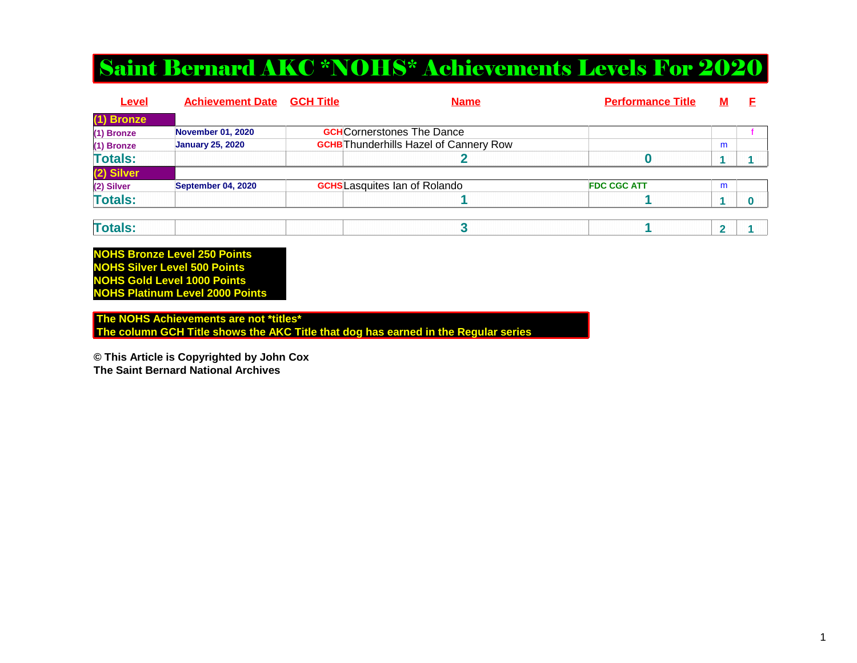## Saint Bernard AKC \*NOHS\* Achievements Levels For 2020

| <b>November 01, 2020</b> |  |                                                                                                                            |   |  |
|--------------------------|--|----------------------------------------------------------------------------------------------------------------------------|---|--|
| <b>January 25, 2020</b>  |  |                                                                                                                            | m |  |
|                          |  |                                                                                                                            |   |  |
|                          |  |                                                                                                                            |   |  |
| September 04, 2020       |  | <b>FDC CGC ATT</b>                                                                                                         | m |  |
|                          |  |                                                                                                                            |   |  |
|                          |  | <b>GCH</b> Cornerstones The Dance<br><b>GCHB</b> Thunderhills Hazel of Cannery Row<br><b>GCHS</b> Lasquites Ian of Rolando |   |  |

| <b>Contract Contract</b><br>.<br>__ |
|-------------------------------------|
|-------------------------------------|

**NOHS Bronze Level 250 Points NOHS Silver Level 500 Points NOHS Gold Level 1000 PointsNOHS Platinum Level 2000 Points**

 **The NOHS Achievements are not \*titles\* The column GCH Title shows the AKC Title that dog has earned in the Regular series**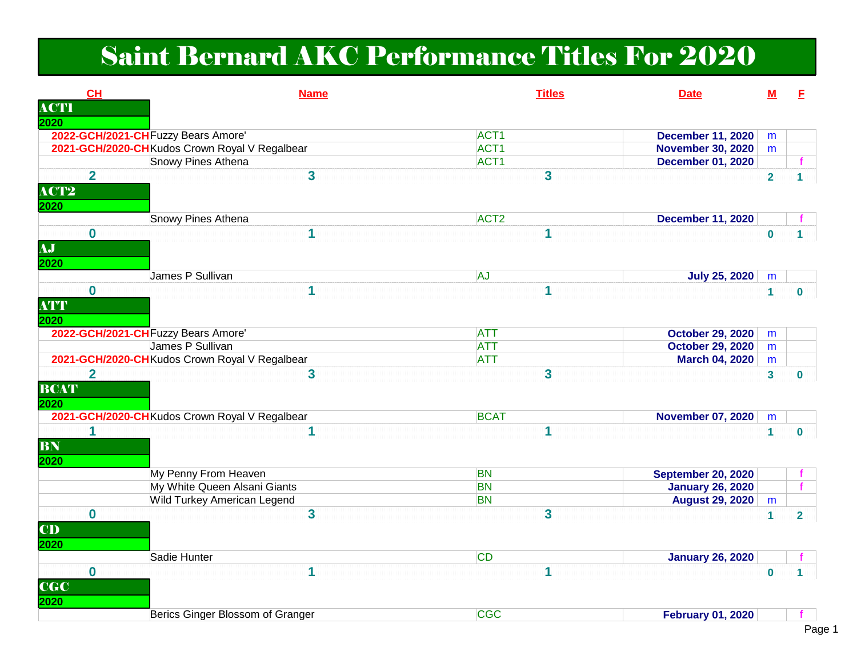# Saint Bernard AKC Performance Titles For 2020

| <b>CH</b>               | <b>Name</b>                                    | <b>Titles</b><br><b>Date</b>                 | M              | E.                      |
|-------------------------|------------------------------------------------|----------------------------------------------|----------------|-------------------------|
| <b>ACTI</b>             |                                                |                                              |                |                         |
| 2020                    |                                                |                                              |                |                         |
|                         | 2022-GCH/2021-CH Fuzzy Bears Amore'            | ACT <sub>1</sub><br><b>December 11, 2020</b> | m              |                         |
|                         | 2021-GCH/2020-CHKudos Crown Royal V Regalbear  | ACT <sub>1</sub><br><b>November 30, 2020</b> | m              |                         |
|                         | Snowy Pines Athena                             | ACT <sub>1</sub><br><b>December 01, 2020</b> |                |                         |
| $\overline{2}$          | $\overline{\mathbf{3}}$                        | $\overline{\mathbf{3}}$                      | $\overline{2}$ |                         |
| ACT2                    |                                                |                                              |                |                         |
| 2020                    |                                                |                                              |                |                         |
|                         | Snowy Pines Athena                             | ACT <sub>2</sub><br><b>December 11, 2020</b> |                |                         |
| $\mathbf 0$             | 1                                              | 1                                            | $\bf{0}$       |                         |
| AJ                      |                                                |                                              |                |                         |
| 2020                    |                                                |                                              |                |                         |
|                         | James P Sullivan                               | AJ<br><b>July 25, 2020</b>                   | m              |                         |
| $\bf{0}$                | 1                                              | 1                                            | $\mathbf{1}$   | $\bf{0}$                |
| <b>ATT</b>              |                                                |                                              |                |                         |
| 2020                    |                                                |                                              |                |                         |
|                         | 2022-GCH/2021-CH Fuzzy Bears Amore'            | <b>ATT</b><br><b>October 29, 2020</b>        |                |                         |
|                         | James P Sullivan                               | <b>October 29, 2020</b><br><b>ATT</b>        | m<br>m         |                         |
|                         | 2021-GCH/2020-CHKudos Crown Royal V Regalbear  | <b>ATT</b><br><b>March 04, 2020</b>          | m              |                         |
| $\overline{\mathbf{2}}$ | 3                                              | $\overline{\mathbf{3}}$                      | $\mathbf{3}$   |                         |
| <b>BCAT</b>             |                                                |                                              |                | $\bf{0}$                |
|                         |                                                |                                              |                |                         |
| 2020                    |                                                |                                              |                |                         |
|                         | 2021-GCH/2020-CH Kudos Crown Royal V Regalbear | <b>BCAT</b><br><b>November 07, 2020</b>      | m              |                         |
| 1                       |                                                | 1                                            | $\mathbf 1$    | $\bf{0}$                |
| BN                      |                                                |                                              |                |                         |
| 2020                    |                                                |                                              |                |                         |
|                         | My Penny From Heaven                           | <b>BN</b><br><b>September 20, 2020</b>       |                |                         |
|                         | My White Queen Alsani Giants                   | <b>BN</b><br><b>January 26, 2020</b>         |                | $\mathbf{f}$            |
|                         | Wild Turkey American Legend                    | <b>BN</b><br><b>August 29, 2020</b>          | m              |                         |
| $\bf{0}$                | 3                                              | $\overline{\mathbf{3}}$                      | $\mathbf{1}$   | $\overline{\mathbf{2}}$ |
| CD                      |                                                |                                              |                |                         |
| 2020                    |                                                |                                              |                |                         |
|                         | Sadie Hunter                                   | <b>CD</b><br><b>January 26, 2020</b>         |                |                         |
| $\bf{0}$                | 1                                              | 1                                            | $\mathbf 0$    | 1                       |
| <b>CGC</b>              |                                                |                                              |                |                         |
| 2020                    |                                                |                                              |                |                         |
|                         | Berics Ginger Blossom of Granger               | <b>CGC</b><br><b>February 01, 2020</b>       |                |                         |
|                         |                                                |                                              |                |                         |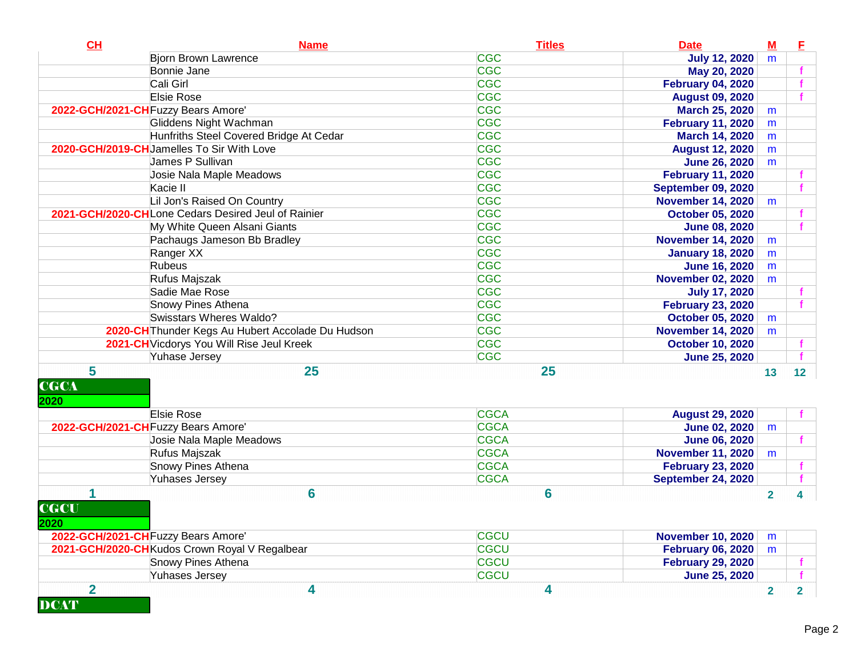| CH                            | <b>Name</b>                                         | <b>Titles</b>   | <b>Date</b>               | $M$                     | E               |
|-------------------------------|-----------------------------------------------------|-----------------|---------------------------|-------------------------|-----------------|
|                               | <b>Bjorn Brown Lawrence</b>                         | <b>CGC</b>      | <b>July 12, 2020</b>      | m                       |                 |
|                               | Bonnie Jane                                         | <b>CGC</b>      | May 20, 2020              |                         |                 |
|                               | Cali Girl                                           | <b>CGC</b>      | <b>February 04, 2020</b>  |                         |                 |
|                               | <b>Elsie Rose</b>                                   | <b>CGC</b>      | <b>August 09, 2020</b>    |                         |                 |
|                               | 2022-GCH/2021-CH Fuzzy Bears Amore'                 | <b>CGC</b>      | <b>March 25, 2020</b>     | m                       |                 |
|                               | Gliddens Night Wachman                              | <b>CGC</b>      | <b>February 11, 2020</b>  | m                       |                 |
|                               | Hunfriths Steel Covered Bridge At Cedar             | <b>CGC</b>      | March 14, 2020            | m                       |                 |
|                               | 2020-GCH/2019-CHJamelles To Sir With Love           | <b>CGC</b>      | <b>August 12, 2020</b>    | m                       |                 |
|                               | James P Sullivan                                    | <b>CGC</b>      | <b>June 26, 2020</b>      | m                       |                 |
|                               | Josie Nala Maple Meadows                            | <b>CGC</b>      | <b>February 11, 2020</b>  |                         |                 |
|                               | Kacie II                                            | <b>CGC</b>      | <b>September 09, 2020</b> |                         |                 |
|                               | Lil Jon's Raised On Country                         | <b>CGC</b>      | <b>November 14, 2020</b>  | m                       |                 |
|                               | 2021-GCH/2020-CHLone Cedars Desired Jeul of Rainier | <b>CGC</b>      | <b>October 05, 2020</b>   |                         |                 |
|                               | My White Queen Alsani Giants                        | <b>CGC</b>      | <b>June 08, 2020</b>      |                         |                 |
|                               | Pachaugs Jameson Bb Bradley                         | <b>CGC</b>      | <b>November 14, 2020</b>  | m                       |                 |
|                               | Ranger XX                                           | <b>CGC</b>      | <b>January 18, 2020</b>   | m                       |                 |
|                               | Rubeus                                              | <b>CGC</b>      | <b>June 16, 2020</b>      | m                       |                 |
|                               | Rufus Majszak                                       | <b>CGC</b>      | <b>November 02, 2020</b>  | m                       |                 |
|                               | Sadie Mae Rose                                      | <b>CGC</b>      | <b>July 17, 2020</b>      |                         |                 |
|                               | Snowy Pines Athena                                  | <b>CGC</b>      | <b>February 23, 2020</b>  |                         |                 |
|                               | Swisstars Wheres Waldo?                             | <b>CGC</b>      | <b>October 05, 2020</b>   | m                       |                 |
|                               | 2020-CH Thunder Kegs Au Hubert Accolade Du Hudson   | <b>CGC</b>      | <b>November 14, 2020</b>  | m                       |                 |
|                               | 2021-CH Vicdorys You Will Rise Jeul Kreek           | <b>CGC</b>      | <b>October 10, 2020</b>   |                         |                 |
|                               | Yuhase Jersey                                       | <b>CGC</b>      | <b>June 25, 2020</b>      |                         |                 |
| 5<br><b>CGCA</b><br>2020      | 25                                                  | 25              |                           | 13                      | 12 <sup>7</sup> |
|                               | Elsie Rose                                          | <b>CGCA</b>     | <b>August 29, 2020</b>    |                         |                 |
|                               | 2022-GCH/2021-CH Fuzzy Bears Amore'                 | <b>CGCA</b>     | <b>June 02, 2020</b>      | m                       |                 |
|                               | Josie Nala Maple Meadows                            | <b>CGCA</b>     | <b>June 06, 2020</b>      |                         | f.              |
|                               | Rufus Majszak                                       | <b>CGCA</b>     | <b>November 11, 2020</b>  | m                       |                 |
|                               | Snowy Pines Athena                                  | <b>CGCA</b>     | <b>February 23, 2020</b>  |                         | f               |
|                               | Yuhases Jersey                                      | <b>CGCA</b>     | <b>September 24, 2020</b> |                         | $\mathbf{f}$    |
| 1<br><b>CGCU</b><br>2020      | 6                                                   | $6\phantom{1}6$ |                           | $\overline{2}$          | 4               |
|                               | 2022-GCH/2021-CH Fuzzy Bears Amore'                 | <b>CGCU</b>     | <b>November 10, 2020</b>  | m                       |                 |
|                               | 2021-GCH/2020-CH Kudos Crown Royal V Regalbear      | <b>CGCU</b>     | <b>February 06, 2020</b>  | m                       |                 |
|                               | Snowy Pines Athena                                  | <b>CGCU</b>     | <b>February 29, 2020</b>  |                         |                 |
|                               | Yuhases Jersey                                      | <b>CGCU</b>     | <b>June 25, 2020</b>      |                         | f               |
| $\overline{2}$<br><b>DCAT</b> | 4                                                   | 4               |                           | $\overline{\mathbf{2}}$ | $\mathbf{2}$    |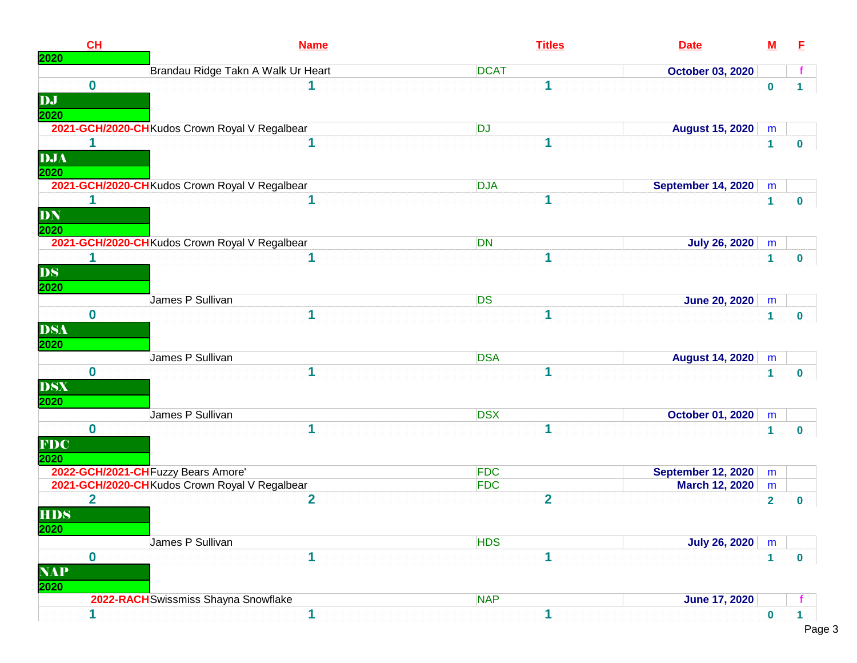| CH          | <b>Name</b>                                    | <b>Titles</b>           | <b>Date</b>               | ${\bf M}$    | E            |
|-------------|------------------------------------------------|-------------------------|---------------------------|--------------|--------------|
| 2020        | Brandau Ridge Takn A Walk Ur Heart             | <b>DCAT</b>             | <b>October 03, 2020</b>   |              |              |
| $\bf{0}$    |                                                | 1                       |                           | $\bf{0}$     | 1.           |
| DJ          |                                                |                         |                           |              |              |
| 2020        |                                                |                         |                           |              |              |
|             | 2021-GCH/2020-CH Kudos Crown Royal V Regalbear | <b>DJ</b>               | <b>August 15, 2020</b>    | m            |              |
| 1           |                                                |                         |                           | $\mathbf{1}$ | $\mathbf 0$  |
| DJA         |                                                |                         |                           |              |              |
| 2020        |                                                |                         |                           |              |              |
|             | 2021-GCH/2020-CHKudos Crown Royal V Regalbear  | <b>DJA</b>              | <b>September 14, 2020</b> | m            |              |
| 1           | 1                                              |                         |                           | $\mathbf{1}$ | $\mathbf{0}$ |
| DN          |                                                |                         |                           |              |              |
| 2020        |                                                |                         |                           |              |              |
|             | 2021-GCH/2020-CH Kudos Crown Royal V Regalbear | <b>DN</b>               | <b>July 26, 2020</b>      | m            |              |
|             | 1                                              | 1                       |                           | $\mathbf{1}$ | $\bf{0}$     |
| <b>DS</b>   |                                                |                         |                           |              |              |
| 2020        |                                                |                         |                           |              |              |
|             | James P Sullivan                               | <b>DS</b>               | <b>June 20, 2020</b>      | m            |              |
| $\bf{0}$    | 1                                              | 1                       |                           | $\mathbf{1}$ | $\mathbf{0}$ |
| <b>DSA</b>  |                                                |                         |                           |              |              |
| 2020        |                                                |                         |                           |              |              |
|             | James P Sullivan                               | <b>DSA</b>              | <b>August 14, 2020</b>    | m            |              |
| $\bf{0}$    | 1                                              | 1                       |                           | $\mathbf{1}$ | $\bf{0}$     |
| <b>DSX</b>  |                                                |                         |                           |              |              |
| 2020        |                                                |                         |                           |              |              |
|             | James P Sullivan                               | <b>DSX</b>              | <b>October 01, 2020</b>   | m            |              |
| $\bf{0}$    | 1                                              | 1                       |                           | $\mathbf{1}$ | $\bf{0}$     |
| <b>FDC</b>  |                                                |                         |                           |              |              |
| 2020        |                                                |                         |                           |              |              |
|             | 2022-GCH/2021-CH Fuzzy Bears Amore'            | <b>FDC</b>              | <b>September 12, 2020</b> | m            |              |
|             | 2021-GCH/2020-CH Kudos Crown Royal V Regalbear | <b>FDC</b>              | <b>March 12, 2020</b>     | m            |              |
| $\mathbf 2$ | 2                                              | $\overline{\mathbf{2}}$ |                           |              |              |
| <b>HDS</b>  |                                                |                         |                           | $\mathbf{2}$ | $\mathbf 0$  |
|             |                                                |                         |                           |              |              |
| 2020        |                                                |                         |                           |              |              |
|             | James P Sullivan                               | <b>HDS</b>              | <b>July 26, 2020</b>      | m            |              |
| $\bf{0}$    | 1                                              | 1                       |                           | $\mathbf{1}$ | $\mathbf 0$  |
| <b>NAP</b>  |                                                |                         |                           |              |              |
| 2020        |                                                |                         |                           |              |              |
|             | 2022-RACH Swissmiss Shayna Snowflake           | <b>NAP</b>              | <b>June 17, 2020</b>      |              |              |
|             |                                                |                         |                           | $\Omega$     |              |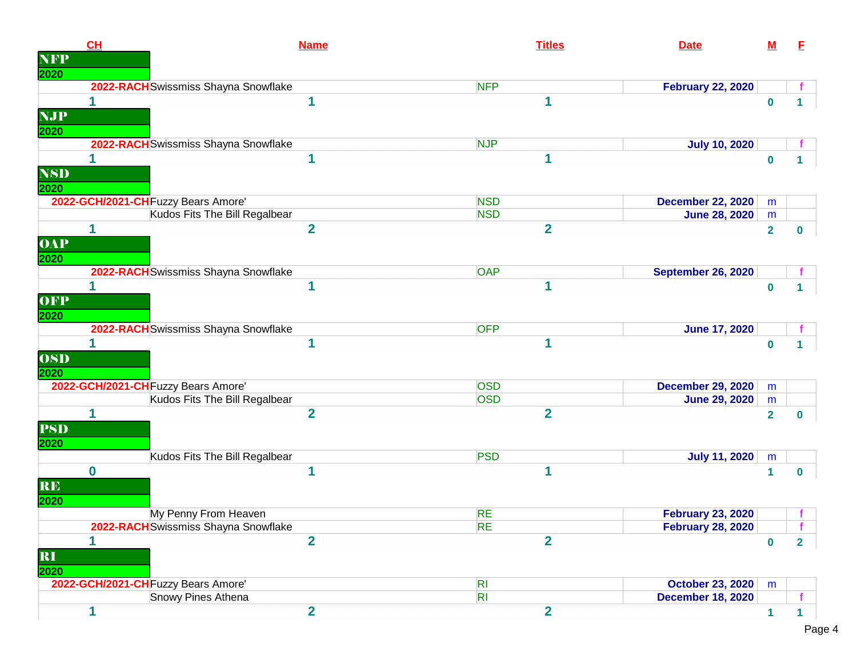|            | CH                                   | <b>Name</b>    | <b>Titles</b>           | <b>Date</b>               | $\underline{\mathbf{M}}$ | E                |
|------------|--------------------------------------|----------------|-------------------------|---------------------------|--------------------------|------------------|
| <b>NFP</b> |                                      |                |                         |                           |                          |                  |
| 2020       |                                      |                |                         |                           |                          |                  |
|            | 2022-RACH Swissmiss Shayna Snowflake |                | <b>NFP</b>              | <b>February 22, 2020</b>  |                          |                  |
|            | 1                                    | 1              | 1                       |                           | $\mathbf 0$              | $\mathbf 1$      |
| <b>NJP</b> |                                      |                |                         |                           |                          |                  |
| 2020       |                                      |                |                         |                           |                          |                  |
|            | 2022-RACH Swissmiss Shayna Snowflake |                | <b>NJP</b>              | <b>July 10, 2020</b>      |                          |                  |
|            | 1                                    | 1              | 1                       |                           | $\bf{0}$                 | 1.               |
| <b>NSD</b> |                                      |                |                         |                           |                          |                  |
| 2020       |                                      |                |                         |                           |                          |                  |
|            | 2022-GCH/2021-CH Fuzzy Bears Amore'  |                | <b>NSD</b>              | <b>December 22, 2020</b>  | m                        |                  |
|            | Kudos Fits The Bill Regalbear        |                | <b>NSD</b>              | <b>June 28, 2020</b>      | m                        |                  |
|            | 1                                    | $\overline{2}$ | $\overline{2}$          |                           | $\overline{\mathbf{2}}$  | $\boldsymbol{0}$ |
| <b>OAP</b> |                                      |                |                         |                           |                          |                  |
| 2020       |                                      |                |                         |                           |                          |                  |
|            | 2022-RACH Swissmiss Shayna Snowflake |                | <b>OAP</b>              | <b>September 26, 2020</b> |                          |                  |
|            | 1                                    | 1              | 1                       |                           | $\mathbf 0$              | 1                |
| OFP        |                                      |                |                         |                           |                          |                  |
| 2020       |                                      |                |                         |                           |                          |                  |
|            | 2022-RACH Swissmiss Shayna Snowflake |                | <b>OFP</b>              | <b>June 17, 2020</b>      |                          |                  |
|            |                                      | 1              | 1                       |                           | $\mathbf 0$              | $\mathbf 1$      |
| <b>OSD</b> |                                      |                |                         |                           |                          |                  |
| 2020       |                                      |                |                         |                           |                          |                  |
|            | 2022-GCH/2021-CH Fuzzy Bears Amore'  |                | <b>OSD</b>              | <b>December 29, 2020</b>  | m                        |                  |
|            | Kudos Fits The Bill Regalbear        |                | <b>OSD</b>              | <b>June 29, 2020</b>      | m                        |                  |
|            | 1                                    | $\overline{2}$ | $\overline{\mathbf{2}}$ |                           | $\overline{2}$           | $\mathbf 0$      |
| <b>PSD</b> |                                      |                |                         |                           |                          |                  |
| 2020       |                                      |                |                         |                           |                          |                  |
|            | Kudos Fits The Bill Regalbear        |                | <b>PSD</b>              | <b>July 11, 2020</b>      | m                        |                  |
|            | $\bf{0}$                             | 1              | 1                       |                           | $\mathbf 1$              | $\bullet$        |
| <b>RE</b>  |                                      |                |                         |                           |                          |                  |
| 2020       |                                      |                |                         |                           |                          |                  |
|            | My Penny From Heaven                 |                | <b>RE</b>               | <b>February 23, 2020</b>  |                          |                  |
|            | 2022-RACH Swissmiss Shayna Snowflake |                | <b>RE</b>               | <b>February 28, 2020</b>  |                          |                  |
|            |                                      | $\overline{2}$ | $\overline{2}$          |                           | $\bf{0}$                 | $\overline{2}$   |
| RI         |                                      |                |                         |                           |                          |                  |
| 2020       |                                      |                |                         |                           |                          |                  |
|            | 2022-GCH/2021-CH Fuzzy Bears Amore'  |                | R <sub>l</sub>          | <b>October 23, 2020</b>   | m                        |                  |
|            | Snowy Pines Athena                   |                | R                       | <b>December 18, 2020</b>  |                          |                  |
|            | 1                                    | $\overline{2}$ | $\overline{2}$          |                           | $\blacksquare$           | 1                |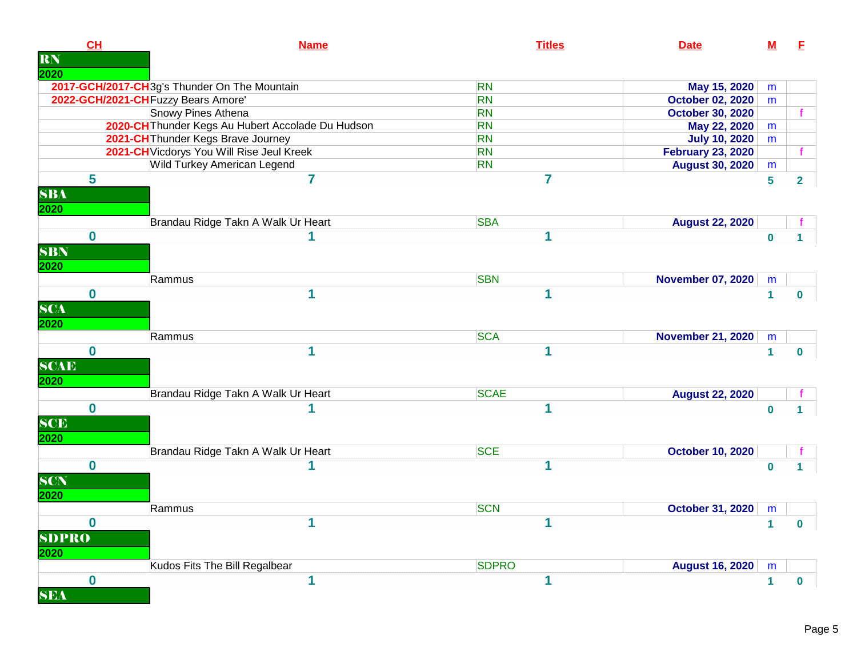| CH<br><b>RN</b>                   | <b>Name</b>                                       | <b>Titles</b>  | <b>Date</b>              | $\underline{\mathbf{M}}$ | E              |
|-----------------------------------|---------------------------------------------------|----------------|--------------------------|--------------------------|----------------|
| 2020                              |                                                   |                |                          |                          |                |
|                                   | 2017-GCH/2017-CH3g's Thunder On The Mountain      | <b>RN</b>      | May 15, 2020             | m                        |                |
|                                   | 2022-GCH/2021-CH Fuzzy Bears Amore'               | <b>RN</b>      | <b>October 02, 2020</b>  | m                        |                |
|                                   | Snowy Pines Athena                                | <b>RN</b>      | <b>October 30, 2020</b>  |                          |                |
|                                   | 2020-CH Thunder Kegs Au Hubert Accolade Du Hudson | <b>RN</b>      | May 22, 2020             | m                        |                |
|                                   | 2021-CH Thunder Kegs Brave Journey                | <b>RN</b>      | <b>July 10, 2020</b>     | m                        |                |
|                                   | 2021-CH Vicdorys You Will Rise Jeul Kreek         | <b>RN</b>      | <b>February 23, 2020</b> |                          |                |
|                                   | Wild Turkey American Legend                       | <b>RN</b>      | <b>August 30, 2020</b>   | m                        |                |
| 5<br><b>SBA</b><br>2020           | $\overline{7}$                                    | $\overline{7}$ |                          | 5                        | $\overline{2}$ |
|                                   | Brandau Ridge Takn A Walk Ur Heart                | <b>SBA</b>     | <b>August 22, 2020</b>   |                          |                |
| $\mathbf 0$<br><b>SBN</b><br>2020 | 1                                                 | 1              |                          | $\mathbf 0$              |                |
|                                   | Rammus                                            | <b>SBN</b>     | <b>November 07, 2020</b> | m                        |                |
| $\bf{0}$                          | 1                                                 | 1              |                          | 1                        | $\mathbf{0}$   |
| <b>SCA</b><br>2020                | Rammus                                            | <b>SCA</b>     | <b>November 21, 2020</b> | m                        |                |
| $\bf{0}$<br><b>SCAE</b><br>2020   | 1                                                 | 1              |                          | $\mathbf{1}$             | $\mathbf{0}$   |
|                                   | Brandau Ridge Takn A Walk Ur Heart                | <b>SCAE</b>    | <b>August 22, 2020</b>   |                          |                |
| $\bf{0}$<br><b>SCE</b><br>2020    | 1                                                 | 1              |                          | $\bf{0}$                 | 1.             |
|                                   | Brandau Ridge Takn A Walk Ur Heart                | <b>SCE</b>     | <b>October 10, 2020</b>  |                          |                |
| $\bf{0}$<br><b>SCN</b><br>2020    |                                                   | 1              |                          | $\bf{0}$                 |                |
|                                   | Rammus                                            | <b>SCN</b>     | October 31, 2020         | m                        |                |
| $\bf{0}$<br><b>SDPRO</b><br>2020  | 1                                                 | 1              |                          | $\mathbf{1}$             | $\mathbf{0}$   |
|                                   | Kudos Fits The Bill Regalbear                     | <b>SDPRO</b>   | <b>August 16, 2020</b>   | m                        |                |
| $\bf{0}$                          | 1                                                 | 1              |                          | $\mathbf{1}$             |                |
| <b>SEA</b>                        |                                                   |                |                          |                          | $\mathbf{0}$   |

n l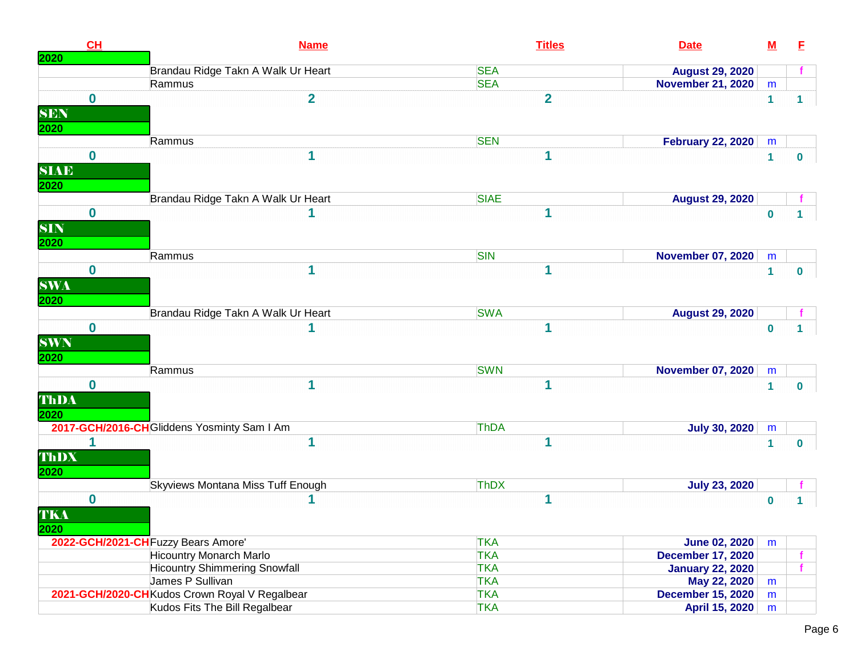| CL<br>2020  | <b>Name</b>                                    | <b>Titles</b>  | <b>Date</b>              | ${\bf M}$    | E              |
|-------------|------------------------------------------------|----------------|--------------------------|--------------|----------------|
|             | Brandau Ridge Takn A Walk Ur Heart             | <b>SEA</b>     | <b>August 29, 2020</b>   |              |                |
|             | Rammus                                         | <b>SEA</b>     | <b>November 21, 2020</b> | m            |                |
| $\bf{0}$    | $\overline{\mathbf{2}}$                        | $\overline{2}$ |                          | $\mathbf{1}$ | 1              |
| <b>SEN</b>  |                                                |                |                          |              |                |
| 2020        |                                                |                |                          |              |                |
|             | Rammus                                         | <b>SEN</b>     | <b>February 22, 2020</b> | m            |                |
| $\bf{0}$    | 1                                              | 1              |                          | $\mathbf{1}$ | $\mathbf 0$    |
| <b>SIAE</b> |                                                |                |                          |              |                |
|             |                                                |                |                          |              |                |
| 2020        | Brandau Ridge Takn A Walk Ur Heart             | <b>SIAE</b>    | <b>August 29, 2020</b>   |              |                |
| $\bf{0}$    |                                                |                |                          |              |                |
|             |                                                |                |                          | $\bf{0}$     | 1.             |
| <b>SIN</b>  |                                                |                |                          |              |                |
| 2020        |                                                |                |                          |              |                |
|             | Rammus                                         | <b>SIN</b>     | <b>November 07, 2020</b> | m            |                |
| $\mathbf 0$ | 1                                              | 1              |                          | $\mathbf{1}$ | $\bf{0}$       |
| <b>SWA</b>  |                                                |                |                          |              |                |
| 2020        |                                                |                |                          |              |                |
|             | Brandau Ridge Takn A Walk Ur Heart             | <b>SWA</b>     | <b>August 29, 2020</b>   |              |                |
| $\bf{0}$    |                                                | 1              |                          | $\bf{0}$     | 1              |
| <b>SWN</b>  |                                                |                |                          |              |                |
| 2020        |                                                |                |                          |              |                |
|             | Rammus                                         | <b>SWN</b>     | <b>November 07, 2020</b> | m            |                |
| $\bf{0}$    | 1                                              | 1              |                          | 1            | $\bf{0}$       |
| ThDA        |                                                |                |                          |              |                |
| 2020        |                                                |                |                          |              |                |
|             | 2017-GCH/2016-CH Gliddens Yosminty Sam I Am    | ThDA           | <b>July 30, 2020</b>     | m            |                |
| 1           | 1                                              | 1              |                          | 1            | $\bf{0}$       |
| ThDX        |                                                |                |                          |              |                |
| 2020        |                                                |                |                          |              |                |
|             | Skyviews Montana Miss Tuff Enough              | <b>ThDX</b>    | <b>July 23, 2020</b>     |              |                |
| $\bf{0}$    |                                                | 1              |                          | $\bf{0}$     | 1 <sup>1</sup> |
| TKA         |                                                |                |                          |              |                |
| 2020        |                                                |                |                          |              |                |
|             | 2022-GCH/2021-CH Fuzzy Bears Amore'            | <b>TKA</b>     | <b>June 02, 2020</b>     | m            |                |
|             | <b>Hicountry Monarch Marlo</b>                 | <b>TKA</b>     | <b>December 17, 2020</b> |              |                |
|             | <b>Hicountry Shimmering Snowfall</b>           | <b>TKA</b>     | <b>January 22, 2020</b>  |              | $\mathbf{f}$   |
|             | James P Sullivan                               | <b>TKA</b>     | May 22, 2020             | m            |                |
|             | 2021-GCH/2020-CH Kudos Crown Royal V Regalbear | <b>TKA</b>     | <b>December 15, 2020</b> | m            |                |
|             | Kudos Fits The Bill Regalbear                  | <b>TKA</b>     | April 15, 2020           | m            |                |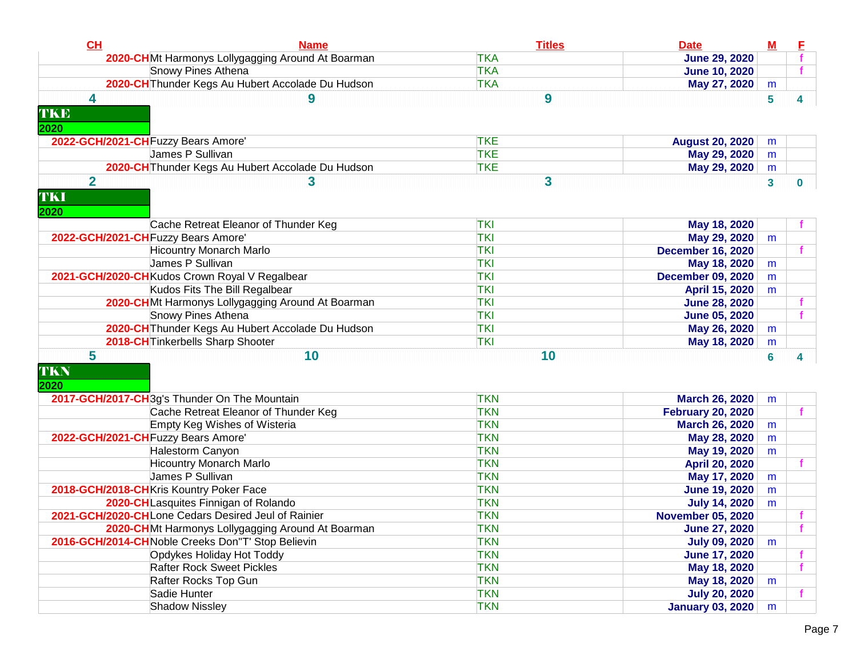| CH                            | <b>Name</b>                                         | <b>Titles</b> | <b>Date</b>              | $\underline{\mathbf{M}}$ |              |
|-------------------------------|-----------------------------------------------------|---------------|--------------------------|--------------------------|--------------|
|                               | 2020-CHMt Harmonys Lollygagging Around At Boarman   | <b>TKA</b>    | <b>June 29, 2020</b>     |                          |              |
|                               | <b>Snowy Pines Athena</b>                           | <b>TKA</b>    | <b>June 10, 2020</b>     |                          |              |
|                               | 2020-CH Thunder Kegs Au Hubert Accolade Du Hudson   | <b>TKA</b>    | May 27, 2020             | m                        |              |
| 4<br>TKE<br>2020              | 9                                                   | 9             |                          | 5                        | 4            |
|                               | 2022-GCH/2021-CH Fuzzy Bears Amore'                 | <b>TKE</b>    | <b>August 20, 2020</b>   | m                        |              |
|                               | James P Sullivan                                    | <b>TKE</b>    | May 29, 2020             | m                        |              |
|                               | 2020-CH Thunder Kegs Au Hubert Accolade Du Hudson   | <b>TKE</b>    | May 29, 2020             | m                        |              |
| $\overline{2}$<br>TKI<br>2020 | 3                                                   | 3             |                          | $\mathbf{3}$             | 0            |
|                               | Cache Retreat Eleanor of Thunder Keg                | <b>TKI</b>    | May 18, 2020             |                          |              |
|                               | 2022-GCH/2021-CH Fuzzy Bears Amore'                 | <b>TKI</b>    | May 29, 2020             | m                        |              |
|                               | <b>Hicountry Monarch Marlo</b>                      | <b>TKI</b>    | <b>December 16, 2020</b> |                          |              |
|                               | James P Sullivan                                    | <b>TKI</b>    | May 18, 2020             | m                        |              |
|                               | 2021-GCH/2020-CH Kudos Crown Royal V Regalbear      | <b>TKI</b>    | <b>December 09, 2020</b> | m                        |              |
|                               | Kudos Fits The Bill Regalbear                       | <b>TKI</b>    | April 15, 2020           | m                        |              |
|                               | 2020-CHMt Harmonys Lollygagging Around At Boarman   | <b>TKI</b>    | <b>June 28, 2020</b>     |                          |              |
|                               | Snowy Pines Athena                                  | <b>TKI</b>    | <b>June 05, 2020</b>     |                          |              |
|                               | 2020-CH Thunder Kegs Au Hubert Accolade Du Hudson   | <b>TKI</b>    | May 26, 2020             | m                        |              |
|                               | 2018-CH Tinkerbells Sharp Shooter                   | <b>TKI</b>    | May 18, 2020             | m                        |              |
| 5<br>TKN<br>2020              | 10                                                  | 10            |                          | 6                        | 4            |
|                               | 2017-GCH/2017-CH3g's Thunder On The Mountain        | <b>TKN</b>    | <b>March 26, 2020</b>    | m                        |              |
|                               | Cache Retreat Eleanor of Thunder Keg                | <b>TKN</b>    | <b>February 20, 2020</b> |                          | f            |
|                               | Empty Keg Wishes of Wisteria                        | <b>TKN</b>    | <b>March 26, 2020</b>    | m                        |              |
|                               | 2022-GCH/2021-CH Fuzzy Bears Amore'                 | <b>TKN</b>    | May 28, 2020             | m                        |              |
|                               | Halestorm Canyon                                    | <b>TKN</b>    | May 19, 2020             | m                        |              |
|                               | <b>Hicountry Monarch Marlo</b>                      | <b>TKN</b>    | April 20, 2020           |                          |              |
|                               | James P Sullivan                                    | <b>TKN</b>    | May 17, 2020             | m                        |              |
|                               | 2018-GCH/2018-CHKris Kountry Poker Face             | <b>TKN</b>    | <b>June 19, 2020</b>     | m                        |              |
|                               | 2020-CHLasquites Finnigan of Rolando                | <b>TKN</b>    | <b>July 14, 2020</b>     | m                        |              |
|                               | 2021-GCH/2020-CHLone Cedars Desired Jeul of Rainier | <b>TKN</b>    | <b>November 05, 2020</b> |                          |              |
|                               | 2020-CHMt Harmonys Lollygagging Around At Boarman   | <b>TKN</b>    | <b>June 27, 2020</b>     |                          |              |
|                               | 2016-GCH/2014-CH Noble Creeks Don"T' Stop Believin  | <b>TKN</b>    | <b>July 09, 2020</b>     | m                        |              |
|                               | Opdykes Holiday Hot Toddy                           | <b>TKN</b>    | <b>June 17, 2020</b>     |                          |              |
|                               | <b>Rafter Rock Sweet Pickles</b>                    | <b>TKN</b>    | May 18, 2020             |                          |              |
|                               | Rafter Rocks Top Gun                                | <b>TKN</b>    | May 18, 2020             | m                        |              |
|                               | Sadie Hunter                                        | <b>TKN</b>    | <b>July 20, 2020</b>     |                          | $\mathbf{f}$ |
|                               | <b>Shadow Nissley</b>                               | <b>TKN</b>    | <b>January 03, 2020</b>  | m                        |              |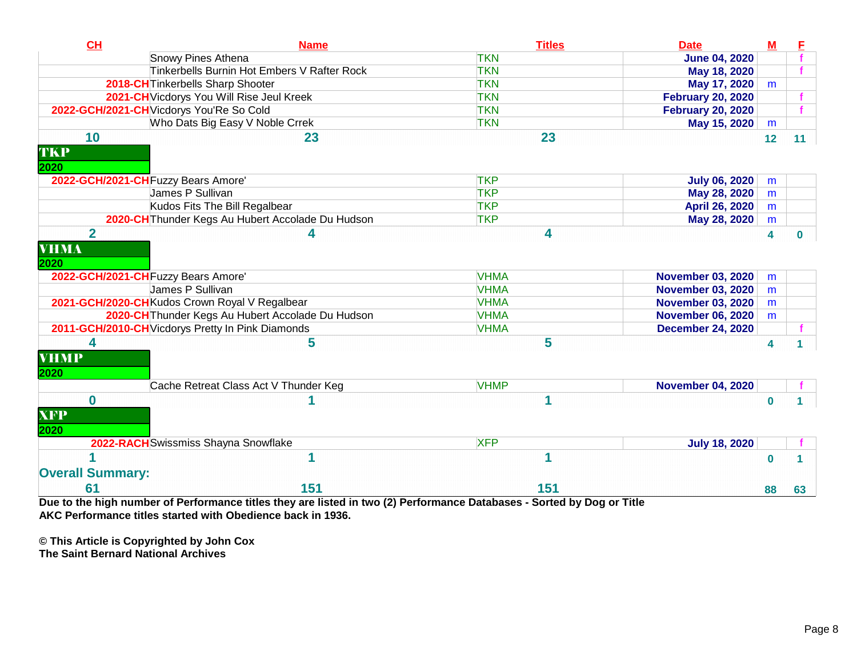| CL                      | <b>Name</b>                                       | <b>Titles</b> | <b>Date</b>              | $M$      | ۴        |
|-------------------------|---------------------------------------------------|---------------|--------------------------|----------|----------|
|                         | Snowy Pines Athena                                | <b>TKN</b>    | <b>June 04, 2020</b>     |          |          |
|                         | Tinkerbells Burnin Hot Embers V Rafter Rock       | <b>TKN</b>    | May 18, 2020             |          |          |
|                         | 2018-CH Tinkerbells Sharp Shooter                 | <b>TKN</b>    | May 17, 2020             | m        |          |
|                         | 2021-CH Vicdorys You Will Rise Jeul Kreek         | <b>TKN</b>    | <b>February 20, 2020</b> |          |          |
|                         | 2022-GCH/2021-CH Vicdorys You'Re So Cold          | <b>TKN</b>    | <b>February 20, 2020</b> |          |          |
|                         | Who Dats Big Easy V Noble Crrek                   | <b>TKN</b>    | May 15, 2020             | m        |          |
| 10                      | 23                                                | 23            |                          | 12       | 11       |
| TKP                     |                                                   |               |                          |          |          |
| 2020                    | 2022-GCH/2021-CH Fuzzy Bears Amore'               | <b>TKP</b>    | <b>July 06, 2020</b>     | m        |          |
|                         | James P Sullivan                                  | <b>TKP</b>    | May 28, 2020             | m        |          |
|                         | Kudos Fits The Bill Regalbear                     | <b>TKP</b>    | April 26, 2020           | m        |          |
|                         | 2020-CH Thunder Kegs Au Hubert Accolade Du Hudson | <b>TKP</b>    | May 28, 2020             | m        |          |
| $\overline{2}$          |                                                   | 4             |                          | 4        | $\bf{0}$ |
| <b>VHMA</b><br>2020     | 2022-GCH/2021-CH Fuzzy Bears Amore'               | <b>VHMA</b>   | <b>November 03, 2020</b> | m        |          |
|                         | James P Sullivan                                  | <b>VHMA</b>   | <b>November 03, 2020</b> | m        |          |
|                         | 2021-GCH/2020-CH Kudos Crown Royal V Regalbear    | <b>VHMA</b>   | <b>November 03, 2020</b> | m        |          |
|                         | 2020-CH Thunder Kegs Au Hubert Accolade Du Hudson | <b>VHMA</b>   | <b>November 06, 2020</b> | m        |          |
|                         | 2011-GCH/2010-CH Vicdorys Pretty In Pink Diamonds | <b>VHMA</b>   | <b>December 24, 2020</b> |          |          |
| 4                       | 5                                                 | 5             |                          |          |          |
| <b>VHMP</b><br>2020     |                                                   |               |                          | 4        |          |
|                         | Cache Retreat Class Act V Thunder Keg             | <b>VHMP</b>   | <b>November 04, 2020</b> |          |          |
| $\bf{0}$                |                                                   |               |                          | $\bf{0}$ |          |
| <b>XFP</b>              |                                                   |               |                          |          |          |
| 2020                    |                                                   |               |                          |          |          |
|                         | 2022-RACH Swissmiss Shayna Snowflake              | <b>XFP</b>    | <b>July 18, 2020</b>     |          |          |
|                         |                                                   |               |                          | $\bf{0}$ |          |
| <b>Overall Summary:</b> |                                                   |               |                          |          |          |
| 61                      | 151                                               | 151           |                          | 88       | 63       |

**Due to the high number of Performance titles they are listed in two (2) Performance Databases - Sorted by Dog or TitleAKC Performance titles started with Obedience back in 1936.**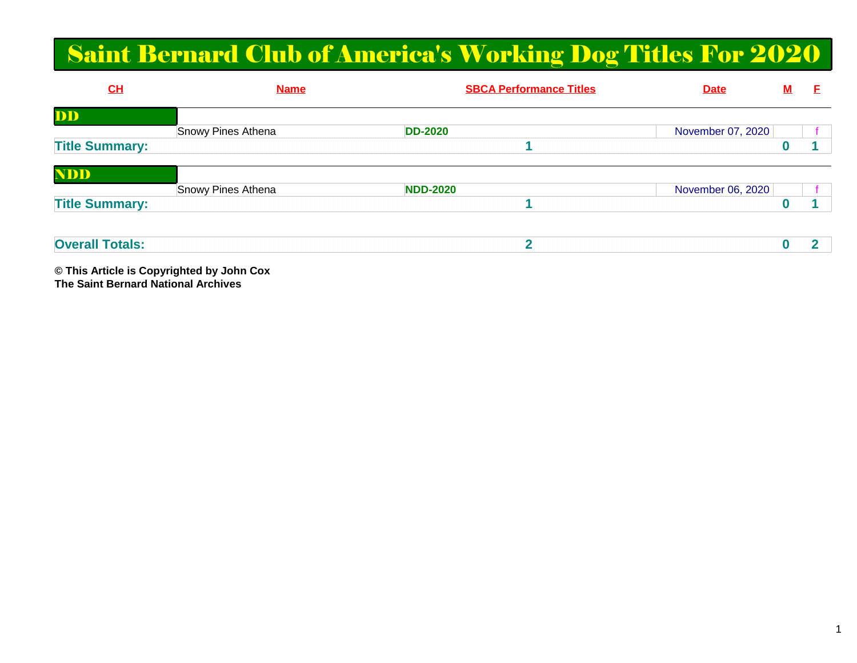# Saint Bernard Club of America's Working Dog Titles For 2020

| $CH$                  | <b>Name</b>        | <b>SBCA Performance Titles</b> | <b>Date</b>       | <u>M</u> |  |
|-----------------------|--------------------|--------------------------------|-------------------|----------|--|
| DD                    |                    |                                |                   |          |  |
|                       | Snowy Pines Athena | <b>DD-2020</b>                 | November 07, 2020 |          |  |
| <b>Title Summary:</b> |                    |                                |                   |          |  |
|                       |                    |                                |                   |          |  |
| <b>NDD</b>            |                    |                                |                   |          |  |
|                       | Snowy Pines Athena | <b>NDD-2020</b>                | November 06, 2020 |          |  |
| <b>Title Summary:</b> |                    |                                |                   |          |  |
|                       |                    |                                |                   |          |  |
|                       |                    |                                |                   |          |  |

| .<br>Over<br>atale<br>-913. |  |  |  |
|-----------------------------|--|--|--|
|                             |  |  |  |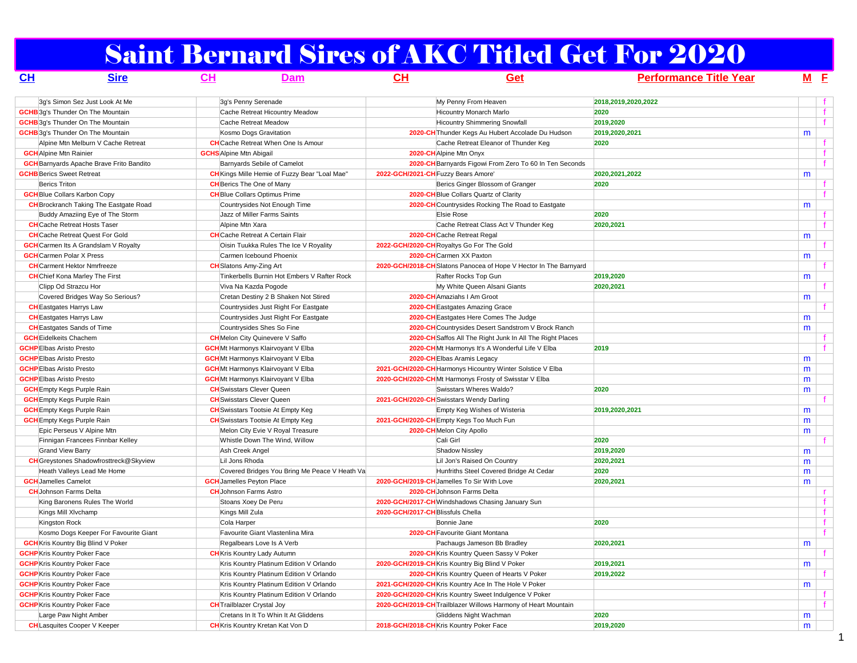# Saint Bernard Sires of AKC Titled Get For 2020

| <u>CH</u>                           | <b>Sire</b>                                     | CH                             | <b>Dam</b>                                                           | CH                                  | Get                                                                            | <b>Performance Title Year</b> | $M$ E |              |
|-------------------------------------|-------------------------------------------------|--------------------------------|----------------------------------------------------------------------|-------------------------------------|--------------------------------------------------------------------------------|-------------------------------|-------|--------------|
|                                     | 3q's Simon Sez Just Look At Me                  |                                | 3q's Penny Serenade                                                  |                                     | My Penny From Heaven                                                           | 2018,2019,2020,2022           |       |              |
|                                     | <b>GCHB</b> 3g's Thunder On The Mountain        |                                | Cache Retreat Hicountry Meadow                                       |                                     | Hicountry Monarch Marlo                                                        | 2020                          |       | $\mathbf{f}$ |
|                                     | <b>GCHB</b> 3g's Thunder On The Mountain        |                                | Cache Retreat Meadow                                                 |                                     | <b>Hicountry Shimmering Snowfall</b>                                           | 2019,2020                     |       | f            |
|                                     | <b>GCHB</b> 3q's Thunder On The Mountain        |                                | Kosmo Dogs Gravitation                                               |                                     | 2020-CH Thunder Kegs Au Hubert Accolade Du Hudson                              | 2019,2020,2021                | m     |              |
|                                     | Alpine Mtn Melburn V Cache Retreat              |                                | <b>CH</b> Cache Retreat When One Is Amour                            |                                     | Cache Retreat Eleanor of Thunder Keg                                           | 2020                          |       | f.           |
| <b>GCH</b> Alpine Mtn Rainier       |                                                 | <b>GCHS</b> Alpine Mtn Abigail |                                                                      |                                     | 2020-CH Alpine Mtn Onyx                                                        |                               |       | f            |
|                                     | <b>GCH</b> Barnyards Apache Brave Frito Bandito |                                | Barnyards Sebile of Camelot                                          |                                     | 2020-CH Barnyards Figowi From Zero To 60 In Ten Seconds                        |                               |       | $\mathbf{f}$ |
| <b>GCHB</b> Berics Sweet Retreat    |                                                 |                                | CH Kings Mille Hemie of Fuzzy Bear "Loal Mae"                        | 2022-GCH/2021-CH Fuzzy Bears Amore' |                                                                                | 2020, 2021, 2022              | m     |              |
| <b>Berics Triton</b>                |                                                 |                                | <b>CH</b> Berics The One of Many                                     |                                     | Berics Ginger Blossom of Granger                                               | 2020                          |       |              |
| <b>GCH</b> Blue Collars Karbon Copy |                                                 |                                | <b>CH</b> Blue Collars Optimus Prime                                 |                                     | 2020-CH Blue Collars Quartz of Clarity                                         |                               |       | $\mathbf f$  |
|                                     | <b>CH</b> Brockranch Taking The Eastgate Road   |                                | Countrysides Not Enough Time                                         |                                     | 2020-CH Countrysides Rocking The Road to Eastgate                              |                               | m     |              |
|                                     | Buddy Amaziing Eye of The Storm                 |                                | Jazz of Miller Farms Saints                                          |                                     | <b>Elsie Rose</b>                                                              | 2020                          |       | Ť.           |
| <b>CH</b> Cache Retreat Hosts Taser |                                                 |                                | Alpine Mtn Xara                                                      |                                     | Cache Retreat Class Act V Thunder Keg                                          | 2020,2021                     |       |              |
|                                     | <b>CH</b> Cache Retreat Quest For Gold          |                                | <b>CH</b> Cache Retreat A Certain Flair                              |                                     | 2020-CHCache Retreat Regal                                                     |                               | m     |              |
|                                     | <b>GCH</b> Carmen Its A Grandslam V Royalty     |                                | Oisin Tuukka Rules The Ice V Royality                                |                                     | 2022-GCH/2020-CH Royaltys Go For The Gold                                      |                               |       | Ť.           |
| <b>GCH</b> Carmen Polar X Press     |                                                 |                                | Carmen Icebound Phoenix                                              |                                     | 2020-CH Carmen XX Paxton                                                       |                               | m     |              |
| <b>CH</b> Carment Hektor Nmrfreeze  |                                                 |                                | <b>CH</b> Slatons Amy-Zing Art                                       |                                     | 2020-GCH/2018-CH Slatons Panocea of Hope V Hector In The Barnyard              |                               |       |              |
|                                     | <b>CH</b> Chief Kona Marley The First           |                                | Tinkerbells Burnin Hot Embers V Rafter Rock                          |                                     | Rafter Rocks Top Gun                                                           | 2019,2020                     | m     |              |
| Clipp Od Strazcu Hor                |                                                 |                                | Viva Na Kazda Pogode                                                 |                                     | My White Queen Alsani Giants                                                   | 2020,2021                     |       | f.           |
|                                     | Covered Bridges Way So Serious?                 |                                | Cretan Destiny 2 B Shaken Not Stired                                 |                                     | 2020-CH Amaziahs I Am Groot                                                    |                               | m     |              |
| <b>CH</b> Eastgates Harrys Law      |                                                 |                                | Countrysides Just Right For Eastgate                                 |                                     | 2020-CH Eastgates Amazing Grace                                                |                               |       |              |
| <b>CH</b> Eastgates Harrys Law      |                                                 |                                | Countrysides Just Right For Eastgate                                 |                                     | 2020-CH Eastgates Here Comes The Judge                                         |                               | m     |              |
| <b>CH</b> Eastgates Sands of Time   |                                                 |                                | Countrysides Shes So Fine                                            |                                     | 2020-CHCountrysides Desert Sandstrom V Brock Ranch                             |                               | m     |              |
| <b>GCH</b> Eidelkeits Chachem       |                                                 |                                | <b>CH</b> Melon City Quinevere V Saffo                               |                                     | 2020-CH Saffos All The Right Junk In All The Right Places                      |                               |       |              |
| <b>GCHP</b> Elbas Aristo Presto     |                                                 |                                |                                                                      |                                     |                                                                                | 2019                          |       | Ť.           |
| <b>GCHP</b> Elbas Aristo Presto     |                                                 |                                | <b>GCH</b> Mt Harmonys Klairvoyant V Elba                            |                                     | 2020-CHMt Harmonys It's A Wonderful Life V Elba<br>2020-CH Elbas Aramis Legacy |                               |       |              |
| <b>GCHP</b> Elbas Aristo Presto     |                                                 |                                | <b>GCH</b> Mt Harmonys Klairvoyant V Elba                            |                                     | 2021-GCH/2020-CH Harmonys Hicountry Winter Solstice V Elba                     |                               | m     |              |
|                                     |                                                 |                                | <b>GCH</b> Mt Harmonys Klairvoyant V Elba                            |                                     |                                                                                |                               | m     |              |
| <b>GCHP</b> Elbas Aristo Presto     |                                                 |                                | <b>GCH</b> Mt Harmonys Klairvoyant V Elba                            |                                     | 2020-GCH/2020-CHMt Harmonys Frosty of Swisstar V Elba                          |                               | m     |              |
| <b>GCH</b> Empty Kegs Purple Rain   |                                                 |                                | <b>CH</b> Swisstars Clever Queen<br><b>CH</b> Swisstars Clever Queen |                                     | Swisstars Wheres Waldo?                                                        | 2020                          | m     | $\mathbf{f}$ |
| <b>GCH</b> Empty Kegs Purple Rain   |                                                 |                                |                                                                      |                                     | 2021-GCH/2020-CH Swisstars Wendy Darling                                       | 2019.2020.2021                |       |              |
| <b>GCH</b> Empty Kegs Purple Rain   |                                                 |                                | <b>CH</b> Swisstars Tootsie At Empty Keg                             |                                     | Empty Keg Wishes of Wisteria                                                   |                               | m     |              |
| <b>GCH</b> Empty Kegs Purple Rain   |                                                 |                                | <b>CH</b> Swisstars Tootsie At Empty Keg                             |                                     | 2021-GCH/2020-CH Empty Kegs Too Much Fun                                       |                               | m     |              |
|                                     | Epic Perseus V Alpine Mtn                       |                                | Melon City Evie V Royal Treasure                                     |                                     | 2020-CHMelon City Apollo                                                       |                               | m     | ÷.           |
|                                     | Finnigan Francees Finnbar Kelley                |                                | Whistle Down The Wind, Willow                                        |                                     | Cali Girl                                                                      | 2020                          |       |              |
| Grand View Barry                    |                                                 |                                | Ash Creek Angel                                                      |                                     | <b>Shadow Nissley</b>                                                          | 2019,2020                     | m     |              |
|                                     | <b>CH</b> Greystones Shadowfrosttreck@Skyview   |                                | Lil Jons Rhoda                                                       |                                     | Lil Jon's Raised On Country                                                    | 2020,2021                     | m     |              |
|                                     | Heath Valleys Lead Me Home                      |                                | Covered Bridges You Bring Me Peace V Heath Va                        |                                     | Hunfriths Steel Covered Bridge At Cedar                                        | 2020                          | m     |              |
| <b>GCH</b> Jamelles Camelot         |                                                 |                                | <b>GCH</b> Jamelles Peyton Place                                     |                                     | 2020-GCH/2019-CH Jamelles To Sir With Love                                     | 2020,2021                     | m     |              |
| <b>CH</b> Johnson Farms Delta       |                                                 |                                | <b>CH</b> Johnson Farms Astro                                        |                                     | 2020-CH Johnson Farms Delta                                                    |                               |       | r.           |
|                                     | King Baronens Rules The World                   |                                | Stoans Xoey De Peru                                                  |                                     | 2020-GCH/2017-CH Windshadows Chasing January Sun                               |                               |       | f            |
| Kings Mill XIvchamp                 |                                                 |                                | Kings Mill Zula                                                      | 2020-GCH/2017-CHBlissfuls Chella    |                                                                                |                               |       | f            |
| Kingston Rock                       |                                                 | Cola Harper                    |                                                                      |                                     | Bonnie Jane                                                                    | 2020                          |       | f            |
|                                     | Kosmo Dogs Keeper For Favourite Giant           |                                | Favourite Giant Vlastenlina Mira                                     |                                     | 2020-CH Favourite Giant Montana                                                |                               |       | $\mathbf{f}$ |
|                                     | <b>GCH</b> Kris Kountry Big Blind V Poker       |                                | Regalbears Love Is A Verb                                            |                                     | Pachaugs Jameson Bb Bradley                                                    | 2020,2021                     | m     |              |
| <b>GCHP</b> Kris Kountry Poker Face |                                                 |                                | <b>CH</b> Kris Kountry Lady Autumn                                   |                                     | 2020-CH Kris Kountry Queen Sassy V Poker                                       |                               |       | $\mathbf{f}$ |
| <b>GCHP</b> Kris Kountry Poker Face |                                                 |                                | Kris Kountry Platinum Edition V Orlando                              |                                     | 2020-GCH/2019-CHKris Kountry Big Blind V Poker                                 | 2019,2021                     | m     |              |
| <b>GCHP</b> Kris Kountry Poker Face |                                                 |                                | Kris Kountry Platinum Edition V Orlando                              |                                     | 2020-CH Kris Kountry Queen of Hearts V Poker                                   | 2019,2022                     |       |              |
| <b>GCHP</b> Kris Kountry Poker Face |                                                 |                                | Kris Kountry Platinum Edition V Orlando                              |                                     | 2021-GCH/2020-CHKris Kountry Ace In The Hole V Poker                           |                               | m     |              |
| <b>GCHP</b> Kris Kountry Poker Face |                                                 |                                | Kris Kountry Platinum Edition V Orlando                              |                                     | 2020-GCH/2020-CHKris Kountry Sweet Indulgence V Poker                          |                               |       | $\mathbf{f}$ |
| <b>GCHP</b> Kris Kountry Poker Face |                                                 |                                | <b>CH</b> Trailblazer Crystal Joy                                    |                                     | 2020-GCH/2019-CH Trailblazer Willows Harmony of Heart Mountain                 |                               |       |              |
| Large Paw Night Amber               |                                                 |                                | Cretans In It To Whin It At Gliddens                                 |                                     | Gliddens Night Wachman                                                         | 2020                          | m     |              |
|                                     | <b>CH</b> Lasquites Cooper V Keeper             |                                | <b>CH</b> Kris Kountry Kretan Kat Von D                              |                                     | 2018-GCH/2018-CH Kris Kountry Poker Face                                       | 2019.2020                     | m     |              |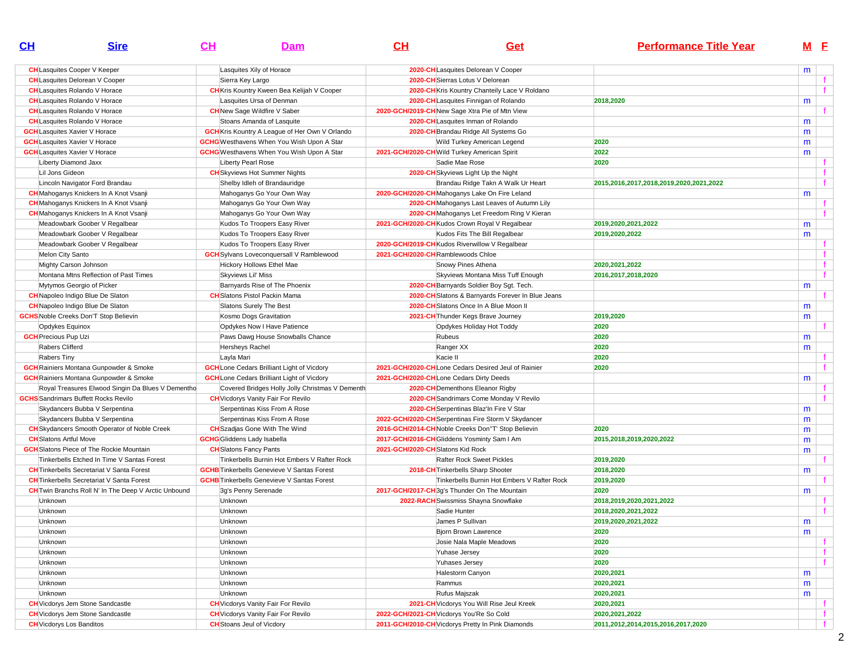| $\mathbf{C}$ H                               | <b>Sire</b>                                                 | $CH$ | Dam                                                   | CH                                | Get                                                                                           | <b>Performance Title Year</b>           | M <sub>E</sub> |              |
|----------------------------------------------|-------------------------------------------------------------|------|-------------------------------------------------------|-----------------------------------|-----------------------------------------------------------------------------------------------|-----------------------------------------|----------------|--------------|
| <b>CH</b> Lasquites Cooper V Keeper          |                                                             |      | Lasquites Xily of Horace                              |                                   | 2020-CHLasquites Delorean V Cooper                                                            |                                         | m              |              |
| <b>CH</b> Lasquites Delorean V Cooper        |                                                             |      | Sierra Key Largo                                      |                                   | 2020-CH Sierras Lotus V Delorean                                                              |                                         |                |              |
| <b>CH</b> Lasquites Rolando V Horace         |                                                             |      | <b>CH</b> Kris Kountry Kween Bea Kelijah V Cooper     |                                   | 2020-CH Kris Kountry Chanteily Lace V Roldano                                                 |                                         |                |              |
| <b>CH</b> Lasquites Rolando V Horace         |                                                             |      | Lasquites Ursa of Denman                              |                                   | 2020-CHLasquites Finnigan of Rolando                                                          | 2018,2020                               | m              |              |
| <b>CH</b> Lasquites Rolando V Horace         |                                                             |      | <b>CH</b> New Sage Wildfire V Saber                   |                                   | 2020-GCH/2019-CH New Sage Xtra Pie of Mtn View                                                |                                         |                |              |
| <b>CH</b> Lasquites Rolando V Horace         |                                                             |      | Stoans Amanda of Lasquite                             |                                   | 2020-CHLasquites Inman of Rolando                                                             |                                         | m              |              |
| <b>GCH</b> Lasquites Xavier V Horace         |                                                             |      | <b>GCH</b> Kris Kountry A League of Her Own V Orlando |                                   | 2020-CH Brandau Ridge All Systems Go                                                          |                                         | m              |              |
| <b>GCH</b> Lasquites Xavier V Horace         |                                                             |      | <b>GCHG</b> Westhavens When You Wish Upon A Star      |                                   | Wild Turkey American Legend                                                                   | 2020                                    | m              |              |
| <b>GCH</b> Lasquites Xavier V Horace         |                                                             |      | <b>GCHG</b> Westhavens When You Wish Upon A Star      |                                   | 2021-GCH/2020-CH Wild Turkey American Spirit                                                  | 2022                                    | m              |              |
| Liberty Diamond Jaxx                         |                                                             |      | Liberty Pearl Rose                                    |                                   | Sadie Mae Rose                                                                                | 2020                                    |                | Ť.           |
| Lil Jons Gideon                              |                                                             |      | <b>CH</b> Skyviews Hot Summer Nights                  |                                   | 2020-CH Skyviews Light Up the Night                                                           |                                         |                | $\mathbf{f}$ |
| Lincoln Navigator Ford Brandau               |                                                             |      | Shelby Idleh of Brandauridge                          |                                   | Brandau Ridge Takn A Walk Ur Heart                                                            | 2015,2016,2017,2018,2019,2020,2021,2022 |                | f            |
|                                              | <b>CH</b> Mahoganys Knickers In A Knot Vsanji               |      | Mahoganys Go Your Own Way                             |                                   | 2020-GCH/2020-CHMahoganys Lake On Fire Leland                                                 |                                         | m              |              |
|                                              | <b>CH</b> Mahoganys Knickers In A Knot Vsanji               |      | Mahoganys Go Your Own Way                             |                                   | 2020-CH Mahoganys Last Leaves of Autumn Lily                                                  |                                         |                |              |
|                                              | <b>CH</b> Mahoganys Knickers In A Knot Vsanji               |      | Mahoganys Go Your Own Way                             |                                   | 2020-CH Mahoganys Let Freedom Ring V Kieran                                                   |                                         |                |              |
|                                              | Meadowbark Goober V Regalbear                               |      | Kudos To Troopers Easy River                          |                                   | 2021-GCH/2020-CHKudos Crown Royal V Regalbear                                                 | 2019,2020,2021,2022                     | m              |              |
|                                              | Meadowbark Goober V Regalbear                               |      | Kudos To Troopers Easy River                          |                                   | Kudos Fits The Bill Regalbear                                                                 | 2019,2020,2022                          | m              |              |
|                                              | Meadowbark Goober V Regalbear                               |      | Kudos To Troopers Easy River                          |                                   | 2020-GCH/2019-CH Kudos Riverwillow V Regalbear                                                |                                         |                | t.           |
| Melon City Santo                             |                                                             |      | <b>GCH</b> Sylvans Loveconquersall V Ramblewood       |                                   | 2021-GCH/2020-CH Ramblewoods Chloe                                                            |                                         |                | f            |
| Mighty Carson Johnson                        |                                                             |      | Hickory Hollows Ethel Mae                             |                                   | Snowy Pines Athena                                                                            | 2020.2021.2022                          |                |              |
|                                              | Montana Mtns Reflection of Past Times                       |      | Skyviews Lil' Miss                                    |                                   | Skyviews Montana Miss Tuff Enough                                                             | 2016,2017,2018,2020                     |                |              |
| Mytymos Georgio of Picker                    |                                                             |      | Barnyards Rise of The Phoenix                         |                                   |                                                                                               |                                         |                |              |
| <b>CH</b> Napoleo Indigo Blue De Slaton      |                                                             |      | <b>CH</b> Slatons Pistol Packin Mama                  |                                   | 2020-CH Barnyards Soldier Boy Sgt. Tech.<br>2020-CH Slatons & Barnyards Forever In Blue Jeans |                                         | m              |              |
| <b>CH</b> Napoleo Indigo Blue De Slaton      |                                                             |      |                                                       |                                   |                                                                                               |                                         |                |              |
|                                              |                                                             |      | Slatons Surely The Best                               |                                   | 2020-CH Slatons Once In A Blue Moon II                                                        |                                         | m              |              |
| <b>GCHS</b> Noble Creeks Don'T Stop Believin |                                                             |      | Kosmo Dogs Gravitation                                |                                   | 2021-CH Thunder Kegs Brave Journey                                                            | 2019,2020                               | m              |              |
| Opdykes Equinox                              |                                                             |      | Opdykes Now I Have Patience                           |                                   | Opdykes Holiday Hot Toddy                                                                     | 2020                                    |                |              |
| <b>GCH</b> Precious Pup Uzi                  |                                                             |      | Paws Dawg House Snowballs Chance                      |                                   | Rubeus                                                                                        | 2020                                    | m              |              |
| Rabers Clifferd                              |                                                             |      | Hersheys Rachel                                       |                                   | Ranger XX                                                                                     | 2020                                    | m              |              |
| Rabers Tiny                                  |                                                             |      | Layla Mari                                            |                                   | Kacie II                                                                                      | 2020                                    |                |              |
|                                              | <b>GCH</b> Rainiers Montana Gunpowder & Smoke               |      | <b>GCH</b> Lone Cedars Brilliant Light of Vicdory     |                                   | 2021-GCH/2020-CHLone Cedars Desired Jeul of Rainier                                           | 2020                                    |                | $\mathbf{f}$ |
|                                              | <b>GCH</b> Rainiers Montana Gunpowder & Smoke               |      | <b>GCH</b> Lone Cedars Brilliant Light of Vicdory     |                                   | 2021-GCH/2020-CHLone Cedars Dirty Deeds                                                       |                                         | m              |              |
|                                              | Royal Treasures Elwood Singin Da Blues V Dementho           |      | Covered Bridges Holly Jolly Christmas V Dementh       |                                   | 2020-CH Dementhons Eleanor Rigby                                                              |                                         |                |              |
| <b>GCHS</b> Sandrimars Buffett Rocks Revilo  |                                                             |      | <b>CH</b> Vicdorys Vanity Fair For Revilo             |                                   | 2020-CH Sandrimars Come Monday V Revilo                                                       |                                         |                |              |
|                                              | Skydancers Bubba V Serpentina                               |      | Serpentinas Kiss From A Rose                          |                                   | 2020-CH Serpentinas Blaz'In Fire V Star                                                       |                                         | m              |              |
|                                              | Skydancers Bubba V Serpentina                               |      | Serpentinas Kiss From A Rose                          |                                   | 2022-GCH/2020-CH Serpentinas Fire Storm V Skydancer                                           |                                         | m              |              |
|                                              | <b>CH</b> Skydancers Smooth Operator of Noble Creek         |      | <b>CH</b> Szadjas Gone With The Wind                  |                                   | 2016-GCH/2014-CH Noble Creeks Don"T' Stop Believin                                            | 2020                                    | m              |              |
| <b>CH</b> Slatons Artful Move                |                                                             |      | <b>GCHG</b> Gliddens Lady Isabella                    |                                   | 2017-GCH/2016-CH Gliddens Yosminty Sam I Am                                                   | 2015,2018,2019,2020,2022                | m              |              |
|                                              | <b>GCH</b> Slatons Piece of The Rockie Mountain             |      | <b>CH</b> Slatons Fancy Pants                         | 2021-GCH/2020-CH Slatons Kid Rock |                                                                                               |                                         | m              |              |
|                                              | Tinkerbells Etched In Time V Santas Forest                  |      | Tinkerbells Burnin Hot Embers V Rafter Rock           |                                   | <b>Rafter Rock Sweet Pickles</b>                                                              | 2019,2020                               |                |              |
|                                              | <b>CH</b> Tinkerbells Secretariat V Santa Forest            |      | <b>GCHB</b> Tinkerbells Genevieve V Santas Forest     |                                   | 2018-CH Tinkerbells Sharp Shooter                                                             | 2018,2020                               | m              |              |
|                                              | <b>CH</b> Tinkerbells Secretariat V Santa Forest            |      | <b>GCHB</b> Tinkerbells Genevieve V Santas Forest     |                                   | Tinkerbells Burnin Hot Embers V Rafter Rock                                                   | 2019,2020                               |                |              |
|                                              | <b>CH</b> Twin Branchs Roll N' In The Deep V Arctic Unbound |      | 3g's Penny Serenade                                   |                                   | 2017-GCH/2017-CH3g's Thunder On The Mountain                                                  | 2020                                    | m              |              |
| Unknown                                      |                                                             |      | Unknown                                               |                                   | 2022-RACH Swissmiss Shayna Snowflake                                                          | 2018,2019,2020,2021,2022                |                | f.           |
| Unknown                                      |                                                             |      | Unknown                                               |                                   | Sadie Hunter                                                                                  | 2018, 2020, 2021, 2022                  |                | f            |
| Unknown                                      |                                                             |      | Unknown                                               |                                   | James P Sullivan                                                                              | 2019,2020,2021,2022                     | m              |              |
| Unknown                                      |                                                             |      | Unknown                                               |                                   | Bjorn Brown Lawrence                                                                          | 2020                                    | m              |              |
| Unknown                                      |                                                             |      | Unknown                                               |                                   | Josie Nala Maple Meadows                                                                      | 2020                                    |                | f.           |
| Unknown                                      |                                                             |      | Unknown                                               |                                   | Yuhase Jersey                                                                                 | 2020                                    |                | f            |
| Unknown                                      |                                                             |      | Unknown                                               |                                   | Yuhases Jersey                                                                                | 2020                                    |                | f            |
| Unknown                                      |                                                             |      | Unknown                                               |                                   | Halestorm Canyon                                                                              | 2020,2021                               | m              |              |
| Unknown                                      |                                                             |      | Unknown                                               |                                   | Rammus                                                                                        | 2020,2021                               | m              |              |
| Unknown                                      |                                                             |      | Unknown                                               |                                   | Rufus Majszak                                                                                 | 2020,2021                               | m              |              |
| <b>CH</b> Vicdorys Jem Stone Sandcastle      |                                                             |      | <b>CH</b> Vicdorys Vanity Fair For Revilo             |                                   | 2021-CH Vicdorys You Will Rise Jeul Kreek                                                     | 2020,2021                               |                | t.           |
| <b>CH</b> Vicdorys Jem Stone Sandcastle      |                                                             |      | <b>CH</b> Vicdorys Vanity Fair For Revilo             |                                   | 2022-GCH/2021-CH Vicdorys You'Re So Cold                                                      | 2020, 2021, 2022                        |                | f            |
| <b>CH</b> Vicdorys Los Banditos              |                                                             |      | <b>CH</b> Stoans Jeul of Vicdory                      |                                   | 2011-GCH/2010-CH Vicdorys Pretty In Pink Diamonds                                             | 2011,2012,2014,2015,2016,2017,2020      |                | f            |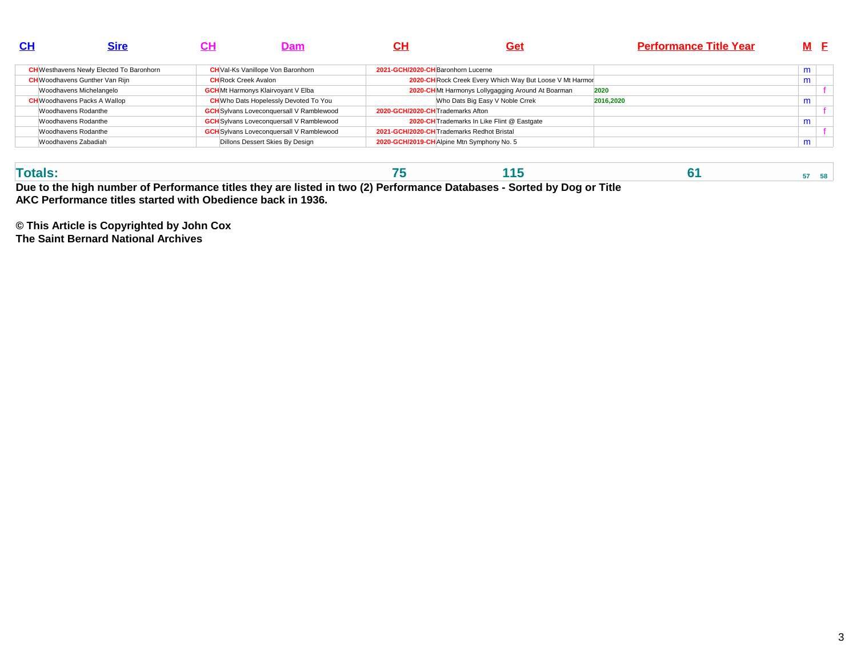| $\mathbf{C}$ H | <b>Sire</b>                                     |                             | <b>Dam</b>                                      | CН                               | Get                                                      | <b>Performance Title Year</b> |   | M F |
|----------------|-------------------------------------------------|-----------------------------|-------------------------------------------------|----------------------------------|----------------------------------------------------------|-------------------------------|---|-----|
|                | <b>CH</b> Westhavens Newly Elected To Baronhorn |                             | <b>CH</b> Val-Ks Vanillope Von Baronhorn        |                                  | 2021-GCH/2020-CH Baronhorn Lucerne                       |                               | m |     |
|                | <b>CH</b> Woodhavens Gunther Van Rijn           | <b>CH</b> Rock Creek Avalon |                                                 |                                  | 2020-CH Rock Creek Every Which Way But Loose V Mt Harmor |                               | m |     |
|                | Woodhavens Michelangelo                         |                             | <b>GCH</b> Mt Harmonys Klairvoyant V Elba       |                                  | 2020-CHMt Harmonys Lollygagging Around At Boarman        | 2020                          |   |     |
|                | <b>CH</b> Woodhavens Packs A Wallop             |                             | <b>CH</b> Who Dats Hopelessly Devoted To You    |                                  | Who Dats Big Easy V Noble Crrek                          | 2016.2020                     | m |     |
|                | Woodhavens Rodanthe                             |                             | <b>GCH</b> Sylvans Loveconquersall V Ramblewood | 2020-GCH/2020-CHTrademarks Afton |                                                          |                               |   |     |
|                | Woodhavens Rodanthe                             |                             | <b>GCH</b> Sylvans Loveconquersall V Ramblewood |                                  | 2020-CH Trademarks In Like Flint @ Eastgate              |                               | m |     |
|                | Woodhavens Rodanthe                             |                             | <b>GCH</b> Sylvans Loveconquersall V Ramblewood |                                  | 2021-GCH/2020-CH Trademarks Redhot Bristal               |                               |   |     |
|                | Woodhavens Zabadiah                             |                             | Dillons Dessert Skies By Design                 |                                  | 2020-GCH/2019-CH Alpine Mtn Symphony No. 5               |                               | m |     |
|                |                                                 |                             |                                                 |                                  |                                                          |                               |   |     |

| Due to the bigh number of Performance titles they are listed in two (2) Performance Databases - Sorted by Don or |  |  |  |  |  |  |  |  |  |  |  |  |  |  |  |  |  |  |  |  |  |  |  |  |  |  | Titlo |  |  |  |  |  |  |  |  |  |  |  |
|------------------------------------------------------------------------------------------------------------------|--|--|--|--|--|--|--|--|--|--|--|--|--|--|--|--|--|--|--|--|--|--|--|--|--|--|-------|--|--|--|--|--|--|--|--|--|--|--|
|                                                                                                                  |  |  |  |  |  |  |  |  |  |  |  |  |  |  |  |  |  |  |  |  |  |  |  |  |  |  |       |  |  |  |  |  |  |  |  |  |  |  |
|                                                                                                                  |  |  |  |  |  |  |  |  |  |  |  |  |  |  |  |  |  |  |  |  |  |  |  |  |  |  |       |  |  |  |  |  |  |  |  |  |  |  |

**Due to the high number of Performance titles they are listed in two (2) Performance Databases - Sorted by Dog or TitleAKC Performance titles started with Obedience back in 1936.**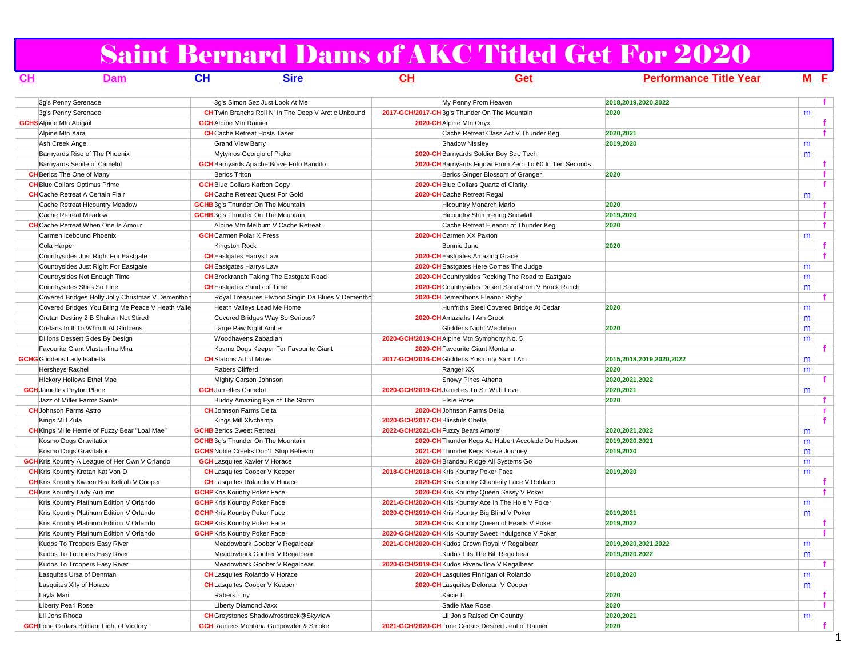# Saint Bernard Dams of AKC Titled Get For 2020

| <u>CH</u> | Dam                                                   | CL | <b>Sire</b>                                                 | CH                                              | Get                                                     | <b>Performance Title Year</b> | M <sub>E</sub> |                     |
|-----------|-------------------------------------------------------|----|-------------------------------------------------------------|-------------------------------------------------|---------------------------------------------------------|-------------------------------|----------------|---------------------|
|           | 3q's Penny Serenade                                   |    | 3q's Simon Sez Just Look At Me                              |                                                 | My Penny From Heaven                                    | 2018,2019,2020,2022           |                | f                   |
|           | 3g's Penny Serenade                                   |    | <b>CH</b> Twin Branchs Roll N' In The Deep V Arctic Unbound | 2017-GCH/2017-CH 3g's Thunder On The Mountain   |                                                         | 2020                          | m              |                     |
|           | <b>GCHS</b> Alpine Mtn Abigail                        |    | <b>GCH</b> Alpine Mtn Rainier                               | 2020-CHAlpine Mtn Onyx                          |                                                         |                               |                | f.                  |
|           | Alpine Mtn Xara                                       |    | <b>CH</b> Cache Retreat Hosts Taser                         |                                                 | Cache Retreat Class Act V Thunder Keq                   | 2020.2021                     |                | $\ddot{\mathbf{f}}$ |
|           | Ash Creek Angel                                       |    | <b>Grand View Barry</b>                                     |                                                 | Shadow Nissley                                          | 2019,2020                     | m              |                     |
|           | Barnyards Rise of The Phoenix                         |    | Mytymos Georgio of Picker                                   |                                                 | 2020-CH Barnyards Soldier Boy Sgt. Tech.                |                               | m              |                     |
|           | Barnyards Sebile of Camelot                           |    | <b>GCH</b> Barnyards Apache Brave Frito Bandito             |                                                 | 2020-CH Barnyards Figowi From Zero To 60 In Ten Seconds |                               |                | f                   |
|           | <b>CH</b> Berics The One of Many                      |    | <b>Berics Triton</b>                                        |                                                 | Berics Ginger Blossom of Granger                        | 2020                          |                | $\mathbf{f}$        |
|           | <b>CH</b> Blue Collars Optimus Prime                  |    | <b>GCH</b> Blue Collars Karbon Copy                         |                                                 | 2020-CH Blue Collars Quartz of Clarity                  |                               |                | f                   |
|           | <b>CH</b> Cache Retreat A Certain Flair               |    | <b>CH</b> Cache Retreat Quest For Gold                      | 2020-CHCache Retreat Regal                      |                                                         |                               | m              |                     |
|           | Cache Retreat Hicountry Meadow                        |    | <b>GCHB</b> 3q's Thunder On The Mountain                    |                                                 | <b>Hicountry Monarch Marlo</b>                          | 2020                          |                | f                   |
|           | Cache Retreat Meadow                                  |    | <b>GCHB</b> 3g's Thunder On The Mountain                    |                                                 | <b>Hicountry Shimmering Snowfall</b>                    | 2019,2020                     |                | f                   |
|           | <b>CH</b> Cache Retreat When One Is Amour             |    | Alpine Mtn Melburn V Cache Retreat                          |                                                 | Cache Retreat Eleanor of Thunder Keg                    | 2020                          |                | f.                  |
|           | Carmen Icebound Phoenix                               |    | <b>GCH</b> Carmen Polar X Press                             | 2020-CHCarmen XX Paxton                         |                                                         |                               | m              |                     |
|           | Cola Harper                                           |    | Kingston Rock                                               | Bonnie Jane                                     |                                                         | 2020                          |                | f                   |
|           | Countrysides Just Right For Eastgate                  |    | <b>CH</b> Eastgates Harrys Law                              |                                                 | 2020-CH Eastgates Amazing Grace                         |                               |                | f                   |
|           | Countrysides Just Right For Eastgate                  |    | <b>CH</b> Eastgates Harrys Law                              |                                                 | 2020-CH Eastgates Here Comes The Judge                  |                               | m              |                     |
|           | Countrysides Not Enough Time                          |    | <b>CH</b> Brockranch Taking The Eastgate Road               |                                                 | 2020-CH Countrysides Rocking The Road to Eastgate       |                               | m              |                     |
|           | Countrysides Shes So Fine                             |    | <b>CH</b> Eastgates Sands of Time                           |                                                 | 2020-CH Countrysides Desert Sandstrom V Brock Ranch     |                               | m              |                     |
|           | Covered Bridges Holly Jolly Christmas V Dementhor     |    | Royal Treasures Elwood Singin Da Blues V Dementho           |                                                 | 2020-CH Dementhons Eleanor Rigby                        |                               |                | f                   |
|           | Covered Bridges You Bring Me Peace V Heath Valle      |    | Heath Valleys Lead Me Home                                  |                                                 | Hunfriths Steel Covered Bridge At Cedar                 | 2020                          | m              |                     |
|           | Cretan Destiny 2 B Shaken Not Stired                  |    | Covered Bridges Way So Serious?                             | 2020-CH Amaziahs I Am Groot                     |                                                         |                               | m              |                     |
|           | Cretans In It To Whin It At Gliddens                  |    | Large Paw Night Amber                                       |                                                 | Gliddens Night Wachman                                  | 2020                          | m              |                     |
|           | Dillons Dessert Skies By Design                       |    | Woodhavens Zabadiah                                         | 2020-GCH/2019-CH Alpine Mtn Symphony No. 5      |                                                         |                               | m              |                     |
|           | Favourite Giant Vlastenlina Mira                      |    | Kosmo Dogs Keeper For Favourite Giant                       |                                                 | 2020-CH Favourite Giant Montana                         |                               |                | f.                  |
|           | <b>GCHG</b> Gliddens Lady Isabella                    |    | <b>CH</b> Slatons Artful Move                               | 2017-GCH/2016-CH Gliddens Yosminty Sam I Am     |                                                         | 2015,2018,2019,2020,2022      | m              |                     |
|           | <b>Hersheys Rachel</b>                                |    | Rabers Clifferd                                             | Ranger XX                                       |                                                         | 2020                          | m              |                     |
|           | Hickory Hollows Ethel Mae                             |    | Mighty Carson Johnson                                       |                                                 | Snowy Pines Athena                                      | 2020, 2021, 2022              |                | f.                  |
|           | <b>GCH</b> Jamelles Peyton Place                      |    | <b>GCH</b> Jamelles Camelot                                 | 2020-GCH/2019-CH Jamelles To Sir With Love      |                                                         | 2020,2021                     | m              |                     |
|           | Jazz of Miller Farms Saints                           |    | Buddy Amaziing Eye of The Storm                             | <b>Elsie Rose</b>                               |                                                         | 2020                          |                | $\mathbf{f}$        |
|           | <b>CH</b> Johnson Farms Astro                         |    | <b>CH</b> Johnson Farms Delta                               | 2020-CH Johnson Farms Delta                     |                                                         |                               |                | $\mathbf{r}$        |
|           | Kings Mill Zula                                       |    | Kings Mill XIvchamp                                         | 2020-GCH/2017-CH Blissfuls Chella               |                                                         |                               |                | f                   |
|           | <b>CH</b> Kings Mille Hemie of Fuzzy Bear "Loal Mae"  |    | <b>GCHB</b> Berics Sweet Retreat                            | 2022-GCH/2021-CH Fuzzy Bears Amore'             |                                                         | 2020, 2021, 2022              | m              |                     |
|           | Kosmo Dogs Gravitation                                |    | <b>GCHB</b> 3q's Thunder On The Mountain                    |                                                 | 2020-CH Thunder Kegs Au Hubert Accolade Du Hudson       | 2019,2020,2021                | m              |                     |
|           | Kosmo Dogs Gravitation                                |    | <b>GCHS</b> Noble Creeks Don'T Stop Believin                |                                                 | 2021-CH Thunder Kegs Brave Journey                      | 2019,2020                     | m              |                     |
|           | <b>GCH</b> Kris Kountry A League of Her Own V Orlando |    | <b>GCH</b> Lasquites Xavier V Horace                        |                                                 | 2020-CH Brandau Ridge All Systems Go                    |                               | m              |                     |
|           | <b>CH</b> Kris Kountry Kretan Kat Von D               |    | <b>CH</b> Lasquites Cooper V Keeper                         | 2018-GCH/2018-CH Kris Kountry Poker Face        |                                                         | 2019,2020                     | m              |                     |
|           | <b>CH</b> Kris Kountry Kween Bea Kelijah V Cooper     |    | <b>CH</b> Lasquites Rolando V Horace                        |                                                 | 2020-CH Kris Kountry Chanteily Lace V Roldano           |                               |                | $\mathbf{f}$        |
|           | <b>CH</b> Kris Kountry Lady Autumn                    |    | <b>GCHP</b> Kris Kountry Poker Face                         |                                                 | 2020-CH Kris Kountry Queen Sassy V Poker                |                               |                | $\mathbf{f}$        |
|           | Kris Kountry Platinum Edition V Orlando               |    | <b>GCHP</b> Kris Kountry Poker Face                         |                                                 | 2021-GCH/2020-CH Kris Kountry Ace In The Hole V Poker   |                               | m              |                     |
|           | Kris Kountry Platinum Edition V Orlando               |    | <b>GCHP</b> Kris Kountry Poker Face                         | 2020-GCH/2019-CH Kris Kountry Big Blind V Poker |                                                         | 2019,2021                     | m              |                     |
|           | Kris Kountry Platinum Edition V Orlando               |    | <b>GCHP</b> Kris Kountry Poker Face                         |                                                 | 2020-CH Kris Kountry Queen of Hearts V Poker            | 2019,2022                     |                | $\mathbf{f}$        |
|           | Kris Kountry Platinum Edition V Orlando               |    | <b>GCHP</b> Kris Kountry Poker Face                         |                                                 | 2020-GCH/2020-CH Kris Kountry Sweet Indulgence V Poker  |                               |                | f                   |
|           | Kudos To Troopers Easy River                          |    | Meadowbark Goober V Regalbear                               | 2021-GCH/2020-CH Kudos Crown Royal V Regalbear  |                                                         | 2019,2020,2021,2022           | m              |                     |
|           | Kudos To Troopers Easy River                          |    | Meadowbark Goober V Regalbear                               |                                                 | Kudos Fits The Bill Regalbear                           | 2019,2020,2022                | m              |                     |
|           | Kudos To Troopers Easy River                          |    | Meadowbark Goober V Regalbear                               | 2020-GCH/2019-CH Kudos Riverwillow V Regalbear  |                                                         |                               |                |                     |
|           | Lasquites Ursa of Denman                              |    | <b>CH</b> Lasquites Rolando V Horace                        |                                                 | 2020-CH Lasquites Finnigan of Rolando                   | 2018,2020                     | m              |                     |
|           | Lasquites Xily of Horace                              |    | <b>CH</b> Lasquites Cooper V Keeper                         |                                                 | 2020-CH Lasquites Delorean V Cooper                     |                               | m              |                     |
|           | Layla Mari                                            |    | Rabers Tiny                                                 | Kacie II                                        |                                                         | 2020                          |                | f.                  |
|           | Liberty Pearl Rose                                    |    | Liberty Diamond Jaxx                                        |                                                 | Sadie Mae Rose                                          | 2020                          |                | f                   |
|           | Lil Jons Rhoda                                        |    | <b>CH</b> Greystones Shadowfrosttreck@Skyview               |                                                 | Lil Jon's Raised On Country                             | 2020,2021                     | m              |                     |
|           | <b>GCH</b> Lone Cedars Brilliant Light of Vicdory     |    | <b>GCH</b> Rainiers Montana Gunpowder & Smoke               |                                                 | 2021-GCH/2020-CHLone Cedars Desired Jeul of Rainier     | 2020                          |                | $-f$                |
|           |                                                       |    |                                                             |                                                 |                                                         |                               |                |                     |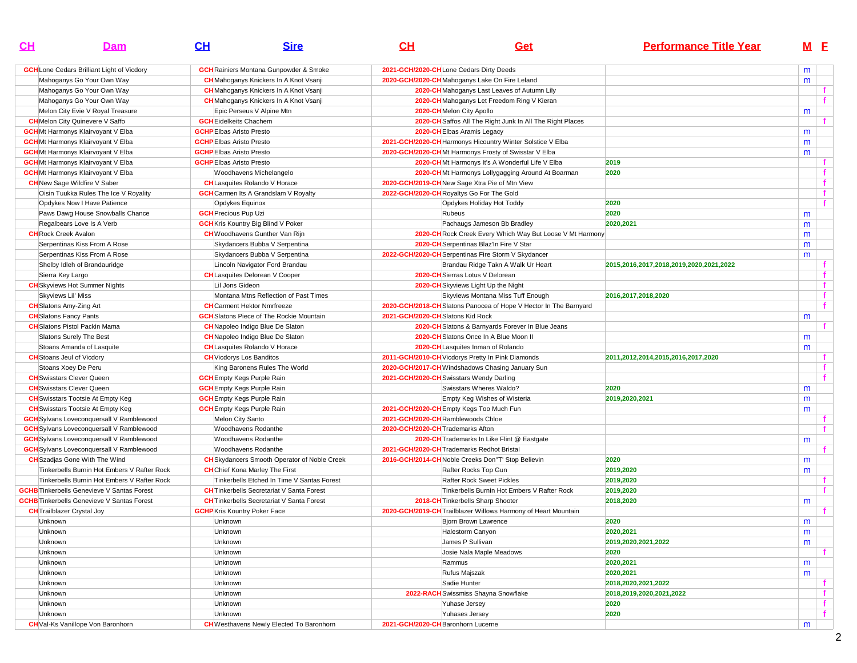| $CH$    | Dam                                               | CL                                  | <b>Sire</b>                                         | CH                                | Get                                                               | <b>Performance Title Year</b>           |   | M <sub>E</sub> |
|---------|---------------------------------------------------|-------------------------------------|-----------------------------------------------------|-----------------------------------|-------------------------------------------------------------------|-----------------------------------------|---|----------------|
|         | <b>GCH</b> Lone Cedars Brilliant Light of Vicdory |                                     | <b>GCH</b> Rainiers Montana Gunpowder & Smoke       |                                   | 2021-GCH/2020-CHLone Cedars Dirty Deeds                           |                                         | m |                |
|         | Mahoganys Go Your Own Way                         |                                     | <b>CH</b> Mahoganys Knickers In A Knot Vsanji       |                                   | 2020-GCH/2020-CH Mahoganys Lake On Fire Leland                    |                                         | m |                |
|         | Mahoganys Go Your Own Way                         |                                     | <b>CH</b> Mahoganys Knickers In A Knot Vsanji       |                                   | 2020-CH Mahoganys Last Leaves of Autumn Lily                      |                                         |   | f              |
|         | Mahoganys Go Your Own Way                         |                                     | <b>CH</b> Mahoganys Knickers In A Knot Vsanji       |                                   | 2020-CH Mahoganys Let Freedom Ring V Kieran                       |                                         |   |                |
|         | Melon City Evie V Royal Treasure                  |                                     | Epic Perseus V Alpine Mtn                           |                                   | 2020-CH Melon City Apollo                                         |                                         | m |                |
|         | <b>CH</b> Melon City Quinevere V Saffo            | <b>GCH</b> Eidelkeits Chachem       |                                                     |                                   | 2020-CH Saffos All The Right Junk In All The Right Places         |                                         |   |                |
|         | <b>GCH</b> Mt Harmonys Klairvoyant V Elba         | <b>GCHP</b> Elbas Aristo Presto     |                                                     |                                   | 2020-CHEIbas Aramis Legacy                                        |                                         | m |                |
|         | <b>GCH</b> Mt Harmonys Klairvoyant V Elba         | <b>GCHP</b> Elbas Aristo Presto     |                                                     |                                   | 2021-GCH/2020-CH Harmonys Hicountry Winter Solstice V Elba        |                                         | m |                |
|         | <b>GCH</b> Mt Harmonys Klairvoyant V Elba         | <b>GCHP</b> Elbas Aristo Presto     |                                                     |                                   | 2020-GCH/2020-CHMt Harmonys Frosty of Swisstar V Elba             |                                         | m |                |
|         | <b>GCH</b> Mt Harmonys Klairvoyant V Elba         | <b>GCHP</b> Elbas Aristo Presto     |                                                     |                                   | 2020-CHMt Harmonys It's A Wonderful Life V Elba                   | 2019                                    |   |                |
|         | <b>GCH</b> Mt Harmonys Klairvoyant V Elba         |                                     | Woodhavens Michelangelo                             |                                   | 2020-CHMt Harmonys Lollygagging Around At Boarman                 | 2020                                    |   | $\mathbf{f}$   |
|         | <b>CH</b> New Sage Wildfire V Saber               |                                     | <b>CH</b> Lasquites Rolando V Horace                |                                   | 2020-GCH/2019-CH New Sage Xtra Pie of Mtn View                    |                                         |   | $\mathbf{f}$   |
|         | Oisin Tuukka Rules The Ice V Royality             |                                     | <b>GCH</b> Carmen Its A Grandslam V Royalty         |                                   | 2022-GCH/2020-CH Royaltys Go For The Gold                         |                                         |   | f              |
|         | Opdykes Now I Have Patience                       | Opdykes Equinox                     |                                                     |                                   | Opdykes Holiday Hot Toddy                                         | 2020                                    |   | $\mathbf{f}$   |
|         | Paws Dawg House Snowballs Chance                  | <b>GCH</b> Precious Pup Uzi         |                                                     |                                   | Rubeus                                                            | 2020                                    | m |                |
|         | Regalbears Love Is A Verb                         |                                     | <b>GCH</b> Kris Kountry Big Blind V Poker           |                                   | Pachaugs Jameson Bb Bradley                                       | 2020,2021                               | m |                |
|         | <b>CH</b> Rock Creek Avalon                       |                                     | <b>CH</b> Woodhavens Gunther Van Rijn               |                                   | 2020-CH Rock Creek Every Which Way But Loose V Mt Harmony         |                                         | m |                |
|         | Serpentinas Kiss From A Rose                      |                                     | Skydancers Bubba V Serpentina                       |                                   | 2020-CH Serpentinas Blaz'In Fire V Star                           |                                         | m |                |
|         | Serpentinas Kiss From A Rose                      |                                     | Skydancers Bubba V Serpentina                       |                                   | 2022-GCH/2020-CH Serpentinas Fire Storm V Skydancer               |                                         | m |                |
|         | Shelby Idleh of Brandauridge                      |                                     | Lincoln Navigator Ford Brandau                      |                                   | Brandau Ridge Takn A Walk Ur Heart                                | 2015,2016,2017,2018,2019,2020,2021,2022 |   | f              |
|         | Sierra Key Largo                                  |                                     | <b>CH</b> Lasquites Delorean V Cooper               |                                   | 2020-CH Sierras Lotus V Delorean                                  |                                         |   | f              |
|         | <b>CH</b> Skyviews Hot Summer Nights              | Lil Jons Gideon                     |                                                     |                                   | 2020-CH Skyviews Light Up the Night                               |                                         |   | $\mathbf{f}$   |
|         | Skyviews Lil' Miss                                |                                     | Montana Mtns Reflection of Past Times               |                                   | Skyviews Montana Miss Tuff Enough                                 | 2016, 2017, 2018, 2020                  |   | $\mathbf f$    |
|         | <b>CH</b> Slatons Amy-Zing Art                    |                                     | <b>CH</b> Carment Hektor Nmrfreeze                  |                                   | 2020-GCH/2018-CH Slatons Panocea of Hope V Hector In The Barnyard |                                         |   | $\mathbf f$    |
|         | <b>CH</b> Slatons Fancy Pants                     |                                     | <b>GCH</b> Slatons Piece of The Rockie Mountain     | 2021-GCH/2020-CHSlatons Kid Rock  |                                                                   |                                         | m |                |
|         | <b>CH</b> Slatons Pistol Packin Mama              |                                     | <b>CH</b> Napoleo Indigo Blue De Slaton             |                                   | 2020-CH Slatons & Barnyards Forever In Blue Jeans                 |                                         |   | f.             |
|         | Slatons Surely The Best                           |                                     | <b>CH</b> Napoleo Indigo Blue De Slaton             |                                   | 2020-CH Slatons Once In A Blue Moon II                            |                                         | m |                |
|         | Stoans Amanda of Lasquite                         |                                     | <b>CH</b> Lasquites Rolando V Horace                |                                   | 2020-CHLasquites Inman of Rolando                                 |                                         | m |                |
|         | <b>CH</b> Stoans Jeul of Vicdory                  | <b>CH</b> Vicdorys Los Banditos     |                                                     |                                   | 2011-GCH/2010-CH Vicdorys Pretty In Pink Diamonds                 | 2011,2012,2014,2015,2016,2017,2020      |   | f              |
|         | Stoans Xoey De Peru                               |                                     | King Baronens Rules The World                       |                                   | 2020-GCH/2017-CH Windshadows Chasing January Sun                  |                                         |   | f              |
|         | <b>CH</b> Swisstars Clever Queen                  | <b>GCH</b> Empty Kegs Purple Rain   |                                                     |                                   | 2021-GCH/2020-CH Swisstars Wendy Darling                          |                                         |   | $\mathbf{f}$   |
|         | <b>CH</b> Swisstars Clever Queen                  | <b>GCH</b> Empty Kegs Purple Rain   |                                                     |                                   | Swisstars Wheres Waldo?                                           | 2020                                    | m |                |
|         | <b>CH</b> Swisstars Tootsie At Empty Keg          | <b>GCH</b> Empty Kegs Purple Rain   |                                                     |                                   | Empty Keg Wishes of Wisteria                                      | 2019,2020,2021                          | m |                |
|         | <b>CH</b> Swisstars Tootsie At Empty Keg          | <b>GCH</b> Empty Kegs Purple Rain   |                                                     |                                   | 2021-GCH/2020-CH Empty Kegs Too Much Fun                          |                                         | m |                |
|         | <b>GCH</b> Sylvans Loveconquersall V Ramblewood   | Melon City Santo                    |                                                     |                                   | 2021-GCH/2020-CHRamblewoods Chloe                                 |                                         |   |                |
|         | <b>GCH</b> Sylvans Loveconquersall V Ramblewood   |                                     | Woodhavens Rodanthe                                 | 2020-GCH/2020-CH Trademarks Afton |                                                                   |                                         |   | $\mathbf{f}$   |
|         | <b>GCH</b> Sylvans Loveconquersall V Ramblewood   |                                     | Woodhavens Rodanthe                                 |                                   | 2020-CH Trademarks In Like Flint @ Eastgate                       |                                         | m |                |
|         | <b>GCH</b> Sylvans Loveconquersall V Ramblewood   |                                     | Woodhavens Rodanthe                                 |                                   | 2021-GCH/2020-CH Trademarks Redhot Bristal                        |                                         |   | f.             |
|         | <b>CH</b> Szadjas Gone With The Wind              |                                     | <b>CH</b> Skydancers Smooth Operator of Noble Creek |                                   | 2016-GCH/2014-CH Noble Creeks Don"T' Stop Believin                | 2020                                    | m |                |
|         | Tinkerbells Burnin Hot Embers V Rafter Rock       |                                     | <b>CH</b> Chief Kona Marley The First               |                                   | Rafter Rocks Top Gun                                              | 2019,2020                               | m |                |
|         | Tinkerbells Burnin Hot Embers V Rafter Rock       |                                     | Tinkerbells Etched In Time V Santas Forest          |                                   | <b>Rafter Rock Sweet Pickles</b>                                  | 2019,2020                               |   | f              |
|         | <b>GCHB</b> Tinkerbells Genevieve V Santas Forest |                                     | <b>CH</b> Tinkerbells Secretariat V Santa Forest    |                                   | Tinkerbells Burnin Hot Embers V Rafter Rock                       | 2019,2020                               |   |                |
|         | <b>GCHB</b> Tinkerbells Genevieve V Santas Forest |                                     | <b>CH</b> Tinkerbells Secretariat V Santa Forest    |                                   | 2018-CH Tinkerbells Sharp Shooter                                 | 2018,2020                               | m |                |
|         | <b>CH</b> Trailblazer Crystal Joy                 | <b>GCHP</b> Kris Kountry Poker Face |                                                     |                                   | 2020-GCH/2019-CH Trailblazer Willows Harmony of Heart Mountain    |                                         |   | f              |
| Unknown |                                                   | Unknown                             |                                                     |                                   | <b>Bjorn Brown Lawrence</b>                                       | 2020                                    | m |                |
| Unknown |                                                   | Unknown                             |                                                     |                                   | <b>Halestorm Canyon</b>                                           | 2020,2021                               | m |                |
| Unknown |                                                   | Unknown                             |                                                     |                                   | James P Sullivan                                                  | 2019,2020,2021,2022                     | m |                |
| Unknown |                                                   | Unknown                             |                                                     |                                   | Josie Nala Maple Meadows                                          | 2020                                    |   |                |
| Unknown |                                                   | Unknown                             |                                                     |                                   | Rammus                                                            | 2020,2021                               | m |                |
| Unknown |                                                   | Unknown                             |                                                     |                                   | Rufus Majszak                                                     | 2020,2021                               | m |                |
| Unknown |                                                   | Unknown                             |                                                     |                                   | Sadie Hunter                                                      | 2018,2020,2021,2022                     |   | f.             |
| Unknown |                                                   | Unknown                             |                                                     |                                   | 2022-RACH Swissmiss Shayna Snowflake                              | 2018,2019,2020,2021,2022                |   | f.             |
| Unknown |                                                   | Unknown                             |                                                     |                                   | Yuhase Jersey                                                     | 2020                                    |   | f              |
| Unknown |                                                   | Unknown                             |                                                     |                                   | Yuhases Jersey                                                    | 2020                                    |   | f              |
|         | <b>CH</b> Val-Ks Vanillope Von Baronhorn          |                                     | <b>CH</b> Westhavens Newly Elected To Baronhorn     |                                   | 2021-GCH/2020-CH Baronhorn Lucerne                                |                                         | m |                |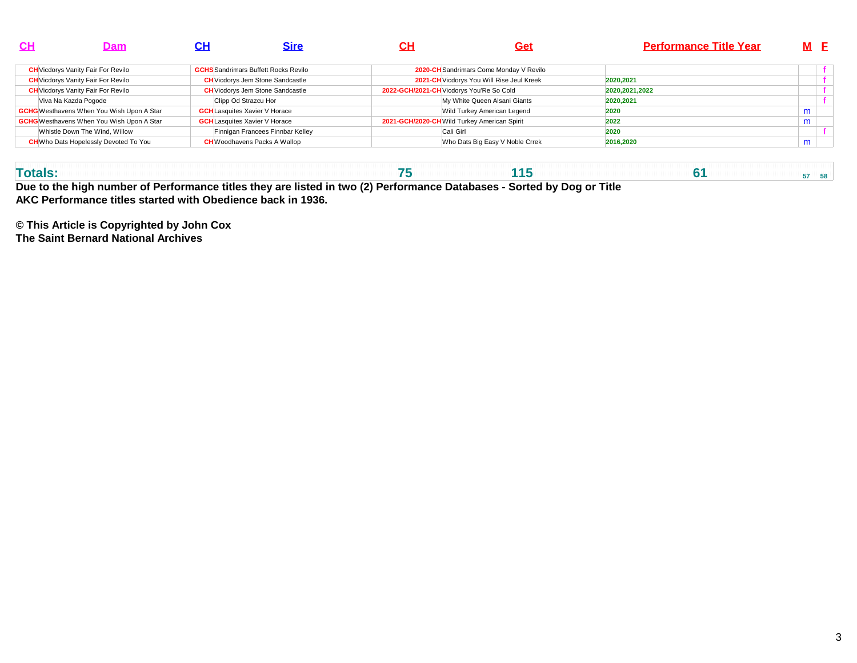| <b>CH</b> | Dam                                              | СH | <b>Sire</b>                                 | <u>CН</u> | <b>Get</b>                                   | <b>Performance Title Year</b> | M E |  |
|-----------|--------------------------------------------------|----|---------------------------------------------|-----------|----------------------------------------------|-------------------------------|-----|--|
|           | <b>CH</b> Vicdorys Vanity Fair For Revilo        |    | <b>GCHS</b> Sandrimars Buffett Rocks Revilo |           | 2020-CH Sandrimars Come Monday V Revilo      |                               |     |  |
|           | <b>CH</b> Vicdorys Vanity Fair For Revilo        |    | <b>CH</b> Vicdorys Jem Stone Sandcastle     |           | 2021-CH Vicdorys You Will Rise Jeul Kreek    | 2020.2021                     |     |  |
|           | <b>CH</b> Vicdorys Vanity Fair For Revilo        |    | <b>CH</b> Vicdorys Jem Stone Sandcastle     |           | 2022-GCH/2021-CH Vicdorys You'Re So Cold     | 2020, 2021, 2022              |     |  |
|           | Viva Na Kazda Pogode                             |    | Clipp Od Strazcu Hor                        |           | My White Queen Alsani Giants                 | 2020,2021                     |     |  |
|           | <b>GCHG</b> Westhavens When You Wish Upon A Star |    | <b>GCH</b> Lasquites Xavier V Horace        |           | Wild Turkey American Legend                  | 2020                          | m   |  |
|           | <b>GCHG</b> Westhavens When You Wish Upon A Star |    | <b>GCH</b> Lasquites Xavier V Horace        |           | 2021-GCH/2020-CH Wild Turkey American Spirit | 2022                          | m   |  |
|           | Whistle Down The Wind, Willow                    |    | Finnigan Francees Finnbar Kelley            |           | Cali Girl                                    | 2020                          |     |  |
|           | <b>CH</b> Who Dats Hopelessly Devoted To You     |    | <b>CH</b> Woodhavens Packs A Wallop         |           | Who Dats Big Easy V Noble Crrek              | 2016,2020                     | m   |  |
|           |                                                  |    |                                             |           |                                              |                               |     |  |

| Due to the high number of Derformance titles they are listed in two (2) Derformance Detabases. Certed by Dea or Title |  |  |  |  |  |  |  |  |  |  |  |  |  |  |  |  |  |  |  |  |  |  |  |  |  |  |  |  |  |  |  |  |  |  |  |  |  |
|-----------------------------------------------------------------------------------------------------------------------|--|--|--|--|--|--|--|--|--|--|--|--|--|--|--|--|--|--|--|--|--|--|--|--|--|--|--|--|--|--|--|--|--|--|--|--|--|
|                                                                                                                       |  |  |  |  |  |  |  |  |  |  |  |  |  |  |  |  |  |  |  |  |  |  |  |  |  |  |  |  |  |  |  |  |  |  |  |  |  |
|                                                                                                                       |  |  |  |  |  |  |  |  |  |  |  |  |  |  |  |  |  |  |  |  |  |  |  |  |  |  |  |  |  |  |  |  |  |  |  |  |  |

**Due to the high number of Performance titles they are listed in two (2) Performance Databases - Sorted by Dog or TitleAKC Performance titles started with Obedience back in 1936.**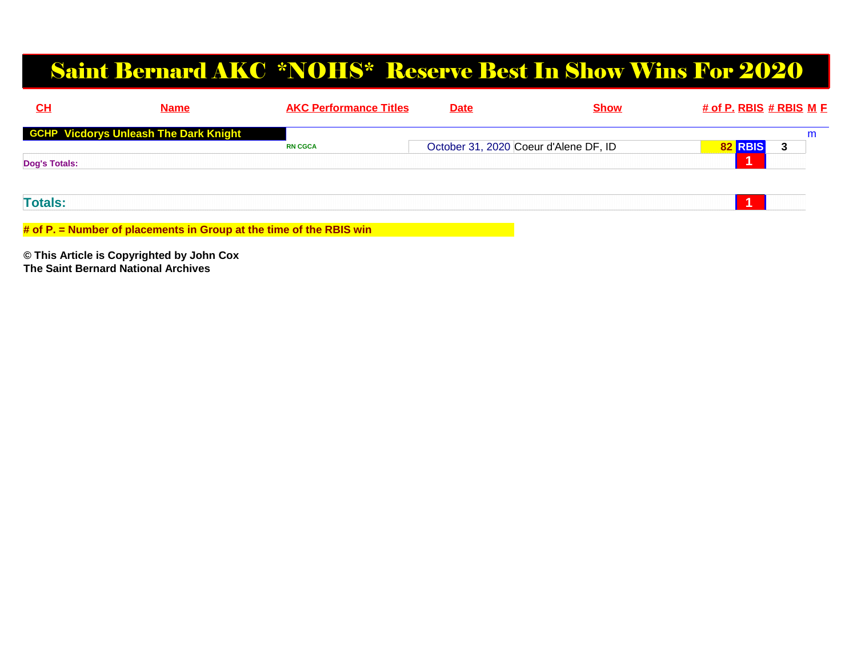### Saint Bernard AKC \*NOHS\* Reserve Best In Show Wins For 2020

| CL             | <b>Name</b>                                                         | <b>AKC Performance Titles</b> | <b>Date</b> | <b>Show</b>                           | # of P. RBIS # RBIS M F |   |
|----------------|---------------------------------------------------------------------|-------------------------------|-------------|---------------------------------------|-------------------------|---|
|                | <b>GCHP Vicdorys Unleash The Dark Knight</b>                        |                               |             |                                       |                         | m |
|                |                                                                     | <b>RN CGCA</b>                |             | October 31, 2020 Coeur d'Alene DF, ID | 82 RBIS                 |   |
| Dog's Totals:  |                                                                     |                               |             |                                       |                         |   |
|                |                                                                     |                               |             |                                       |                         |   |
| <b>Totals:</b> |                                                                     |                               |             |                                       |                         |   |
|                | # of P. = Number of placements in Group at the time of the RBIS win |                               |             |                                       |                         |   |
|                |                                                                     |                               |             |                                       |                         |   |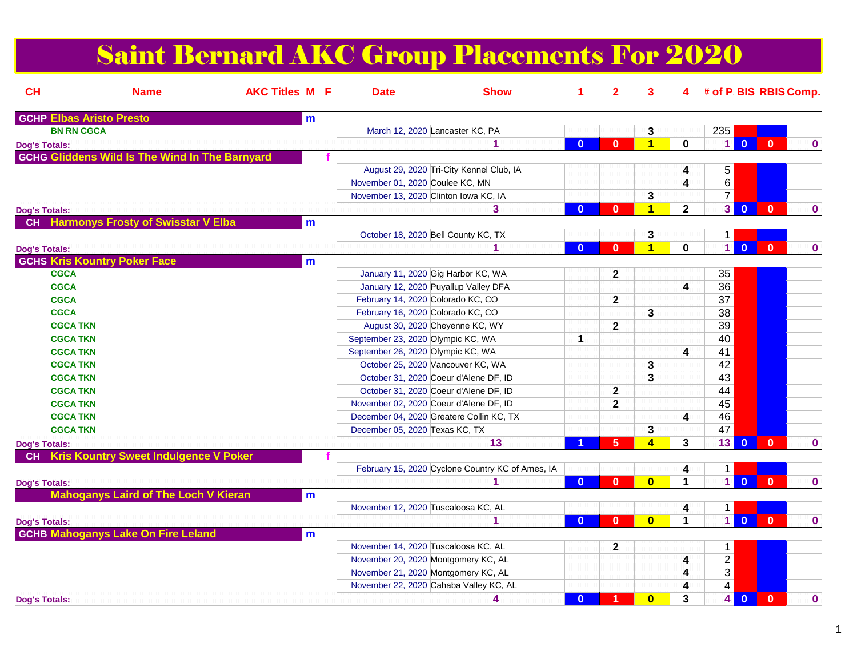## Saint Bernard AKC Group Placements For 2020

| CH                   | <b>Name</b>                                           | <b>AKC Titles M F</b> |              | <b>Date</b> | <b>Show</b>                                      | $\perp$      | $2^{\circ}$  | $\overline{3}$          |                | 4 # of P. BIS RBIS Comp.                  |                |              |
|----------------------|-------------------------------------------------------|-----------------------|--------------|-------------|--------------------------------------------------|--------------|--------------|-------------------------|----------------|-------------------------------------------|----------------|--------------|
|                      | <b>GCHP Elbas Aristo Presto</b>                       |                       | $\mathbf{m}$ |             |                                                  |              |              |                         |                |                                           |                |              |
| <b>BN RN CGCA</b>    |                                                       |                       |              |             | March 12, 2020 Lancaster KC, PA                  |              |              | 3                       |                | 235                                       |                |              |
| <b>Dog's Totals:</b> |                                                       |                       |              |             | 1                                                | $\mathbf{0}$ | $\mathbf{0}$ | $\blacktriangleleft$    | $\mathbf 0$    | $\overline{0}$<br>1                       | $\mathbf{0}$   | $\mathbf{0}$ |
|                      | <b>GCHG Gliddens Wild Is The Wind In The Barnyard</b> |                       |              |             |                                                  |              |              |                         |                |                                           |                |              |
|                      |                                                       |                       |              |             | August 29, 2020 Tri-City Kennel Club, IA         |              |              |                         | 4              | $\,$ 5 $\,$                               |                |              |
|                      |                                                       |                       |              |             | November 01, 2020 Coulee KC, MN                  |              |              |                         | 4              | $6\,$                                     |                |              |
|                      |                                                       |                       |              |             | November 13, 2020 Clinton Iowa KC, IA            |              |              | 3                       |                | $\overline{7}$                            |                |              |
| <b>Dog's Totals:</b> |                                                       |                       |              |             | 3                                                | $\mathbf{0}$ | $\mathbf{0}$ | $\blacktriangleleft$    | $\overline{2}$ | 3<br>$\overline{\mathbf{0}}$              | $\mathbf{0}$   | $\mathbf{0}$ |
| <b>CH</b>            | <b>Harmonys Frosty of Swisstar V Elba</b>             |                       | m            |             |                                                  |              |              |                         |                |                                           |                |              |
|                      |                                                       |                       |              |             | October 18, 2020 Bell County KC, TX              |              |              | 3                       |                | $\mathbf{1}$                              |                |              |
| <b>Dog's Totals:</b> |                                                       |                       |              |             | 1                                                | $\mathbf{0}$ | $\mathbf{0}$ | $\overline{\mathbf{1}}$ | 0              | $\overline{1}$<br>$\overline{0}$          | $\bf{0}$       | $\mathbf 0$  |
|                      | <b>GCHS Kris Kountry Poker Face</b>                   |                       | m            |             |                                                  |              |              |                         |                |                                           |                |              |
| <b>CGCA</b>          |                                                       |                       |              |             | January 11, 2020 Gig Harbor KC, WA               |              | $\mathbf{2}$ |                         |                | 35                                        |                |              |
| <b>CGCA</b>          |                                                       |                       |              |             | January 12, 2020 Puyallup Valley DFA             |              |              |                         | 4              | 36                                        |                |              |
| <b>CGCA</b>          |                                                       |                       |              |             | February 14, 2020 Colorado KC, CO                |              | $\mathbf{2}$ |                         |                | 37                                        |                |              |
| <b>CGCA</b>          |                                                       |                       |              |             | February 16, 2020 Colorado KC, CO                |              |              | 3                       |                | 38                                        |                |              |
| <b>CGCA TKN</b>      |                                                       |                       |              |             | August 30, 2020 Cheyenne KC, WY                  |              | $\mathbf{2}$ |                         |                | 39                                        |                |              |
| <b>CGCA TKN</b>      |                                                       |                       |              |             | September 23, 2020 Olympic KC, WA                | $\mathbf{1}$ |              |                         |                | 40                                        |                |              |
| <b>CGCA TKN</b>      |                                                       |                       |              |             | September 26, 2020 Olympic KC, WA                |              |              |                         | 4              | 41                                        |                |              |
| <b>CGCA TKN</b>      |                                                       |                       |              |             | October 25, 2020 Vancouver KC, WA                |              |              | 3                       |                | 42                                        |                |              |
| <b>CGCA TKN</b>      |                                                       |                       |              |             | October 31, 2020 Coeur d'Alene DF, ID            |              |              | 3                       |                | 43                                        |                |              |
| <b>CGCA TKN</b>      |                                                       |                       |              |             | October 31, 2020 Coeur d'Alene DF, ID            |              | $\mathbf{2}$ |                         |                | 44                                        |                |              |
| <b>CGCA TKN</b>      |                                                       |                       |              |             | November 02, 2020 Coeur d'Alene DF, ID           |              | $\mathbf{2}$ |                         |                | 45                                        |                |              |
| <b>CGCA TKN</b>      |                                                       |                       |              |             | December 04, 2020 Greatere Collin KC, TX         |              |              |                         | 4              | 46                                        |                |              |
| <b>CGCA TKN</b>      |                                                       |                       |              |             | December 05, 2020 Texas KC, TX                   |              |              | 3                       |                | 47                                        |                |              |
| <b>Dog's Totals:</b> |                                                       |                       |              |             | 13                                               |              | 5            | $\overline{\mathbf{4}}$ | $3\phantom{a}$ | 13<br>$\overline{0}$                      | $\mathbf{0}$   | $\mathbf 0$  |
| <b>CH</b>            | <b>Kris Kountry Sweet Indulgence V Poker</b>          |                       |              |             |                                                  |              |              |                         |                |                                           |                |              |
|                      |                                                       |                       |              |             | February 15, 2020 Cyclone Country KC of Ames, IA |              |              |                         | 4              | $1 \mid$                                  |                |              |
| <b>Dog's Totals:</b> |                                                       |                       |              |             |                                                  | $\mathbf{0}$ | $\mathbf{0}$ | $\bf{0}$                | 1              | $\overline{1}$<br>$\overline{0}$          | $\mathbf{0}$   | $\mathbf 0$  |
|                      | <b>Mahoganys Laird of The Loch V Kieran</b>           |                       | m            |             |                                                  |              |              |                         |                |                                           |                |              |
|                      |                                                       |                       |              |             | November 12, 2020 Tuscaloosa KC, AL              |              |              |                         | 4              | 1                                         |                |              |
| <b>Dog's Totals:</b> |                                                       |                       |              |             | 1                                                | $\mathbf{0}$ | $\mathbf{0}$ | $\mathbf{0}$            | 1              | $\overline{1}$<br>$\overline{0}$          | $\overline{0}$ | $\mathbf{0}$ |
|                      | <b>GCHB Mahoganys Lake On Fire Leland</b>             |                       | $\mathbf{m}$ |             |                                                  |              |              |                         |                |                                           |                |              |
|                      |                                                       |                       |              |             | November 14, 2020 Tuscaloosa KC, AL              |              | $\mathbf{2}$ |                         |                | $\mathbf 1$                               |                |              |
|                      |                                                       |                       |              |             | November 20, 2020 Montgomery KC, AL              |              |              |                         | 4              | $\overline{2}$                            |                |              |
|                      |                                                       |                       |              |             | November 21, 2020 Montgomery KC, AL              |              |              |                         | 4              | $\overline{3}$                            |                |              |
|                      |                                                       |                       |              |             | November 22, 2020 Cahaba Valley KC, AL           |              |              |                         | 4              | $\overline{\mathbf{4}}$                   |                |              |
| <b>Dog's Totals:</b> |                                                       |                       |              |             | 4                                                | $\mathbf{0}$ | 1            | $\mathbf{0}$            | 3              | $\overline{\mathbf{0}}$<br>4 <sup>1</sup> | $\mathbf{0}$   | $\mathbf 0$  |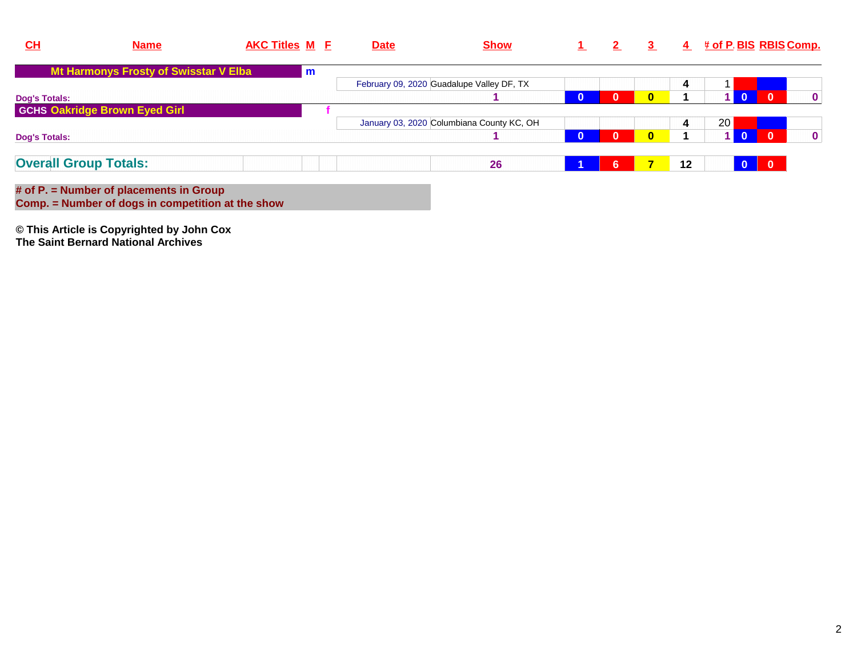| CL                   | <b>Name</b>                           | <b>AKC Titles M E</b> |               | <b>Date</b> | <b>Show</b>                               |              |          | -3-          | $\overline{4}$ |    |              | <u># of P. BIS_RBIS Comp.</u> |
|----------------------|---------------------------------------|-----------------------|---------------|-------------|-------------------------------------------|--------------|----------|--------------|----------------|----|--------------|-------------------------------|
|                      | Mt Harmonys Frosty of Swisstar V Elba |                       | $\mathsf{Im}$ |             |                                           |              |          |              |                |    |              |                               |
|                      |                                       |                       |               |             | February 09, 2020 Guadalupe Valley DF, TX |              |          |              | 4              |    |              |                               |
| <b>Dog's Totals:</b> |                                       |                       |               |             |                                           | $\mathbf{0}$ | $\bf{0}$ | $\mathbf{0}$ |                |    | $\mathbf{0}$ | $\mathbf{0}$                  |
|                      | <b>GCHS Oakridge Brown Eyed Girl</b>  |                       |               |             |                                           |              |          |              |                |    |              |                               |
|                      |                                       |                       |               |             | January 03, 2020 Columbiana County KC, OH |              |          |              | 4              | 20 |              |                               |
| <b>Dog's Totals:</b> |                                       |                       |               |             |                                           | $\mathbf{0}$ | $\Omega$ | $\mathbf{0}$ |                |    | $\mathbf{0}$ | $\mathbf 0$                   |
|                      | <b>Overall Group Totals:</b>          |                       |               |             | 26                                        |              | 6        |              | 12             |    | $\Omega$     |                               |
|                      |                                       |                       |               |             |                                           |              |          |              |                |    |              |                               |

**# of P. = Number of placements in Group Comp. = Number of dogs in competition at the show**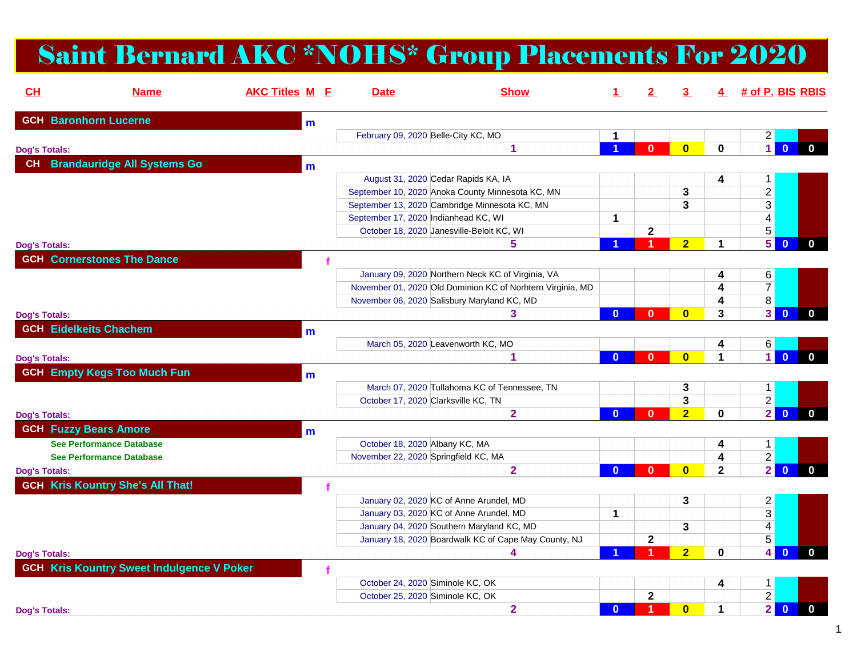# Saint Bernard AKC \*NOHS\* Group Placements For 2020

| CH                   | <b>Name</b>                                      | <b>AKC Titles M E</b> |              | <b>Date</b> | <b>Show</b>                                                |              |              |                |              | 4 # of P. BIS RBIS |                         |              |
|----------------------|--------------------------------------------------|-----------------------|--------------|-------------|------------------------------------------------------------|--------------|--------------|----------------|--------------|--------------------|-------------------------|--------------|
|                      | <b>GCH Baronhorn Lucerne</b>                     |                       | $m$          |             |                                                            |              |              |                |              |                    |                         |              |
|                      |                                                  |                       |              |             | February 09, 2020 Belle-City KC, MO                        | $\mathbf{1}$ |              |                |              | $\overline{2}$     |                         |              |
| <b>Dog's Totals:</b> |                                                  |                       |              |             | 1                                                          |              | $\mathbf{0}$ | $\bf{0}$       | $\mathbf 0$  | $\overline{1}$     | $\overline{0}$          | $\mathbf{0}$ |
|                      | CH Brandauridge All Systems Go                   |                       | m            |             |                                                            |              |              |                |              |                    |                         |              |
|                      |                                                  |                       |              |             | August 31, 2020 Cedar Rapids KA, IA                        |              |              |                | 4            | $1 \mid$           |                         |              |
|                      |                                                  |                       |              |             | September 10, 2020 Anoka County Minnesota KC, MN           |              |              | 3              |              | $2\vert$           |                         |              |
|                      |                                                  |                       |              |             | September 13, 2020 Cambridge Minnesota KC, MN              |              |              | 3              |              | 3                  |                         |              |
|                      |                                                  |                       |              |             | September 17, 2020 Indianhead KC, WI                       | $\mathbf{1}$ |              |                |              | 4 <sup>1</sup>     |                         |              |
|                      |                                                  |                       |              |             | October 18, 2020 Janesville-Beloit KC, WI                  |              | $\mathbf 2$  |                |              | 5 <sup>1</sup>     |                         |              |
| <b>Dog's Totals:</b> |                                                  |                       |              |             | 5.                                                         |              | 4            | 2 <sup>1</sup> | 1.           | 5                  | $\overline{0}$          | $\mathbf{0}$ |
|                      | <b>GCH Cornerstones The Dance</b>                |                       |              |             |                                                            |              |              |                |              |                    |                         |              |
|                      |                                                  |                       |              |             | January 09, 2020 Northern Neck KC of Virginia, VA          |              |              |                | 4            | 6                  |                         |              |
|                      |                                                  |                       |              |             | November 01, 2020 Old Dominion KC of Norhtern Virginia, MD |              |              |                | 4            | 7 <sup>1</sup>     |                         |              |
|                      |                                                  |                       |              |             | November 06, 2020 Salisbury Maryland KC, MD                |              |              |                | 4            | 8 <sup>1</sup>     |                         |              |
| <b>Dog's Totals:</b> |                                                  |                       |              |             | 3                                                          | $\mathbf{0}$ | $\bf{0}$     | $\bf{0}$       | 3            | 3 <sup>1</sup>     | $\overline{\mathbf{0}}$ | $\mathbf{0}$ |
|                      | <b>GCH Eidelkeits Chachem</b>                    |                       | $\mathbf{m}$ |             |                                                            |              |              |                |              |                    |                         |              |
|                      |                                                  |                       |              |             | March 05, 2020 Leavenworth KC, MO                          |              |              |                | 4            | 6                  |                         |              |
| <b>Dog's Totals:</b> |                                                  |                       |              |             | 1                                                          | $\mathbf{0}$ | $\mathbf{0}$ | $\bf{0}$       | 1            | $\blacksquare$     | $\overline{0}$          | $\mathbf{0}$ |
|                      | <b>GCH Empty Kegs Too Much Fun</b>               |                       |              |             |                                                            |              |              |                |              |                    |                         |              |
|                      |                                                  |                       | m            |             | March 07, 2020 Tullahoma KC of Tennessee, TN               |              |              |                |              |                    |                         |              |
|                      |                                                  |                       |              |             | October 17, 2020 Clarksville KC, TN                        |              |              | 3<br>3         |              | 1<br>$2\vert$      |                         |              |
|                      |                                                  |                       |              |             | $\overline{2}$                                             | $\Omega$     | $\bf{0}$     | $\overline{2}$ | 0            | 2 <sup>1</sup>     | $\overline{0}$          | $\mathbf{0}$ |
| <b>Dog's Totals:</b> |                                                  |                       |              |             |                                                            |              |              |                |              |                    |                         |              |
|                      | <b>GCH Fuzzy Bears Amore</b>                     |                       | m            |             |                                                            |              |              |                |              |                    |                         |              |
|                      | <b>See Performance Database</b>                  |                       |              |             | October 18, 2020 Albany KC, MA                             |              |              |                | 4            | 1                  |                         |              |
|                      | <b>See Performance Database</b>                  |                       |              |             | November 22, 2020 Springfield KC, MA                       |              |              |                | 4            | $\overline{2}$     |                         |              |
| <b>Dog's Totals:</b> |                                                  |                       |              |             | $\mathbf{2}$                                               | $\mathbf{0}$ | $\mathbf{0}$ | $\mathbf{0}$   | $\mathbf{2}$ |                    | $2$ 0                   | $\mathbf{0}$ |
|                      | <b>GCH Kris Kountry She's All That!</b>          |                       |              |             |                                                            |              |              |                |              |                    |                         |              |
|                      |                                                  |                       |              |             | January 02, 2020 KC of Anne Arundel, MD                    |              |              | 3              |              | $2\vert$           |                         |              |
|                      |                                                  |                       |              |             | January 03, 2020 KC of Anne Arundel, MD                    | 1            |              |                |              | 3                  |                         |              |
|                      |                                                  |                       |              |             | January 04, 2020 Southern Maryland KC, MD                  |              |              | 3              |              | 4 <sup>1</sup>     |                         |              |
|                      |                                                  |                       |              |             | January 18, 2020 Boardwalk KC of Cape May County, NJ       |              | $\mathbf{2}$ |                |              | $\overline{5}$     |                         |              |
| <b>Dog's Totals:</b> |                                                  |                       |              |             | 4                                                          |              | 4            | $\overline{2}$ | $\mathbf{0}$ | $\overline{4}$     | $\mathbf{0}$            | $\mathbf{0}$ |
|                      | <b>GCH Kris Kountry Sweet Indulgence V Poker</b> |                       |              |             |                                                            |              |              |                |              |                    |                         |              |
|                      |                                                  |                       |              |             | October 24, 2020 Siminole KC, OK                           |              |              |                | 4            | 1                  |                         |              |
|                      |                                                  |                       |              |             | October 25, 2020 Siminole KC, OK                           |              | $\mathbf 2$  |                |              | $\overline{2}$     |                         |              |
| <b>Dog's Totals:</b> |                                                  |                       |              |             | $\overline{2}$                                             | $\mathbf{0}$ | 1            | $\bf{0}$       | 1            | $\overline{2}$     | $\overline{\mathbf{0}}$ | $\mathbf{0}$ |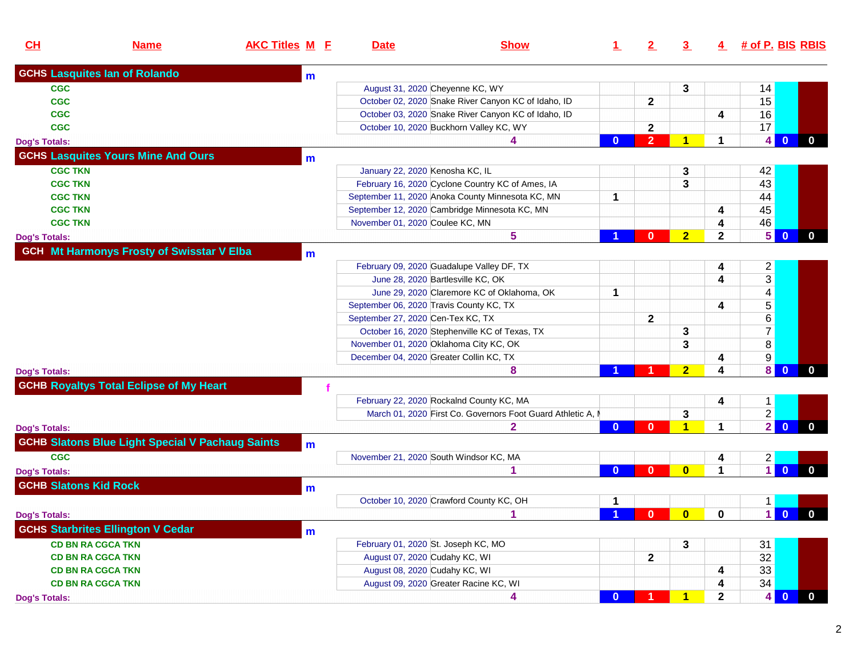| CL                           | <b>Name</b>                                             | <b>AKC Titles M E</b> | <b>Date</b>                              | <b>Show</b>                                                 | 1.                      | 2              | 3              | $\overline{4}$ | # of P. BIS RBIS |                |                |
|------------------------------|---------------------------------------------------------|-----------------------|------------------------------------------|-------------------------------------------------------------|-------------------------|----------------|----------------|----------------|------------------|----------------|----------------|
|                              | <b>GCHS Lasquites lan of Rolando</b>                    | m                     |                                          |                                                             |                         |                |                |                |                  |                |                |
| <b>CGC</b>                   |                                                         |                       | August 31, 2020 Cheyenne KC, WY          |                                                             |                         |                | 3              |                | 14               |                |                |
| <b>CGC</b>                   |                                                         |                       |                                          | October 02, 2020 Snake River Canyon KC of Idaho, ID         |                         | $\mathbf{2}$   |                |                | 15               |                |                |
| <b>CGC</b>                   |                                                         |                       |                                          | October 03, 2020 Snake River Canyon KC of Idaho, ID         |                         |                |                | 4              | 16               |                |                |
| <b>CGC</b>                   |                                                         |                       |                                          | October 10, 2020 Buckhorn Valley KC, WY                     |                         | $\mathbf{2}$   |                |                | 17               |                |                |
| <b>Dog's Totals:</b>         |                                                         |                       |                                          |                                                             | $\mathbf{0}$            | $\overline{2}$ | 1              |                |                  | 4 0            | $\mathbf 0$    |
|                              | <b>GCHS Lasquites Yours Mine And Ours</b>               | $\mathbf{m}$          |                                          |                                                             |                         |                |                |                |                  |                |                |
| <b>CGC TKN</b>               |                                                         |                       | January 22, 2020 Kenosha KC, IL          |                                                             |                         |                | 3              |                | 42               |                |                |
| <b>CGC TKN</b>               |                                                         |                       |                                          | February 16, 2020 Cyclone Country KC of Ames, IA            |                         |                | 3              |                | 43               |                |                |
| <b>CGC TKN</b>               |                                                         |                       |                                          | September 11, 2020 Anoka County Minnesota KC, MN            | 1                       |                |                |                | 44               |                |                |
| <b>CGC TKN</b>               |                                                         |                       |                                          | September 12, 2020 Cambridge Minnesota KC, MN               |                         |                |                | 4              | 45               |                |                |
| <b>CGC TKN</b>               |                                                         |                       | November 01, 2020 Coulee KC, MN          |                                                             |                         |                |                | 4              | 46               |                |                |
| <b>Dog's Totals:</b>         |                                                         |                       |                                          | 5                                                           |                         | $\mathbf{0}$   | $\overline{2}$ | $\mathbf{2}$   | 5 <sup>1</sup>   | $\mathbf{0}$   | $\bf{0}$       |
|                              | <b>GCH Mt Harmonys Frosty of Swisstar V Elba</b>        |                       |                                          |                                                             |                         |                |                |                |                  |                |                |
|                              |                                                         | m                     |                                          |                                                             |                         |                |                |                |                  |                |                |
|                              |                                                         |                       |                                          | February 09, 2020 Guadalupe Valley DF, TX                   |                         |                |                |                | $2 \vert$        |                |                |
|                              |                                                         |                       | June 28, 2020 Bartlesville KC, OK        |                                                             |                         |                |                |                | 3 <sup>1</sup>   |                |                |
|                              |                                                         |                       |                                          | June 29, 2020 Claremore KC of Oklahoma, OK                  | 1                       |                |                |                | 4                |                |                |
|                              |                                                         |                       | September 06, 2020 Travis County KC, TX  |                                                             |                         |                |                | 4              | 5                |                |                |
|                              |                                                         |                       | September 27, 2020 Cen-Tex KC, TX        |                                                             |                         | $\mathbf{2}$   |                |                | 6                |                |                |
|                              |                                                         |                       |                                          | October 16, 2020 Stephenville KC of Texas, TX               |                         |                | 3              |                | $\overline{7}$   |                |                |
|                              |                                                         |                       | November 01, 2020 Oklahoma City KC, OK   |                                                             |                         |                | 3              |                | 8                |                |                |
|                              |                                                         |                       | December 04, 2020 Greater Collin KC, TX  |                                                             |                         |                |                |                | 9                |                |                |
| <b>Dog's Totals:</b>         |                                                         |                       |                                          | 8                                                           |                         |                | $\overline{2}$ | 4              | $\vert 8 \vert$  | $\mathbf 0$    | $\mathbf{0}$   |
|                              | <b>GCHB Royaltys Total Eclipse of My Heart</b>          |                       |                                          |                                                             |                         |                |                |                |                  |                |                |
|                              |                                                         |                       | February 22, 2020 Rockalnd County KC, MA |                                                             |                         |                |                | 4              | $1 \vert$        |                |                |
|                              |                                                         |                       |                                          | March 01, 2020 First Co. Governors Foot Guard Athletic A, N |                         |                | 3              |                | $\overline{2}$   |                |                |
| <b>Dog's Totals:</b>         |                                                         |                       |                                          |                                                             | $\mathbf{0}$            | $\mathbf{0}$   | 1              |                | 2 <sup>1</sup>   | $\overline{0}$ | $\mathbf 0$    |
|                              | <b>GCHB Slatons Blue Light Special V Pachaug Saints</b> | m                     |                                          |                                                             |                         |                |                |                |                  |                |                |
| <b>CGC</b>                   |                                                         |                       | November 21, 2020 South Windsor KC, MA   |                                                             |                         |                |                | 4              | $2 \vert$        |                |                |
| <b>Dog's Totals:</b>         |                                                         |                       |                                          |                                                             | $\mathbf{0}$            | $\mathbf{0}$   | $\bf{0}$       |                | $\blacksquare$   | $\mathbf{0}$   | $\mathbf{0}$   |
| <b>GCHB Slatons Kid Rock</b> |                                                         |                       |                                          |                                                             |                         |                |                |                |                  |                |                |
|                              |                                                         | $\mathsf{m}$          |                                          |                                                             |                         |                |                |                |                  |                |                |
|                              |                                                         |                       |                                          | October 10, 2020 Crawford County KC, OH                     | 1                       |                |                |                | 1.               |                |                |
| Dog's Totals:                |                                                         |                       |                                          |                                                             | $\overline{\mathbf{1}}$ | $\mathbf{0}$   | $\mathbf{0}$   | 0              |                  | 10             | $\blacksquare$ |
|                              | <b>GCHS Starbrites Ellington V Cedar</b>                | m                     |                                          |                                                             |                         |                |                |                |                  |                |                |
|                              | <b>CD BN RA CGCA TKN</b>                                |                       | February 01, 2020 St. Joseph KC, MO      |                                                             |                         |                | 3              |                | 31               |                |                |
|                              | <b>CD BN RA CGCA TKN</b>                                |                       | August 07, 2020 Cudahy KC, WI            |                                                             |                         | $\mathbf{2}$   |                |                | 32               |                |                |
|                              | <b>CD BN RA CGCA TKN</b>                                |                       | August 08, 2020 Cudahy KC, WI            |                                                             |                         |                |                | 4              | 33               |                |                |
|                              | <b>CD BN RA CGCA TKN</b>                                |                       | August 09, 2020 Greater Racine KC, WI    |                                                             |                         |                |                | 4              | 34               |                |                |
| <b>Dog's Totals:</b>         |                                                         |                       |                                          | 4                                                           | $\mathbf{0}$            | -1             | 1              | $\mathbf{2}$   |                  | 40             | $\bf{0}$       |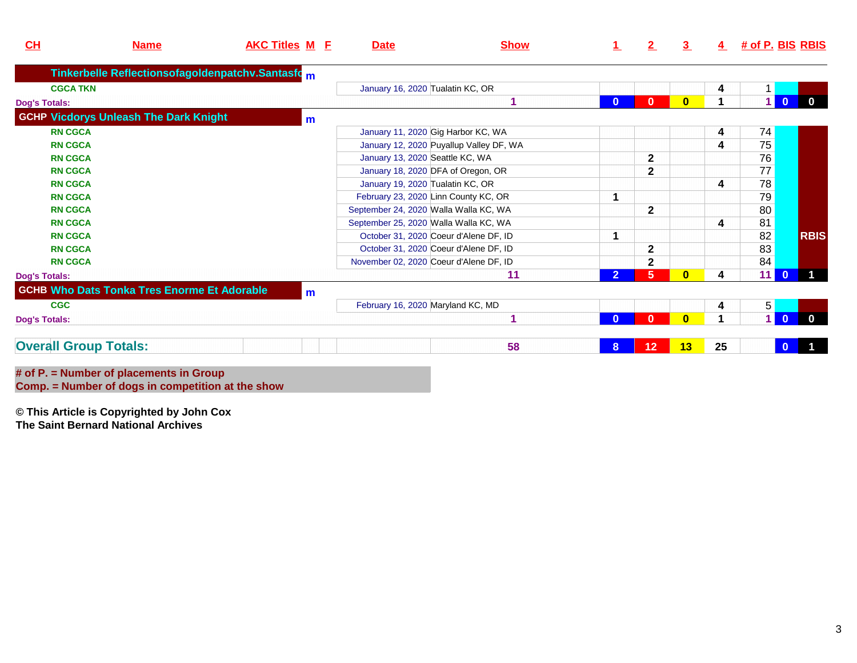| CL                   | <b>Name</b>                                        | <b>AKC Titles M E</b> | <b>Date</b>                            | <b>Show</b>                             |              | $\mathbf{2}$ | 3.       | 4  | <u># of P. BIS_RBIS</u> |                         |              |
|----------------------|----------------------------------------------------|-----------------------|----------------------------------------|-----------------------------------------|--------------|--------------|----------|----|-------------------------|-------------------------|--------------|
|                      | Tinkerbelle Reflectionsofagoldenpatchv.Santasfom   |                       |                                        |                                         |              |              |          |    |                         |                         |              |
| <b>CGCA TKN</b>      |                                                    |                       | January 16, 2020 Tualatin KC, OR       |                                         |              |              |          | 4  |                         |                         |              |
| <b>Dog's Totals:</b> |                                                    |                       |                                        |                                         | $\bf{0}$     | $\bf{0}$     |          |    |                         | $\overline{\mathbf{0}}$ | $\Omega$     |
|                      | <b>GCHP Vicdorys Unleash The Dark Knight</b>       | $m$                   |                                        |                                         |              |              |          |    |                         |                         |              |
| <b>RN CGCA</b>       |                                                    |                       | January 11, 2020 Gig Harbor KC, WA     |                                         |              |              |          | 4  | 74                      |                         |              |
| <b>RN CGCA</b>       |                                                    |                       |                                        | January 12, 2020 Puyallup Valley DF, WA |              |              |          | 4  | 75                      |                         |              |
| <b>RN CGCA</b>       |                                                    |                       | January 13, 2020 Seattle KC, WA        |                                         |              | 2            |          |    | 76                      |                         |              |
| <b>RN CGCA</b>       |                                                    |                       | January 18, 2020 DFA of Oregon, OR     |                                         |              | $\mathbf{2}$ |          |    | 77                      |                         |              |
| <b>RN CGCA</b>       |                                                    |                       | January 19, 2020 Tualatin KC, OR       |                                         |              |              |          | 4  | 78                      |                         |              |
| <b>RN CGCA</b>       |                                                    |                       | February 23, 2020 Linn County KC, OR   |                                         |              |              |          |    | 79                      |                         |              |
| <b>RN CGCA</b>       |                                                    |                       | September 24, 2020 Walla Walla KC, WA  |                                         |              | $\mathbf{2}$ |          |    | 80                      |                         |              |
| <b>RN CGCA</b>       |                                                    |                       | September 25, 2020 Walla Walla KC, WA  |                                         |              |              |          | 4  | 81                      |                         |              |
| <b>RN CGCA</b>       |                                                    |                       | October 31, 2020 Coeur d'Alene DF, ID  |                                         | 1            |              |          |    | 82                      |                         | <b>RBIS</b>  |
| <b>RN CGCA</b>       |                                                    |                       | October 31, 2020 Coeur d'Alene DF, ID  |                                         |              | $\mathbf{2}$ |          |    | 83                      |                         |              |
| <b>RN CGCA</b>       |                                                    |                       | November 02, 2020 Coeur d'Alene DF, ID |                                         |              | $\mathbf{2}$ |          |    | 84                      |                         |              |
| <b>Dog's Totals:</b> |                                                    |                       |                                        | 11                                      | $\mathbf{2}$ | 5            | $\bf{0}$ |    | 11                      | $\mathbf{0}$            |              |
|                      | <b>GCHB Who Dats Tonka Tres Enorme Et Adorable</b> | $m$                   |                                        |                                         |              |              |          |    |                         |                         |              |
| <b>CGC</b>           |                                                    |                       | February 16, 2020 Maryland KC, MD      |                                         |              |              |          | 4  | 5 <sup>1</sup>          |                         |              |
| <b>Dog's Totals:</b> |                                                    |                       |                                        |                                         | $\bf{0}$     | 0            | n        |    | 1 <sup>1</sup>          | $\mathbf{0}$            | $\mathbf{0}$ |
|                      | <b>Overall Group Totals:</b>                       |                       |                                        | 58                                      | 8            | 12           | 13       | 25 |                         |                         |              |

**# of P. = Number of placements in Group Comp. = Number of dogs in competition at the show**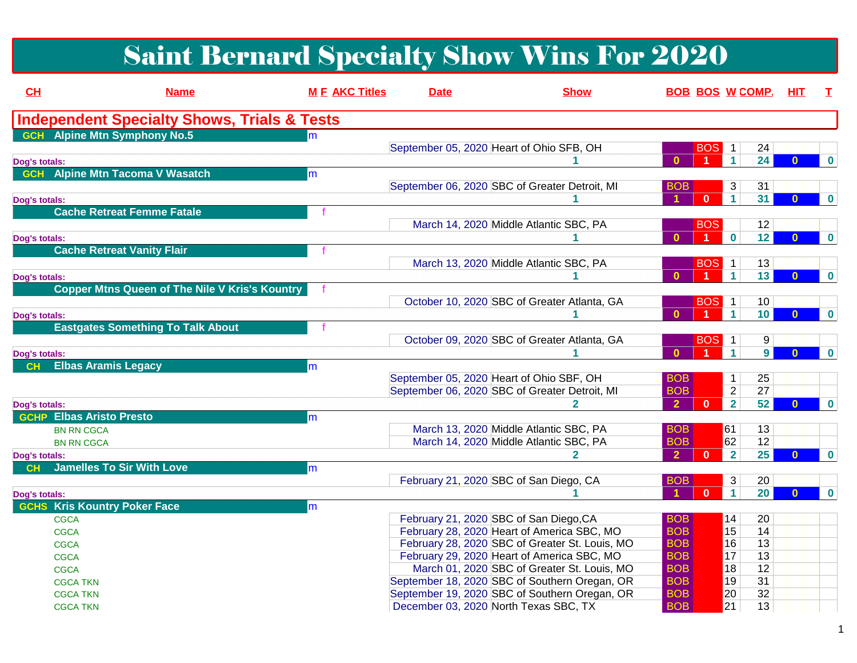# Saint Bernard Specialty Show Wins For 2020

| CH            | <b>Name</b>                                            | <b>M E AKC Titles</b> | <b>Date</b> | <b>Show</b>                                    |                      |                | <b>BOB BOS W COMP. HIT</b>    |                | T.                   |             |
|---------------|--------------------------------------------------------|-----------------------|-------------|------------------------------------------------|----------------------|----------------|-------------------------------|----------------|----------------------|-------------|
|               | <b>Independent Specialty Shows, Trials &amp; Tests</b> |                       |             |                                                |                      |                |                               |                |                      |             |
|               | <b>GCH</b> Alpine Mtn Symphony No.5                    |                       |             |                                                |                      |                |                               |                |                      |             |
|               |                                                        |                       |             | September 05, 2020 Heart of Ohio SFB, OH       |                      | <b>BOS</b>     | $\mathbf{1}$<br>24            |                |                      |             |
| Dog's totals: |                                                        |                       |             |                                                | $\mathbf{0}$         |                | 24<br>$\blacktriangleleft$    |                | $\bf{0}$             | $\bf{0}$    |
|               | <b>GCH</b> Alpine Mtn Tacoma V Wasatch                 | m                     |             |                                                |                      |                |                               |                |                      |             |
|               |                                                        |                       |             | September 06, 2020 SBC of Greater Detroit, MI  | <b>BOB</b>           |                | 31<br>3                       |                |                      |             |
| Dog's totals: |                                                        |                       |             |                                                |                      | $\mathbf{0}$   | $\blacktriangleleft$<br>31    |                | $\bf{0}$<br>$\bf{0}$ |             |
|               | <b>Cache Retreat Femme Fatale</b>                      |                       |             |                                                |                      |                |                               |                |                      |             |
|               |                                                        |                       |             | March 14, 2020 Middle Atlantic SBC, PA         |                      | <b>BOS</b>     | 12                            |                |                      |             |
| Dog's totals: |                                                        |                       |             |                                                |                      |                | $\bf{0}$<br>12                |                | $\Omega$             | $\mathbf 0$ |
|               | <b>Cache Retreat Vanity Flair</b>                      |                       |             |                                                |                      |                |                               |                |                      |             |
|               |                                                        |                       |             | March 13, 2020 Middle Atlantic SBC, PA         |                      | <b>BOS</b>     | 13<br>$\overline{1}$          |                |                      |             |
| Dog's totals: |                                                        |                       |             |                                                | $\mathbf{0}$         | $\overline{1}$ | 13<br>$\mathbf{1}$            |                | $\bf{0}$             | $\mathbf 0$ |
|               | <b>Copper Mtns Queen of The Nile V Kris's Kountry</b>  |                       |             |                                                |                      |                |                               |                |                      |             |
|               |                                                        |                       |             | October 10, 2020 SBC of Greater Atlanta, GA    |                      | <b>BOS</b>     | 10<br>$\overline{1}$          |                |                      |             |
| Dog's totals: |                                                        |                       |             |                                                | $\mathbf{0}$         | $-1$           | $\mathbf{1}$<br>10            |                | $\bf{0}$             | $\mathbf 0$ |
|               | <b>Eastgates Something To Talk About</b>               |                       |             |                                                |                      |                |                               |                |                      |             |
|               |                                                        |                       |             | October 09, 2020 SBC of Greater Atlanta, GA    |                      | <b>BOS</b>     | $\mathbf{1}$                  | 9              |                      |             |
| Dog's totals: |                                                        |                       |             |                                                | $\mathbf{0}$         |                | $\mathbf{1}$                  | 9 <sup>1</sup> | $\bf{0}$             | $\bf{0}$    |
| CH            | <b>Elbas Aramis Legacy</b>                             | m                     |             |                                                |                      |                |                               |                |                      |             |
|               |                                                        |                       |             | September 05, 2020 Heart of Ohio SBF, OH       | <b>BOB</b>           |                | 25<br>1                       |                |                      |             |
|               |                                                        |                       |             | September 06, 2020 SBC of Greater Detroit, MI  | <b>BOB</b>           |                | $\overline{2}$<br>27          |                |                      |             |
| Dog's totals: |                                                        |                       |             |                                                | $\overline{2}$       | $\mathbf{0}$   | 52<br>$\overline{\mathbf{2}}$ |                | $\bf{0}$             | $\mathbf 0$ |
|               | <b>GCHP Elbas Aristo Presto</b>                        | m                     |             |                                                |                      |                |                               |                |                      |             |
|               | <b>BN RN CGCA</b>                                      |                       |             | March 13, 2020 Middle Atlantic SBC, PA         | <b>BOB</b>           |                | 61<br>13                      |                |                      |             |
|               | <b>BN RN CGCA</b>                                      |                       |             | March 14, 2020 Middle Atlantic SBC, PA         | <b>BOB</b>           |                | 62<br>12                      |                |                      |             |
| Dog's totals: |                                                        |                       |             | $\mathbf{2}$                                   | $\overline{2}$       | $\mathbf{0}$   | 25<br>$\overline{2}$          |                | $\mathbf{0}$         | $\mathbf 0$ |
| <b>CH</b>     | <b>Jamelles To Sir With Love</b>                       | m                     |             |                                                |                      |                |                               |                |                      |             |
|               |                                                        |                       |             | February 21, 2020 SBC of San Diego, CA         | <b>BOB</b>           |                | $\mathfrak{S}$<br>20          |                |                      |             |
| Dog's totals: |                                                        |                       |             |                                                | $\blacktriangleleft$ | $\mathbf{0}$   | $\mathbf{1}$<br>20            |                | $\bf{0}$             | $\mathbf 0$ |
| <b>GCHS</b>   | <b>Kris Kountry Poker Face</b>                         | m                     |             |                                                |                      |                |                               |                |                      |             |
|               | <b>CGCA</b>                                            |                       |             | February 21, 2020 SBC of San Diego, CA         | <b>BOB</b>           |                | 14<br>20                      |                |                      |             |
|               | <b>CGCA</b>                                            |                       |             | February 28, 2020 Heart of America SBC, MO     | <b>BOB</b>           |                | 15<br>$\overline{14}$         |                |                      |             |
|               | <b>CGCA</b>                                            |                       |             | February 28, 2020 SBC of Greater St. Louis, MO | <b>BOB</b>           |                | 16<br>13                      |                |                      |             |
|               | <b>CGCA</b>                                            |                       |             | February 29, 2020 Heart of America SBC, MO     | <b>BOB</b>           |                | 17<br>13                      |                |                      |             |
|               | <b>CGCA</b>                                            |                       |             | March 01, 2020 SBC of Greater St. Louis, MO    | <b>BOB</b>           |                | 18<br>12                      |                |                      |             |
|               | <b>CGCA TKN</b>                                        |                       |             | September 18, 2020 SBC of Southern Oregan, OR  | <b>BOB</b>           |                | 19<br>$\overline{31}$         |                |                      |             |
|               | <b>CGCA TKN</b>                                        |                       |             | September 19, 2020 SBC of Southern Oregan, OR  | <b>BOB</b>           |                | 20<br>32                      |                |                      |             |
|               | <b>CGCA TKN</b>                                        |                       |             | December 03, 2020 North Texas SBC, TX          | <b>BOB</b>           |                | $\overline{21}$<br>13         |                |                      |             |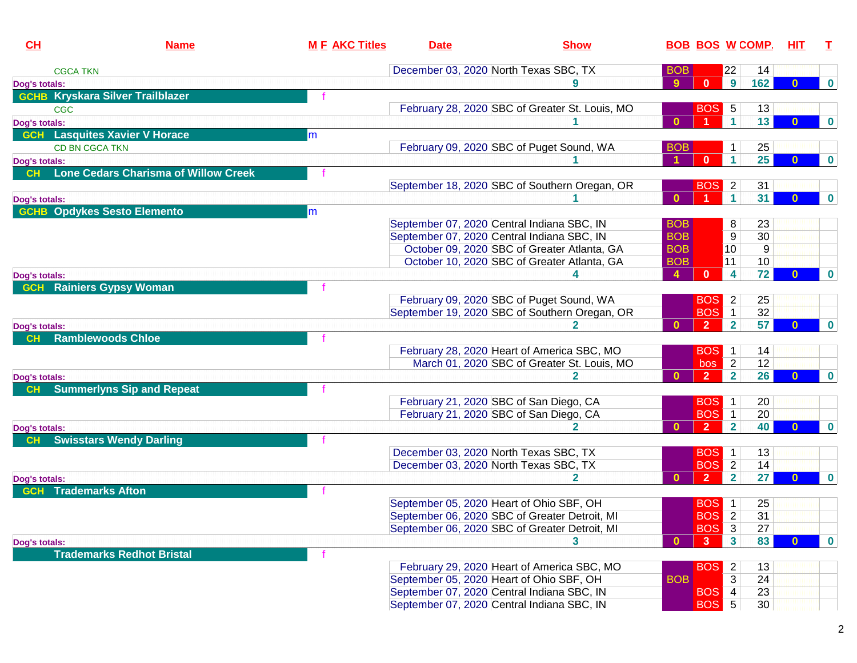| CH            | <b>Name</b>                                 | <b>M E AKC Titles</b> | <b>Date</b> |                                                | <b>Show</b>                  |                |                         | <b>BOB BOS W COMP.</b> | <u>HIT</u> | т        |
|---------------|---------------------------------------------|-----------------------|-------------|------------------------------------------------|------------------------------|----------------|-------------------------|------------------------|------------|----------|
|               | <b>CGCA TKN</b>                             |                       |             | December 03, 2020 North Texas SBC, TX          | <b>BOB</b>                   |                | 22                      | 14                     |            |          |
| Dog's totals: |                                             |                       |             |                                                | 9                            | $\mathbf{0}$   | 9                       | 162                    | $\bf{0}$   | $\bf{0}$ |
|               | <b>GCHB Kryskara Silver Trailblazer</b>     |                       |             |                                                |                              |                |                         |                        |            |          |
|               | <b>CGC</b>                                  |                       |             | February 28, 2020 SBC of Greater St. Louis, MO |                              | <b>BOS</b>     | $\sqrt{5}$              | 13                     |            |          |
| Dog's totals: |                                             |                       |             |                                                | $\mathbf{0}$                 |                | $\vert$ 1               | 13                     | $\bf{0}$   | $\bf{0}$ |
|               | <b>GCH</b> Lasquites Xavier V Horace        | m                     |             |                                                |                              |                |                         |                        |            |          |
|               | CD BN CGCA TKN                              |                       |             | February 09, 2020 SBC of Puget Sound, WA       | <b>BOB</b>                   |                | 1                       | 25                     |            |          |
| Dog's totals: |                                             |                       |             |                                                | $\blacktriangleleft$         | $\mathbf{0}$   | 1 <sup>1</sup>          | 25                     | $\bf{0}$   | $\bf{0}$ |
| CH            | <b>Lone Cedars Charisma of Willow Creek</b> |                       |             |                                                |                              |                |                         |                        |            |          |
|               |                                             |                       |             | September 18, 2020 SBC of Southern Oregan, OR  |                              | <b>BOS</b>     | $\overline{2}$          | 31                     |            |          |
| Dog's totals: |                                             |                       |             |                                                | $\mathbf{0}$                 |                | $\blacktriangleleft$    | 31                     | $\bf{0}$   | $\bf{0}$ |
|               | <b>GCHB Opdykes Sesto Elemento</b>          | m                     |             |                                                |                              |                |                         |                        |            |          |
|               |                                             |                       |             | September 07, 2020 Central Indiana SBC, IN     | <b>BOB</b>                   |                | 8                       | 23                     |            |          |
|               |                                             |                       |             | September 07, 2020 Central Indiana SBC, IN     | <b>BOB</b>                   |                | 9                       | 30                     |            |          |
|               |                                             |                       |             | October 09, 2020 SBC of Greater Atlanta, GA    | <b>BOB</b>                   |                | 10                      | 9                      |            |          |
|               |                                             |                       |             | October 10, 2020 SBC of Greater Atlanta, GA    | <b>BOB</b>                   |                | 11                      | 10 <sup>°</sup>        |            |          |
| Dog's totals: |                                             |                       |             |                                                | $\blacktriangle$             | $\mathbf{0}$   | $\overline{\mathbf{4}}$ | 72                     | $\Omega$   | $\bf{0}$ |
|               | <b>GCH</b> Rainiers Gypsy Woman             |                       |             |                                                |                              |                |                         |                        |            |          |
|               |                                             |                       |             | February 09, 2020 SBC of Puget Sound, WA       |                              | <b>BOS</b>     | $\mathbf{2}$            | 25                     |            |          |
|               |                                             |                       |             | September 19, 2020 SBC of Southern Oregan, OR  |                              |                | <b>BOS</b> 1            | 32                     |            |          |
| Dog's totals: |                                             |                       |             |                                                | $\mathbf{0}$                 | $\overline{2}$ | $\overline{2}$          | 57                     |            | $\bf{0}$ |
| <b>CH</b>     | <b>Ramblewoods Chloe</b>                    |                       |             |                                                |                              |                |                         |                        |            |          |
|               |                                             |                       |             | February 28, 2020 Heart of America SBC, MO     |                              | <b>BOS</b>     | $\mathbf{1}$            | 14                     |            |          |
|               |                                             |                       |             | March 01, 2020 SBC of Greater St. Louis, MO    |                              | bos            | $\overline{2}$          | 12                     |            |          |
| Dog's totals: |                                             |                       |             |                                                | $\mathbf{0}$<br>$\mathbf{2}$ | 2 <sup>7</sup> | $\overline{2}$          | 26                     | $\bf{0}$   | $\bf{0}$ |
| <b>CH</b>     | <b>Summerlyns Sip and Repeat</b>            |                       |             |                                                |                              |                |                         |                        |            |          |
|               |                                             |                       |             | February 21, 2020 SBC of San Diego, CA         |                              | <b>BOS</b>     | $\mathbf{1}$            | 20                     |            |          |
|               |                                             |                       |             | February 21, 2020 SBC of San Diego, CA         |                              | <b>BOS</b>     | $\mathbf{1}$            | 20                     |            |          |
| Dog's totals: |                                             |                       |             |                                                | $\mathbf{0}$<br>2            | 2 <sup>2</sup> | 2 <sup>1</sup>          | 40                     | $\bf{0}$   | $\bf{0}$ |
| <b>CH</b>     | <b>Swisstars Wendy Darling</b>              |                       |             |                                                |                              |                |                         |                        |            |          |
|               |                                             |                       |             | December 03, 2020 North Texas SBC, TX          |                              | <b>BOS</b>     | $\mathbf{1}$            | 13                     |            |          |
|               |                                             |                       |             | December 03, 2020 North Texas SBC, TX          |                              | <b>BOS</b>     | $\overline{2}$          | 14                     |            |          |
| Dog's totals: |                                             |                       |             |                                                | $\bf{0}$<br>2                | $\overline{2}$ | $\mathbf{2}$            | 27                     | $\bf{0}$   | $\bf{0}$ |
| <b>GCH</b>    | <b>Trademarks Afton</b>                     |                       |             |                                                |                              |                |                         |                        |            |          |
|               |                                             |                       |             | September 05, 2020 Heart of Ohio SBF, OH       |                              | <b>BOS</b>     | $\mathbf{1}$            | 25                     |            |          |
|               |                                             |                       |             | September 06, 2020 SBC of Greater Detroit, MI  |                              | <b>BOS</b>     | $\overline{2}$          | 31                     |            |          |
|               |                                             |                       |             | September 06, 2020 SBC of Greater Detroit, MI  |                              | <b>BOS</b>     | $\overline{3}$          | 27                     |            |          |
| Dog's totals: |                                             |                       |             |                                                | $\bf{0}$                     | 3              | 3 <sup>1</sup>          | 83                     | $\bf{0}$   | $\bf{0}$ |
|               | <b>Trademarks Redhot Bristal</b>            |                       |             |                                                |                              |                |                         |                        |            |          |
|               |                                             |                       |             | February 29, 2020 Heart of America SBC, MO     |                              | <b>BOS</b>     | $\overline{2}$          | 13                     |            |          |
|               |                                             |                       |             | September 05, 2020 Heart of Ohio SBF, OH       | <b>BOB</b>                   |                | 3                       | 24                     |            |          |
|               |                                             |                       |             | September 07, 2020 Central Indiana SBC, IN     |                              | <b>BOS</b>     | $\vert 4 \vert$         | 23                     |            |          |
|               |                                             |                       |             | September 07, 2020 Central Indiana SBC, IN     |                              |                | <b>BOS</b> 5            | 30                     |            |          |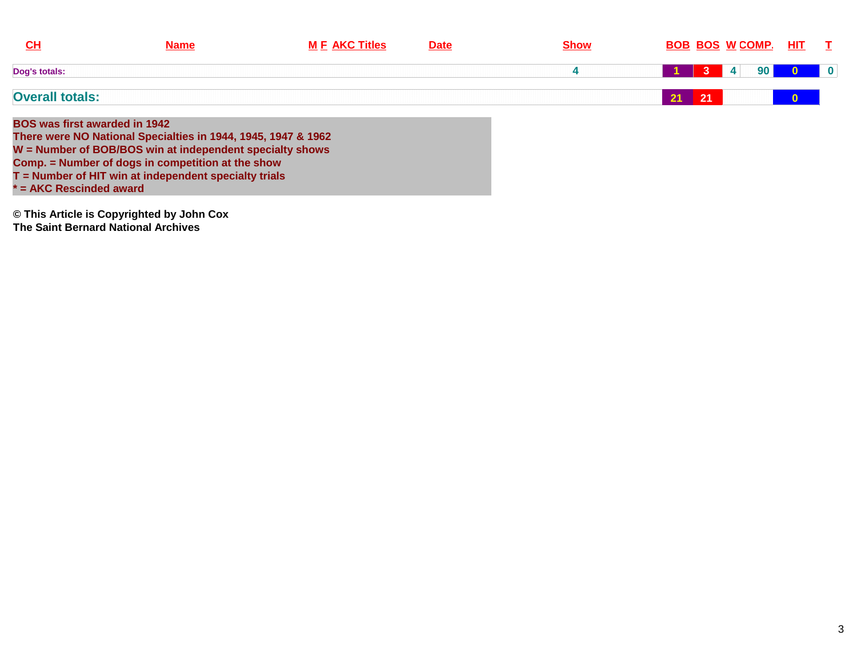| $CH$                                                              | <b>Name</b>                                                                                                                                                                                                                               | <b>M F AKC Titles</b> | <b>Date</b> | <b>Show</b> |               | <b>BOB BOS W COMP.</b> | HIT.         | $\mathbf{T}$            |
|-------------------------------------------------------------------|-------------------------------------------------------------------------------------------------------------------------------------------------------------------------------------------------------------------------------------------|-----------------------|-------------|-------------|---------------|------------------------|--------------|-------------------------|
| Dog's totals:                                                     |                                                                                                                                                                                                                                           |                       |             |             |               | 90 <sub>1</sub><br>4   |              | $\overline{\mathbf{0}}$ |
| <b>Overall totals:</b>                                            |                                                                                                                                                                                                                                           |                       |             |             | $21 \quad 21$ |                        | $\mathbf{0}$ |                         |
| <b>BOS was first awarded in 1942</b><br>$f = AKC$ Rescinded award | There were NO National Specialties in 1944, 1945, 1947 & 1962<br>W = Number of BOB/BOS win at independent specialty shows<br>Comp. = Number of dogs in competition at the show<br>$T =$ Number of HIT win at independent specialty trials |                       |             |             |               |                        |              |                         |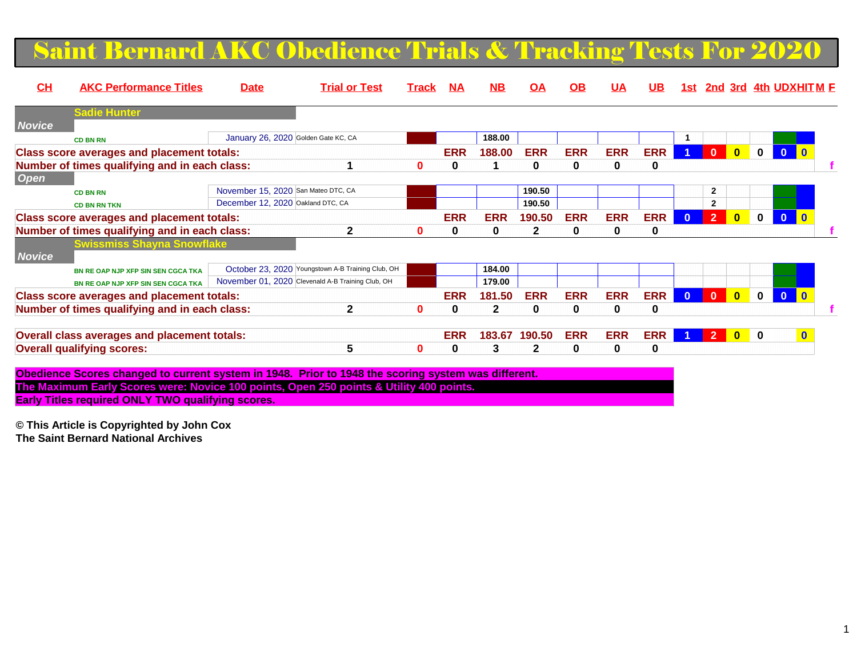#### Saint Bernard AKC Obedience Trials  $\&$  Tracking Tests For 202

| CH            | <b>AKC Performance Titles</b>                     | <b>Date</b>                         | <b>Trial or Test</b>                              | Track        | <b>NA</b>  | $\overline{\mathbf{M}}$ | ОA           | <b>OB</b>  | <b>UA</b>  | UB.        | 1st i        |                |              |              |              | <b>2nd 3rd 4th UDXHITM F</b> |
|---------------|---------------------------------------------------|-------------------------------------|---------------------------------------------------|--------------|------------|-------------------------|--------------|------------|------------|------------|--------------|----------------|--------------|--------------|--------------|------------------------------|
|               | <b>Sadie Hunter</b>                               |                                     |                                                   |              |            |                         |              |            |            |            |              |                |              |              |              |                              |
| <b>Novice</b> |                                                   |                                     |                                                   |              |            |                         |              |            |            |            |              |                |              |              |              |                              |
|               | <b>CD BN RN</b>                                   | January 26, 2020 Golden Gate KC, CA |                                                   |              |            | 188.00                  |              |            |            |            |              |                |              |              |              |                              |
|               | <b>Class score averages and placement totals:</b> |                                     |                                                   |              | <b>ERR</b> | 188.00                  | <b>ERR</b>   | <b>ERR</b> | <b>ERR</b> | <b>ERR</b> |              | $\mathbf{0}$   | $\mathbf{0}$ | $\mathbf 0$  | $\mathbf{0}$ |                              |
|               | Number of times qualifying and in each class:     |                                     |                                                   | 0            | 0          |                         | 0            | 0          | $\bf{0}$   | 0          |              |                |              |              |              |                              |
| <b>Open</b>   |                                                   |                                     |                                                   |              |            |                         |              |            |            |            |              |                |              |              |              |                              |
|               | <b>CD BN RN</b>                                   | November 15, 2020 San Mateo DTC, CA |                                                   |              |            |                         | 190.50       |            |            |            |              | $\mathbf{2}$   |              |              |              |                              |
|               | <b>CD BN RN TKN</b>                               | December 12, 2020 Oakland DTC, CA   |                                                   |              |            |                         | 190.50       |            |            |            |              | $\mathbf{2}$   |              |              |              |                              |
|               | <b>Class score averages and placement totals:</b> |                                     |                                                   |              | <b>ERR</b> | <b>ERR</b>              | 190.50       | <b>ERR</b> | <b>ERR</b> | <b>ERR</b> | $\mathbf{0}$ | $\overline{2}$ | $\mathbf{0}$ | $\mathbf 0$  | $\mathbf{0}$ |                              |
|               | Number of times qualifying and in each class:     |                                     | 2                                                 | 0            | 0          | 0                       |              | 0          | 0          | 0          |              |                |              |              |              |                              |
|               | <b>Swissmiss Shayna Snowflake</b>                 |                                     |                                                   |              |            |                         |              |            |            |            |              |                |              |              |              |                              |
| <b>Novice</b> |                                                   |                                     |                                                   |              |            |                         |              |            |            |            |              |                |              |              |              |                              |
|               | BN RE OAP NJP XFP SIN SEN CGCA TKA                |                                     | October 23, 2020 Youngstown A-B Training Club, OH |              |            | 184.00                  |              |            |            |            |              |                |              |              |              |                              |
|               | BN RE OAP NJP XFP SIN SEN CGCA TKA                |                                     | November 01, 2020 Clevenald A-B Training Club, OH |              |            | 179.00                  |              |            |            |            |              |                |              |              |              |                              |
|               | <b>Class score averages and placement totals:</b> |                                     |                                                   |              | <b>ERR</b> | 181.50                  | <b>ERR</b>   | <b>ERR</b> | <b>ERR</b> | <b>ERR</b> | $\mathbf{0}$ | $\mathbf{0}$   | $\mathbf{0}$ | $\mathbf{0}$ | $\Omega$     |                              |
|               | Number of times qualifying and in each class:     |                                     | $\mathbf{2}$                                      | $\mathbf{0}$ | 0          | $\mathbf{2}$            | 0            | 0          | $\bf{0}$   | 0          |              |                |              |              |              |                              |
|               |                                                   |                                     |                                                   |              |            |                         |              |            |            |            |              |                |              |              |              |                              |
|               | Overall class averages and placement totals:      |                                     |                                                   |              | <b>ERR</b> | 183.67                  | 190.50       | <b>ERR</b> | <b>ERR</b> | <b>ERR</b> |              | $\overline{2}$ | $\mathbf{0}$ | $\bf{0}$     |              | $\mathbf{0}$                 |
|               | <b>Overall qualifying scores:</b>                 |                                     | 5                                                 | $\bf{0}$     | 0          | 3                       | $\mathbf{2}$ | 0          | $\bf{0}$   | 0          |              |                |              |              |              |                              |
|               |                                                   |                                     |                                                   |              |            |                         |              |            |            |            |              |                |              |              |              |                              |

**Obedience Scores changed to current system in 1948. Prior to 1948 the scoring system was different.The Maximum Early Scores were: Novice 100 points, Open 250 points & Utility 400 points. Early Titles required ONLY TWO qualifying scores.**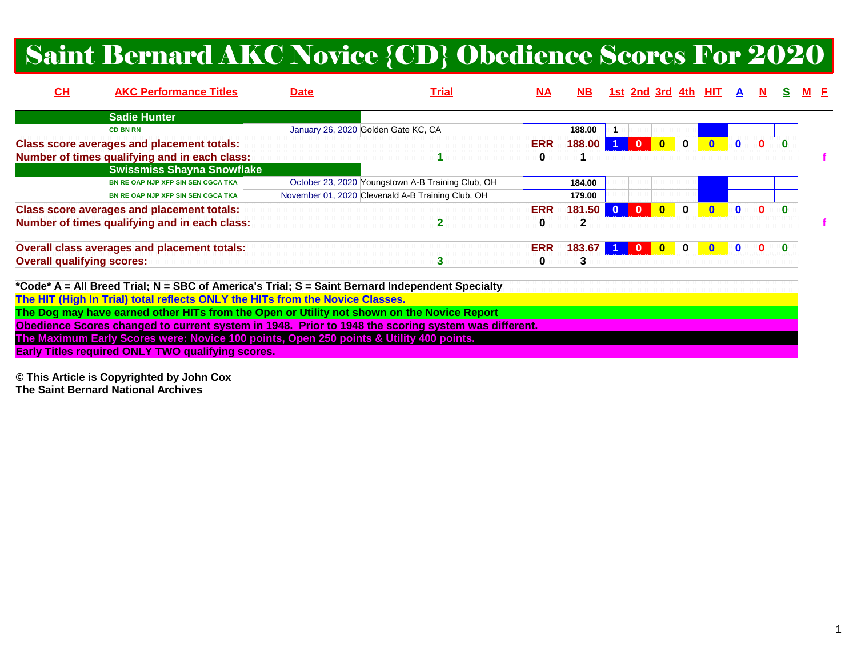# Saint Bernard AKC Novice {CD} Obedience Scores For 2020

| CH                                | <b>AKC Performance Titles</b>                                                                       | <b>Date</b>                         | <u>Trial</u>                                      | M <sub>A</sub> | NB.    |                         |                |                         |              | <u>1st 2nd 3rd 4th HIT A</u> |          |          |  |  |
|-----------------------------------|-----------------------------------------------------------------------------------------------------|-------------------------------------|---------------------------------------------------|----------------|--------|-------------------------|----------------|-------------------------|--------------|------------------------------|----------|----------|--|--|
|                                   | <b>Sadie Hunter</b>                                                                                 |                                     |                                                   |                |        |                         |                |                         |              |                              |          |          |  |  |
|                                   | <b>CD BN RN</b>                                                                                     | January 26, 2020 Golden Gate KC, CA |                                                   |                | 188.00 |                         |                |                         |              |                              |          |          |  |  |
|                                   | <b>Class score averages and placement totals:</b>                                                   |                                     |                                                   | <b>ERR</b>     | 188.00 |                         | $\mathbf{0}$   | $\overline{\mathbf{0}}$ | $\mathbf{0}$ |                              |          |          |  |  |
|                                   | Number of times qualifying and in each class:                                                       |                                     |                                                   | 0              |        |                         |                |                         |              |                              |          |          |  |  |
|                                   | <b>Swissmiss Shayna Snowflake</b>                                                                   |                                     |                                                   |                |        |                         |                |                         |              |                              |          |          |  |  |
|                                   | BN RE OAP NJP XFP SIN SEN CGCA TKA                                                                  |                                     | October 23, 2020 Youngstown A-B Training Club, OH |                | 184.00 |                         |                |                         |              |                              |          |          |  |  |
|                                   | BN RE OAP NJP XFP SIN SEN CGCA TKA                                                                  |                                     | November 01, 2020 Clevenald A-B Training Club, OH |                | 179.00 |                         |                |                         |              |                              |          |          |  |  |
|                                   | <b>Class score averages and placement totals:</b>                                                   |                                     |                                                   | <b>ERR</b>     | 181.50 | $\overline{\mathbf{0}}$ | $\overline{0}$ | $\bullet$               | $\mathbf 0$  |                              | $\Omega$ | $\Omega$ |  |  |
|                                   | Number of times qualifying and in each class:                                                       |                                     | 2                                                 | 0              | 2      |                         |                |                         |              |                              |          |          |  |  |
|                                   | Overall class averages and placement totals:                                                        |                                     |                                                   | <b>ERR</b>     | 183.67 |                         | $\bf{0}$       |                         | $\bf{0}$     |                              |          |          |  |  |
| <b>Overall qualifying scores:</b> |                                                                                                     |                                     | 3                                                 | 0              | 3      |                         |                |                         |              |                              |          |          |  |  |
|                                   | *Code* A = All Breed Trial; N = SBC of America's Trial; S = Saint Bernard Independent Specialty     |                                     |                                                   |                |        |                         |                |                         |              |                              |          |          |  |  |
|                                   | The HIT (High In Trial) total reflects ONLY the HITs from the Novice Classes.                       |                                     |                                                   |                |        |                         |                |                         |              |                              |          |          |  |  |
|                                   | The Dog may have earned other HITs from the Open or Utility not shown on the Novice Report          |                                     |                                                   |                |        |                         |                |                         |              |                              |          |          |  |  |
|                                   | Obedience Scores changed to current system in 1948. Prior to 1948 the scoring system was different. |                                     |                                                   |                |        |                         |                |                         |              |                              |          |          |  |  |
|                                   | The Maximum Early Scores were: Novice 100 points, Open 250 points & Utility 400 points.             |                                     |                                                   |                |        |                         |                |                         |              |                              |          |          |  |  |

**Early Titles required ONLY TWO qualifying scores.**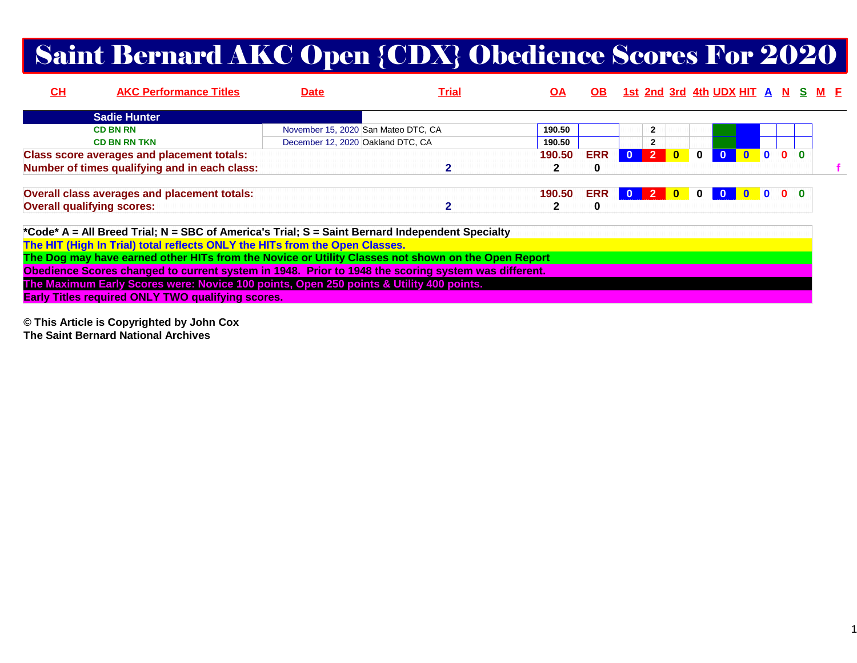# Saint Bernard AKC Open {CDX} Obedience Scores For 2020

| $CH$ | <b>AKC Performance Titles</b>                     | <b>Date</b>                         | <u>Trial</u> | ΟA     | OB.        |              |                |              |              | <u>1st 2nd 3rd 4th UDX HIT A N S M E</u> |  |                           |  |  |
|------|---------------------------------------------------|-------------------------------------|--------------|--------|------------|--------------|----------------|--------------|--------------|------------------------------------------|--|---------------------------|--|--|
|      | <b>Sadie Hunter</b>                               |                                     |              |        |            |              |                |              |              |                                          |  |                           |  |  |
|      | <b>CD BN RN</b>                                   | November 15, 2020 San Mateo DTC, CA |              | 190.50 |            |              | $\overline{2}$ |              |              |                                          |  |                           |  |  |
|      | <b>CD BN RN TKN</b>                               | December 12, 2020 Oakland DTC, CA   |              | 190.50 |            |              | $\mathbf{2}$   |              |              |                                          |  |                           |  |  |
|      | <b>Class score averages and placement totals:</b> |                                     |              | 190.50 | <b>ERR</b> | $\mathbf{0}$ | $\overline{2}$ | $\mathbf{0}$ | $\bf{0}$     |                                          |  | $\mathbf{0}$ $\mathbf{0}$ |  |  |
|      | Number of times qualifying and in each class:     |                                     |              |        | 0          |              |                |              |              |                                          |  |                           |  |  |
|      | Overall class averages and placement totals:      |                                     |              | 190.50 | <b>ERR</b> | $\mathbf{0}$ | $\sqrt{2}$     | $\mathbf{0}$ | $\mathbf{0}$ |                                          |  | $\mathbf{0}$ $\mathbf{0}$ |  |  |
|      | <b>Overall qualifying scores:</b>                 |                                     | ≏            | 2      | 0          |              |                |              |              |                                          |  |                           |  |  |
|      |                                                   |                                     |              |        |            |              |                |              |              |                                          |  |                           |  |  |

**\*Code\* A = All Breed Trial; N = SBC of America's Trial; S = Saint Bernard Independent Specialty**

**The HIT (High In Trial) total reflects ONLY the HITs from the Open Classes.**

**The Dog may have earned other HITs from the Novice or Utility Classes not shown on the Open Report**

**Obedience Scores changed to current system in 1948. Prior to 1948 the scoring system was different.**

**The Maximum Early Scores were: Novice 100 points, Open 250 points & Utility 400 points.**

**Early Titles required ONLY TWO qualifying scores.**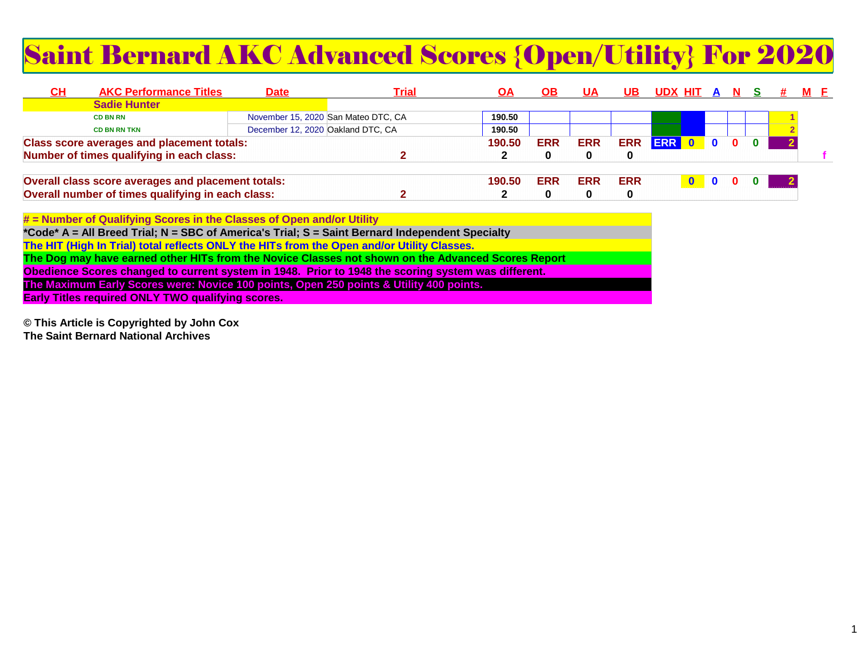# Saint Bernard AKC Advanced Scores {Open/Utility} For 2020

| C <sub>H</sub> | <b>AKC Performance Titles</b>                                                                   | Date                                |  | <u>Trial</u> | ΟA     | OВ         | <u>UA</u>  | UΒ         | UDX HIT    | <b>A</b> |  |  | M F |
|----------------|-------------------------------------------------------------------------------------------------|-------------------------------------|--|--------------|--------|------------|------------|------------|------------|----------|--|--|-----|
|                | <b>Sadie Hunter</b>                                                                             |                                     |  |              |        |            |            |            |            |          |  |  |     |
|                | <b>CD BN RN</b>                                                                                 | November 15, 2020 San Mateo DTC, CA |  |              | 190.50 |            |            |            |            |          |  |  |     |
|                | <b>CD BN RN TKN</b>                                                                             | December 12, 2020 Oakland DTC, CA   |  |              | 190.50 |            |            |            |            |          |  |  |     |
|                |                                                                                                 |                                     |  |              | 190.50 | <b>ERR</b> | <b>ERR</b> | <b>ERR</b> | <b>ERR</b> |          |  |  |     |
|                | <b>Class score averages and placement totals:</b>                                               |                                     |  |              |        |            |            | 0          |            |          |  |  |     |
|                | Number of times qualifying in each class:<br>Overall class score averages and placement totals: |                                     |  |              | 190.50 | <b>ERR</b> | <b>ERR</b> | <b>ERR</b> |            |          |  |  |     |
|                | Overall number of times qualifying in each class:                                               |                                     |  |              |        |            |            | $\bf{0}$   |            |          |  |  |     |

**# = Number of Qualifying Scores in the Classes of Open and/or Utility \*Code\* A = All Breed Trial; N = SBC of America's Trial; S = Saint Bernard Independent SpecialtyThe HIT (High In Trial) total reflects ONLY the HITs from the Open and/or Utility Classes. The Dog may have earned other HITs from the Novice Classes not shown on the Advanced Scores ReportObedience Scores changed to current system in 1948. Prior to 1948 the scoring system was different.The Maximum Early Scores were: Novice 100 points, Open 250 points & Utility 400 points.Early Titles required ONLY TWO qualifying scores.**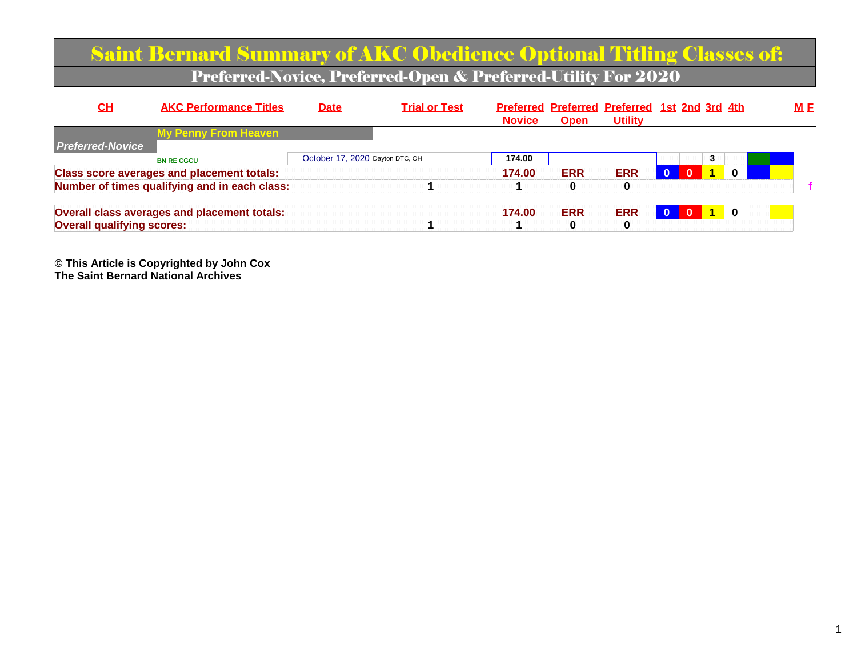|                                   | <b>Saint Bernard Summary of AKC Obedience Optional Titling Classes of:</b> |                                 |                                                               |               |             |                                                                 |              |              |          |     |
|-----------------------------------|----------------------------------------------------------------------------|---------------------------------|---------------------------------------------------------------|---------------|-------------|-----------------------------------------------------------------|--------------|--------------|----------|-----|
|                                   |                                                                            |                                 | Preferred-Novice, Preferred-Open & Preferred-Utility For 2020 |               |             |                                                                 |              |              |          |     |
| CH                                | <b>AKC Performance Titles</b>                                              | <b>Date</b>                     | <b>Trial or Test</b>                                          | <b>Novice</b> | <b>Open</b> | Preferred Preferred Preferred 1st 2nd 3rd 4th<br><b>Utility</b> |              |              |          | M E |
| <b>Preferred-Novice</b>           | <b>My Penny From Heaven</b>                                                |                                 |                                                               |               |             |                                                                 |              |              |          |     |
|                                   | <b>BN RE CGCU</b>                                                          | October 17, 2020 Dayton DTC, OH |                                                               | 174.00        |             |                                                                 |              |              | 3        |     |
|                                   | <b>Class score averages and placement totals:</b>                          |                                 |                                                               | 174.00        | <b>ERR</b>  | <b>ERR</b>                                                      | $\mathbf{0}$ | $\mathbf{0}$ | $\bf{0}$ |     |
|                                   | Number of times qualifying and in each class:                              |                                 |                                                               |               | 0           | 0                                                               |              |              |          |     |
|                                   | <b>Overall class averages and placement totals:</b>                        |                                 |                                                               | 174.00        | <b>ERR</b>  | <b>ERR</b>                                                      |              |              | 0        |     |
| <b>Overall qualifying scores:</b> |                                                                            |                                 |                                                               |               | 0           | $\bf{0}$                                                        |              |              |          |     |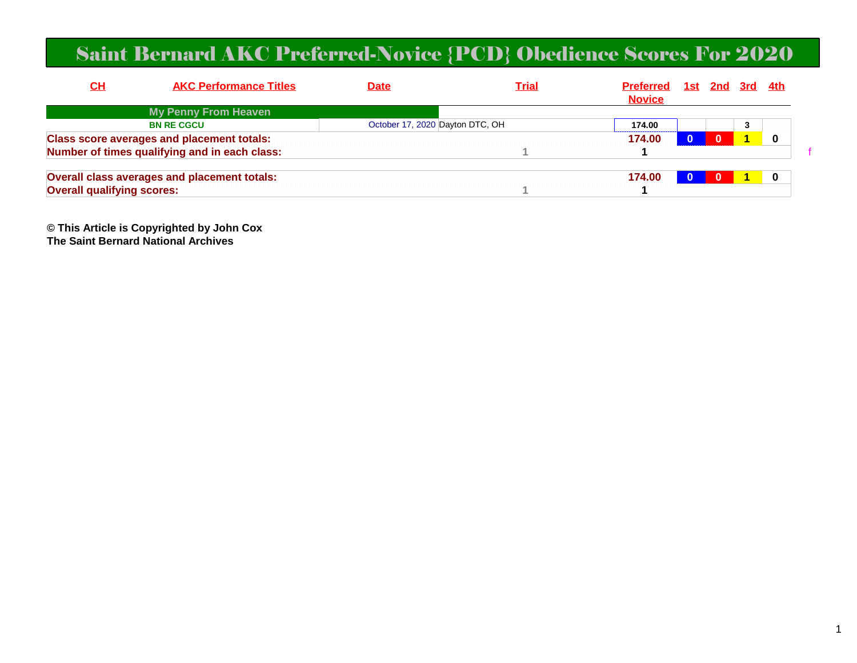#### Saint Bernard AKC Preferred-Novice {PCD} Obedience Scores For 2020

| <u>СН</u>                         | <b>AKC Performance Titles</b>                     | <b>Date</b>                     | <u>Trial</u> | <b>Preferred</b><br><b>Novice</b> | <u>1st 2nd 3rd 4th</u> |   |  |
|-----------------------------------|---------------------------------------------------|---------------------------------|--------------|-----------------------------------|------------------------|---|--|
|                                   | My Penny From Heaven                              |                                 |              |                                   |                        |   |  |
|                                   | <b>BN RE CGCU</b>                                 | October 17, 2020 Dayton DTC, OH |              | 174.00                            |                        | 3 |  |
|                                   | <b>Class score averages and placement totals:</b> |                                 |              | 174.00                            | $\Omega$               |   |  |
|                                   | Number of times qualifying and in each class:     |                                 |              |                                   |                        |   |  |
|                                   | Overall class averages and placement totals:      |                                 |              | 174.00                            |                        |   |  |
| <b>Overall qualifying scores:</b> |                                                   |                                 |              |                                   |                        |   |  |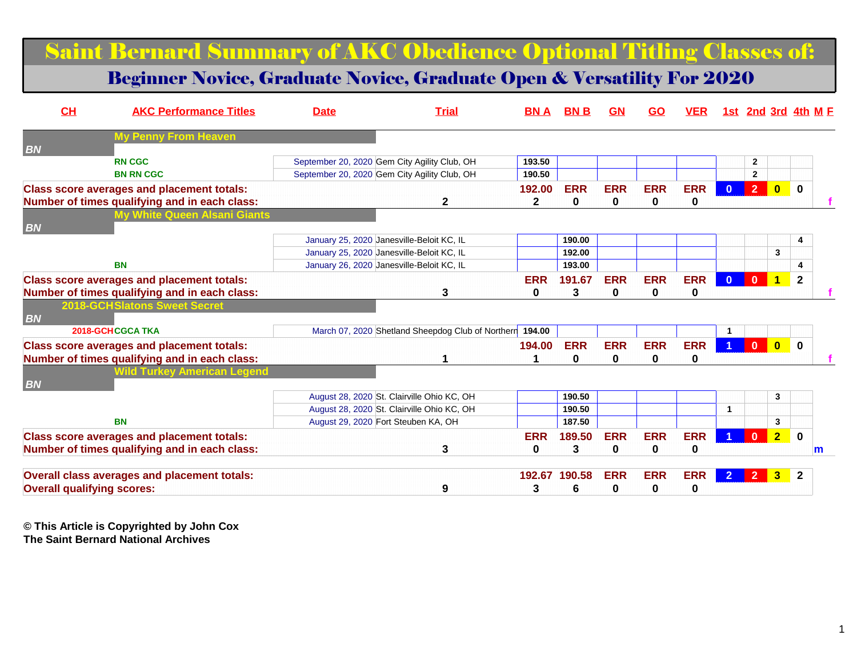#### Saint Bernard Summary of AKC Obedience Optional Titling Classes of:

#### Beginner Novice, Graduate Novice, Graduate Open & Versatility For 2020

| CH                                | <b>AKC Performance Titles</b>                       | <b>Date</b> | <b>Trial</b>                                             | <b>BN A</b>  | BN B       | GN           | <b>GO</b>  | <b>VER</b> |              |                |                         | <u>1st 2nd 3rd 4th M F</u> |
|-----------------------------------|-----------------------------------------------------|-------------|----------------------------------------------------------|--------------|------------|--------------|------------|------------|--------------|----------------|-------------------------|----------------------------|
| <b>BN</b>                         | <b>My Penny From Heaven</b>                         |             |                                                          |              |            |              |            |            |              |                |                         |                            |
|                                   | <b>RN CGC</b>                                       |             | September 20, 2020 Gem City Agility Club, OH             | 193.50       |            |              |            |            |              | $\mathbf{2}$   |                         |                            |
|                                   | <b>BN RN CGC</b>                                    |             | September 20, 2020 Gem City Agility Club, OH             | 190.50       |            |              |            |            |              | $\mathbf{2}$   |                         |                            |
|                                   | <b>Class score averages and placement totals:</b>   |             |                                                          | 192.00       | <b>ERR</b> | <b>ERR</b>   | <b>ERR</b> | <b>ERR</b> | $\mathbf{0}$ | 2 <sup>1</sup> | $\overline{\mathbf{0}}$ | $\mathbf{0}$               |
|                                   | Number of times qualifying and in each class:       |             | $\mathbf{2}$                                             | $\mathbf{2}$ | 0          | $\mathbf 0$  | 0          | 0          |              |                |                         |                            |
|                                   | My White Queen Alsani Giants                        |             |                                                          |              |            |              |            |            |              |                |                         |                            |
| <b>BN</b>                         |                                                     |             | January 25, 2020 Janesville-Beloit KC, IL                |              | 190.00     |              |            |            |              |                |                         | 4                          |
|                                   |                                                     |             | January 25, 2020 Janesville-Beloit KC, IL                |              | 192.00     |              |            |            |              |                | 3                       |                            |
|                                   | <b>BN</b>                                           |             | January 26, 2020 Janesville-Beloit KC, IL                |              | 193.00     |              |            |            |              |                |                         | Δ                          |
|                                   | <b>Class score averages and placement totals:</b>   |             |                                                          | <b>ERR</b>   | 191.67     | <b>ERR</b>   | <b>ERR</b> | <b>ERR</b> | $\Omega$     | $\mathbf{0}$   | $\overline{1}$          | $\mathbf{2}$               |
|                                   | Number of times qualifying and in each class:       |             | 3                                                        | $\bf{0}$     | 3          | 0            | 0          | 0          |              |                |                         |                            |
|                                   | <b>2018-GCHSlatons Sweet Secret</b>                 |             |                                                          |              |            |              |            |            |              |                |                         |                            |
| <b>BN</b>                         |                                                     |             |                                                          |              |            |              |            |            |              |                |                         |                            |
|                                   | 2018-GCHCGCA TKA                                    |             | March 07, 2020 Shetland Sheepdog Club of Northern 194.00 |              |            |              |            |            |              |                |                         |                            |
|                                   | <b>Class score averages and placement totals:</b>   |             |                                                          | 194.00       | <b>ERR</b> | <b>ERR</b>   | <b>ERR</b> | <b>ERR</b> |              | $\mathbf{0}$   | $\overline{\mathbf{0}}$ | $\mathbf{0}$               |
|                                   | Number of times qualifying and in each class:       |             |                                                          |              | 0          | $\mathbf{0}$ | $\bf{0}$   | 0          |              |                |                         |                            |
|                                   | <b>Wild Turkey American Legend</b>                  |             |                                                          |              |            |              |            |            |              |                |                         |                            |
| <b>BN</b>                         |                                                     |             |                                                          |              |            |              |            |            |              |                |                         |                            |
|                                   |                                                     |             | August 28, 2020 St. Clairville Ohio KC, OH               |              | 190.50     |              |            |            |              |                | 3                       |                            |
|                                   |                                                     |             | August 28, 2020 St. Clairville Ohio KC, OH               |              | 190.50     |              |            |            | $\mathbf{1}$ |                |                         |                            |
|                                   | <b>BN</b>                                           |             | August 29, 2020 Fort Steuben KA, OH                      |              | 187.50     |              |            |            |              |                | 3                       |                            |
|                                   | <b>Class score averages and placement totals:</b>   |             |                                                          | <b>ERR</b>   | 189.50     | <b>ERR</b>   | <b>ERR</b> | <b>ERR</b> |              | $\mathbf{0}$   | 2 <sub>2</sub>          | $\mathbf 0$                |
|                                   | Number of times qualifying and in each class:       |             | 3                                                        | 0            | 3          | 0            | 0          | 0          |              |                |                         | m                          |
|                                   | <b>Overall class averages and placement totals:</b> |             |                                                          | 192.67       | 190.58     | <b>ERR</b>   | <b>ERR</b> | <b>ERR</b> |              |                |                         | $\mathbf{2}$               |
| <b>Overall qualifying scores:</b> |                                                     |             | 9                                                        | 3            | 6          | 0            | 0          | 0          |              |                |                         |                            |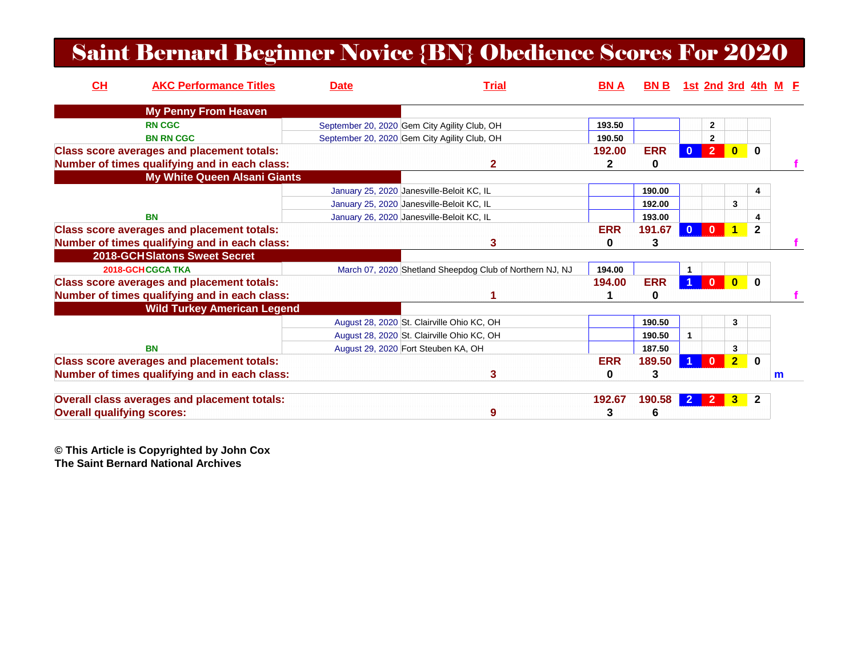#### Saint Bernard Beginner Novice {BN} Obedience Scores For 2020

| CH                                | <b>AKC Performance Titles</b>                     | <b>Date</b> | <b>Trial</b>                                             | <b>BNA</b> | <b>BNB</b> |              | 1st 2nd 3rd 4th M E |                         |              |   |  |
|-----------------------------------|---------------------------------------------------|-------------|----------------------------------------------------------|------------|------------|--------------|---------------------|-------------------------|--------------|---|--|
|                                   | <b>My Penny From Heaven</b>                       |             |                                                          |            |            |              |                     |                         |              |   |  |
|                                   | <b>RN CGC</b>                                     |             | September 20, 2020 Gem City Agility Club, OH             | 193.50     |            |              | $\mathbf{2}$        |                         |              |   |  |
|                                   | <b>BN RN CGC</b>                                  |             | September 20, 2020 Gem City Agility Club, OH             | 190.50     |            |              | 2                   |                         |              |   |  |
|                                   | <b>Class score averages and placement totals:</b> |             |                                                          | 192.00     | <b>ERR</b> | $\mathbf{0}$ | $\overline{2}$      | $\mathbf{0}$            | $\bf{0}$     |   |  |
|                                   | Number of times qualifying and in each class:     |             | 2                                                        | 2          | 0          |              |                     |                         |              |   |  |
|                                   | <b>My White Queen Alsani Giants</b>               |             |                                                          |            |            |              |                     |                         |              |   |  |
|                                   |                                                   |             | January 25, 2020 Janesville-Beloit KC, IL                |            | 190.00     |              |                     |                         | 4            |   |  |
|                                   |                                                   |             | January 25, 2020 Janesville-Beloit KC, IL                |            | 192.00     |              |                     | 3                       |              |   |  |
|                                   | <b>BN</b>                                         |             | January 26, 2020 Janesville-Beloit KC, IL                |            | 193.00     |              |                     |                         | 4            |   |  |
|                                   | <b>Class score averages and placement totals:</b> |             |                                                          | <b>ERR</b> | 191.67     | $\mathbf{0}$ | $\Omega$            |                         | $\mathbf{2}$ |   |  |
|                                   | Number of times qualifying and in each class:     |             | 3                                                        | 0          | 3          |              |                     |                         |              |   |  |
|                                   | <b>2018-GCH Slatons Sweet Secret</b>              |             |                                                          |            |            |              |                     |                         |              |   |  |
|                                   | 2018-GCHCGCA TKA                                  |             | March 07, 2020 Shetland Sheepdog Club of Northern NJ, NJ | 194.00     |            |              |                     |                         |              |   |  |
|                                   | <b>Class score averages and placement totals:</b> |             |                                                          | 194.00     | <b>ERR</b> |              | $\bf{0}$            | $\overline{\mathbf{0}}$ | $\mathbf 0$  |   |  |
|                                   | Number of times qualifying and in each class:     |             |                                                          |            | 0          |              |                     |                         |              |   |  |
|                                   | <b>Wild Turkey American Legend</b>                |             |                                                          |            |            |              |                     |                         |              |   |  |
|                                   |                                                   |             | August 28, 2020 St. Clairville Ohio KC, OH               |            | 190.50     |              |                     | 3                       |              |   |  |
|                                   |                                                   |             | August 28, 2020 St. Clairville Ohio KC, OH               |            | 190.50     | 1            |                     |                         |              |   |  |
|                                   | <b>BN</b>                                         |             | August 29, 2020 Fort Steuben KA, OH                      |            | 187.50     |              |                     | 3                       |              |   |  |
|                                   | <b>Class score averages and placement totals:</b> |             |                                                          | <b>ERR</b> | 189.50     |              | 0                   | 2 <sub>2</sub>          | $\bf{0}$     |   |  |
|                                   | Number of times qualifying and in each class:     |             | 3                                                        | 0          | 3          |              |                     |                         |              | m |  |
|                                   | Overall class averages and placement totals:      |             |                                                          | 192.67     | 190.58     |              |                     | 3.                      | $\mathbf{2}$ |   |  |
| <b>Overall qualifying scores:</b> |                                                   |             | 9                                                        | 3          | 6          |              |                     |                         |              |   |  |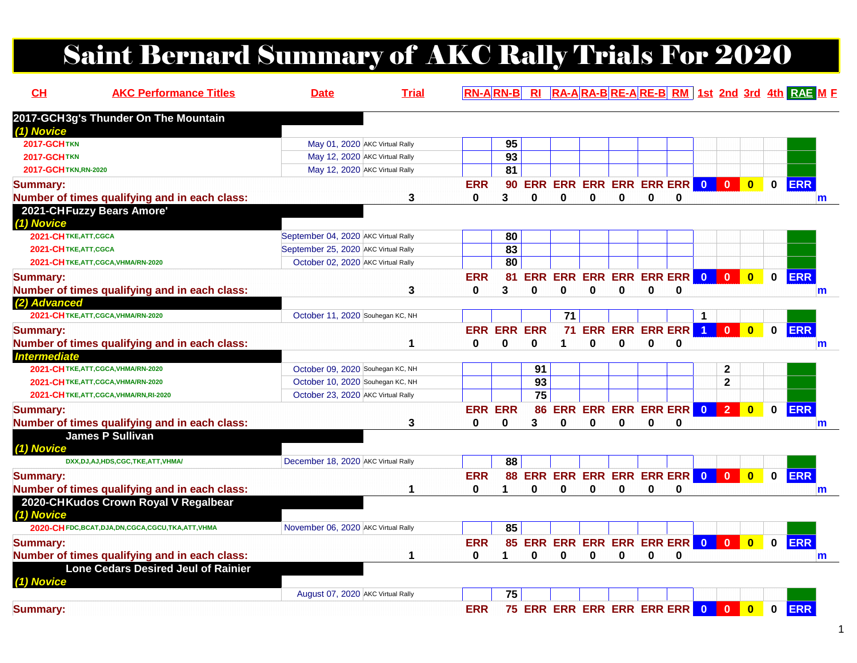# Saint Bernard Summary of AKC Rally Trials For 2020

| CL                               | <b>AKC Performance Titles</b>                          | <b>Date</b>                          | <b>Trial</b> |                        | $RN-A$ $RN-B$   |                 |                                              |          |                        |   |          |                      |                |                         |              | RI RA-ARA-BRE-ARE-BRM 1st 2nd 3rd 4th RAE M F |
|----------------------------------|--------------------------------------------------------|--------------------------------------|--------------|------------------------|-----------------|-----------------|----------------------------------------------|----------|------------------------|---|----------|----------------------|----------------|-------------------------|--------------|-----------------------------------------------|
|                                  | 2017-GCH3g's Thunder On The Mountain                   |                                      |              |                        |                 |                 |                                              |          |                        |   |          |                      |                |                         |              |                                               |
| (1) Novice<br><b>2017-GCHTKN</b> |                                                        | May 01, 2020 AKC Virtual Rally       |              |                        | 95              |                 |                                              |          |                        |   |          |                      |                |                         |              |                                               |
| <b>2017-GCHTKN</b>               |                                                        | May 12, 2020 AKC Virtual Rally       |              |                        | $\overline{93}$ |                 |                                              |          |                        |   |          |                      |                |                         |              |                                               |
| 2017-GCH TKN, RN-2020            |                                                        | May 12, 2020 AKC Virtual Rally       |              |                        | 81              |                 |                                              |          |                        |   |          |                      |                |                         |              |                                               |
| <b>Summary:</b>                  | Number of times qualifying and in each class:          |                                      | 3            | <b>ERR</b><br>$\bf{0}$ | 3               | $\Omega$        | 90 ERR ERR ERR ERR ERR ERR 0 0 0<br>$\bf{0}$ | 0        | $\bf{0}$               | 0 | 0        |                      |                |                         | $\mathbf{0}$ | <b>ERR</b><br>m                               |
| (1) Novice                       | 2021-CHFuzzy Bears Amore'                              |                                      |              |                        |                 |                 |                                              |          |                        |   |          |                      |                |                         |              |                                               |
| 2021-CHTKE, ATT, CGCA            |                                                        | September 04, 2020 AKC Virtual Rally |              |                        | 80              |                 |                                              |          |                        |   |          |                      |                |                         |              |                                               |
| 2021-CHTKE, ATT, CGCA            |                                                        | September 25, 2020 AKC Virtual Rally |              |                        | 83              |                 |                                              |          |                        |   |          |                      |                |                         |              |                                               |
|                                  | 2021-CHTKE, ATT, CGCA, VHMA/RN-2020                    | October 02, 2020 AKC Virtual Rally   |              |                        | $\overline{80}$ |                 |                                              |          |                        |   |          |                      |                |                         |              |                                               |
| <b>Summary:</b>                  |                                                        |                                      |              | <b>ERR</b>             | 81              |                 | ERR ERR ERR ERR ERR ERR 0                    |          |                        |   |          |                      | $\mathbf{0}$   | $\overline{\mathbf{0}}$ | $\mathbf{0}$ | <b>ERR</b>                                    |
|                                  | Number of times qualifying and in each class:          |                                      | 3            | 0                      | 3               | $\Omega$        | 0                                            | $\bf{0}$ | 0                      | 0 | $\bf{0}$ |                      |                |                         |              | m                                             |
| (2) Advanced                     |                                                        |                                      |              |                        |                 |                 |                                              |          |                        |   |          |                      |                |                         |              |                                               |
|                                  | 2021-CHTKE, ATT, CGCA, VHMA/RN-2020                    | October 11, 2020 Souhegan KC, NH     |              |                        |                 |                 | 71                                           |          |                        |   |          |                      |                |                         |              |                                               |
| <b>Summary:</b>                  |                                                        |                                      |              |                        | <b>ERR ERR</b>  | <b>ERR</b>      | 71                                           |          | <b>ERR ERR ERR ERR</b> |   |          | $\blacktriangleleft$ | $\mathbf{0}$   | $\overline{\mathbf{0}}$ | $\mathbf 0$  | <b>ERR</b>                                    |
|                                  | Number of times qualifying and in each class:          |                                      | 1            | 0                      | 0               | $\bf{0}$        | 1.                                           | 0        | 0                      | 0 | 0        |                      |                |                         |              | m                                             |
| <b>Intermediate</b>              |                                                        |                                      |              |                        |                 |                 |                                              |          |                        |   |          |                      |                |                         |              |                                               |
|                                  | 2021-CHTKE, ATT, CGCA, VHMA/RN-2020                    | October 09, 2020 Souhegan KC, NH     |              |                        |                 | 91              |                                              |          |                        |   |          |                      | $\mathbf{2}$   |                         |              |                                               |
|                                  | 2021-CHTKE, ATT, CGCA, VHMA/RN-2020                    | October 10, 2020 Souhegan KC, NH     |              |                        |                 | $\overline{93}$ |                                              |          |                        |   |          |                      | $\mathbf 2$    |                         |              |                                               |
|                                  | 2021-CHTKE, ATT, CGCA, VHMA/RN, RI-2020                | October 23, 2020 AKC Virtual Rally   |              |                        |                 | 75              |                                              |          |                        |   |          |                      |                |                         |              |                                               |
| <b>Summary:</b>                  |                                                        |                                      |              |                        | <b>ERR ERR</b>  | 86              |                                              |          | ERR ERR ERR ERR ERR    |   |          | $\bullet$            | 2 <sup>1</sup> | $\overline{\mathbf{0}}$ | $\mathbf 0$  | <b>ERR</b>                                    |
|                                  | Number of times qualifying and in each class:          |                                      | 3            | 0                      | 0               | 3               | 0                                            | 0        | $\bf{0}$               | 0 | $\bf{0}$ |                      |                |                         |              | m                                             |
|                                  | <b>James P Sullivan</b>                                |                                      |              |                        |                 |                 |                                              |          |                        |   |          |                      |                |                         |              |                                               |
| (1) Novice                       |                                                        |                                      |              |                        |                 |                 |                                              |          |                        |   |          |                      |                |                         |              |                                               |
|                                  | DXX, DJ, AJ, HDS, CGC, TKE, ATT, VHMA/                 | December 18, 2020 AKC Virtual Rally  |              |                        | 88              |                 |                                              |          |                        |   |          |                      |                |                         |              |                                               |
| <b>Summary:</b>                  |                                                        |                                      |              | <b>ERR</b>             |                 |                 | 88 ERR ERR ERR ERR ERR ERR 0                 |          |                        |   |          |                      | $\overline{0}$ | $\overline{\mathbf{0}}$ | $\mathbf{0}$ | <b>ERR</b>                                    |
|                                  | Number of times qualifying and in each class:          |                                      | 1            | 0                      |                 | O               | 0                                            | $\Omega$ | 0                      | 0 | $\bf{0}$ |                      |                |                         |              | m                                             |
| (1) Novice                       | 2020-CHKudos Crown Royal V Regalbear                   |                                      |              |                        |                 |                 |                                              |          |                        |   |          |                      |                |                         |              |                                               |
|                                  | 2020-CH FDC, BCAT, DJA, DN, CGCA, CGCU, TKA, ATT, VHMA | November 06, 2020 AKC Virtual Rally  |              |                        | 85              |                 |                                              |          |                        |   |          |                      |                |                         |              |                                               |
| <b>Summary:</b>                  |                                                        |                                      |              | <b>ERR</b>             |                 |                 | 85 ERR ERR ERR ERR ERR ERR 0 0 0             |          |                        |   |          |                      |                |                         | $\mathbf 0$  | <b>ERR</b>                                    |
|                                  | Number of times qualifying and in each class:          |                                      | 1            | 0                      | 1               | 0               | 0                                            | 0        | 0                      | 0 | 0        |                      |                |                         |              | m                                             |
| (1) Novice                       | <b>Lone Cedars Desired Jeul of Rainier</b>             |                                      |              |                        |                 |                 |                                              |          |                        |   |          |                      |                |                         |              |                                               |
|                                  |                                                        | August 07, 2020 AKC Virtual Rally    |              |                        | 75              |                 |                                              |          |                        |   |          |                      |                |                         |              |                                               |
| <b>Summary:</b>                  |                                                        |                                      |              | <b>ERR</b>             |                 |                 | 75 ERR ERR ERR ERR ERR ERR 0 0 0             |          |                        |   |          |                      |                |                         | $\mathbf 0$  | <b>ERR</b>                                    |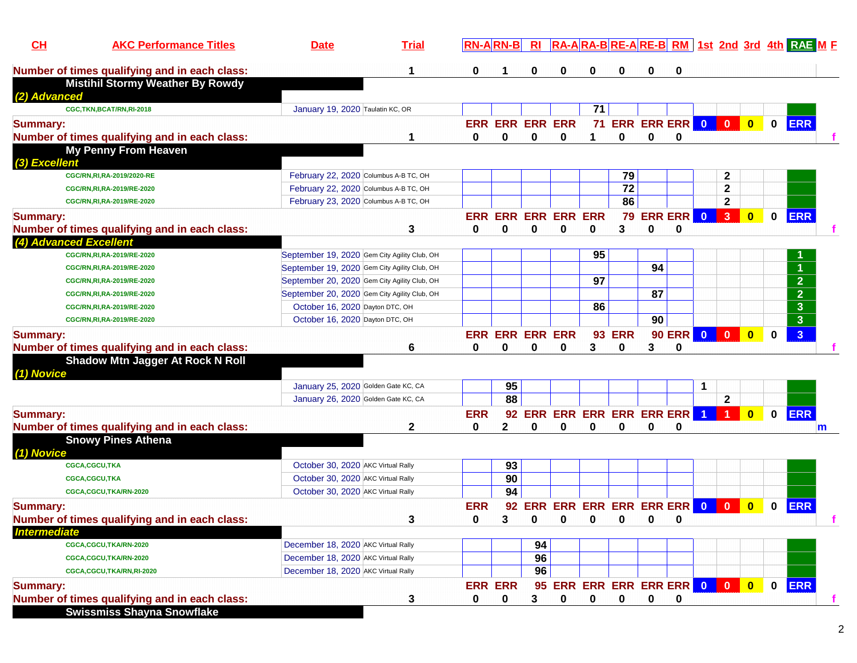| CH                  | <b>AKC Performance Titles</b>                 | <b>Date</b>                                  | <b>Trial</b> |              | <b>RN-ARN-B</b>            | $R_{\rm I}$ |   |                                |                  |    |                           |                         |                      |              |             | RA-ARA-BRE-ARE-BRM 1st 2nd 3rd 4th RAE ME |   |
|---------------------|-----------------------------------------------|----------------------------------------------|--------------|--------------|----------------------------|-------------|---|--------------------------------|------------------|----|---------------------------|-------------------------|----------------------|--------------|-------------|-------------------------------------------|---|
|                     | Number of times qualifying and in each class: |                                              | 1            | 0            |                            | 0           | 0 | 0                              | 0                |    | 0                         |                         |                      |              |             |                                           |   |
|                     | <b>Mistihil Stormy Weather By Rowdy</b>       |                                              |              |              |                            |             |   |                                |                  |    |                           |                         |                      |              |             |                                           |   |
| (2) Advanced        |                                               |                                              |              |              |                            |             |   |                                |                  |    |                           |                         |                      |              |             |                                           |   |
|                     | CGC,TKN,BCAT/RN,RI-2018                       | January 19, 2020 Taulatin KC, OR             |              |              |                            |             |   | 71                             |                  |    |                           |                         |                      |              |             |                                           |   |
| <b>Summary:</b>     |                                               |                                              |              |              | <b>ERR ERR ERR ERR</b>     |             |   |                                | 71 ERR ERR ERR 0 |    |                           |                         | $\bullet$            | $\bullet$    | $\mathbf 0$ | <b>ERR</b>                                |   |
|                     | Number of times qualifying and in each class: |                                              | 1            | 0            | 0                          | 0           | 0 | 1                              | 0                | 0  | $\mathbf 0$               |                         |                      |              |             |                                           |   |
|                     | <b>My Penny From Heaven</b>                   |                                              |              |              |                            |             |   |                                |                  |    |                           |                         |                      |              |             |                                           |   |
| (3) Excellent       |                                               |                                              |              |              |                            |             |   |                                |                  |    |                           |                         |                      |              |             |                                           |   |
|                     | CGC/RN, RI, RA-2019/2020-RE                   | February 22, 2020 Columbus A-B TC, OH        |              |              |                            |             |   |                                | 79               |    |                           |                         | 2                    |              |             |                                           |   |
|                     | CGC/RN, RI, RA-2019/RE-2020                   | February 22, 2020 Columbus A-B TC, OH        |              |              |                            |             |   |                                | 72               |    |                           |                         | $\mathbf 2$          |              |             |                                           |   |
|                     | CGC/RN, RI, RA-2019/RE-2020                   | February 23, 2020 Columbus A-B TC, OH        |              |              |                            |             |   |                                | 86               |    |                           |                         | $\mathbf{2}$         |              |             |                                           |   |
| <b>Summary:</b>     |                                               |                                              |              |              | <b>ERR ERR ERR ERR ERR</b> |             |   |                                | 79               |    | <b>ERR ERR</b>            | $\overline{\mathbf{0}}$ | $\overline{3}$       | $\bf{0}$     | 0           | <b>ERR</b>                                |   |
|                     | Number of times qualifying and in each class: |                                              | 3            | 0            | 0                          | 0           | 0 | 0                              | 3                | 0  | 0                         |                         |                      |              |             |                                           |   |
|                     | (4) Advanced Excellent                        |                                              |              |              |                            |             |   |                                |                  |    |                           |                         |                      |              |             |                                           |   |
|                     | CGC/RN, RI, RA-2019/RE-2020                   | September 19, 2020 Gem City Agility Club, OH |              |              |                            |             |   | 95                             |                  |    |                           |                         |                      |              |             |                                           |   |
|                     | CGC/RN, RI, RA-2019/RE-2020                   | September 19, 2020 Gem City Agility Club, OH |              |              |                            |             |   |                                |                  | 94 |                           |                         |                      |              |             |                                           |   |
|                     | CGC/RN, RI, RA-2019/RE-2020                   | September 20, 2020 Gem City Agility Club, OH |              |              |                            |             |   | 97                             |                  |    |                           |                         |                      |              |             | $\overline{2}$                            |   |
|                     | CGC/RN, RI, RA-2019/RE-2020                   | September 20, 2020 Gem City Agility Club, OH |              |              |                            |             |   |                                |                  | 87 |                           |                         |                      |              |             | $\overline{2}$                            |   |
|                     | CGC/RN, RI, RA-2019/RE-2020                   | October 16, 2020 Dayton DTC, OH              |              |              |                            |             |   | 86                             |                  |    |                           |                         |                      |              |             | $\mathbf{3}$                              |   |
|                     | CGC/RN, RI, RA-2019/RE-2020                   | October 16, 2020 Dayton DTC, OH              |              |              |                            |             |   |                                |                  | 90 |                           |                         |                      |              |             | $\mathbf{3}$                              |   |
| <b>Summary:</b>     |                                               |                                              |              |              | <b>ERR ERR ERR ERR</b>     |             |   |                                | <b>93 ERR</b>    |    | <b>90 ERR</b>             |                         |                      | $\bullet$    | $\bf{0}$    | 3 <sup>1</sup>                            |   |
|                     | Number of times qualifying and in each class: |                                              | 6            | 0            | 0                          | 0           | 0 | 3                              | 0                | 3  | $\mathbf 0$               |                         |                      |              |             |                                           |   |
|                     | <b>Shadow Mtn Jagger At Rock N Roll</b>       |                                              |              |              |                            |             |   |                                |                  |    |                           |                         |                      |              |             |                                           |   |
| (1) Novice          |                                               |                                              |              |              |                            |             |   |                                |                  |    |                           |                         |                      |              |             |                                           |   |
|                     |                                               | January 25, 2020 Golden Gate KC, CA          |              |              | 95                         |             |   |                                |                  |    |                           | $\mathbf 1$             |                      |              |             |                                           |   |
|                     |                                               | January 26, 2020 Golden Gate KC, CA          |              |              | 88                         |             |   |                                |                  |    |                           |                         | $\mathbf{2}$         |              |             |                                           |   |
| <b>Summary:</b>     |                                               |                                              |              | <b>ERR</b>   |                            |             |   | 92 ERR ERR ERR ERR ERR ERR     |                  |    |                           | $\blacksquare$          | $\blacktriangleleft$ | $\mathbf{0}$ | 0           | <b>ERR</b>                                |   |
|                     | Number of times qualifying and in each class: |                                              | 2            | 0            | 2                          | 0           |   | 0                              | 0                | 0  | 0                         |                         |                      |              |             |                                           | m |
|                     | <b>Snowy Pines Athena</b>                     |                                              |              |              |                            |             |   |                                |                  |    |                           |                         |                      |              |             |                                           |   |
| (1) Novice          |                                               |                                              |              |              |                            |             |   |                                |                  |    |                           |                         |                      |              |             |                                           |   |
|                     | CGCA,CGCU,TKA                                 | October 30, 2020 AKC Virtual Rally           |              |              | 93                         |             |   |                                |                  |    |                           |                         |                      |              |             |                                           |   |
|                     | CGCA,CGCU,TKA                                 | October 30, 2020 AKC Virtual Rally           |              |              | 90                         |             |   |                                |                  |    |                           |                         |                      |              |             |                                           |   |
|                     | CGCA,CGCU,TKA/RN-2020                         | October 30, 2020 AKC Virtual Rally           |              |              | 94                         |             |   |                                |                  |    |                           |                         |                      |              |             |                                           |   |
|                     |                                               |                                              |              | <b>ERR</b>   |                            |             |   | 92 ERR ERR ERR ERR ERR ERR 0 0 |                  |    |                           |                         |                      | $\mathbf{0}$ | 0           | <b>ERR</b>                                |   |
| <b>Summary:</b>     |                                               |                                              | 3            | $\mathbf{0}$ |                            |             |   | 30000                          |                  |    | $\mathbf{0}$ $\mathbf{0}$ |                         |                      |              |             |                                           |   |
| <b>Intermediate</b> | Number of times qualifying and in each class: |                                              |              |              |                            |             |   |                                |                  |    |                           |                         |                      |              |             |                                           |   |
|                     | CGCA,CGCU,TKA/RN-2020                         | December 18, 2020 AKC Virtual Rally          |              |              |                            | 94          |   |                                |                  |    |                           |                         |                      |              |             |                                           |   |
|                     |                                               |                                              |              |              |                            | 96          |   |                                |                  |    |                           |                         |                      |              |             |                                           |   |
|                     | CGCA,CGCU,TKA/RN-2020                         | December 18, 2020 AKC Virtual Rally          |              |              |                            |             |   |                                |                  |    |                           |                         |                      |              |             |                                           |   |
|                     | CGCA,CGCU,TKA/RN,RI-2020                      | December 18, 2020 AKC Virtual Rally          |              |              |                            | 96          |   |                                |                  |    |                           |                         |                      |              |             |                                           |   |
| <b>Summary:</b>     |                                               |                                              |              |              | <b>ERR ERR</b>             |             |   | 95 ERR ERR ERR ERR ERR 0 0     |                  |    |                           |                         |                      | $\bullet$    | $\mathbf 0$ | <b>ERR</b>                                |   |
|                     | Number of times qualifying and in each class: |                                              | 3            | 0            | 0                          | 3           | 0 | $\mathbf 0$                    | $\mathbf 0$      | 0  | $\mathbf 0$               |                         |                      |              |             |                                           |   |
|                     | <b>Swissmiss Shayna Snowflake</b>             |                                              |              |              |                            |             |   |                                |                  |    |                           |                         |                      |              |             |                                           |   |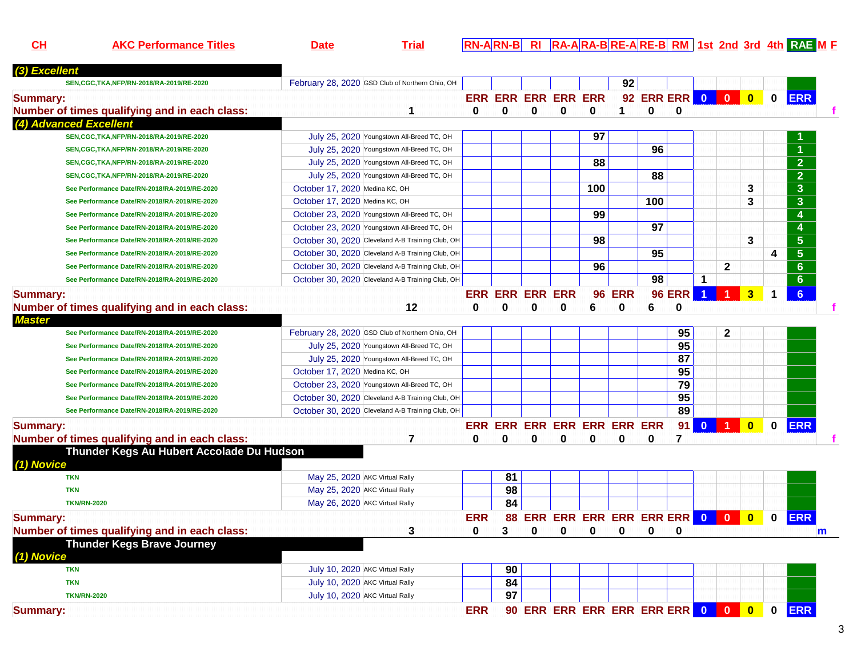**CH**

**AKC Performance Titles Date Trial RN-A RN-B RI RA-A RA-B RE-A RE-B RM 1st 2nd 3rd 4th RAE <sup>M</sup> <sup>F</sup>**

| (3) Excellent                                 |                                                  |            |                        |          |                                  |          |               |                  |               |                      |              |                         |              |                  |              |
|-----------------------------------------------|--------------------------------------------------|------------|------------------------|----------|----------------------------------|----------|---------------|------------------|---------------|----------------------|--------------|-------------------------|--------------|------------------|--------------|
| SEN, CGC, TKA, NFP/RN-2018/RA-2019/RE-2020    | February 28, 2020 GSD Club of Northern Ohio, OH  |            |                        |          |                                  |          | 92            |                  |               |                      |              |                         |              |                  |              |
| <b>Summary:</b>                               |                                                  |            |                        |          | ERR ERR ERR ERR ERR              |          |               | 92 ERR ERR 0 0 0 |               |                      |              |                         | $\mathbf 0$  | <b>ERR</b>       |              |
| Number of times qualifying and in each class: | 1                                                | 0          | $\bf{0}$               | $\Omega$ | $\bf{0}$                         | 0        | 1             | $\bf{0}$         | $\mathbf{0}$  |                      |              |                         |              |                  |              |
| (4) Advanced Excellent                        |                                                  |            |                        |          |                                  |          |               |                  |               |                      |              |                         |              |                  |              |
| SEN, CGC, TKA, NFP/RN-2018/RA-2019/RE-2020    | July 25, 2020 Youngstown All-Breed TC, OH        |            |                        |          |                                  | 97       |               |                  |               |                      |              |                         |              |                  |              |
| SEN, CGC, TKA, NFP/RN-2018/RA-2019/RE-2020    | July 25, 2020 Youngstown All-Breed TC, OH        |            |                        |          |                                  |          |               | 96               |               |                      |              |                         |              |                  |              |
| SEN, CGC, TKA, NFP/RN-2018/RA-2019/RE-2020    | July 25, 2020 Youngstown All-Breed TC, OH        |            |                        |          |                                  | 88       |               |                  |               |                      |              |                         |              | $\overline{2}$   |              |
| SEN, CGC, TKA, NFP/RN-2018/RA-2019/RE-2020    | July 25, 2020 Youngstown All-Breed TC, OH        |            |                        |          |                                  |          |               | 88               |               |                      |              |                         |              | $\overline{2}$   |              |
| See Performance Date/RN-2018/RA-2019/RE-2020  | October 17, 2020 Medina KC, OH                   |            |                        |          |                                  | 100      |               |                  |               |                      |              | 3                       |              | 3                |              |
| See Performance Date/RN-2018/RA-2019/RE-2020  | October 17, 2020 Medina KC, OH                   |            |                        |          |                                  |          |               | 100              |               |                      |              | 3                       |              | 3                |              |
| See Performance Date/RN-2018/RA-2019/RE-2020  | October 23, 2020 Youngstown All-Breed TC, OH     |            |                        |          |                                  | 99       |               |                  |               |                      |              |                         |              | $\boldsymbol{4}$ |              |
| See Performance Date/RN-2018/RA-2019/RE-2020  | October 23, 2020 Youngstown All-Breed TC, OH     |            |                        |          |                                  |          |               | 97               |               |                      |              |                         |              | 4                |              |
| See Performance Date/RN-2018/RA-2019/RE-2020  | October 30, 2020 Cleveland A-B Training Club, OH |            |                        |          |                                  | 98       |               |                  |               |                      |              | 3                       |              | 5 <sub>5</sub>   |              |
| See Performance Date/RN-2018/RA-2019/RE-2020  | October 30, 2020 Cleveland A-B Training Club, OH |            |                        |          |                                  |          |               | 95               |               |                      |              |                         | 4            | $5\phantom{.0}$  |              |
| See Performance Date/RN-2018/RA-2019/RE-2020  | October 30, 2020 Cleveland A-B Training Club, OH |            |                        |          |                                  | 96       |               |                  |               |                      | $\mathbf{2}$ |                         |              | 6 <sup>°</sup>   |              |
| See Performance Date/RN-2018/RA-2019/RE-2020  | October 30, 2020 Cleveland A-B Training Club, OH |            |                        |          |                                  |          |               | 98               |               | $\mathbf 1$          |              |                         |              | 6                |              |
| <b>Summary:</b>                               |                                                  |            | <b>ERR ERR ERR ERR</b> |          |                                  |          | <b>96 ERR</b> |                  | <b>96 ERR</b> | $\blacktriangleleft$ | 1            | 3                       | $\mathbf 1$  | 6                |              |
| Number of times qualifying and in each class: | 12                                               | 0          | $\bf{0}$               | 0        | 0                                | 6        | 0             | 6                | $\bf{0}$      |                      |              |                         |              |                  |              |
| <b>Master</b>                                 |                                                  |            |                        |          |                                  |          |               |                  |               |                      |              |                         |              |                  |              |
| See Performance Date/RN-2018/RA-2019/RE-2020  | February 28, 2020 GSD Club of Northern Ohio, OH  |            |                        |          |                                  |          |               |                  | 95            |                      | $\mathbf{2}$ |                         |              |                  |              |
| See Performance Date/RN-2018/RA-2019/RE-2020  | July 25, 2020 Youngstown All-Breed TC, OH        |            |                        |          |                                  |          |               |                  | 95            |                      |              |                         |              |                  |              |
| See Performance Date/RN-2018/RA-2019/RE-2020  | July 25, 2020 Youngstown All-Breed TC, OH        |            |                        |          |                                  |          |               |                  | 87            |                      |              |                         |              |                  |              |
| See Performance Date/RN-2018/RA-2019/RE-2020  | October 17, 2020 Medina KC, OH                   |            |                        |          |                                  |          |               |                  | 95            |                      |              |                         |              |                  |              |
| See Performance Date/RN-2018/RA-2019/RE-2020  | October 23, 2020 Youngstown All-Breed TC, OH     |            |                        |          |                                  |          |               |                  | 79            |                      |              |                         |              |                  |              |
| See Performance Date/RN-2018/RA-2019/RE-2020  | October 30, 2020 Cleveland A-B Training Club, OH |            |                        |          |                                  |          |               |                  | 95            |                      |              |                         |              |                  |              |
| See Performance Date/RN-2018/RA-2019/RE-2020  | October 30, 2020 Cleveland A-B Training Club, OH |            |                        |          |                                  |          |               |                  | 89            |                      |              |                         |              |                  |              |
| <b>Summary:</b>                               |                                                  |            |                        |          | ERR ERR ERR ERR ERR ERR ERR      |          |               |                  | 91            | $\mathbf{0}$         |              | $\overline{\mathbf{0}}$ | $\bf{0}$     | <b>ERR</b>       |              |
| Number of times qualifying and in each class: | 7                                                | 0          | 0                      | 0        | 0                                | 0        | 0             | 0                | 7             |                      |              |                         |              |                  |              |
| Thunder Kegs Au Hubert Accolade Du Hudson     |                                                  |            |                        |          |                                  |          |               |                  |               |                      |              |                         |              |                  |              |
| (1) Novice                                    |                                                  |            |                        |          |                                  |          |               |                  |               |                      |              |                         |              |                  |              |
| <b>TKN</b>                                    | May 25, 2020 AKC Virtual Rally                   |            | 81                     |          |                                  |          |               |                  |               |                      |              |                         |              |                  |              |
| <b>TKN</b>                                    | May 25, 2020 AKC Virtual Rally                   |            | 98                     |          |                                  |          |               |                  |               |                      |              |                         |              |                  |              |
| <b>TKN/RN-2020</b>                            | May 26, 2020 AKC Virtual Rally                   |            | 84                     |          |                                  |          |               |                  |               |                      |              |                         |              |                  |              |
| <b>Summary:</b>                               |                                                  | <b>ERR</b> |                        |          | 88 ERR ERR ERR ERR ERR ERR 0 0 0 |          |               |                  |               |                      |              |                         | $\mathbf 0$  | <b>ERR</b>       |              |
| Number of times qualifying and in each class: | 3                                                | 0          | 3                      | $\bf{0}$ | $\bf{0}$                         | $\bf{0}$ | $\bf{0}$      | 0                | 0             |                      |              |                         |              |                  | $\mathsf{m}$ |
| <b>Thunder Kegs Brave Journey</b>             |                                                  |            |                        |          |                                  |          |               |                  |               |                      |              |                         |              |                  |              |
| (1) Novice                                    |                                                  |            |                        |          |                                  |          |               |                  |               |                      |              |                         |              |                  |              |
| <b>TKN</b>                                    | July 10, 2020 AKC Virtual Rally                  |            | 90                     |          |                                  |          |               |                  |               |                      |              |                         |              |                  |              |
| <b>TKN</b>                                    | July 10, 2020 AKC Virtual Rally                  |            | 84                     |          |                                  |          |               |                  |               |                      |              |                         |              |                  |              |
| <b>TKN/RN-2020</b>                            | July 10, 2020 AKC Virtual Rally                  |            | 97                     |          |                                  |          |               |                  |               |                      |              |                         |              |                  |              |
| <b>Summary:</b>                               |                                                  | <b>ERR</b> |                        |          | 90 ERR ERR ERR ERR ERR ERR 0 0 0 |          |               |                  |               |                      |              |                         | $\mathbf{0}$ | <b>ERR</b>       |              |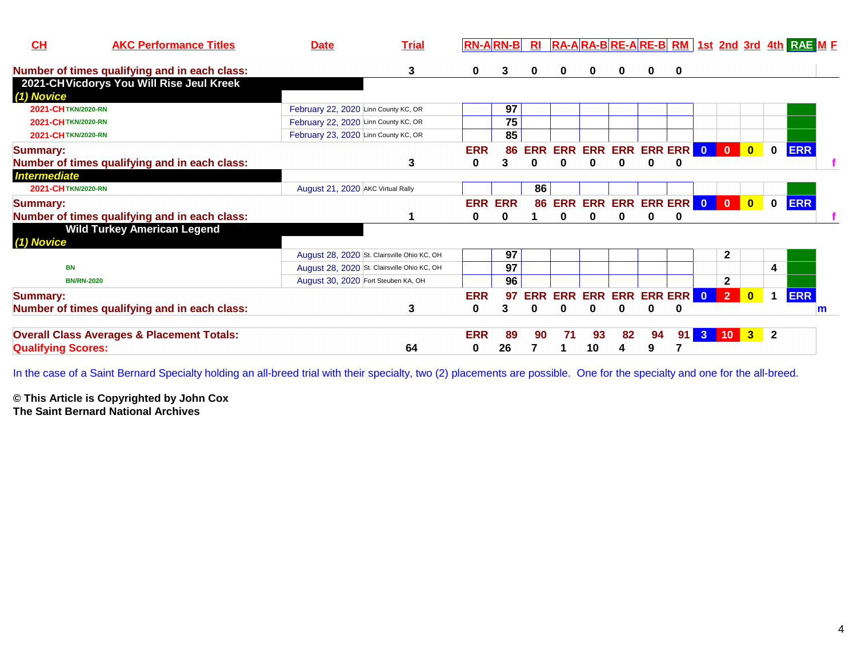| CH                        | <b>AKC Performance Titles</b>                         | <b>Date</b>                          | <b>Trial</b>                                | $RN-A$ $RN-B$  |          | Rl            |    |    |    |                           |   |              |                          |              | $R_A - A R_A - B R_E - A R_E - B R_M$ 1st 2nd 3rd 4th $R_A = M_E$ |   |
|---------------------------|-------------------------------------------------------|--------------------------------------|---------------------------------------------|----------------|----------|---------------|----|----|----|---------------------------|---|--------------|--------------------------|--------------|-------------------------------------------------------------------|---|
|                           | Number of times qualifying and in each class:         |                                      | 3                                           | 0              | 3        | 0             | 0  |    | 0  | 0                         | 0 |              |                          |              |                                                                   |   |
|                           | 2021-CHVicdorys You Will Rise Jeul Kreek              |                                      |                                             |                |          |               |    |    |    |                           |   |              |                          |              |                                                                   |   |
| (1) Novice                |                                                       |                                      |                                             |                |          |               |    |    |    |                           |   |              |                          |              |                                                                   |   |
| 2021-CHTKN/2020-RN        |                                                       | February 22, 2020 Linn County KC, OR |                                             |                | 97       |               |    |    |    |                           |   |              |                          |              |                                                                   |   |
| 2021-CHTKN/2020-RN        |                                                       | February 22, 2020 Linn County KC, OR |                                             |                | 75       |               |    |    |    |                           |   |              |                          |              |                                                                   |   |
| 2021-CHTKN/2020-RN        |                                                       | February 23, 2020 Linn County KC, OR |                                             |                | 85       |               |    |    |    |                           |   |              |                          |              |                                                                   |   |
| <b>Summary:</b>           |                                                       |                                      |                                             | <b>ERR</b>     |          | <b>86 ERR</b> |    |    |    | ERR ERR ERR ERR ERR 0 0 0 |   |              |                          | $\mathbf{0}$ | <b>ERR</b>                                                        |   |
|                           | Number of times qualifying and in each class:         |                                      | 3                                           | 0              | 3        | 0             | 0  |    |    |                           | 0 |              |                          |              |                                                                   |   |
| <b>Intermediate</b>       |                                                       |                                      |                                             |                |          |               |    |    |    |                           |   |              |                          |              |                                                                   |   |
| 2021-CHTKN/2020-RN        |                                                       | August 21, 2020 AKC Virtual Rally    |                                             |                |          | 86            |    |    |    |                           |   |              |                          |              |                                                                   |   |
| <b>Summary:</b>           |                                                       |                                      |                                             | <b>ERR ERR</b> |          | 86            |    |    |    | ERR ERR ERR ERR ERR 0     |   | $\bullet$    | $\blacksquare$           | $\bf{0}$     | <b>ERR</b>                                                        |   |
|                           | Number of times qualifying and in each class:         |                                      |                                             | 0              | $\bf{0}$ |               | 0  | 0  | 0  | O                         | 0 |              |                          |              |                                                                   |   |
| (1) Novice                | <b>Wild Turkey American Legend</b>                    |                                      |                                             |                |          |               |    |    |    |                           |   |              |                          |              |                                                                   |   |
|                           |                                                       |                                      | August 28, 2020 St. Clairsville Ohio KC, OH |                | 97       |               |    |    |    |                           |   | $\mathbf{2}$ |                          |              |                                                                   |   |
| <b>BN</b>                 |                                                       |                                      | August 28, 2020 St. Clairsville Ohio KC, OH |                | 97       |               |    |    |    |                           |   |              |                          | 4            |                                                                   |   |
|                           | <b>BN/RN-2020</b>                                     | August 30, 2020 Fort Steuben KA, OH  |                                             |                | 96       |               |    |    |    |                           |   | $\mathbf{2}$ |                          |              |                                                                   |   |
| <b>Summary:</b>           |                                                       |                                      |                                             | <b>ERR</b>     | 97       | ERR           |    |    |    | ERR ERR ERR ERR ERR 0 2   |   |              | $\overline{\phantom{a}}$ |              | <b>ERR</b>                                                        |   |
|                           | Number of times qualifying and in each class:         |                                      | 3                                           | 0              | 3        | 0             | 0  |    |    | O                         | 0 |              |                          |              |                                                                   | m |
|                           | <b>Overall Class Averages &amp; Placement Totals:</b> |                                      |                                             | <b>ERR</b>     | 89       | 90            | 71 | 93 | 82 | 94                        |   | 91 3 10 3 2  |                          |              |                                                                   |   |
| <b>Qualifying Scores:</b> |                                                       |                                      | 64                                          | 0              | 26       |               |    | 10 | 4  | 9                         |   |              |                          |              |                                                                   |   |

In the case of a Saint Bernard Specialty holding an all-breed trial with their specialty, two (2) placements are possible. One for the specialty and one for the all-breed.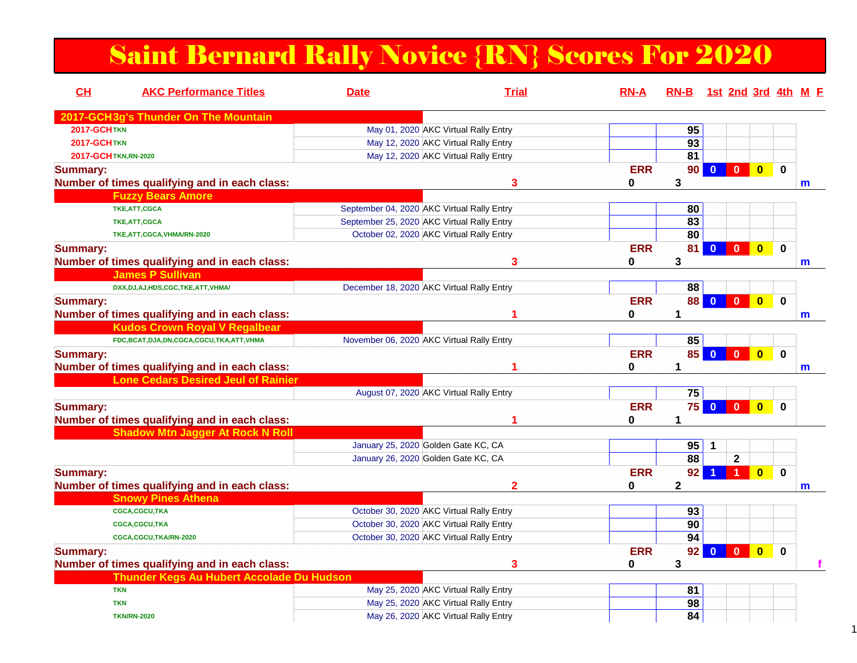## Saint Bernard Rally Novice {RN} Scores For 2020

| CH                    | <b>AKC Performance Titles</b>                 | <b>Date</b>                                | <b>Trial</b>                         | <b>RN-A</b> | RN-B 1st 2nd 3rd 4th M F |                         |                      |                         |             |   |
|-----------------------|-----------------------------------------------|--------------------------------------------|--------------------------------------|-------------|--------------------------|-------------------------|----------------------|-------------------------|-------------|---|
|                       | 2017-GCH3g's Thunder On The Mountain          |                                            |                                      |             |                          |                         |                      |                         |             |   |
| <b>2017-GCHTKN</b>    |                                               |                                            | May 01, 2020 AKC Virtual Rally Entry |             | 95                       |                         |                      |                         |             |   |
| <b>2017-GCHTKN</b>    |                                               |                                            | May 12, 2020 AKC Virtual Rally Entry |             | 93                       |                         |                      |                         |             |   |
| 2017-GCH TKN, RN-2020 |                                               |                                            | May 12, 2020 AKC Virtual Rally Entry |             | 81                       |                         |                      |                         |             |   |
| <b>Summary:</b>       |                                               |                                            |                                      | <b>ERR</b>  | 90 <sub>1</sub>          | $\overline{\mathbf{0}}$ | $\overline{0}$       | $\overline{\mathbf{0}}$ | $\bf{0}$    |   |
|                       | Number of times qualifying and in each class: |                                            | 3                                    | 0           | 3                        |                         |                      |                         |             | m |
|                       | <b>Fuzzy Bears Amore</b>                      |                                            |                                      |             |                          |                         |                      |                         |             |   |
|                       | TKE, ATT, CGCA                                | September 04, 2020 AKC Virtual Rally Entry |                                      |             | 80                       |                         |                      |                         |             |   |
|                       | TKE, ATT, CGCA                                | September 25, 2020 AKC Virtual Rally Entry |                                      |             | 83                       |                         |                      |                         |             |   |
|                       | TKE, ATT, CGCA, VHMA/RN-2020                  | October 02, 2020 AKC Virtual Rally Entry   |                                      |             | 80                       |                         |                      |                         |             |   |
| <b>Summary:</b>       |                                               |                                            |                                      | <b>ERR</b>  | 81                       | $\mathbf{0}$            | $\mathbf{0}$         | $\overline{\mathbf{0}}$ | $\Omega$    |   |
|                       | Number of times qualifying and in each class: |                                            | 3                                    | 0           | 3                        |                         |                      |                         |             | m |
|                       | <b>James P Sullivan</b>                       |                                            |                                      |             |                          |                         |                      |                         |             |   |
|                       | DXX,DJ,AJ,HDS,CGC,TKE,ATT,VHMA/               | December 18, 2020 AKC Virtual Rally Entry  |                                      |             | 88                       |                         |                      |                         |             |   |
| <b>Summary:</b>       |                                               |                                            |                                      | <b>ERR</b>  | 88                       | $\mathbf{0}$            | $\Omega$             | $\overline{\mathbf{0}}$ | $\bf{0}$    |   |
|                       | Number of times qualifying and in each class: |                                            |                                      | 0           | 1                        |                         |                      |                         |             | m |
|                       | <b>Kudos Crown Royal V Regalbear</b>          |                                            |                                      |             |                          |                         |                      |                         |             |   |
|                       | FDC,BCAT,DJA,DN,CGCA,CGCU,TKA,ATT,VHMA        | November 06, 2020 AKC Virtual Rally Entry  |                                      |             | 85                       |                         |                      |                         |             |   |
| <b>Summary:</b>       |                                               |                                            |                                      | <b>ERR</b>  | 85                       | $\mathbf{0}$            | $\mathbf{0}$         | $\bullet$               | $\mathbf 0$ |   |
|                       | Number of times qualifying and in each class: |                                            |                                      | 0           | $\blacktriangleleft$     |                         |                      |                         |             | m |
|                       | <b>Lone Cedars Desired Jeul of Rainier</b>    |                                            |                                      |             |                          |                         |                      |                         |             |   |
|                       |                                               | August 07, 2020 AKC Virtual Rally Entry    |                                      |             | 75                       |                         |                      |                         |             |   |
| <b>Summary:</b>       |                                               |                                            |                                      | <b>ERR</b>  | 75                       | $\overline{0}$          | $\mathbf{0}$         | $\overline{0}$          | $\Omega$    |   |
|                       | Number of times qualifying and in each class: |                                            |                                      | 0           | 1                        |                         |                      |                         |             |   |
|                       | <b>Shadow Mtn Jagger At Rock N Roll</b>       |                                            |                                      |             |                          |                         |                      |                         |             |   |
|                       |                                               | January 25, 2020 Golden Gate KC, CA        |                                      |             | 95                       | 1                       |                      |                         |             |   |
|                       |                                               | January 26, 2020 Golden Gate KC, CA        |                                      |             | 88                       |                         | $\mathbf 2$          |                         |             |   |
| <b>Summary:</b>       |                                               |                                            |                                      | <b>ERR</b>  | 92                       |                         | $\blacktriangleleft$ | $\overline{\mathbf{0}}$ | $\mathbf 0$ |   |
|                       | Number of times qualifying and in each class: |                                            | $\mathbf 2$                          | 0           | $\mathbf{2}$             |                         |                      |                         |             | m |
|                       | <b>Snowy Pines Athena</b>                     |                                            |                                      |             |                          |                         |                      |                         |             |   |
|                       | CGCA,CGCU,TKA                                 | October 30, 2020 AKC Virtual Rally Entry   |                                      |             | 93                       |                         |                      |                         |             |   |
|                       | CGCA,CGCU,TKA                                 | October 30, 2020 AKC Virtual Rally Entry   |                                      |             | 90                       |                         |                      |                         |             |   |
|                       | CGCA,CGCU,TKA/RN-2020                         | October 30, 2020 AKC Virtual Rally Entry   |                                      |             | 94                       |                         |                      |                         |             |   |
| <b>Summary:</b>       |                                               |                                            |                                      | <b>ERR</b>  | 92                       | $\Omega$                | $\mathbf{0}$         | $\mathbf{0}$            | $\bf{0}$    |   |
|                       | Number of times qualifying and in each class: |                                            | 3                                    | 0           | 3                        |                         |                      |                         |             |   |
|                       | Thunder Kegs Au Hubert Accolade Du Hudson     |                                            |                                      |             |                          |                         |                      |                         |             |   |
|                       | <b>TKN</b>                                    |                                            | May 25, 2020 AKC Virtual Rally Entry |             | 81                       |                         |                      |                         |             |   |
|                       | <b>TKN</b>                                    |                                            | May 25, 2020 AKC Virtual Rally Entry |             | 98                       |                         |                      |                         |             |   |
|                       |                                               |                                            |                                      |             | 84                       |                         |                      |                         |             |   |
|                       | <b>TKN/RN-2020</b>                            |                                            | May 26, 2020 AKC Virtual Rally Entry |             |                          |                         |                      |                         |             |   |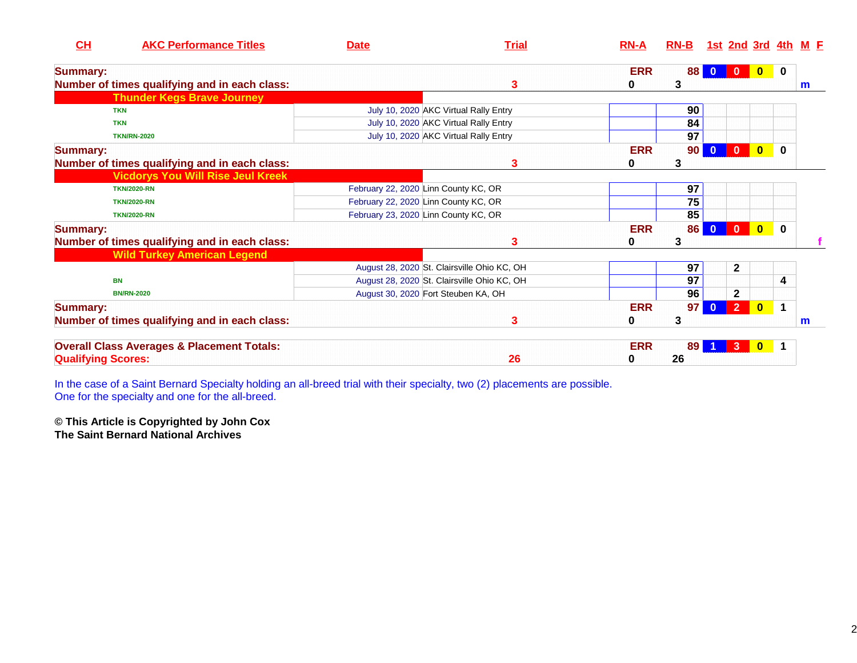| CH                        | <b>AKC Performance Titles</b>                         | <b>Date</b> | <b>Trial</b>                                | $RN-A$     | $RN-B$ |                |              |              | <u>1st 2nd 3rd 4th M F</u> |
|---------------------------|-------------------------------------------------------|-------------|---------------------------------------------|------------|--------|----------------|--------------|--------------|----------------------------|
| <b>Summary:</b>           |                                                       |             |                                             | <b>ERR</b> | 88     | $\bf{0}$       | $\bf{0}$     | 0            |                            |
|                           | Number of times qualifying and in each class:         |             | 3                                           | 0          | 3      |                |              |              | m                          |
|                           | <b>Thunder Kegs Brave Journey</b>                     |             |                                             |            |        |                |              |              |                            |
|                           | <b>TKN</b>                                            |             | July 10, 2020 AKC Virtual Rally Entry       |            | 90     |                |              |              |                            |
|                           | <b>TKN</b>                                            |             | July 10, 2020 AKC Virtual Rally Entry       |            | 84     |                |              |              |                            |
|                           | <b>TKN/RN-2020</b>                                    |             | July 10, 2020 AKC Virtual Rally Entry       |            | 97     |                |              |              |                            |
| <b>Summary:</b>           |                                                       |             |                                             | <b>ERR</b> | 90     | $\mathbf{0}$   | $\bf{0}$     | $\mathbf{0}$ |                            |
|                           | Number of times qualifying and in each class:         |             | 3                                           | 0          | 3      |                |              |              |                            |
|                           | <b>Vicdorys You Will Rise Jeul Kreek</b>              |             |                                             |            |        |                |              |              |                            |
|                           | <b>TKN/2020-RN</b>                                    |             | February 22, 2020 Linn County KC, OR        |            | 97     |                |              |              |                            |
|                           | <b>TKN/2020-RN</b>                                    |             | February 22, 2020 Linn County KC, OR        |            | 75     |                |              |              |                            |
|                           | <b>TKN/2020-RN</b>                                    |             | February 23, 2020 Linn County KC, OR        |            | 85     |                |              |              |                            |
| <b>Summary:</b>           |                                                       |             |                                             | <b>ERR</b> | 86     | $\mathbf{0}$   | $\mathbf{0}$ | $\mathbf{0}$ |                            |
|                           | Number of times qualifying and in each class:         |             | 3                                           | 0          | 3      |                |              |              |                            |
|                           | <b>Wild Turkey American Legend</b>                    |             |                                             |            |        |                |              |              |                            |
|                           |                                                       |             | August 28, 2020 St. Clairsville Ohio KC, OH |            | 97     | $\mathbf{2}$   |              |              |                            |
|                           | <b>BN</b>                                             |             | August 28, 2020 St. Clairsville Ohio KC, OH |            | 97     |                |              | 4            |                            |
|                           | <b>BN/RN-2020</b>                                     |             | August 30, 2020 Fort Steuben KA, OH         |            | 96     | $\mathbf{2}$   |              |              |                            |
| <b>Summary:</b>           |                                                       |             |                                             | <b>ERR</b> | 97     | 2 <sup>1</sup> | $\mathbf{0}$ | $\mathbf 1$  |                            |
|                           | Number of times qualifying and in each class:         |             | 3                                           | 0          | 3      |                |              |              | m                          |
|                           | <b>Overall Class Averages &amp; Placement Totals:</b> |             |                                             | <b>ERR</b> | 89     | 3              | $\mathbf{0}$ | $\mathbf 1$  |                            |
| <b>Qualifying Scores:</b> |                                                       |             | 26                                          | 0          | 26     |                |              |              |                            |

In the case of a Saint Bernard Specialty holding an all-breed trial with their specialty, two (2) placements are possible. One for the specialty and one for the all-breed.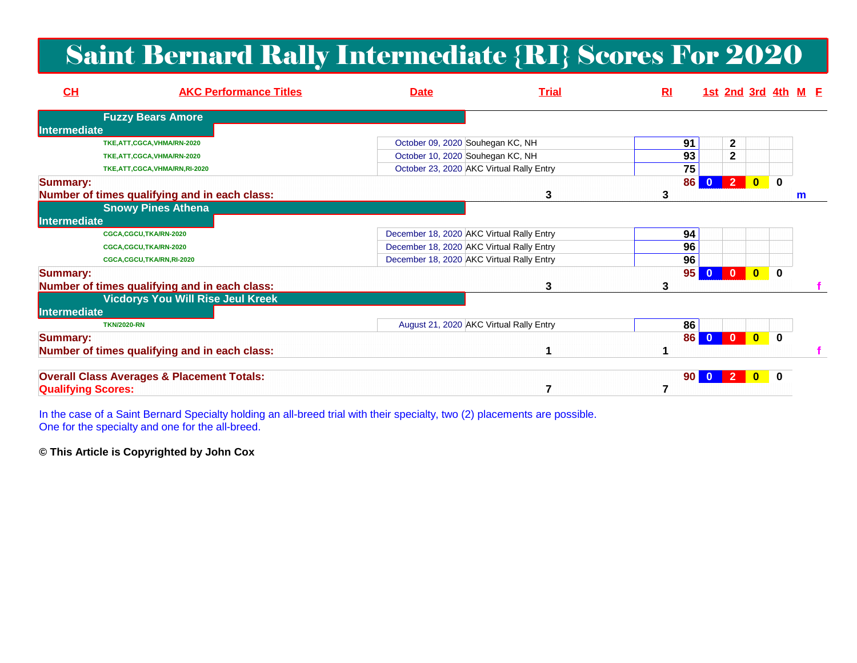## Saint Bernard Rally Intermediate {RI} Scores For 2020

| CL                        | <b>AKC Performance Titles</b>                         | <b>Date</b> | <b>Trial</b>                              | R <sub>l</sub> |                       | 1st 2nd 3rd 4th M E |              |              |   |  |
|---------------------------|-------------------------------------------------------|-------------|-------------------------------------------|----------------|-----------------------|---------------------|--------------|--------------|---|--|
|                           | <b>Fuzzy Bears Amore</b>                              |             |                                           |                |                       |                     |              |              |   |  |
| Intermediate              |                                                       |             |                                           |                |                       |                     |              |              |   |  |
|                           | TKE, ATT, CGCA, VHMA/RN-2020                          |             | October 09, 2020 Souhegan KC, NH          | 91             |                       | 2                   |              |              |   |  |
|                           | TKE, ATT, CGCA, VHMA/RN-2020                          |             | October 10, 2020 Souhegan KC, NH          | 93             |                       | $\mathbf{2}$        |              |              |   |  |
|                           | TKE, ATT, CGCA, VHMA/RN, RI-2020                      |             | October 23, 2020 AKC Virtual Rally Entry  | 75             |                       |                     |              |              |   |  |
| <b>Summary:</b>           |                                                       |             |                                           | 86             |                       | 2                   | $\mathbf{0}$ | $\mathbf 0$  |   |  |
|                           | Number of times qualifying and in each class:         |             | 3                                         |                |                       |                     |              |              | m |  |
|                           | <b>Snowy Pines Athena</b>                             |             |                                           |                |                       |                     |              |              |   |  |
| Intermediate              |                                                       |             |                                           |                |                       |                     |              |              |   |  |
|                           | CGCA,CGCU,TKA/RN-2020                                 |             | December 18, 2020 AKC Virtual Rally Entry | 94             |                       |                     |              |              |   |  |
|                           | CGCA,CGCU,TKA/RN-2020                                 |             | December 18, 2020 AKC Virtual Rally Entry | 96             |                       |                     |              |              |   |  |
|                           | CGCA,CGCU,TKA/RN,RI-2020                              |             | December 18, 2020 AKC Virtual Rally Entry | 96             |                       |                     |              |              |   |  |
| <b>Summary:</b>           |                                                       |             |                                           | 95             |                       |                     | $\mathbf{0}$ | $\bf{0}$     |   |  |
|                           | Number of times qualifying and in each class:         |             | 3                                         | 3              |                       |                     |              |              |   |  |
|                           | <b>Vicdorys You Will Rise Jeul Kreek</b>              |             |                                           |                |                       |                     |              |              |   |  |
| Intermediate              |                                                       |             |                                           |                |                       |                     |              |              |   |  |
|                           | <b>TKN/2020-RN</b>                                    |             | August 21, 2020 AKC Virtual Rally Entry   | 86             |                       |                     |              |              |   |  |
| <b>Summary:</b>           |                                                       |             |                                           |                | 86<br>$\mathbf{0}$    | $\Omega$            | $\mathbf{0}$ | $\Omega$     |   |  |
|                           | Number of times qualifying and in each class:         |             |                                           |                |                       |                     |              |              |   |  |
|                           | <b>Overall Class Averages &amp; Placement Totals:</b> |             |                                           |                | 90 <sub>1</sub><br>-0 |                     |              | $\mathbf{0}$ |   |  |
| <b>Qualifying Scores:</b> |                                                       |             |                                           |                |                       |                     |              |              |   |  |

In the case of a Saint Bernard Specialty holding an all-breed trial with their specialty, two (2) placements are possible. One for the specialty and one for the all-breed.

**© This Article is Copyrighted by John Cox**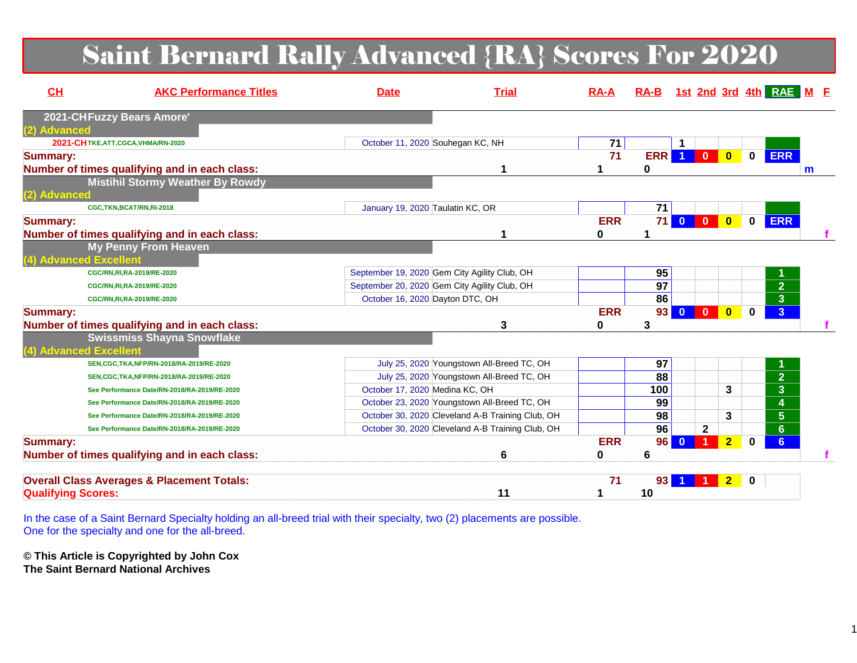## Saint Bernard Rally Advanced {RA} Scores For 2020

| CH                        | <b>AKC Performance Titles</b>                         | <b>Date</b>                      | <b>Trial</b>                                     | $RA-A$     |                 |                |                         |                                        | RA-B 1st 2nd 3rd 4th RAE M E |   |  |
|---------------------------|-------------------------------------------------------|----------------------------------|--------------------------------------------------|------------|-----------------|----------------|-------------------------|----------------------------------------|------------------------------|---|--|
|                           | 2021-CHFuzzy Bears Amore'                             |                                  |                                                  |            |                 |                |                         |                                        |                              |   |  |
| (2) Advanced              |                                                       |                                  |                                                  |            |                 |                |                         |                                        |                              |   |  |
|                           | 2021-CHTKE, ATT, CGCA, VHMA/RN-2020                   | October 11, 2020 Souhegan KC, NH |                                                  | 71         |                 |                |                         |                                        |                              |   |  |
| <b>Summary:</b>           |                                                       |                                  |                                                  | 71         | <b>ERR</b>      | $\blacksquare$ | $\overline{0}$          | $\overline{\mathbf{0}}$<br>$\mathbf 0$ | <b>ERR</b>                   |   |  |
|                           | Number of times qualifying and in each class:         |                                  | 1                                                |            | 0               |                |                         |                                        |                              | m |  |
|                           | <b>Mistihil Stormy Weather By Rowdy</b>               |                                  |                                                  |            |                 |                |                         |                                        |                              |   |  |
| (2) Advanced              |                                                       |                                  |                                                  |            |                 |                |                         |                                        |                              |   |  |
|                           | CGC,TKN,BCAT/RN,RI-2018                               | January 19, 2020 Taulatin KC, OR |                                                  |            | $\overline{71}$ |                |                         |                                        |                              |   |  |
| <b>Summary:</b>           |                                                       |                                  |                                                  | <b>ERR</b> |                 | <b>71 0</b>    | $\overline{\mathbf{0}}$ | $\bullet$<br>$\mathbf 0$               | <b>ERR</b>                   |   |  |
|                           | Number of times qualifying and in each class:         |                                  | 1                                                | 0          | 1               |                |                         |                                        |                              |   |  |
|                           | <b>My Penny From Heaven</b>                           |                                  |                                                  |            |                 |                |                         |                                        |                              |   |  |
|                           | (4) Advanced Excellent                                |                                  |                                                  |            |                 |                |                         |                                        |                              |   |  |
|                           | CGC/RN, RI, RA-2019/RE-2020                           |                                  | September 19, 2020 Gem City Agility Club, OH     |            | 95              |                |                         |                                        |                              |   |  |
|                           | CGC/RN, RI, RA-2019/RE-2020                           |                                  | September 20, 2020 Gem City Agility Club, OH     |            | 97              |                |                         |                                        | $\overline{2}$               |   |  |
|                           | CGC/RN, RI, RA-2019/RE-2020                           | October 16, 2020 Dayton DTC, OH  |                                                  |            | 86              |                |                         |                                        | $\overline{\mathbf{3}}$      |   |  |
| <b>Summary:</b>           |                                                       |                                  |                                                  | <b>ERR</b> | 93              | $\overline{0}$ | $\mathbf{0}$            | $\bf{0}$<br>$\bf{0}$                   | $\overline{3}$               |   |  |
|                           | Number of times qualifying and in each class:         |                                  | 3                                                | 0          | 3               |                |                         |                                        |                              |   |  |
|                           | <b>Swissmiss Shayna Snowflake</b>                     |                                  |                                                  |            |                 |                |                         |                                        |                              |   |  |
|                           | (4) Advanced Excellent                                |                                  |                                                  |            |                 |                |                         |                                        |                              |   |  |
|                           | SEN, CGC, TKA, NFP/RN-2018/RA-2019/RE-2020            |                                  | July 25, 2020 Youngstown All-Breed TC, OH        |            | 97              |                |                         |                                        |                              |   |  |
|                           | SEN, CGC, TKA, NFP/RN-2018/RA-2019/RE-2020            |                                  | July 25, 2020 Youngstown All-Breed TC, OH        |            | 88              |                |                         |                                        | $\overline{2}$               |   |  |
|                           | See Performance Date/RN-2018/RA-2019/RE-2020          | October 17, 2020 Medina KC, OH   |                                                  |            | 100             |                |                         | 3                                      | $\overline{3}$               |   |  |
|                           | See Performance Date/RN-2018/RA-2019/RE-2020          |                                  | October 23, 2020 Youngstown All-Breed TC, OH     |            | 99              |                |                         |                                        | 4                            |   |  |
|                           | See Performance Date/RN-2018/RA-2019/RE-2020          |                                  | October 30, 2020 Cleveland A-B Training Club, OH |            | 98              |                |                         | 3                                      | $5\phantom{.0}$              |   |  |
|                           | See Performance Date/RN-2018/RA-2019/RE-2020          |                                  | October 30, 2020 Cleveland A-B Training Club, OH |            | $\overline{96}$ |                | $\mathbf{2}$            |                                        | $\overline{6}$               |   |  |
| <b>Summary:</b>           |                                                       |                                  |                                                  | <b>ERR</b> | 96 <sup>°</sup> | $\mathbf{0}$   |                         | $\overline{2}$<br>$\mathbf{0}$         | 6                            |   |  |
|                           | Number of times qualifying and in each class:         |                                  | 6                                                | 0          | 6               |                |                         |                                        |                              |   |  |
|                           |                                                       |                                  |                                                  |            |                 |                |                         |                                        |                              |   |  |
|                           | <b>Overall Class Averages &amp; Placement Totals:</b> |                                  |                                                  | 71         | 93 <sub>1</sub> |                |                         | $\overline{2}$<br>$\mathbf 0$          |                              |   |  |
| <b>Qualifying Scores:</b> |                                                       |                                  | 11                                               |            | 10              |                |                         |                                        |                              |   |  |
|                           |                                                       |                                  |                                                  |            |                 |                |                         |                                        |                              |   |  |

In the case of a Saint Bernard Specialty holding an all-breed trial with their specialty, two (2) placements are possible. One for the specialty and one for the all-breed.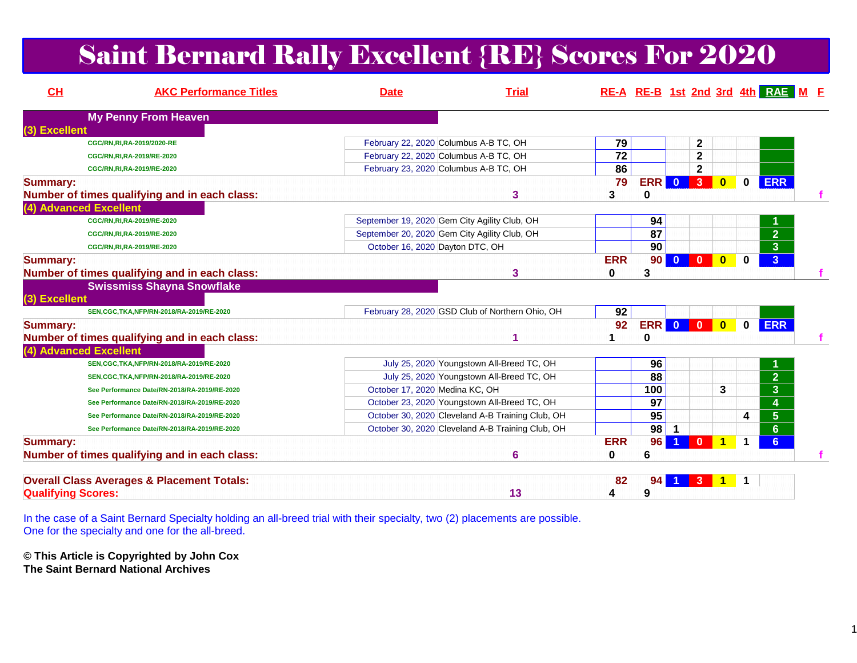## Saint Bernard Rally Excellent {RE} Scores For 2020

| CH                        | <b>AKC Performance Titles</b>                         | <b>Date</b>                    | <b>Trial</b>                                     |                 |                 |                |                |              |              | RE-A RE-B 1st 2nd 3rd 4th RAE M F |  |
|---------------------------|-------------------------------------------------------|--------------------------------|--------------------------------------------------|-----------------|-----------------|----------------|----------------|--------------|--------------|-----------------------------------|--|
|                           | <b>My Penny From Heaven</b>                           |                                |                                                  |                 |                 |                |                |              |              |                                   |  |
| (3) Excellent             |                                                       |                                |                                                  |                 |                 |                |                |              |              |                                   |  |
|                           | CGC/RN, RI, RA-2019/2020-RE                           |                                | February 22, 2020 Columbus A-B TC, OH            | 79              |                 |                | $\mathbf{2}$   |              |              |                                   |  |
|                           | CGC/RN, RI, RA-2019/RE-2020                           |                                | February 22, 2020 Columbus A-B TC, OH            | $\overline{72}$ |                 |                | $\mathbf 2$    |              |              |                                   |  |
|                           | CGC/RN, RI, RA-2019/RE-2020                           |                                | February 23, 2020 Columbus A-B TC, OH            | 86              |                 |                | $\mathbf{2}$   |              |              |                                   |  |
| <b>Summary:</b>           |                                                       |                                |                                                  | 79              | ERR             | $\bullet$      | 3              | $\mathbf{0}$ | $\mathbf{0}$ | <b>ERR</b>                        |  |
|                           | Number of times qualifying and in each class:         |                                | 3                                                | 3               | 0               |                |                |              |              |                                   |  |
|                           | (4) Advanced Excellent                                |                                |                                                  |                 |                 |                |                |              |              |                                   |  |
|                           | CGC/RN, RI, RA-2019/RE-2020                           |                                | September 19, 2020 Gem City Agility Club, OH     |                 | 94              |                |                |              |              |                                   |  |
|                           | CGC/RN, RI, RA-2019/RE-2020                           |                                | September 20, 2020 Gem City Agility Club, OH     |                 | 87              |                |                |              |              | $\overline{2}$                    |  |
|                           | CGC/RN, RI, RA-2019/RE-2020                           |                                | October 16, 2020 Dayton DTC, OH                  |                 | 90              |                |                |              |              | 3 <sup>°</sup>                    |  |
| <b>Summary:</b>           |                                                       |                                |                                                  | <b>ERR</b>      | 90              | $\mathbf{0}$   | $\mathbf{0}$   | $\bf{0}$     | $\bf{0}$     | 3 <sup>1</sup>                    |  |
|                           | Number of times qualifying and in each class:         |                                | 3                                                | 0               | 3               |                |                |              |              |                                   |  |
|                           | <b>Swissmiss Shayna Snowflake</b>                     |                                |                                                  |                 |                 |                |                |              |              |                                   |  |
| (3) Excellent             |                                                       |                                |                                                  |                 |                 |                |                |              |              |                                   |  |
|                           | SEN, CGC, TKA, NFP/RN-2018/RA-2019/RE-2020            |                                | February 28, 2020 GSD Club of Northern Ohio, OH  | 92              |                 |                |                |              |              |                                   |  |
| <b>Summary:</b>           |                                                       |                                |                                                  | 92              | <b>ERR</b>      | $\overline{0}$ | $\mathbf{0}$   | $\mathbf{0}$ | $\mathbf{0}$ | <b>ERR</b>                        |  |
|                           | Number of times qualifying and in each class:         |                                |                                                  |                 | 0               |                |                |              |              |                                   |  |
|                           | (4) Advanced Excellent                                |                                |                                                  |                 |                 |                |                |              |              |                                   |  |
|                           | SEN, CGC, TKA, NFP/RN-2018/RA-2019/RE-2020            |                                | July 25, 2020 Youngstown All-Breed TC, OH        |                 | 96              |                |                |              |              |                                   |  |
|                           | SEN, CGC, TKA, NFP/RN-2018/RA-2019/RE-2020            |                                | July 25, 2020 Youngstown All-Breed TC, OH        |                 | $\overline{88}$ |                |                |              |              | $\overline{2}$                    |  |
|                           | See Performance Date/RN-2018/RA-2019/RE-2020          | October 17, 2020 Medina KC, OH |                                                  |                 | 100             |                |                | 3            |              | $\overline{\mathbf{3}}$           |  |
|                           | See Performance Date/RN-2018/RA-2019/RE-2020          |                                | October 23, 2020 Youngstown All-Breed TC, OH     |                 | 97              |                |                |              |              | 4                                 |  |
|                           | See Performance Date/RN-2018/RA-2019/RE-2020          |                                | October 30, 2020 Cleveland A-B Training Club, OH |                 | 95              |                |                |              | 4            | $\overline{5}$                    |  |
|                           | See Performance Date/RN-2018/RA-2019/RE-2020          |                                | October 30, 2020 Cleveland A-B Training Club, OH |                 | 98              |                |                |              |              | $6\phantom{a}$                    |  |
| <b>Summary:</b>           |                                                       |                                |                                                  | <b>ERR</b>      | 96              |                | $\Omega$       |              | 1            | 6 <sup>1</sup>                    |  |
|                           | Number of times qualifying and in each class:         |                                | 6                                                | 0               | 6               |                |                |              |              |                                   |  |
|                           |                                                       |                                |                                                  |                 |                 |                |                |              |              |                                   |  |
|                           | <b>Overall Class Averages &amp; Placement Totals:</b> |                                |                                                  | 82              | 94              | 1 <sup>1</sup> | 3 <sup>°</sup> |              |              |                                   |  |
| <b>Qualifying Scores:</b> |                                                       |                                | 13                                               | 4               | 9               |                |                |              |              |                                   |  |
|                           |                                                       |                                |                                                  |                 |                 |                |                |              |              |                                   |  |

In the case of a Saint Bernard Specialty holding an all-breed trial with their specialty, two (2) placements are possible. One for the specialty and one for the all-breed.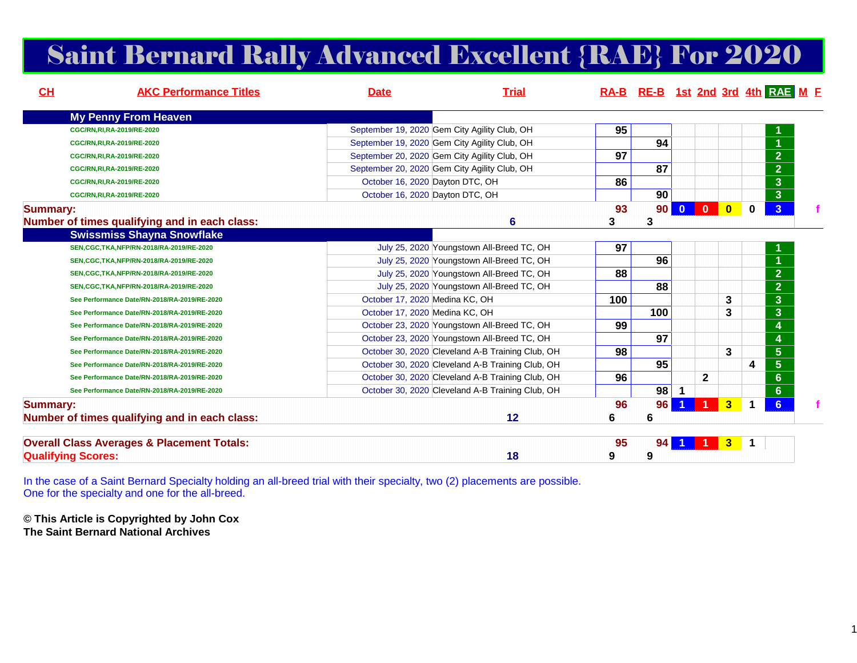## Saint Bernard Rally Advanced Excellent {RAE} For 2020

| CH              | <b>AKC Performance Titles</b>                         | <b>Date</b>                    | <b>Trial</b>                                     |     |     |                         |                |                |          | RA-B RE-B 1st 2nd 3rd 4th RAE M F |
|-----------------|-------------------------------------------------------|--------------------------------|--------------------------------------------------|-----|-----|-------------------------|----------------|----------------|----------|-----------------------------------|
|                 | <b>My Penny From Heaven</b>                           |                                |                                                  |     |     |                         |                |                |          |                                   |
|                 | CGC/RN,RI,RA-2019/RE-2020                             |                                | September 19, 2020 Gem City Agility Club, OH     | 95  |     |                         |                |                |          |                                   |
|                 | CGC/RN, RI, RA-2019/RE-2020                           |                                | September 19, 2020 Gem City Agility Club, OH     |     | 94  |                         |                |                |          |                                   |
|                 | CGC/RN, RI, RA-2019/RE-2020                           |                                | September 20, 2020 Gem City Agility Club, OH     | 97  |     |                         |                |                |          | $\overline{2}$                    |
|                 | CGC/RN, RI, RA-2019/RE-2020                           |                                | September 20, 2020 Gem City Agility Club, OH     |     | 87  |                         |                |                |          | $\overline{2}$                    |
|                 | CGC/RN, RI, RA-2019/RE-2020                           |                                | October 16, 2020 Dayton DTC, OH                  | 86  |     |                         |                |                |          | $\overline{3}$                    |
|                 | CGC/RN, RI, RA-2019/RE-2020                           |                                | October 16, 2020 Dayton DTC, OH                  |     | 90  |                         |                |                |          | $\overline{3}$                    |
| <b>Summary:</b> |                                                       |                                |                                                  | 93  | 90  | $\overline{\mathbf{0}}$ | $\overline{0}$ | $\bf{0}$       | $\bf{0}$ | $\overline{\mathbf{3}}$           |
|                 | Number of times qualifying and in each class:         |                                | 6                                                | 3   | 3   |                         |                |                |          |                                   |
|                 | <b>Swissmiss Shayna Snowflake</b>                     |                                |                                                  |     |     |                         |                |                |          |                                   |
|                 | SEN, CGC, TKA, NFP/RN-2018/RA-2019/RE-2020            |                                | July 25, 2020 Youngstown All-Breed TC, OH        | 97  |     |                         |                |                |          |                                   |
|                 | SEN, CGC, TKA, NFP/RN-2018/RA-2019/RE-2020            |                                | July 25, 2020 Youngstown All-Breed TC, OH        |     | 96  |                         |                |                |          | $\overline{1}$                    |
|                 | SEN, CGC, TKA, NFP/RN-2018/RA-2019/RE-2020            |                                | July 25, 2020 Youngstown All-Breed TC, OH        | 88  |     |                         |                |                |          | $\overline{2}$                    |
|                 | SEN, CGC, TKA, NFP/RN-2018/RA-2019/RE-2020            |                                | July 25, 2020 Youngstown All-Breed TC, OH        |     | 88  |                         |                |                |          | $\overline{2}$                    |
|                 | See Performance Date/RN-2018/RA-2019/RE-2020          | October 17, 2020 Medina KC, OH |                                                  | 100 |     |                         |                | 3              |          | $\overline{3}$                    |
|                 | See Performance Date/RN-2018/RA-2019/RE-2020          | October 17, 2020 Medina KC, OH |                                                  |     | 100 |                         |                | 3              |          | $\mathbf{3}$                      |
|                 | See Performance Date/RN-2018/RA-2019/RE-2020          |                                | October 23, 2020 Youngstown All-Breed TC, OH     | 99  |     |                         |                |                |          | $\overline{\mathbf{4}}$           |
|                 | See Performance Date/RN-2018/RA-2019/RE-2020          |                                | October 23, 2020 Youngstown All-Breed TC, OH     |     | 97  |                         |                |                |          | $\overline{\mathbf{4}}$           |
|                 | See Performance Date/RN-2018/RA-2019/RE-2020          |                                | October 30, 2020 Cleveland A-B Training Club, OH | 98  |     |                         |                | 3              |          | $\overline{5}$                    |
|                 | See Performance Date/RN-2018/RA-2019/RE-2020          |                                | October 30, 2020 Cleveland A-B Training Club, OH |     | 95  |                         |                |                | 4        | $\overline{5}$                    |
|                 | See Performance Date/RN-2018/RA-2019/RE-2020          |                                | October 30, 2020 Cleveland A-B Training Club, OH | 96  |     |                         | $\mathbf{2}$   |                |          | $6\phantom{1}$                    |
|                 | See Performance Date/RN-2018/RA-2019/RE-2020          |                                | October 30, 2020 Cleveland A-B Training Club, OH |     | 98  |                         |                |                |          | $6\phantom{a}$                    |
| <b>Summary:</b> |                                                       |                                |                                                  | 96  | 96  |                         |                | 3 <sup>1</sup> |          | 6                                 |
|                 | Number of times qualifying and in each class:         |                                | 12                                               | 6   | 6   |                         |                |                |          |                                   |
|                 | <b>Overall Class Averages &amp; Placement Totals:</b> |                                |                                                  | 95  | 94  |                         |                | $\mathbf{3}$   |          |                                   |
|                 | <b>Qualifying Scores:</b>                             |                                | 18                                               | 9   | 9   |                         |                |                |          |                                   |

In the case of a Saint Bernard Specialty holding an all-breed trial with their specialty, two (2) placements are possible. One for the specialty and one for the all-breed.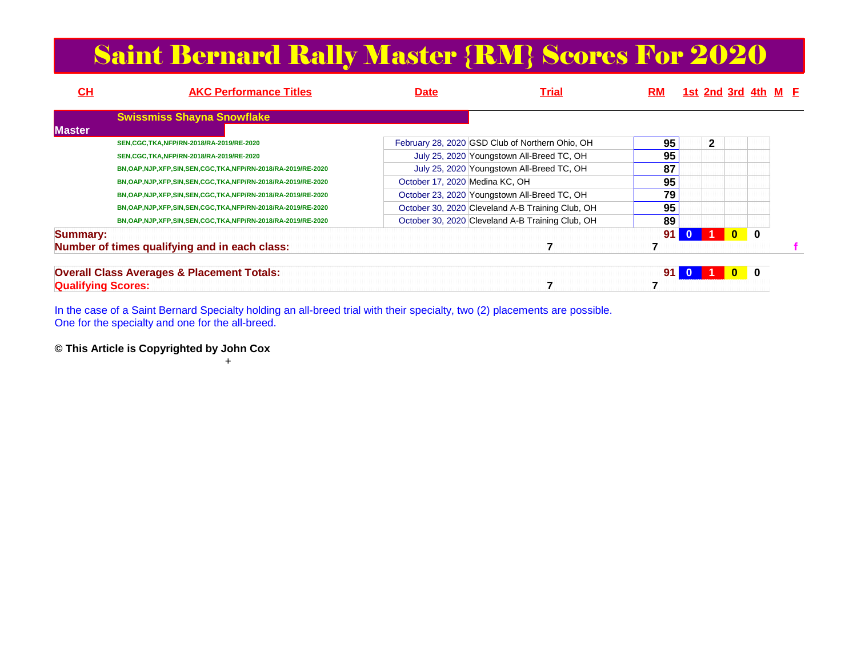## Saint Bernard Rally Master {RM} Scores For 2020

| $CH$                      | <b>AKC Performance Titles</b>                              | <b>Date</b>                    | Trial                                            | <b>RM</b> |              |              | 1st 2nd 3rd 4th M E |                |  |
|---------------------------|------------------------------------------------------------|--------------------------------|--------------------------------------------------|-----------|--------------|--------------|---------------------|----------------|--|
|                           | <b>Swissmiss Shayna Snowflake</b>                          |                                |                                                  |           |              |              |                     |                |  |
| <b>Master</b>             |                                                            |                                |                                                  |           |              |              |                     |                |  |
|                           | SEN, CGC, TKA, NFP/RN-2018/RA-2019/RE-2020                 |                                | February 28, 2020 GSD Club of Northern Ohio, OH  | 95        |              | $\mathbf{2}$ |                     |                |  |
|                           | SEN, CGC, TKA, NFP/RN-2018/RA-2019/RE-2020                 |                                | July 25, 2020 Youngstown All-Breed TC, OH        | 95        |              |              |                     |                |  |
|                           | BN,OAP,NJP,XFP,SIN,SEN,CGC,TKA,NFP/RN-2018/RA-2019/RE-2020 |                                | July 25, 2020 Youngstown All-Breed TC, OH        | 87        |              |              |                     |                |  |
|                           | BN,OAP,NJP,XFP,SIN,SEN,CGC,TKA,NFP/RN-2018/RA-2019/RE-2020 | October 17, 2020 Medina KC, OH |                                                  | 95        |              |              |                     |                |  |
|                           | BN,OAP,NJP,XFP,SIN,SEN,CGC,TKA,NFP/RN-2018/RA-2019/RE-2020 |                                | October 23, 2020 Youngstown All-Breed TC, OH     | 79        |              |              |                     |                |  |
|                           | BN,OAP,NJP,XFP,SIN,SEN,CGC,TKA,NFP/RN-2018/RA-2019/RE-2020 |                                | October 30, 2020 Cleveland A-B Training Club, OH | 95        |              |              |                     |                |  |
|                           | BN,OAP,NJP,XFP,SIN,SEN,CGC,TKA,NFP/RN-2018/RA-2019/RE-2020 |                                | October 30, 2020 Cleveland A-B Training Club, OH | 89        |              |              |                     |                |  |
| <b>Summary:</b>           |                                                            |                                |                                                  | 91        | $\mathbf{0}$ |              | $\bf{0}$            | $\bf{0}$       |  |
|                           | Number of times qualifying and in each class:              |                                |                                                  |           |              |              |                     |                |  |
|                           |                                                            |                                |                                                  |           |              |              |                     |                |  |
|                           | <b>Overall Class Averages &amp; Placement Totals:</b>      |                                |                                                  | 91        | $\bf{0}$     |              |                     | $\blacksquare$ |  |
| <b>Qualifying Scores:</b> |                                                            |                                |                                                  |           |              |              |                     |                |  |

In the case of a Saint Bernard Specialty holding an all-breed trial with their specialty, two (2) placements are possible. One for the specialty and one for the all-breed.

**© This Article is Copyrighted by John Cox**

+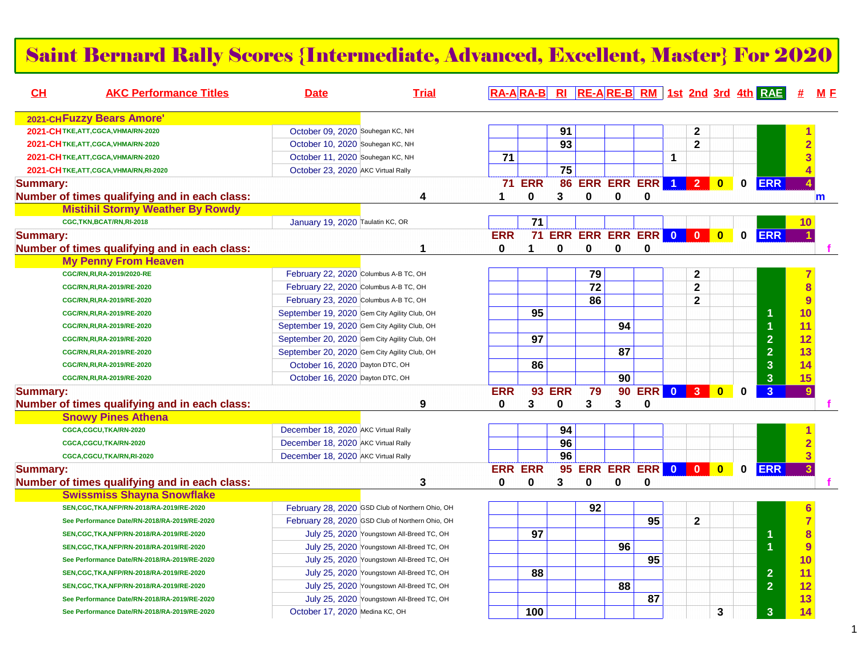#### Saint Bernard Rally Scores {Intermediate, Advanced, Excellent, Master} For 2020

| CH              | <b>AKC Performance Titles</b>                 | <b>Date</b>                                  | <b>Trial</b>                                    |                 |                 |                 |                 |                 |                                 |                |                         |                         |              | RA-ARA-B RI RE-ARE-B RM 1st 2nd 3rd 4th RAE | <b>#</b>                | <u>M F</u>  |
|-----------------|-----------------------------------------------|----------------------------------------------|-------------------------------------------------|-----------------|-----------------|-----------------|-----------------|-----------------|---------------------------------|----------------|-------------------------|-------------------------|--------------|---------------------------------------------|-------------------------|-------------|
|                 | 2021-CHFuzzy Bears Amore'                     |                                              |                                                 |                 |                 |                 |                 |                 |                                 |                |                         |                         |              |                                             |                         |             |
|                 | 2021-CHTKE, ATT, CGCA, VHMA/RN-2020           | October 09, 2020 Souhegan KC, NH             |                                                 |                 |                 | 91              |                 |                 |                                 |                | $\mathbf 2$             |                         |              |                                             |                         |             |
|                 | 2021-CHTKE, ATT, CGCA, VHMA/RN-2020           | October 10, 2020 Souhegan KC, NH             |                                                 |                 |                 | $\overline{93}$ |                 |                 |                                 |                | $\overline{2}$          |                         |              |                                             |                         |             |
|                 | 2021-CHTKE, ATT, CGCA, VHMA/RN-2020           | October 11, 2020 Souhegan KC, NH             |                                                 | $\overline{71}$ |                 |                 |                 |                 |                                 | $\mathbf 1$    |                         |                         |              |                                             |                         |             |
|                 | 2021-CHTKE, ATT, CGCA, VHMA/RN, RI-2020       | October 23, 2020 AKC Virtual Rally           |                                                 |                 |                 | 75              |                 |                 |                                 |                |                         |                         |              |                                             |                         |             |
| <b>Summary:</b> |                                               |                                              |                                                 |                 | <b>71 ERR</b>   |                 |                 |                 | 86 ERR ERR ERR                  | $\overline{1}$ | 2 <sup>7</sup>          | $\bullet$               | $\mathbf 0$  | <b>ERR</b>                                  |                         |             |
|                 | Number of times qualifying and in each class: |                                              | 4                                               | 1               | 0               | 3               | 0               | 0               | 0                               |                |                         |                         |              |                                             |                         | $\mathbf m$ |
|                 | <b>Mistihil Stormy Weather By Rowdy</b>       |                                              |                                                 |                 |                 |                 |                 |                 |                                 |                |                         |                         |              |                                             |                         |             |
|                 | CGC,TKN,BCAT/RN,RI-2018                       | January 19, 2020 Taulatin KC, OR             |                                                 |                 | 71              |                 |                 |                 |                                 |                |                         |                         |              |                                             | 10                      |             |
| <b>Summary:</b> |                                               |                                              |                                                 | <b>ERR</b>      |                 |                 |                 |                 | <b>71 ERR ERR ERR ERR 0 0 0</b> |                |                         | $\overline{\mathbf{0}}$ |              | 0 ERR                                       |                         |             |
|                 | Number of times qualifying and in each class: |                                              | 1                                               | 0               |                 | 0               | 0               | 0               | 0                               |                |                         |                         |              |                                             |                         |             |
|                 | <b>My Penny From Heaven</b>                   |                                              |                                                 |                 |                 |                 |                 |                 |                                 |                |                         |                         |              |                                             |                         |             |
|                 | CGC/RN, RI, RA-2019/2020-RE                   | February 22, 2020 Columbus A-B TC, OH        |                                                 |                 |                 |                 | 79              |                 |                                 |                | $\mathbf 2$             |                         |              |                                             |                         |             |
|                 | CGC/RN, RI, RA-2019/RE-2020                   | February 22, 2020 Columbus A-B TC, OH        |                                                 |                 |                 |                 | $\overline{72}$ |                 |                                 |                | $\overline{\mathbf{2}}$ |                         |              |                                             | 8                       |             |
|                 | CGC/RN, RI, RA-2019/RE-2020                   | February 23, 2020 Columbus A-B TC, OH        |                                                 |                 |                 |                 | 86              |                 |                                 |                | $\mathbf{2}$            |                         |              |                                             | 9                       |             |
|                 | CGC/RN, RI, RA-2019/RE-2020                   | September 19, 2020 Gem City Agility Club, OH |                                                 |                 | 95              |                 |                 |                 |                                 |                |                         |                         |              |                                             | 10                      |             |
|                 | CGC/RN, RI, RA-2019/RE-2020                   | September 19, 2020 Gem City Agility Club, OH |                                                 |                 |                 |                 |                 | 94              |                                 |                |                         |                         |              |                                             | 11                      |             |
|                 | CGC/RN, RI, RA-2019/RE-2020                   | September 20, 2020 Gem City Agility Club, OH |                                                 |                 | $\overline{97}$ |                 |                 |                 |                                 |                |                         |                         |              | $\overline{2}$                              | 12                      |             |
|                 | CGC/RN, RI, RA-2019/RE-2020                   | September 20, 2020 Gem City Agility Club, OH |                                                 |                 |                 |                 |                 | $\overline{87}$ |                                 |                |                         |                         |              | $\overline{2}$                              | 13                      |             |
|                 | CGC/RN, RI, RA-2019/RE-2020                   | October 16, 2020 Dayton DTC, OH              |                                                 |                 | 86              |                 |                 |                 |                                 |                |                         |                         |              | 3                                           | 14                      |             |
|                 | CGC/RN, RI, RA-2019/RE-2020                   | October 16, 2020 Dayton DTC, OH              |                                                 |                 |                 |                 |                 | 90              |                                 |                |                         |                         |              | $\overline{\mathbf{3}}$                     | 15                      |             |
| <b>Summary:</b> |                                               |                                              |                                                 | <b>ERR</b>      | 93              | <b>ERR</b>      | 79              | 90              | ERR 0                           |                | $\vert 3 \vert$         | $\overline{\mathbf{0}}$ | $\bf{0}$     | 3 <sup>1</sup>                              | 9                       |             |
|                 | Number of times qualifying and in each class: |                                              | 9                                               | $\bf{0}$        | 3               | 0               | 3               | 3               | $\bf{0}$                        |                |                         |                         |              |                                             |                         |             |
|                 | <b>Snowy Pines Athena</b>                     |                                              |                                                 |                 |                 |                 |                 |                 |                                 |                |                         |                         |              |                                             |                         |             |
|                 | CGCA,CGCU,TKA/RN-2020                         | December 18, 2020 AKC Virtual Rally          |                                                 |                 |                 | 94              |                 |                 |                                 |                |                         |                         |              |                                             |                         |             |
|                 | CGCA,CGCU,TKA/RN-2020                         | December 18, 2020 AKC Virtual Rally          |                                                 |                 |                 | 96              |                 |                 |                                 |                |                         |                         |              |                                             |                         |             |
|                 | CGCA,CGCU,TKA/RN,RI-2020                      | December 18, 2020 AKC Virtual Rally          |                                                 |                 |                 | 96              |                 |                 |                                 |                |                         |                         |              |                                             | $\overline{\mathbf{3}}$ |             |
| <b>Summary:</b> |                                               |                                              |                                                 |                 | <b>ERR ERR</b>  | 95              |                 |                 | ERR ERR ERR 0 0                 |                |                         | $\bullet$               | $\mathbf{0}$ | <b>ERR</b>                                  | $\overline{3}$          |             |
|                 | Number of times qualifying and in each class: |                                              | 3                                               | $\mathbf{0}$    | 0               | 3               | $\mathbf 0$     | $\mathbf 0$     | $\bf{0}$                        |                |                         |                         |              |                                             |                         |             |
|                 | <b>Swissmiss Shayna Snowflake</b>             |                                              |                                                 |                 |                 |                 |                 |                 |                                 |                |                         |                         |              |                                             |                         |             |
|                 | SEN, CGC, TKA, NFP/RN-2018/RA-2019/RE-2020    |                                              | February 28, 2020 GSD Club of Northern Ohio, OH |                 |                 |                 | 92              |                 |                                 |                |                         |                         |              |                                             |                         |             |
|                 | See Performance Date/RN-2018/RA-2019/RE-2020  |                                              | February 28, 2020 GSD Club of Northern Ohio, OH |                 |                 |                 |                 |                 | $\overline{95}$                 |                | $\mathbf 2$             |                         |              |                                             | $\overline{7}$          |             |
|                 | SEN, CGC, TKA, NFP/RN-2018/RA-2019/RE-2020    |                                              | July 25, 2020 Youngstown All-Breed TC, OH       |                 | $\overline{97}$ |                 |                 |                 |                                 |                |                         |                         |              |                                             | 8                       |             |
|                 | SEN, CGC, TKA, NFP/RN-2018/RA-2019/RE-2020    |                                              | July 25, 2020 Youngstown All-Breed TC, OH       |                 |                 |                 |                 | 96              |                                 |                |                         |                         |              |                                             | 9                       |             |
|                 | See Performance Date/RN-2018/RA-2019/RE-2020  |                                              | July 25, 2020 Youngstown All-Breed TC, OH       |                 |                 |                 |                 |                 | $\overline{95}$                 |                |                         |                         |              |                                             | 10                      |             |
|                 | SEN, CGC, TKA, NFP/RN-2018/RA-2019/RE-2020    |                                              | July 25, 2020 Youngstown All-Breed TC, OH       |                 | 88              |                 |                 |                 |                                 |                |                         |                         |              | $\overline{2}$                              | 11                      |             |
|                 | SEN, CGC, TKA, NFP/RN-2018/RA-2019/RE-2020    |                                              | July 25, 2020 Youngstown All-Breed TC, OH       |                 |                 |                 |                 | 88              |                                 |                |                         |                         |              | $\overline{2}$                              | 12                      |             |
|                 | See Performance Date/RN-2018/RA-2019/RE-2020  |                                              | July 25, 2020 Youngstown All-Breed TC, OH       |                 |                 |                 |                 |                 | $\overline{87}$                 |                |                         |                         |              |                                             | 13                      |             |
|                 | See Performance Date/RN-2018/RA-2019/RE-2020  | October 17, 2020 Medina KC, OH               |                                                 |                 | 100             |                 |                 |                 |                                 |                |                         | 3                       |              | $\overline{3}$                              | 14                      |             |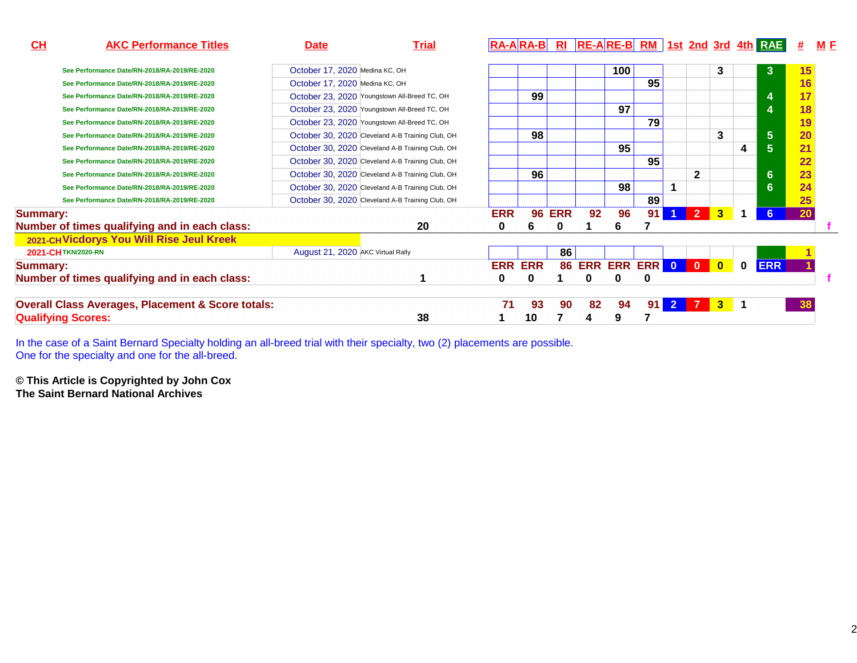| CH<br><b>AKC Performance Titles</b>                          | <u>Date</u>                       | <b>Trial</b>                                     |            |                |               |                           |     |    |                      |                |              |              | $R_A - A R_A - B$ RI $R_E - A R_E - B R_M$ 1st 2nd 3rd 4th RAE | #  | M E |
|--------------------------------------------------------------|-----------------------------------|--------------------------------------------------|------------|----------------|---------------|---------------------------|-----|----|----------------------|----------------|--------------|--------------|----------------------------------------------------------------|----|-----|
| See Performance Date/RN-2018/RA-2019/RE-2020                 | October 17, 2020 Medina KC, OH    |                                                  |            |                |               |                           | 100 |    |                      |                | 3            |              | $\mathbf{3}$                                                   | 15 |     |
| See Performance Date/RN-2018/RA-2019/RE-2020                 | October 17, 2020 Medina KC, OH    |                                                  |            |                |               |                           |     | 95 |                      |                |              |              |                                                                | 16 |     |
| See Performance Date/RN-2018/RA-2019/RE-2020                 |                                   | October 23, 2020 Youngstown All-Breed TC, OH     |            | 99             |               |                           |     |    |                      |                |              |              | 4                                                              | 17 |     |
| See Performance Date/RN-2018/RA-2019/RE-2020                 |                                   | October 23, 2020 Youngstown All-Breed TC, OH     |            |                |               |                           | 97  |    |                      |                |              |              | 4                                                              | 18 |     |
| See Performance Date/RN-2018/RA-2019/RE-2020                 |                                   | October 23, 2020 Youngstown All-Breed TC, OH     |            |                |               |                           |     | 79 |                      |                |              |              |                                                                | 19 |     |
| See Performance Date/RN-2018/RA-2019/RE-2020                 |                                   | October 30, 2020 Cleveland A-B Training Club, OH |            | 98             |               |                           |     |    |                      |                | 3            |              | $5\phantom{1}$                                                 | 20 |     |
| See Performance Date/RN-2018/RA-2019/RE-2020                 |                                   | October 30, 2020 Cleveland A-B Training Club, OH |            |                |               |                           | 95  |    |                      |                |              | 4            | $5\phantom{1}$                                                 | 21 |     |
| See Performance Date/RN-2018/RA-2019/RE-2020                 |                                   | October 30, 2020 Cleveland A-B Training Club, OH |            |                |               |                           |     | 95 |                      |                |              |              |                                                                | 22 |     |
| See Performance Date/RN-2018/RA-2019/RE-2020                 |                                   | October 30, 2020 Cleveland A-B Training Club, OH |            | 96             |               |                           |     |    |                      | 2              |              |              | $6\phantom{1}$                                                 | 23 |     |
| See Performance Date/RN-2018/RA-2019/RE-2020                 |                                   | October 30, 2020 Cleveland A-B Training Club, OH |            |                |               |                           | 98  |    |                      |                |              |              | 6                                                              | 24 |     |
| See Performance Date/RN-2018/RA-2019/RE-2020                 |                                   | October 30, 2020 Cleveland A-B Training Club, OH |            |                |               |                           |     | 89 |                      |                |              |              |                                                                | 25 |     |
| <b>Summary:</b>                                              |                                   |                                                  | <b>ERR</b> |                | <b>96 ERR</b> | 92                        | 96  | 91 | $\blacktriangleleft$ | $\overline{2}$ | $\mathbf{3}$ |              | 6                                                              | 20 |     |
| Number of times qualifying and in each class:                |                                   | 20                                               | 0          | 6              | 0             |                           | ь   |    |                      |                |              |              |                                                                |    |     |
| 2021-CH Vicdorys You Will Rise Jeul Kreek                    |                                   |                                                  |            |                |               |                           |     |    |                      |                |              |              |                                                                |    |     |
| 2021-CHTKN/2020-RN                                           | August 21, 2020 AKC Virtual Rally |                                                  |            |                | 86            |                           |     |    |                      |                |              |              |                                                                |    |     |
| <b>Summary:</b>                                              |                                   |                                                  |            | <b>ERR ERR</b> |               | <b>86 ERR ERR ERR 0 0</b> |     |    |                      |                | $\bullet$    | $\mathbf{0}$ | <b>ERR</b>                                                     |    |     |
| Number of times qualifying and in each class:                |                                   |                                                  | 0          | 0              |               | 0                         |     | 0  |                      |                |              |              |                                                                |    |     |
| <b>Overall Class Averages, Placement &amp; Score totals:</b> |                                   |                                                  | 71         | 93             | 90            | 82                        | 94  | 91 | 2 <sup>1</sup>       |                | $3 - 1$      |              |                                                                | 38 |     |
| <b>Qualifying Scores:</b>                                    |                                   | 38                                               |            | 10             |               |                           |     |    |                      |                |              |              |                                                                |    |     |

In the case of a Saint Bernard Specialty holding an all-breed trial with their specialty, two (2) placements are possible. One for the specialty and one for the all-breed.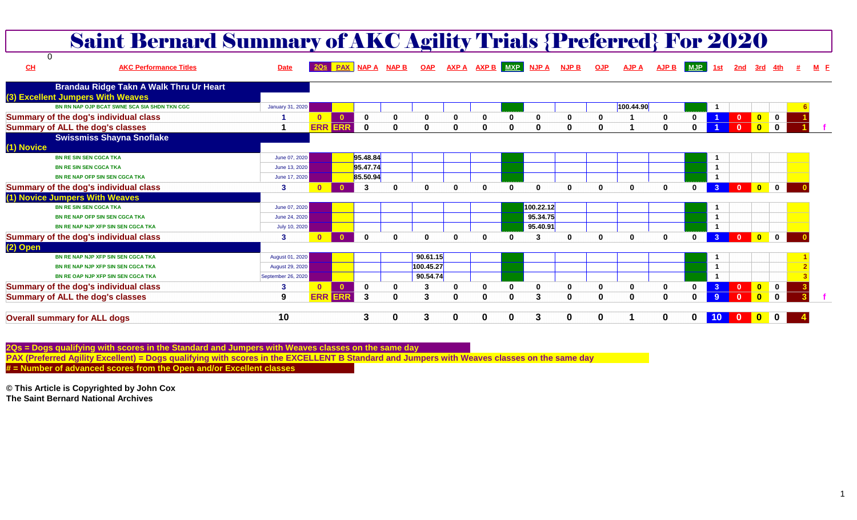|                                         | <b>Saint Bernard Summary of AKC Agility Trials {Preferred} For 2020</b> |                        |              |              |              |                         |              |              |          |             |              |                             |              |              |              |              |                |              |                         |              |  |
|-----------------------------------------|-------------------------------------------------------------------------|------------------------|--------------|--------------|--------------|-------------------------|--------------|--------------|----------|-------------|--------------|-----------------------------|--------------|--------------|--------------|--------------|----------------|--------------|-------------------------|--------------|--|
| $\Omega$<br>CL                          | <b>AKC Performance Titles</b>                                           | <b>Date</b>            |              |              |              | 20s PAX NAP A NAP B OAP |              |              |          |             |              | AXPA AXPB MXP NJPA NJPB OJP |              | <b>AJP A</b> |              | AJP B MJP    | <u>1st</u>     | 2nd          | <u>3rd 4th</u>          |              |  |
| (3) Excellent Jumpers With Weaves       | Brandau Ridge Takn A Walk Thru Ur Heart                                 |                        |              |              |              |                         |              |              |          |             |              |                             |              |              |              |              |                |              |                         |              |  |
|                                         | BN RN NAP OJP BCAT SWNE SCA SIA SHDN TKN CGC                            | January 31, 2020       |              |              |              |                         |              |              |          |             |              |                             |              | 100.44.90    |              |              | -1             |              |                         |              |  |
| Summary of the dog's individual class   |                                                                         |                        | $\mathbf{0}$ | $\mathbf{0}$ | $\mathbf 0$  | 0                       | $\mathbf 0$  | 0            | $\bf{0}$ | 0           | 0            | 0                           |              |              |              |              |                |              | $\overline{\mathbf{0}}$ | $\mathbf 0$  |  |
| <b>Summary of ALL the dog's classes</b> |                                                                         |                        | <b>ERR</b>   | <b>ERR</b>   | $\Omega$     | $\Omega$                | $\Omega$     | $\mathbf{0}$ | $\Omega$ | $\mathbf 0$ | $\bf{0}$     | $\bf{0}$                    | <sup>0</sup> |              | $\mathbf{0}$ | $\Omega$     |                |              | $\overline{\mathbf{0}}$ | $\mathbf{0}$ |  |
| (1) Novice                              | <b>Swissmiss Shayna Snoflake</b>                                        |                        |              |              |              |                         |              |              |          |             |              |                             |              |              |              |              |                |              |                         |              |  |
| <b>BN RE SIN SEN CGCA TKA</b>           |                                                                         | June 07, 2020          |              |              | 95.48.84     |                         |              |              |          |             |              |                             |              |              |              |              | $\mathbf{1}$   |              |                         |              |  |
| <b>BN RE SIN SEN CGCA TKA</b>           |                                                                         | June 13, 2020          |              |              | 95.47.74     |                         |              |              |          |             |              |                             |              |              |              |              | $\overline{1}$ |              |                         |              |  |
| <b>BN RE NAP OFP SIN SEN CGCA TKA</b>   |                                                                         | June 17, 2020          |              |              | 85.50.94     |                         |              |              |          |             |              |                             |              |              |              |              | $\overline{1}$ |              |                         |              |  |
| Summary of the dog's individual class   |                                                                         | 3                      | $\Omega$     | $\Omega$     | 3            | $\Omega$                | <sup>0</sup> | $\Omega$     | $\Omega$ | $\Omega$    | O            | $\bf{0}$                    | $\Omega$     | $\mathbf{0}$ | $\mathbf{0}$ |              | 3 <sup>°</sup> | $\Omega$     | $\bullet$               | $\mathbf{0}$ |  |
| (1) Novice Jumpers With Weaves          |                                                                         |                        |              |              |              |                         |              |              |          |             |              |                             |              |              |              |              |                |              |                         |              |  |
| <b>BN RE SIN SEN CGCA TKA</b>           |                                                                         | June 07, 2020          |              |              |              |                         |              |              |          |             | 100.22.12    |                             |              |              |              |              | $\mathbf 1$    |              |                         |              |  |
| <b>BN RE NAP OFP SIN SEN CGCA TKA</b>   |                                                                         | June 24, 2020          |              |              |              |                         |              |              |          |             | 95.34.75     |                             |              |              |              |              | $\overline{1}$ |              |                         |              |  |
|                                         | BN RE NAP NJP XFP SIN SEN CGCA TKA                                      | July 10, 2020          |              |              |              |                         |              |              |          |             | 95.40.91     |                             |              |              |              |              | $\overline{1}$ |              |                         |              |  |
| Summary of the dog's individual class   |                                                                         | 3                      | $\mathbf{0}$ | $\mathbf{0}$ | $\mathbf{0}$ | $\mathbf{0}$            | $\Omega$     | $\Omega$     | $\Omega$ | $\Omega$    | 3            | 0                           | $\Omega$     | $\mathbf{0}$ | $\mathbf{0}$ | $\mathbf{0}$ | 3 <sup>°</sup> |              | <b>O</b> OO             |              |  |
| (2) Open                                |                                                                         |                        |              |              |              |                         |              |              |          |             |              |                             |              |              |              |              |                |              |                         |              |  |
|                                         | BN RE NAP NJP XFP SIN SEN CGCA TKA                                      | August 01, 2020        |              |              |              |                         | 90.61.15     |              |          |             |              |                             |              |              |              |              | $\mathbf{1}$   |              |                         |              |  |
|                                         | BN RE NAP NJP XFP SIN SEN CGCA TKA                                      | <b>August 29, 2020</b> |              |              |              |                         | 100.45.27    |              |          |             |              |                             |              |              |              |              | $\overline{1}$ |              |                         |              |  |
|                                         | BN RE OAP NJP XFP SIN SEN CGCA TKA                                      | September 26, 2020     |              |              |              |                         | 90.54.74     |              |          |             |              |                             |              |              |              |              | $\overline{1}$ |              |                         |              |  |
| Summary of the dog's individual class   |                                                                         | 3                      | $\mathbf{0}$ | $\bullet$    | $\mathbf{0}$ | 0                       | 3            | O            | $\Omega$ | $\bf{0}$    | $\mathbf{0}$ | 0                           | $\Omega$     | $\mathbf 0$  | $\mathbf 0$  |              |                | $\mathbf{0}$ | $\bullet$               | $\bf{0}$     |  |
| <b>Summary of ALL the dog's classes</b> |                                                                         | 9                      | <b>ERR</b>   | <b>ERR</b>   | 3            | $\bf{0}$                | 3            | $\bf{0}$     | $\Omega$ | $\bf{0}$    | 3            | $\bf{0}$                    | $\mathbf{0}$ | $\mathbf 0$  | $\mathbf 0$  | $\bf{0}$     |                |              | $\mathbf{0}$            | $\bf{0}$     |  |
| <b>Overall summary for ALL dogs</b>     |                                                                         | 10                     |              |              | 3            | $\bf{0}$                | 3            | $\bf{0}$     | 0        | 0           | 3            | 0                           | 0            |              | $\bf{0}$     | 0            | 10             |              | $\overline{\mathbf{0}}$ | $\bf{0}$     |  |

**2Qs = Dogs qualifying with scores in the Standard and Jumpers with Weaves classes on the same dayPAX (Preferred Agility Excellent) = Dogs qualifying with scores in the EXCELLENT B Standard and Jumpers with Weaves classes on the same day**

**# = Number of advanced scores from the Open and/or Excellent classes**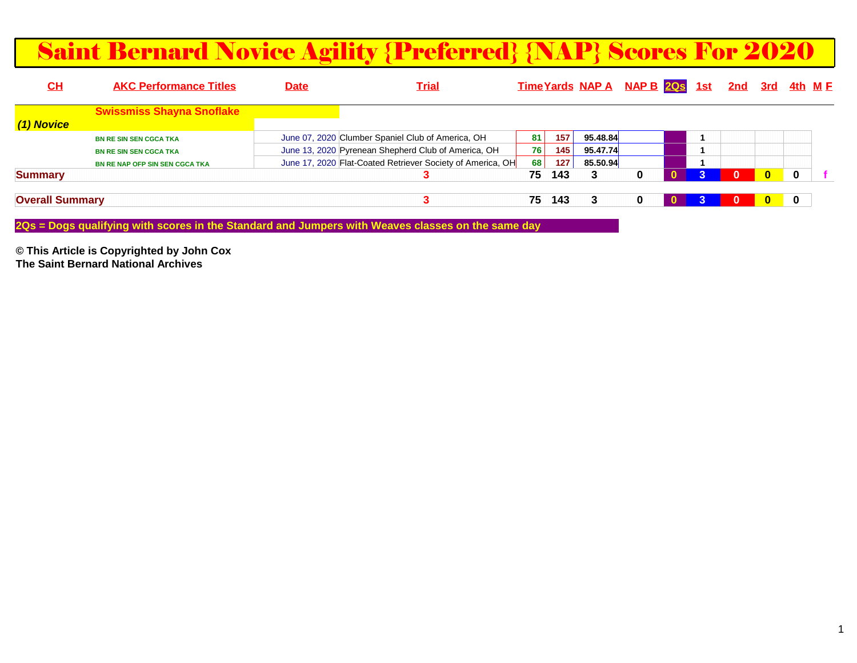#### Saint Bernard Novice Agility {Preferred} {NAP} Scores For 2020

| <b>AKC Performance Titles</b>         | <u>Date</u>            | <u>Trial</u> |                                                                                                          |                                                            |  |                                  |                                |          | <u>4th M F</u> |         |
|---------------------------------------|------------------------|--------------|----------------------------------------------------------------------------------------------------------|------------------------------------------------------------|--|----------------------------------|--------------------------------|----------|----------------|---------|
| <b>Swissmiss Shayna Snoflake</b>      |                        |              |                                                                                                          |                                                            |  |                                  |                                |          |                |         |
|                                       |                        |              |                                                                                                          |                                                            |  |                                  |                                |          |                |         |
| <b>BN RE SIN SEN CGCA TKA</b>         |                        |              | 81                                                                                                       | 157                                                        |  |                                  |                                |          |                |         |
| <b>BN RE SIN SEN CGCA TKA</b>         |                        |              | 76                                                                                                       | 145                                                        |  |                                  |                                |          |                |         |
| <b>BN RE NAP OFP SIN SEN CGCA TKA</b> |                        |              | 68                                                                                                       | 127                                                        |  |                                  |                                |          |                |         |
|                                       |                        |              | 75                                                                                                       | 143                                                        |  |                                  |                                | $\bf{0}$ | 0              |         |
|                                       |                        |              | 75                                                                                                       | 143                                                        |  |                                  |                                | $\bf{0}$ | 0              |         |
|                                       | <b>Overall Summary</b> |              | June 07, 2020 Clumber Spaniel Club of America, OH<br>June 13, 2020 Pyrenean Shepherd Club of America, OH | June 17, 2020 Flat-Coated Retriever Society of America, OH |  | 95.48.84<br>95.47.74<br>85.50.94 | Time Yards NAP A NAP B 20s 1st |          |                | 2nd 3rd |

**2Qs = Dogs qualifying with scores in the Standard and Jumpers with Weaves classes on the same day**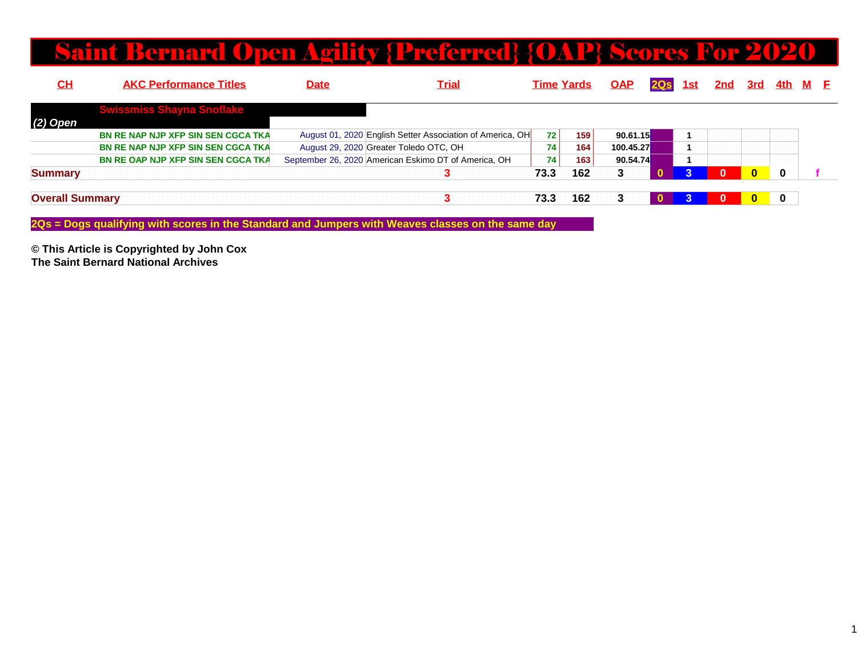#### Saint Bernard Open Agility {Preferred} {OAP} Scores For 2020

| <u>СН</u>              | <b>AKC Performance Titles</b>             | <u>Date</u> | <u>Trial</u>                                              |      | <b>Time Yards</b> | <b>OAP</b> | 2Q <sub>S</sub> | 1st | 2nd      | <u>3rd</u>   | <u>4th M F</u> |  |
|------------------------|-------------------------------------------|-------------|-----------------------------------------------------------|------|-------------------|------------|-----------------|-----|----------|--------------|----------------|--|
|                        | <b>Swissmiss Shayna Snoflake</b>          |             |                                                           |      |                   |            |                 |     |          |              |                |  |
| $(2)$ Open             |                                           |             |                                                           |      |                   |            |                 |     |          |              |                |  |
|                        | <b>BN RE NAP NJP XFP SIN SEN CGCA TKA</b> |             | August 01, 2020 English Setter Association of America, OH | 72   | 159               | 90.61.15   |                 |     |          |              |                |  |
|                        | <b>BN RE NAP NJP XFP SIN SEN CGCA TKA</b> |             | August 29, 2020 Greater Toledo OTC, OH                    | 74   | 164               | 100.45.27  |                 |     |          |              |                |  |
|                        | <b>BN RE OAP NJP XFP SIN SEN CGCA TKA</b> |             | September 26, 2020 American Eskimo DT of America, OH      | 74   | 163 <sub>1</sub>  | 90.54.74   |                 |     |          |              |                |  |
| <b>Summary</b>         |                                           |             | 3                                                         | 73.3 | 162               | 3          |                 |     | $\Omega$ | $\mathbf{0}$ | $\bf{0}$       |  |
| <b>Overall Summary</b> |                                           |             | ∍                                                         | 73.3 | 162               | 3          |                 |     | $\bf{0}$ | $\bf{0}$     | $\mathbf 0$    |  |

**2Qs = Dogs qualifying with scores in the Standard and Jumpers with Weaves classes on the same day**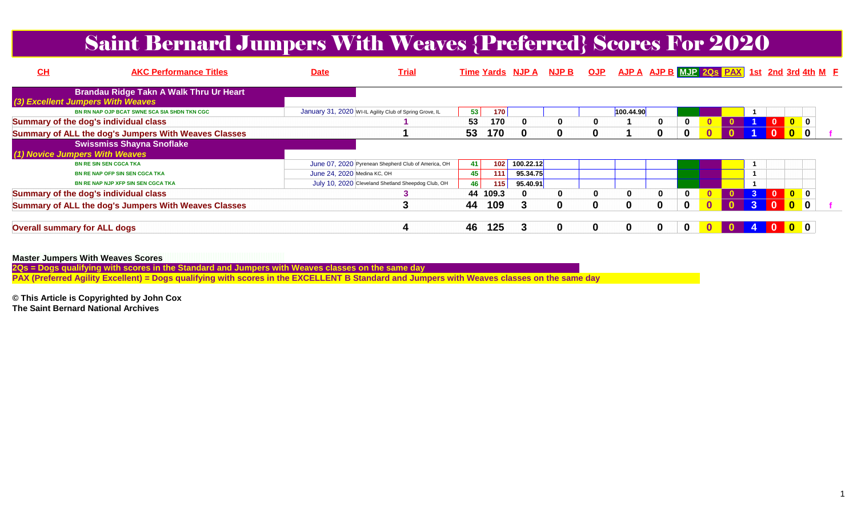## Saint Bernard Jumpers With Weaves {Preferred} Scores For 2020

| CH                                    | <b>AKC Performance Titles</b>                        | <b>Date</b>                 | <u>Trial</u>                                            |     |       | Time Yards NJP A NJP B |   | <b>OJP</b> |           | AJP A AJP B MJP 20s PAX 1st 2nd 3rd 4th M E |   |  |                |                                                                        |  |
|---------------------------------------|------------------------------------------------------|-----------------------------|---------------------------------------------------------|-----|-------|------------------------|---|------------|-----------|---------------------------------------------|---|--|----------------|------------------------------------------------------------------------|--|
| (3) Excellent Jumpers With Weaves     | <b>Brandau Ridge Takn A Walk Thru Ur Heart</b>       |                             |                                                         |     |       |                        |   |            |           |                                             |   |  |                |                                                                        |  |
|                                       | BN RN NAP OJP BCAT SWNE SCA SIA SHDN TKN CGC         |                             | January 31, 2020 WI-IL Agility Club of Spring Grove, IL | 53  | 170   |                        |   |            | 100.44.90 |                                             |   |  |                |                                                                        |  |
| Summary of the dog's individual class |                                                      |                             |                                                         | 53  | 170   | 0                      | 0 | 0          |           | 0                                           |   |  |                | $\overline{0}$ 0                                                       |  |
|                                       | Summary of ALL the dog's Jumpers With Weaves Classes |                             |                                                         | 53  | 170   | 0                      | 0 |            |           | $\mathbf{0}$                                | 0 |  |                | $\begin{array}{ c c c }\n\hline\n\textbf{0} & \textbf{0}\n\end{array}$ |  |
| (1) Novice Jumpers With Weaves        | <b>Swissmiss Shayna Snoflake</b>                     |                             |                                                         |     |       |                        |   |            |           |                                             |   |  |                |                                                                        |  |
|                                       | <b>BN RE SIN SEN CGCA TKA</b>                        |                             | June 07, 2020 Pyrenean Shepherd Club of America, OH     | -41 | 102   | 100.22.12              |   |            |           |                                             |   |  |                |                                                                        |  |
|                                       | <b>BN RE NAP OFP SIN SEN CGCA TKA</b>                | June 24, 2020 Medina KC, OH |                                                         | 45  | 111   | 95.34.75               |   |            |           |                                             |   |  |                |                                                                        |  |
|                                       | BN RE NAP NJP XFP SIN SEN CGCA TKA                   |                             | July 10, 2020 Cleveland Shetland Sheepdog Club, OH      | 46  | 115   | 95.40.91               |   |            |           |                                             |   |  |                |                                                                        |  |
| Summary of the dog's individual class |                                                      |                             |                                                         | 44  | 109.3 | 0                      | 0 | 0          | 0         | 0                                           | 0 |  | $\blacksquare$ |                                                                        |  |
|                                       | Summary of ALL the dog's Jumpers With Weaves Classes |                             |                                                         | 44  | 109   | 3.                     | 0 |            |           | $\mathbf{0}$                                | 0 |  |                | $\begin{array}{ c c c }\n\hline\n\textbf{0} & \textbf{0}\n\end{array}$ |  |
| <b>Overall summary for ALL dogs</b>   |                                                      |                             |                                                         | 46  | 125   |                        | 0 |            |           | $\bf{0}$                                    | 0 |  |                |                                                                        |  |

**Master Jumpers With Weaves Scores**

**2Qs = Dogs qualifying with scores in the Standard and Jumpers with Weaves classes on the same day**

**PAX (Preferred Agility Excellent) = Dogs qualifying with scores in the EXCELLENT B Standard and Jumpers with Weaves classes on the same day**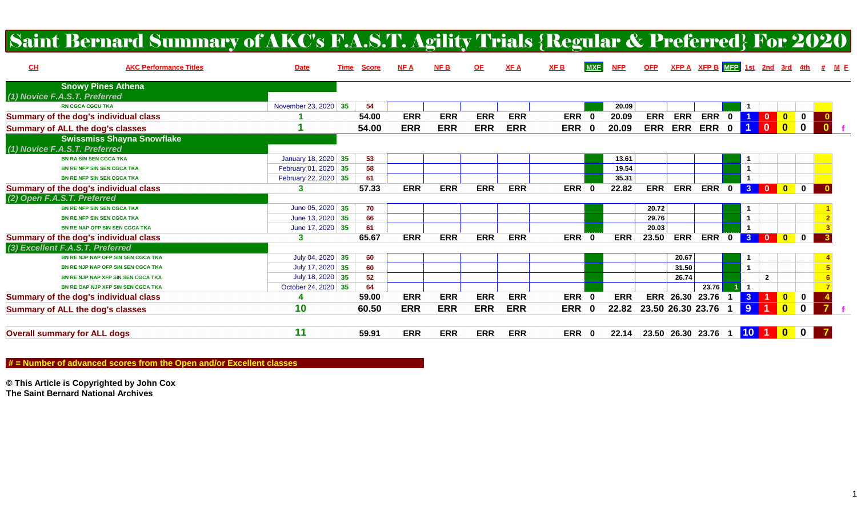|                                         | Saint Bernard Summary of AKC's F.A.S.T. Agility Trials {Regular & Preferred} For 2020 |                      |      |              |            |            |            |            |            |            |            |            |            |                          |              |                      |                         |                            |                  |                                         |
|-----------------------------------------|---------------------------------------------------------------------------------------|----------------------|------|--------------|------------|------------|------------|------------|------------|------------|------------|------------|------------|--------------------------|--------------|----------------------|-------------------------|----------------------------|------------------|-----------------------------------------|
| CL                                      | <b>AKC Performance Titles</b>                                                         | <b>Date</b>          | Time | <b>Score</b> | NF A       | NFB        | $OF$       | <b>XFA</b> | <b>XFB</b> | <b>MXF</b> | <b>NFP</b> | <b>OFP</b> |            |                          |              |                      |                         |                            |                  | $XFP A$ XFP B MFP 1st 2nd 3rd 4th # M F |
|                                         | <b>Snowy Pines Athena</b>                                                             |                      |      |              |            |            |            |            |            |            |            |            |            |                          |              |                      |                         |                            |                  |                                         |
| (1) Novice F.A.S.T. Preferred           |                                                                                       |                      |      |              |            |            |            |            |            |            |            |            |            |                          |              |                      |                         |                            |                  |                                         |
|                                         | <b>RN CGCA CGCU TKA</b>                                                               | November 23, 2020 35 |      | 54           |            |            |            |            |            |            | 20.09      |            |            |                          |              |                      |                         |                            |                  |                                         |
|                                         | Summary of the dog's individual class                                                 |                      |      | 54.00        | <b>ERR</b> | <b>ERR</b> | <b>ERR</b> | <b>ERR</b> | ERR 0      |            | 20.09      | <b>ERR</b> | <b>ERR</b> | <b>ERR</b>               | $\bf{0}$     |                      | $\mathbf{0}$            | $\overline{\mathbf{0}}$    | $\mathbf 0$      |                                         |
| <b>Summary of ALL the dog's classes</b> |                                                                                       |                      |      | 54.00        | <b>ERR</b> | <b>ERR</b> | <b>ERR</b> | <b>ERR</b> | ERR 0      |            | 20.09      | <b>ERR</b> | <b>ERR</b> | <b>ERR</b>               | $\bf{0}$     |                      | $\mathbf{0}$            | $\overline{\mathbf{0}}$    | $\boldsymbol{0}$ |                                         |
|                                         | <b>Swissmiss Shayna Snowflake</b>                                                     |                      |      |              |            |            |            |            |            |            |            |            |            |                          |              |                      |                         |                            |                  |                                         |
| (1) Novice F.A.S.T. Preferred           |                                                                                       |                      |      |              |            |            |            |            |            |            |            |            |            |                          |              |                      |                         |                            |                  |                                         |
|                                         | <b>BN RA SIN SEN CGCA TKA</b>                                                         | January 18, 2020 35  |      | 53           |            |            |            |            |            |            | 13.61      |            |            |                          |              |                      |                         |                            |                  |                                         |
|                                         | <b>BN RE NFP SIN SEN CGCA TKA</b>                                                     | February 01, 2020 35 |      | 58           |            |            |            |            |            |            | 19.54      |            |            |                          |              |                      |                         |                            |                  |                                         |
|                                         | <b>BN RE NFP SIN SEN CGCA TKA</b>                                                     | February 22, 2020 35 |      | 61           |            |            |            |            |            |            | 35.31      |            |            |                          |              | $\blacktriangleleft$ |                         |                            |                  |                                         |
|                                         | Summary of the dog's individual class                                                 | 3                    |      | 57.33        | <b>ERR</b> | <b>ERR</b> | <b>ERR</b> | <b>ERR</b> | ERR 0      |            | 22.82      | <b>ERR</b> | <b>ERR</b> | <b>ERR</b>               | $\mathbf{0}$ | 3 <sup>1</sup>       | $\overline{\mathbf{0}}$ | $\overline{\phantom{a}}$ 0 | $\mathbf{0}$     |                                         |
| (2) Open F.A.S.T. Preferred             |                                                                                       |                      |      |              |            |            |            |            |            |            |            |            |            |                          |              |                      |                         |                            |                  |                                         |
|                                         | <b>BN RE NFP SIN SEN CGCA TKA</b>                                                     | June 05, 2020 35     |      | 70           |            |            |            |            |            |            |            | 20.72      |            |                          |              |                      |                         |                            |                  |                                         |
|                                         | <b>BN RE NFP SIN SEN CGCA TKA</b>                                                     | June 13, 2020 35     |      | 66           |            |            |            |            |            |            |            | 29.76      |            |                          |              |                      |                         |                            |                  |                                         |
|                                         | <b>BN RE NAP OFP SIN SEN CGCA TKA</b>                                                 | June 17, 2020 35     |      | 61           |            |            |            |            |            |            |            | 20.03      |            |                          |              |                      |                         |                            |                  |                                         |
|                                         | Summary of the dog's individual class                                                 | 3                    |      | 65.67        | <b>ERR</b> | <b>ERR</b> | <b>ERR</b> | <b>ERR</b> | ERR 0      |            | <b>ERR</b> | 23.50      | <b>ERR</b> | <b>ERR</b>               | $\mathbf{0}$ | 3 <sup>1</sup>       | $\overline{\mathbf{0}}$ | $\overline{\mathbf{0}}$    | $\mathbf 0$      |                                         |
| (3) Excellent F.A.S.T. Preferred        |                                                                                       |                      |      |              |            |            |            |            |            |            |            |            |            |                          |              |                      |                         |                            |                  |                                         |
|                                         | BN RE NJP NAP OFP SIN SEN CGCA TKA                                                    | July 04, 2020 35     |      | 60           |            |            |            |            |            |            |            |            | 20.67      |                          |              |                      |                         |                            |                  |                                         |
|                                         | BN RE NJP NAP OFP SIN SEN CGCA TKA                                                    | July 17, 2020 35     |      | 60           |            |            |            |            |            |            |            |            | 31.50      |                          |              | $\overline{1}$       |                         |                            |                  |                                         |
|                                         | BN RE NJP NAP XFP SIN SEN CGCA TKA                                                    | July 18, 2020 35     |      | 52           |            |            |            |            |            |            |            |            | 26.74      |                          |              |                      | $\overline{2}$          |                            |                  |                                         |
|                                         | BN RE OAP NJP XFP SIN SEN CGCA TKA                                                    | October 24, 2020 35  |      | 64           |            |            |            |            |            |            |            |            |            | 23.76                    |              |                      |                         |                            |                  |                                         |
|                                         | Summary of the dog's individual class                                                 | 4                    |      | 59.00        | <b>ERR</b> | <b>ERR</b> | <b>ERR</b> | <b>ERR</b> | ERR 0      |            | <b>ERR</b> |            |            | ERR 26.30 23.76          |              | $\mathbf{3}$         |                         | $\bullet$                  | $\mathbf 0$      |                                         |
| <b>Summary of ALL the dog's classes</b> |                                                                                       | 10                   |      | 60.50        | <b>ERR</b> | <b>ERR</b> | <b>ERR</b> | <b>ERR</b> | ERR 0      |            | 22.82      |            |            | 23.50 26.30 23.76        |              | 9                    |                         | $\overline{\mathbf{0}}$    | $\mathbf 0$      |                                         |
| <b>Overall summary for ALL dogs</b>     |                                                                                       | 11                   |      | 59.91        | <b>ERR</b> | <b>ERR</b> | <b>ERR</b> | <b>ERR</b> | ERR 0      |            | 22.14      |            |            | 23.50 26.30 23.76 1 10 1 |              |                      |                         | $\blacksquare$             | $\mathbf 0$      |                                         |

 **# = Number of advanced scores from the Open and/or Excellent classes**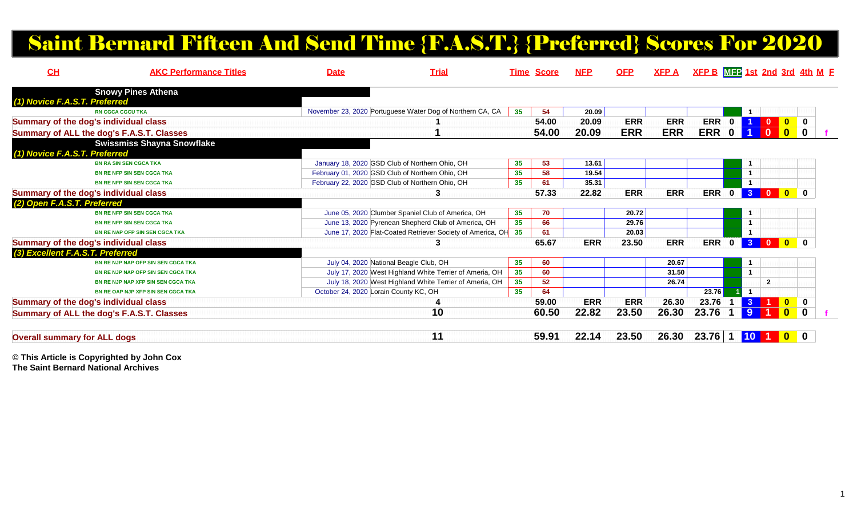# Saint Bernard Fifteen And Send Time {F.A.S.T.} {Preferred} Scores For 2020

| CH                                        | <b>AKC Performance Titles</b>      | <b>Date</b>                           | <b>Trial</b>                                               |    | <b>Time Score</b> | <b>NFP</b> | <b>OFP</b> | <b>XFPA</b> | $XFP B$ $MFP 1st 2nd 3rd 4th M F$ |             |                      |                                        |                                        |  |
|-------------------------------------------|------------------------------------|---------------------------------------|------------------------------------------------------------|----|-------------------|------------|------------|-------------|-----------------------------------|-------------|----------------------|----------------------------------------|----------------------------------------|--|
| <b>Snowy Pines Athena</b>                 |                                    |                                       |                                                            |    |                   |            |            |             |                                   |             |                      |                                        |                                        |  |
| (1) Novice F.A.S.T. Preferred             |                                    |                                       |                                                            |    |                   |            |            |             |                                   |             |                      |                                        |                                        |  |
| <b>RN CGCA CGCU TKA</b>                   |                                    |                                       | November 23, 2020 Portuguese Water Dog of Northern CA, CA  | 35 | 54                | 20.09      |            |             |                                   |             |                      |                                        |                                        |  |
| Summary of the dog's individual class     |                                    |                                       |                                                            |    | 54.00             | 20.09      | <b>ERR</b> | <b>ERR</b>  | <b>ERR</b>                        | $\mathbf 0$ |                      |                                        | $\bullet$<br>$\overline{\mathbf{0}}$   |  |
| Summary of ALL the dog's F.A.S.T. Classes |                                    |                                       |                                                            |    | 54.00             | 20.09      | <b>ERR</b> | <b>ERR</b>  | <b>ERR</b>                        | $\mathbf 0$ |                      |                                        | $\mathbf{0}$<br>$\mathbf 0$            |  |
|                                           | <b>Swissmiss Shayna Snowflake</b>  |                                       |                                                            |    |                   |            |            |             |                                   |             |                      |                                        |                                        |  |
| (1) Novice F.A.S.T. Preferred             |                                    |                                       |                                                            |    |                   |            |            |             |                                   |             |                      |                                        |                                        |  |
| <b>BN RA SIN SEN CGCA TKA</b>             |                                    |                                       | January 18, 2020 GSD Club of Northern Ohio, OH             | 35 | 53                | 13.61      |            |             |                                   |             | $\mathbf 1$          |                                        |                                        |  |
| <b>BN RE NFP SIN SEN CGCA TKA</b>         |                                    |                                       | February 01, 2020 GSD Club of Northern Ohio, OH            | 35 | 58                | 19.54      |            |             |                                   |             | $\mathbf{1}$         |                                        |                                        |  |
| <b>BN RE NFP SIN SEN CGCA TKA</b>         |                                    |                                       | February 22, 2020 GSD Club of Northern Ohio, OH            | 35 | 61                | 35.31      |            |             |                                   |             |                      |                                        |                                        |  |
| Summary of the dog's individual class     |                                    |                                       |                                                            |    | 57.33             | 22.82      | <b>ERR</b> | <b>ERR</b>  | <b>ERR</b>                        | $\mathbf 0$ |                      | <b>300</b> 0                           |                                        |  |
| (2) Open F.A.S.T. Preferred               |                                    |                                       |                                                            |    |                   |            |            |             |                                   |             |                      |                                        |                                        |  |
| <b>BN RE NFP SIN SEN CGCA TKA</b>         |                                    |                                       | June 05, 2020 Clumber Spaniel Club of America, OH          | 35 | 70                |            | 20.72      |             |                                   |             |                      |                                        |                                        |  |
| <b>BN RE NFP SIN SEN CGCA TKA</b>         |                                    |                                       | June 13, 2020 Pyrenean Shepherd Club of America, OH        | 35 | 66                |            | 29.76      |             |                                   |             |                      |                                        |                                        |  |
| <b>BN RE NAP OFP SIN SEN CGCA TKA</b>     |                                    |                                       | June 17, 2020 Flat-Coated Retriever Society of America, OH | 35 | 61                |            | 20.03      |             |                                   |             | $\blacktriangleleft$ |                                        |                                        |  |
| Summary of the dog's individual class     |                                    |                                       |                                                            |    | 65.67             | <b>ERR</b> | 23.50      | <b>ERR</b>  | <b>ERR</b>                        | $\mathbf 0$ |                      | <b>300</b> 0                           |                                        |  |
| (3) Excellent F.A.S.T. Preferred          |                                    |                                       |                                                            |    |                   |            |            |             |                                   |             |                      |                                        |                                        |  |
|                                           | BN RE NJP NAP OFP SIN SEN CGCA TKA |                                       | July 04, 2020 National Beagle Club, OH                     | 35 | 60                |            |            | 20.67       |                                   |             |                      |                                        |                                        |  |
|                                           | BN RE NJP NAP OFP SIN SEN CGCA TKA |                                       | July 17, 2020 West Highland White Terrier of Ameria, OH    | 35 | 60                |            |            | 31.50       |                                   |             | $\mathbf{1}$         |                                        |                                        |  |
|                                           | BN RE NJP NAP XFP SIN SEN CGCA TKA |                                       | July 18, 2020 West Highland White Terrier of Ameria, OH    | 35 | 52                |            |            | 26.74       |                                   |             |                      | $\mathbf{2}$                           |                                        |  |
|                                           | BN RE OAP NJP XFP SIN SEN CGCA TKA | October 24, 2020 Lorain County KC, OH |                                                            | 35 | 64                |            |            |             | 23.76                             |             | $\overline{1}$       |                                        |                                        |  |
| Summary of the dog's individual class     |                                    |                                       |                                                            |    | 59.00             | <b>ERR</b> | <b>ERR</b> | 26.30       | 23.76                             |             | 3 <sup>1</sup>       | $\blacksquare$<br>$\blacktriangleleft$ | 0                                      |  |
| Summary of ALL the dog's F.A.S.T. Classes |                                    |                                       | 10                                                         |    | 60.50             | 22.82      | 23.50      | 26.30       | 23.76                             |             | 9                    |                                        | $\overline{\mathbf{0}}$<br>$\mathbf 0$ |  |
| <b>Overall summary for ALL dogs</b>       |                                    |                                       | 11                                                         |    | 59.91             | 22.14      | 23.50      | 26.30       | 23.76                             |             | 10 <sup>°</sup>      |                                        | $\mathbf{0}$<br>$\mathbf{0}$           |  |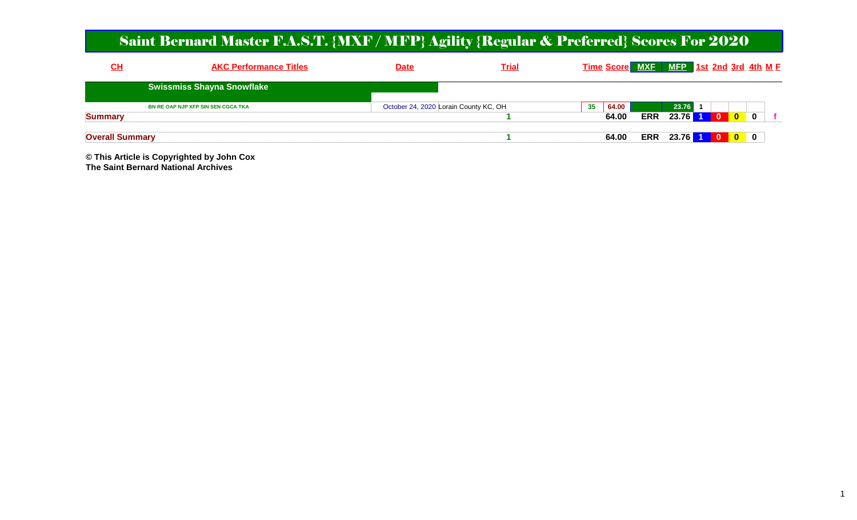#### Saint Bernard Master F.A.S.T. {MXF / MFP} Agility {Regular & Preferred} Scores For 2020

| CH                     |                                                                                | <b>AKC Performance Titles</b> |  |  | <b>Date</b>                           |  | Trial |    |                            |            |       | Time Score MXE MEP 1st 2nd 3rd 4th ME |          |              |  |
|------------------------|--------------------------------------------------------------------------------|-------------------------------|--|--|---------------------------------------|--|-------|----|----------------------------|------------|-------|---------------------------------------|----------|--------------|--|
|                        |                                                                                |                               |  |  |                                       |  |       |    |                            |            |       |                                       |          |              |  |
| <b>Summary</b>         | <b>Swissmiss Shayna Snowflake</b><br><b>BN RE OAP NJP XFP SIN SEN CGCA TKA</b> |                               |  |  | October 24, 2020 Lorain County KC, OH |  |       | 35 | $^{\prime}$ 64.00<br>64.00 | <b>ERR</b> | 23.76 | $23.76$ 1 0                           | <b>O</b> | $\mathbf{0}$ |  |
| <b>Overall Summary</b> |                                                                                |                               |  |  |                                       |  |       |    | 64.00                      | <b>ERR</b> |       | 23.76 1 0 0 0                         |          |              |  |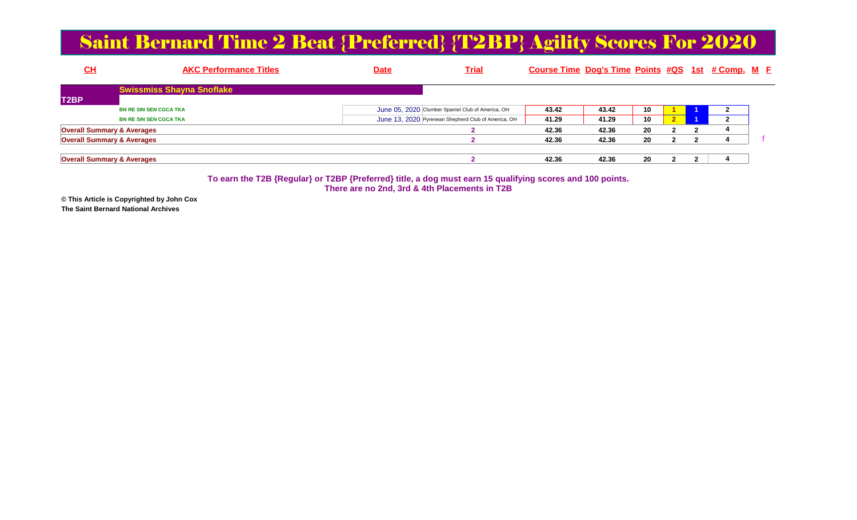#### Saint Bernard Time 2 Beat {Preferred} {T2BP} Agility Scores For 2020

| <u>СН</u>                             |                                  | <b>AKC Performance Titles</b> |  | <u>Date</u> | <u>Trial</u>                                        | Course Time Dog's Time Points #QS 1st # Comp. M E |       |    |  |  |
|---------------------------------------|----------------------------------|-------------------------------|--|-------------|-----------------------------------------------------|---------------------------------------------------|-------|----|--|--|
|                                       | <b>Swissmiss Shayna Snoflake</b> |                               |  |             |                                                     |                                                   |       |    |  |  |
| T <sub>2</sub> BP                     |                                  |                               |  |             |                                                     |                                                   |       |    |  |  |
|                                       | <b>BN RE SIN SEN CGCA TKA</b>    |                               |  |             | June 05, 2020 Clumber Spaniel Club of America, OH   | 43.42                                             | 43.42 | 10 |  |  |
|                                       | <b>BN RE SIN SEN CGCA TKA</b>    |                               |  |             | June 13, 2020 Pyrenean Shepherd Club of America, OH | 41.29                                             | 41.29 | 10 |  |  |
| <b>Overall Summary &amp; Averages</b> |                                  |                               |  |             |                                                     | 42.36                                             | 42.36 | 20 |  |  |
| <b>Overall Summary &amp; Averages</b> |                                  |                               |  |             |                                                     | 42.36                                             | 42.36 | 20 |  |  |
| <b>Overall Summary &amp; Averages</b> |                                  |                               |  |             |                                                     | 42.36                                             | 42.36 | 20 |  |  |

**To earn the T2B {Regular} or T2BP {Preferred} title, a dog must earn 15 qualifying scores and 100 points.There are no 2nd, 3rd & 4th Placements in T2B**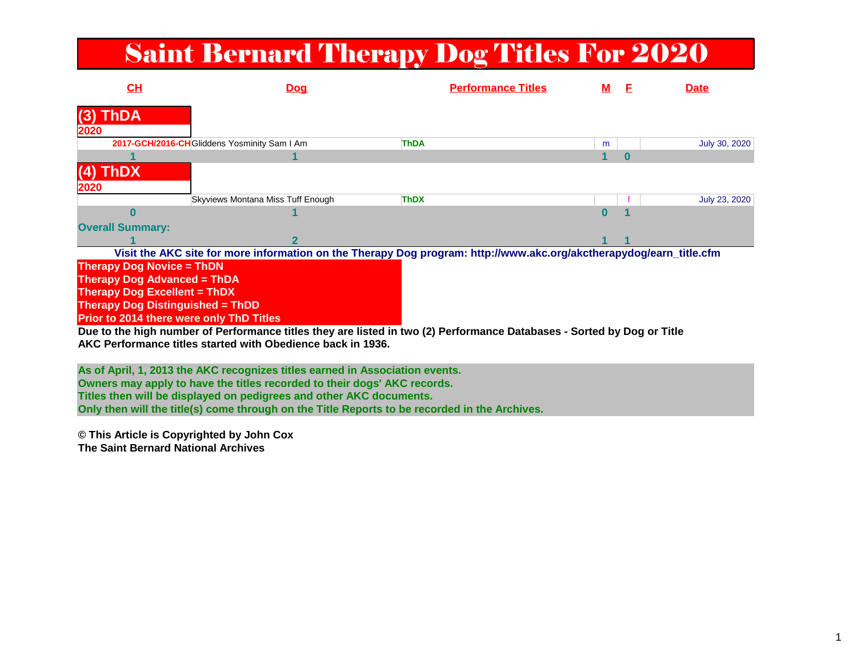# Saint Bernard Therapy Dog Titles For 2020

| CH                                       | <b>Dog</b>                                                                                                             | <b>Performance Titles</b> | м | F | <b>Date</b>   |
|------------------------------------------|------------------------------------------------------------------------------------------------------------------------|---------------------------|---|---|---------------|
| <b>ThDA</b><br>(3)<br>2020               |                                                                                                                        |                           |   |   |               |
|                                          | 2017-GCH/2016-CH Gliddens Yosminity Sam I Am                                                                           | <b>ThDA</b>               | m |   | July 30, 2020 |
|                                          |                                                                                                                        |                           | 1 | O |               |
| ThDX<br>2020                             |                                                                                                                        |                           |   |   |               |
|                                          | Skyviews Montana Miss Tuff Enough                                                                                      | <b>ThDX</b>               |   |   | July 23, 2020 |
| U                                        |                                                                                                                        |                           | Λ |   |               |
| <b>Overall Summary:</b>                  |                                                                                                                        |                           |   |   |               |
|                                          | 2                                                                                                                      |                           |   |   |               |
|                                          | Visit the AKC site for more information on the Therapy Dog program: http://www.akc.org/akctherapydog/earn_title.cfm    |                           |   |   |               |
| <b>Therapy Dog Novice = ThDN</b>         |                                                                                                                        |                           |   |   |               |
| <b>Therapy Dog Advanced = ThDA</b>       |                                                                                                                        |                           |   |   |               |
| <b>Therapy Dog Excellent = ThDX</b>      |                                                                                                                        |                           |   |   |               |
| <b>Therapy Dog Distinguished = ThDD</b>  |                                                                                                                        |                           |   |   |               |
| Prior to 2014 there were only ThD Titles |                                                                                                                        |                           |   |   |               |
|                                          | Due to the high number of Performance titles they are listed in two (2) Performance Databases - Sorted by Dog or Title |                           |   |   |               |
|                                          | AKC Performance titles started with Obedience back in 1936.                                                            |                           |   |   |               |
|                                          |                                                                                                                        |                           |   |   |               |
|                                          | As of April, 1, 2013 the AKC recognizes titles earned in Association events.                                           |                           |   |   |               |
|                                          | Owners may apply to have the titles recorded to their dogs' AKC records.                                               |                           |   |   |               |
|                                          | Titles then will be displayed on pedigrees and other AKC documents.                                                    |                           |   |   |               |

**Titles then will be displayed on pedigrees and other AKC documents. Only then will the title(s) come through on the Title Reports to be recorded in the Archives.**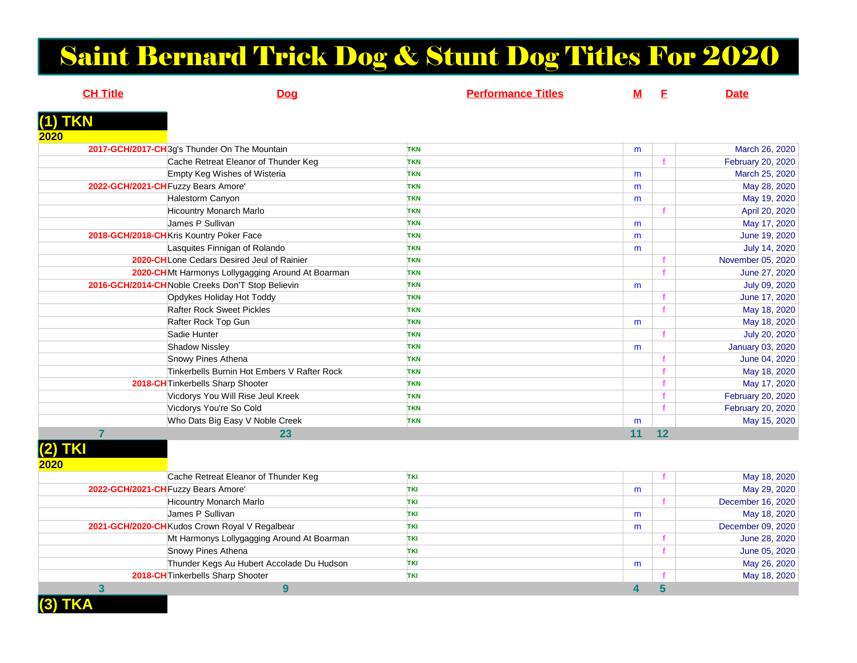# Saint Bernard Trick Dog & Stunt Dog Titles For 2020

| <b>CH Title</b> | <b>Dog</b>                                        | <b>Performance Titles</b> | <u>M</u> | E  | <b>Date</b>             |
|-----------------|---------------------------------------------------|---------------------------|----------|----|-------------------------|
| (1) TKN         |                                                   |                           |          |    |                         |
| 2020            |                                                   |                           |          |    |                         |
|                 | 2017-GCH/2017-CH3q's Thunder On The Mountain      | <b>TKN</b>                | m        |    | March 26, 2020          |
|                 | Cache Retreat Eleanor of Thunder Keg              | <b>TKN</b>                |          |    | February 20, 2020       |
|                 | Empty Keg Wishes of Wisteria                      | <b>TKN</b>                | m        |    | March 25, 2020          |
|                 | 2022-GCH/2021-CH Fuzzy Bears Amore'               | <b>TKN</b>                | m        |    | May 28, 2020            |
|                 | Halestorm Canyon                                  | <b>TKN</b>                | m        |    | May 19, 2020            |
|                 | <b>Hicountry Monarch Marlo</b>                    | <b>TKN</b>                |          |    | April 20, 2020          |
|                 | James P Sullivan                                  | <b>TKN</b>                | m        |    | May 17, 2020            |
|                 | 2018-GCH/2018-CHKris Kountry Poker Face           | <b>TKN</b>                | m        |    | June 19, 2020           |
|                 | Lasquites Finnigan of Rolando                     | <b>TKN</b>                | m        |    | July 14, 2020           |
|                 | <b>2020-CHLone Cedars Desired Jeul of Rainier</b> | <b>TKN</b>                |          |    | November 05, 2020       |
|                 | 2020-CHMt Harmonys Lollygagging Around At Boarman | <b>TKN</b>                |          |    | June 27, 2020           |
|                 | 2016-GCH/2014-CH Noble Creeks Don'T Stop Believin | <b>TKN</b>                | m        |    | July 09, 2020           |
|                 | Opdykes Holiday Hot Toddy                         | <b>TKN</b>                |          |    | June 17, 2020           |
|                 | <b>Rafter Rock Sweet Pickles</b>                  | <b>TKN</b>                |          |    | May 18, 2020            |
|                 | Rafter Rock Top Gun                               | <b>TKN</b>                | m        |    | May 18, 2020            |
|                 | Sadie Hunter                                      | <b>TKN</b>                |          |    | July 20, 2020           |
|                 | <b>Shadow Nissley</b>                             | <b>TKN</b>                | m        |    | <b>January 03, 2020</b> |
|                 | Snowy Pines Athena                                | <b>TKN</b>                |          |    | June 04, 2020           |
|                 | Tinkerbells Burnin Hot Embers V Rafter Rock       | <b>TKN</b>                |          |    | May 18, 2020            |
|                 | 2018-CH Tinkerbells Sharp Shooter                 | <b>TKN</b>                |          |    | May 17, 2020            |
|                 | Vicdorys You Will Rise Jeul Kreek                 | <b>TKN</b>                |          |    | February 20, 2020       |
|                 | Vicdorys You're So Cold                           | <b>TKN</b>                |          |    | February 20, 2020       |
|                 | Who Dats Big Easy V Noble Creek                   | <b>TKN</b>                | m        |    | May 15, 2020            |
| 7               | 23                                                |                           | 11       | 12 |                         |
| (2) TKI         |                                                   |                           |          |    |                         |
| 2020            |                                                   |                           |          |    |                         |
|                 | Cache Retreat Eleanor of Thunder Keg              | <b>TKI</b>                |          |    | May 18, 2020            |

|                                     | Cache Retreat Eleanor of Thunder Keg           | <b>TKI</b> |   | May 18, 2020      |
|-------------------------------------|------------------------------------------------|------------|---|-------------------|
| 2022-GCH/2021-CH Fuzzy Bears Amore' |                                                | <b>TKI</b> | m | May 29, 2020      |
|                                     | <b>Hicountry Monarch Marlo</b>                 | <b>TKI</b> |   | December 16, 2020 |
|                                     | James P Sullivan                               | TKI        | m | May 18, 2020      |
|                                     | 2021-GCH/2020-CH Kudos Crown Royal V Regalbear | <b>TKI</b> | m | December 09, 2020 |
|                                     | Mt Harmonys Lollygagging Around At Boarman     | <b>TKI</b> |   | June 28, 2020     |
|                                     | Snowy Pines Athena                             | <b>TKI</b> |   | June 05, 2020     |
|                                     | Thunder Kegs Au Hubert Accolade Du Hudson      | <b>TKI</b> | m | May 26, 2020      |
|                                     | <b>2018-CH</b> Tinkerbells Sharp Shooter       | <b>TKI</b> |   | May 18, 2020      |
|                                     |                                                |            |   |                   |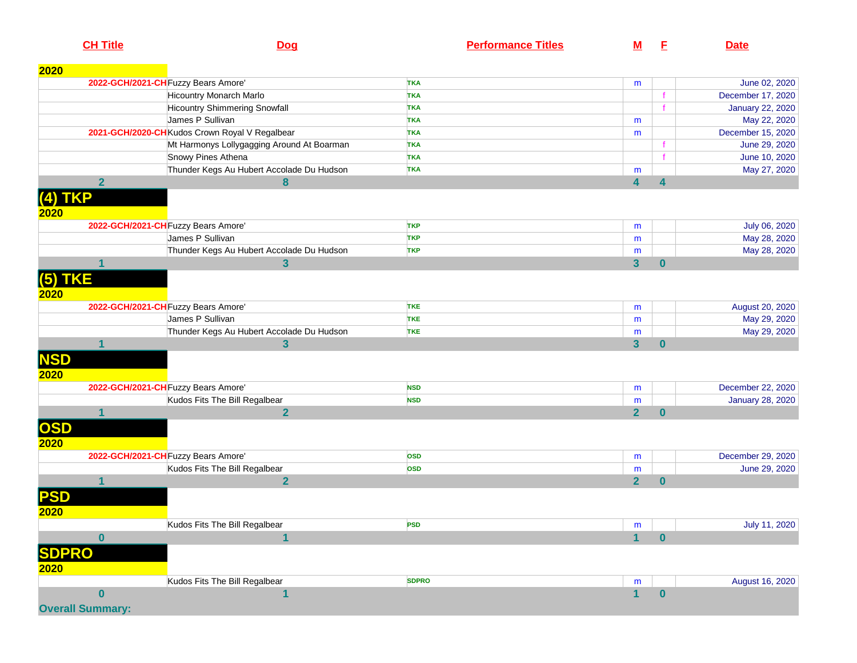|                      | <b>CH Title</b>         | <u>Dog</u>                                     | <b>Performance Titles</b> | <u>M</u>                | E            | <b>Date</b>             |
|----------------------|-------------------------|------------------------------------------------|---------------------------|-------------------------|--------------|-------------------------|
| 2020                 |                         |                                                |                           |                         |              |                         |
|                      |                         | 2022-GCH/2021-CH Fuzzy Bears Amore'            | <b>TKA</b>                | m                       |              | June 02, 2020           |
|                      |                         | Hicountry Monarch Marlo                        | <b>TKA</b>                |                         |              | December 17, 2020       |
|                      |                         | <b>Hicountry Shimmering Snowfall</b>           | <b>TKA</b>                |                         |              | <b>January 22, 2020</b> |
|                      |                         | James P Sullivan                               | <b>TKA</b>                | m                       |              | May 22, 2020            |
|                      |                         | 2021-GCH/2020-CH Kudos Crown Royal V Regalbear | <b>TKA</b>                | m                       |              | December 15, 2020       |
|                      |                         | Mt Harmonys Lollygagging Around At Boarman     | <b>TKA</b>                |                         |              | June 29, 2020           |
|                      |                         | Snowy Pines Athena                             | <b>TKA</b>                |                         |              | June 10, 2020           |
|                      |                         | Thunder Kegs Au Hubert Accolade Du Hudson      | <b>TKA</b>                | m                       |              | May 27, 2020            |
|                      | $\overline{\mathbf{2}}$ | 8                                              |                           | 4                       | 4            |                         |
| $(4)$ TKP<br>2020    |                         |                                                |                           |                         |              |                         |
|                      |                         | 2022-GCH/2021-CH Fuzzy Bears Amore'            | <b>TKP</b>                | m                       |              | July 06, 2020           |
|                      |                         | James P Sullivan                               | <b>TKP</b>                | m                       |              | May 28, 2020            |
|                      |                         | Thunder Kegs Au Hubert Accolade Du Hudson      | <b>TKP</b>                | m                       |              | May 28, 2020            |
|                      | 1                       | $\mathbf{3}$                                   |                           | $\overline{\mathbf{3}}$ | $\bf{0}$     |                         |
| $(5)$ TKE<br>2020    |                         |                                                |                           |                         |              |                         |
|                      |                         | 2022-GCH/2021-CH Fuzzy Bears Amore'            | <b>TKE</b>                | m                       |              | August 20, 2020         |
|                      |                         | James P Sullivan                               | <b>TKE</b>                | m                       |              | May 29, 2020            |
|                      |                         | Thunder Kegs Au Hubert Accolade Du Hudson      | <b>TKE</b>                | m                       |              | May 29, 2020            |
|                      | $\overline{\mathbf{1}}$ | $\overline{\mathbf{3}}$                        |                           | $\overline{\mathbf{3}}$ | $\mathbf{0}$ |                         |
| <b>NSD</b><br>2020   |                         |                                                |                           |                         |              |                         |
|                      |                         | 2022-GCH/2021-CH Fuzzy Bears Amore'            | <b>NSD</b>                | m                       |              | December 22, 2020       |
|                      |                         | Kudos Fits The Bill Regalbear                  | <b>NSD</b>                | m                       |              | <b>January 28, 2020</b> |
|                      | 1                       | $\overline{2}$                                 |                           | $\overline{2}$          | $\bf{0}$     |                         |
| OSD<br>2020          |                         |                                                |                           |                         |              |                         |
|                      |                         | 2022-GCH/2021-CH Fuzzy Bears Amore'            | <b>OSD</b>                | m                       |              | December 29, 2020       |
|                      |                         | Kudos Fits The Bill Regalbear                  | <b>OSD</b>                | m                       |              | June 29, 2020           |
|                      | 1                       | $\overline{2}$                                 |                           | $\overline{2}$          | $\bf{0}$     |                         |
| <b>PSD</b><br>2020   |                         |                                                |                           |                         |              |                         |
|                      |                         | Kudos Fits The Bill Regalbear                  | <b>PSD</b>                | m                       |              | July 11, 2020           |
|                      | $\mathbf{0}$            | 1                                              |                           | 1                       | $\bf{0}$     |                         |
| <b>SDPRO</b><br>2020 |                         |                                                |                           |                         |              |                         |
|                      |                         | Kudos Fits The Bill Regalbear                  | <b>SDPRO</b>              | m                       |              | August 16, 2020         |
|                      | $\bf{0}$                | 1                                              |                           | 1                       | $\pmb{0}$    |                         |
|                      | <b>Overall Summary:</b> |                                                |                           |                         |              |                         |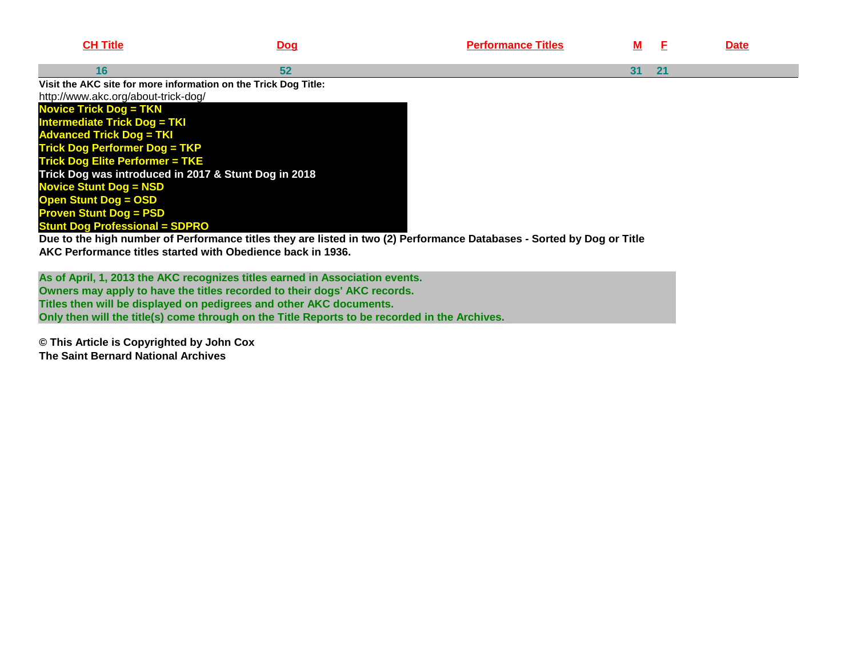| <b>CH Title</b>                                                                                        | <u>Dog</u> | <b>Performance Titles</b>                                                                                              | M  |    | <b>Date</b> |
|--------------------------------------------------------------------------------------------------------|------------|------------------------------------------------------------------------------------------------------------------------|----|----|-------------|
| 16                                                                                                     | 52         |                                                                                                                        | 31 | 21 |             |
| Visit the AKC site for more information on the Trick Dog Title:<br>http://www.akc.org/about-trick-dog/ |            |                                                                                                                        |    |    |             |
| <b>Novice Trick Dog = TKN</b>                                                                          |            |                                                                                                                        |    |    |             |
| <b>Intermediate Trick Dog = TKI</b>                                                                    |            |                                                                                                                        |    |    |             |
| <b>Advanced Trick Dog = TKI</b>                                                                        |            |                                                                                                                        |    |    |             |
| <b>Trick Dog Performer Dog = TKP</b>                                                                   |            |                                                                                                                        |    |    |             |
| <b>Trick Dog Elite Performer = TKE</b>                                                                 |            |                                                                                                                        |    |    |             |
| Trick Dog was introduced in 2017 & Stunt Dog in 2018                                                   |            |                                                                                                                        |    |    |             |
| <b>Novice Stunt Dog = NSD</b>                                                                          |            |                                                                                                                        |    |    |             |
| <b>Open Stunt Dog = OSD</b>                                                                            |            |                                                                                                                        |    |    |             |
| <b>Proven Stunt Dog = PSD</b>                                                                          |            |                                                                                                                        |    |    |             |
| <b>Stunt Dog Professional = SDPRO</b>                                                                  |            |                                                                                                                        |    |    |             |
|                                                                                                        |            | Due to the high number of Performance titles they are listed in two (2) Performance Databases - Sorted by Dog or Title |    |    |             |

**AKC Performance titles started with Obedience back in 1936.**

**As of April, 1, 2013 the AKC recognizes titles earned in Association events.Owners may apply to have the titles recorded to their dogs' AKC records. Titles then will be displayed on pedigrees and other AKC documents. Only then will the title(s) come through on the Title Reports to be recorded in the Archives.**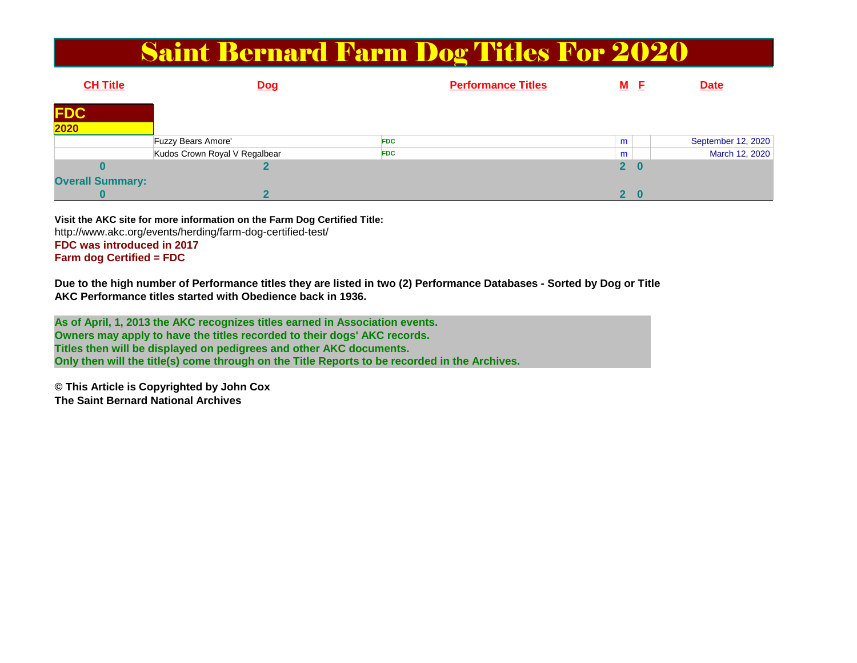#### Saint Bernard Farm Dog Titles For 2020

| <b>CH Title</b>         | <b>Dog</b>                    | <b>Performance Titles</b> | M F          | <b>Date</b>        |
|-------------------------|-------------------------------|---------------------------|--------------|--------------------|
| <b>FDC</b>              |                               |                           |              |                    |
| $\overline{2020}$       |                               |                           |              |                    |
|                         | <b>Fuzzy Bears Amore'</b>     | <b>FDC</b>                | m            | September 12, 2020 |
|                         | Kudos Crown Royal V Regalbear | <b>FDC</b>                | m            | March 12, 2020     |
|                         |                               |                           | $2\quad 0$   |                    |
| <b>Overall Summary:</b> |                               |                           |              |                    |
|                         |                               |                           | $\mathbf{P}$ |                    |

**Visit the AKC site for more information on the Farm Dog Certified Title:** http://www.akc.org/events/herding/farm-dog-certified-test/**FDC was introduced in 2017Farm dog Certified = FDC**

**Due to the high number of Performance titles they are listed in two (2) Performance Databases - Sorted by Dog or TitleAKC Performance titles started with Obedience back in 1936.**

**As of April, 1, 2013 the AKC recognizes titles earned in Association events.Owners may apply to have the titles recorded to their dogs' AKC records. Titles then will be displayed on pedigrees and other AKC documents. Only then will the title(s) come through on the Title Reports to be recorded in the Archives.**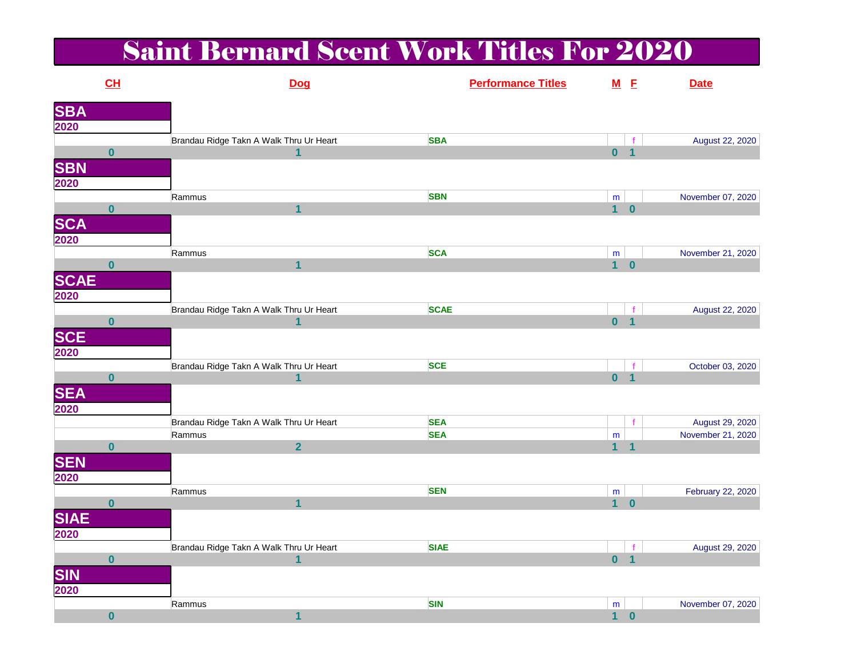# Saint Bernard Scent Work Titles For 2020

|                     | CL                      | Dog                                     | <b>Performance Titles</b> |                 | $M$ E                | <b>Date</b>       |
|---------------------|-------------------------|-----------------------------------------|---------------------------|-----------------|----------------------|-------------------|
|                     |                         |                                         |                           |                 |                      |                   |
| <b>SBA</b><br>2020  |                         |                                         |                           |                 |                      |                   |
|                     |                         | Brandau Ridge Takn A Walk Thru Ur Heart | <b>SBA</b>                |                 |                      | August 22, 2020   |
|                     | $\bf{0}$                |                                         |                           | $\mathbf{0}$    | $\blacktriangleleft$ |                   |
|                     |                         |                                         |                           |                 |                      |                   |
| <b>SBN</b><br>2020  |                         |                                         |                           |                 |                      |                   |
|                     |                         | Rammus                                  | <b>SBN</b>                | ${\sf m}$       |                      | November 07, 2020 |
|                     | $\overline{\mathbf{0}}$ | $\overline{1}$                          |                           | $1 \quad 0$     |                      |                   |
| <b>SCA</b><br>2020  |                         |                                         |                           |                 |                      |                   |
|                     |                         |                                         |                           |                 |                      |                   |
|                     |                         | Rammus                                  | <b>SCA</b>                | m               |                      | November 21, 2020 |
|                     | $\bf{0}$                | $\mathbf{1}$                            |                           | 1 <sup>1</sup>  | $\bf{0}$             |                   |
| <b>SCAE</b><br>2020 |                         |                                         |                           |                 |                      |                   |
|                     |                         |                                         |                           |                 |                      |                   |
|                     |                         | Brandau Ridge Takn A Walk Thru Ur Heart | <b>SCAE</b>               |                 |                      | August 22, 2020   |
|                     | $\bf{0}$                | 4                                       |                           | 0 <sub>1</sub>  |                      |                   |
|                     |                         |                                         |                           |                 |                      |                   |
| <b>SCE</b><br>2020  |                         |                                         |                           |                 |                      |                   |
|                     |                         | Brandau Ridge Takn A Walk Thru Ur Heart | <b>SCE</b>                |                 | f                    | October 03, 2020  |
|                     | $\bf{0}$                | 1                                       |                           | $\mathbf{0}$    | $\overline{1}$       |                   |
| <b>SEA</b><br>2020  |                         |                                         |                           |                 |                      |                   |
|                     |                         |                                         |                           |                 |                      |                   |
|                     |                         | Brandau Ridge Takn A Walk Thru Ur Heart | <b>SEA</b>                |                 |                      | August 29, 2020   |
|                     |                         | Rammus                                  | <b>SEA</b>                | ${\sf m}$       |                      | November 21, 2020 |
|                     | $\bf{0}$                | $\overline{2}$                          |                           | $\blacklozenge$ | $\overline{1}$       |                   |
| <b>SEN</b><br>2020  |                         |                                         |                           |                 |                      |                   |
|                     |                         |                                         |                           |                 |                      |                   |
|                     |                         | Rammus                                  | <b>SEN</b>                | ${\sf m}$       |                      | February 22, 2020 |
|                     | $\bf{0}$                | $\overline{\mathbf{1}}$                 |                           | $\mathbf 1$     | $\bf{0}$             |                   |
| <b>SIAE</b><br>2020 |                         |                                         |                           |                 |                      |                   |
|                     |                         |                                         |                           |                 |                      |                   |
|                     |                         | Brandau Ridge Takn A Walk Thru Ur Heart | <b>SIAE</b>               |                 |                      | August 29, 2020   |
|                     | $\overline{\mathbf{0}}$ | 1                                       |                           | $\mathbf{0}$    | $\overline{1}$       |                   |
| <b>SIN</b><br>2020  |                         |                                         |                           |                 |                      |                   |
|                     |                         |                                         |                           |                 |                      |                   |
|                     |                         | Rammus                                  | <b>SIN</b>                | m               |                      | November 07, 2020 |
|                     | $\mathbf{0}$            | $\blacktriangleleft$                    |                           |                 | $1 \quad 0$          |                   |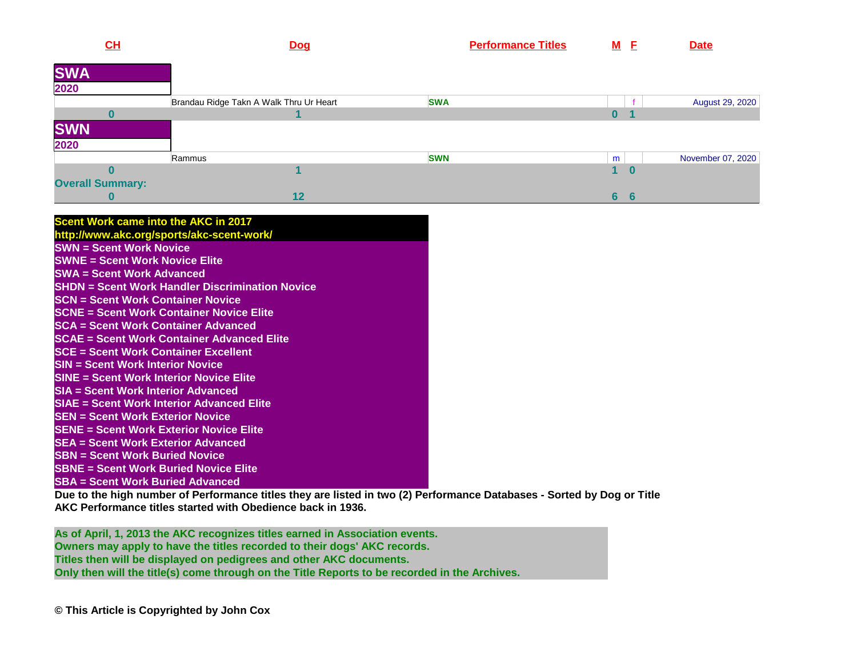| CL                      | Dog                                     | <b>Performance Titles</b> | M E     | <b>Date</b>       |
|-------------------------|-----------------------------------------|---------------------------|---------|-------------------|
| <b>SWA</b>              |                                         |                           |         |                   |
| 2020                    |                                         |                           |         |                   |
|                         | Brandau Ridge Takn A Walk Thru Ur Heart | <b>SWA</b>                |         | August 29, 2020   |
|                         |                                         |                           |         |                   |
| <b>SWN</b>              |                                         |                           |         |                   |
| 2020                    |                                         |                           |         |                   |
|                         | Rammus                                  | <b>SWN</b>                | m       | November 07, 2020 |
|                         |                                         |                           |         |                   |
| <b>Overall Summary:</b> |                                         |                           |         |                   |
|                         | 12                                      |                           | 6<br>-6 |                   |

| <b>Scent Work came into the AKC in 2017</b>            |
|--------------------------------------------------------|
| http://www.akc.org/sports/akc-scent-work/              |
| <b>SWN = Scent Work Novice</b>                         |
|                                                        |
| <b>SWNE = Scent Work Novice Elite</b>                  |
| <b>SWA = Scent Work Advanced</b>                       |
| <b>SHDN = Scent Work Handler Discrimination Novice</b> |
| <b>SCN = Scent Work Container Novice</b>               |
| <b>SCNE = Scent Work Container Novice Elite</b>        |
| <b>SCA</b> = Scent Work Container Advanced             |
| <b>SCAE = Scent Work Container Advanced Elite</b>      |
| <b>SCE = Scent Work Container Excellent</b>            |
| <b>SIN = Scent Work Interior Novice</b>                |
| <b>SINE = Scent Work Interior Novice Elite</b>         |
| <b>SIA = Scent Work Interior Advanced</b>              |
| SIAE = Scent Work Interior Advanced Elite              |
| <b>SEN = Scent Work Exterior Novice</b>                |
| <b>SENE = Scent Work Exterior Novice Elite</b>         |
| <b>SEA</b> = Scent Work Exterior Advanced              |
| <b>SBN = Scent Work Buried Novice</b>                  |
| <b>SBNE = Scent Work Buried Novice Elite</b>           |
| <b>SBA</b> = Scent Work Buried Advanced                |

 **Due to the high number of Performance titles they are listed in two (2) Performance Databases - Sorted by Dog or TitleAKC Performance titles started with Obedience back in 1936.**

**As of April, 1, 2013 the AKC recognizes titles earned in Association events.Owners may apply to have the titles recorded to their dogs' AKC records. Titles then will be displayed on pedigrees and other AKC documents. Only then will the title(s) come through on the Title Reports to be recorded in the Archives.**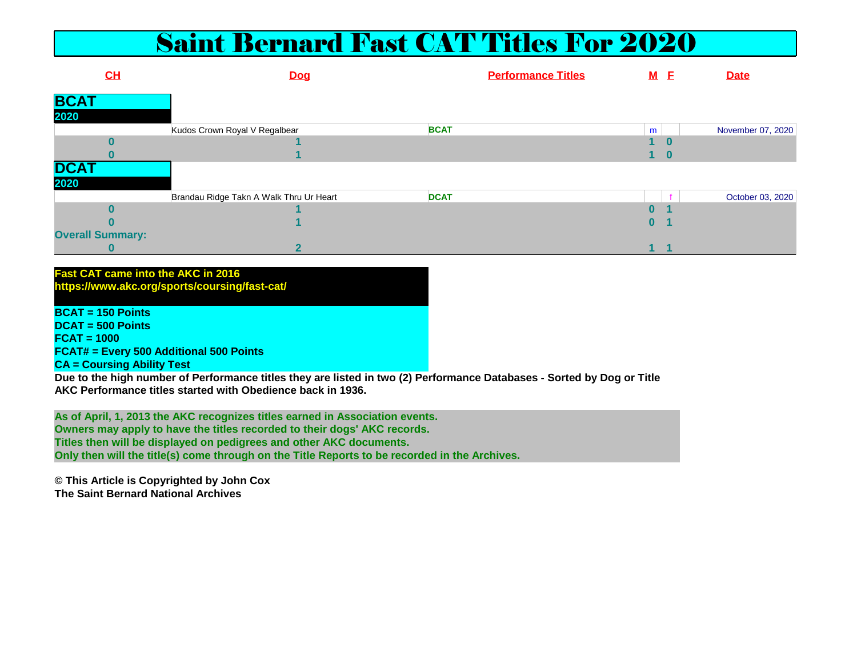### Saint Bernard Fast CAT Titles For 2020

| CL                      | <b>Dog</b>                              |             | <b>Performance Titles</b> | M <sub>E</sub> |    | <b>Date</b>       |
|-------------------------|-----------------------------------------|-------------|---------------------------|----------------|----|-------------------|
| <b>BCA</b>              |                                         |             |                           |                |    |                   |
| 2020                    |                                         |             |                           |                |    |                   |
|                         | Kudos Crown Royal V Regalbear           | <b>BCAT</b> |                           | m              |    | November 07, 2020 |
|                         |                                         |             |                           |                |    |                   |
|                         |                                         |             |                           |                | -0 |                   |
| <b>DCAT</b>             |                                         |             |                           |                |    |                   |
| 2020                    |                                         |             |                           |                |    |                   |
|                         | Brandau Ridge Takn A Walk Thru Ur Heart | <b>DCAT</b> |                           |                |    | October 03, 2020  |
|                         |                                         |             |                           |                |    |                   |
|                         |                                         |             |                           | 0              |    |                   |
| <b>Overall Summary:</b> |                                         |             |                           |                |    |                   |
| υ                       | <u>_</u>                                |             |                           |                |    |                   |

#### **Fast CAT came into the AKC in 2016**

**https://www.akc.org/sports/coursing/fast-cat/**

**BCAT = 150 Points DCAT = 500 PointsFCAT = 1000 FCAT# = Every 500 Additional 500 PointsCA = Coursing Ability Test**

 **Due to the high number of Performance titles they are listed in two (2) Performance Databases - Sorted by Dog or TitleAKC Performance titles started with Obedience back in 1936.**

**As of April, 1, 2013 the AKC recognizes titles earned in Association events.Owners may apply to have the titles recorded to their dogs' AKC records. Titles then will be displayed on pedigrees and other AKC documents. Only then will the title(s) come through on the Title Reports to be recorded in the Archives.**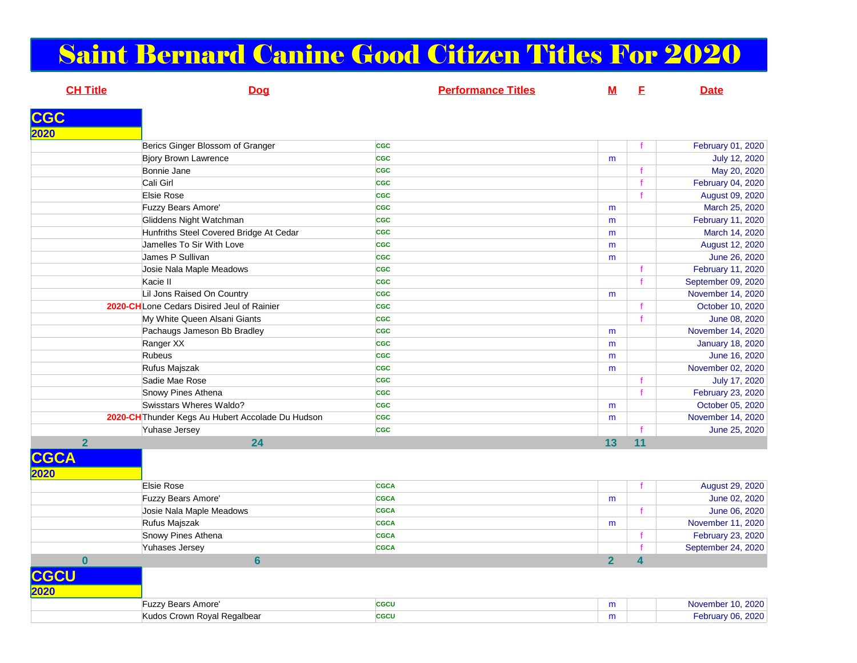### Saint Bernard Canine Good Citizen Titles For 2020

**CH Title Dog Performance Titles MF Date CGC 2020** Berics Ginger Blossom of Granger**CGC**  <sup>f</sup> February 01, 2020 Bjory Brown Lawrencee <mark>ccc</mark> mJuly 12, 2020<br>
f May 20, 2020 Bonnie Jane**CGC CGC CGC CGC CGC CGC CGC CGC CGC CGC CGC CGC CGC CGC CGC CGC CGC CGC CGC CGC CGC CGC CGC CGC CGC CGC CGC CGC CGC CGC CGC CGC CGC CGC CGC CGC CGC** Cali Girl**List of the contract of the contract of the contract of the contract of the contract of the contract of the contract of the contract of the contract of the contract of the contract of the contract of the contract of the c** contract the contract of the contract of the contract of the contract of the contract of the contract of the contract of the contract of the contract of the contract of the contract of the contract of the contract of the c Elsie Rose**CGC CGC CGC CGC CGC CGC CGC CGC CGC CGC CGC CGC CGC CGC CGC CGC CGC CGC CGC CGC CGC CGC CGC CGC CGC CGC CGC CGC CGC CGC CGC CGC CGC CGC CGC CGC CGC Fuzzy Bears Amore' CGC** cGC m March 25, 2020 Gliddens Night Watchman **CGC** m February 11, 2020 Hunfriths Steel Covered Bridge At Cedarr <mark>cgc</mark> cac m March 14, 2020 Jamelles To Sir With Lovee <mark>cgc</mark> m August 12, 2020 James P Sullivan **CGC** mJune 26, 2020<br>February 11, 2020 Josie Nala Maple Meadows**CGC CGC CGC CGC CGC CGC CGC CGC CGC CGC CGC CGC CGC CGC CGC CGC CGC CGC CGC CGC CGC CGC CGC CGC CGC CGC CGC CGC CGC CGC CGC CGC CGC CGC CGC CGC CGC** Kacie II**Listen and the contract of the contract of the contract of the contract of the contract of the contract of the contract of the contract of the contract of the contract of the contract of the contract of the contract of th cac f** September 09, 2020 Lil Jons Raised On Country**y** cGC mNovember 14, 2020 **2020-CH**Lone Cedars Disired Jeul of Rainier**cGC** contracts the contract of the contract of the contract of the contract of the contract of the contract of the contract of the contract of the contract of the contract of the contract of the contract of the contract of the My White Queen Alsani Giants**CGC** contract the contract of the contract of the contract of the contract of the contract of the contract of the contract of the contract of the contract of the contract of the contract of the contract of the contract of Pachaugs Jameson Bb Bradleyy <mark>cgc</mark> m November 14, 2020 Ranger XX **CGC** m January 18, 2020 Rubeus**CGC**<br> **CGC** m June 16, 2020 Rufus Majszak**k** case of the contract of the contract of the contract of the contract of the contract of the contract of the contract of the contract of the contract of the contract of the contract of the contract of the contract of th mNovember 02, 2020<br>July 17, 2020 Sadie Mae Rose**CGC** contract the contract of the contract of the contract of the contract of the contract of the contract of the contract of the contract of the contract of the contract of the contract of the contract of the contract of Snowy Pines Athena**CGC f** February 23, 2020<br> **CGC f** Certain Containers **f** Certain Containers **f** Certain Containers **f** Certain Containers **f** Certain Containers **f** Certain Containers **f** Certain Containers **f** Certain Containers **f** Swisstars Wheres Waldo? **CGC** m October 05, 2020 **2020-CH**Thunder Kegs Au Hubert Accolade Du Hudsonn <mark>cgc</mark> mNovember 14, 2020<br>June 25, 2020 Yuhase Jersey **CGC** <sup>f</sup> June 25, 2020 **2** 24 **13 11 CGCA2020** Elsie Rose**CGCA cGCA f** August 29, 2020 **Fuzzy Bears Amore' CGCA** CGCA mJune 02, 2020<br>
f June 06, 2020 Josie Nala Maple Meadows **CGCA** <sup>f</sup> June 06, 2020 Rufus Majszak **CGCA** mNovember 11, 2020<br>
f February 23, 2020 Snowy Pines Athena**CGCA CGCA CGCCA f** February 23, 2020 Yuhases Jersey**CGCA CGCA f** September 24, 2020 **0 6 2 4** 

#### **CGCU**

| 2020 |                                         |             |   |                                       |
|------|-----------------------------------------|-------------|---|---------------------------------------|
|      | Amore<br>$\overline{u}$ . Poor<br>·uzzy | CGCU        | m | 2000<br>November<br>2020-             |
|      | Crown Royal Regalbear<br>Sudos.         | <b>CGCU</b> | m | 2000<br>$\mathsf{Exhr}$ ian i AG<br>. |
|      |                                         |             |   |                                       |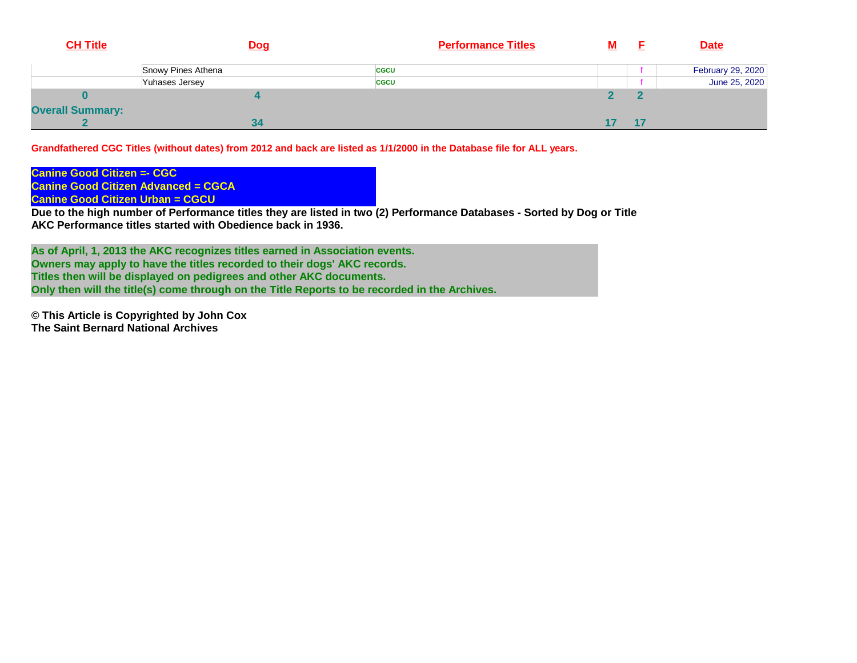| <b>CH Title</b>         | <b>Dog</b>         | <b>Performance Titles</b> | M |    | <b>Date</b>       |
|-------------------------|--------------------|---------------------------|---|----|-------------------|
|                         | Snowy Pines Athena | <b>CGCU</b>               |   |    | February 29, 2020 |
|                         | Yuhases Jersey     | <b>CGCU</b>               |   |    | June 25, 2020     |
|                         |                    |                           |   |    |                   |
| <b>Overall Summary:</b> |                    |                           |   |    |                   |
|                         | 34                 |                           |   | 47 |                   |

**Grandfathered CGC Titles (without dates) from 2012 and back are listed as 1/1/2000 in the Database file for ALL years.** 

**Canine Good Citizen =- CGC Canine Good Citizen Advanced = CGCACanine Good Citizen Urban = CGCU**

 **Due to the high number of Performance titles they are listed in two (2) Performance Databases - Sorted by Dog or TitleAKC Performance titles started with Obedience back in 1936.**

**As of April, 1, 2013 the AKC recognizes titles earned in Association events.Owners may apply to have the titles recorded to their dogs' AKC records. Titles then will be displayed on pedigrees and other AKC documents. Only then will the title(s) come through on the Title Reports to be recorded in the Archives.**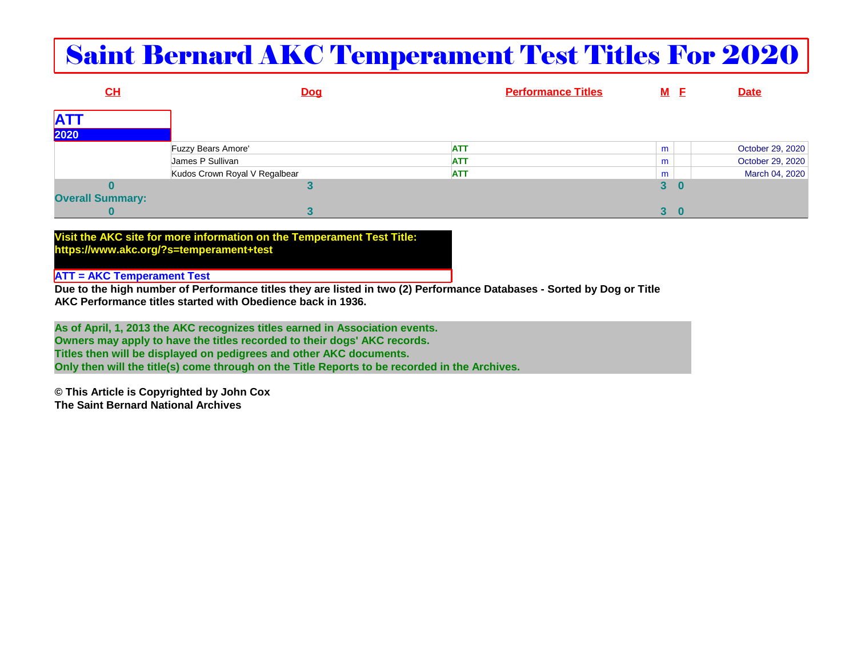# Saint Bernard AKC Temperament Test Titles For 2020

| CL                      | <u>Dog</u>                    | <b>Performance Titles</b> | <u>M E</u> |   | <b>Date</b>      |
|-------------------------|-------------------------------|---------------------------|------------|---|------------------|
| <b>ATT</b>              |                               |                           |            |   |                  |
| 2020                    |                               |                           |            |   |                  |
|                         | Fuzzy Bears Amore'            | <b>ATT</b>                | m          |   | October 29, 2020 |
|                         | James P Sullivan              | <b>ATT</b>                | m          |   | October 29, 2020 |
|                         | Kudos Crown Royal V Regalbear | <b>ATT</b>                | m          |   | March 04, 2020   |
|                         |                               |                           | 3          |   |                  |
| <b>Overall Summary:</b> |                               |                           |            |   |                  |
|                         |                               |                           | 3          | O |                  |

**Visit the AKC site for more information on the Temperament Test Title:https://www.akc.org/?s=temperament+test**

#### **ATT = AKC Temperament Test**

 **Due to the high number of Performance titles they are listed in two (2) Performance Databases - Sorted by Dog or TitleAKC Performance titles started with Obedience back in 1936.**

**As of April, 1, 2013 the AKC recognizes titles earned in Association events.Owners may apply to have the titles recorded to their dogs' AKC records. Titles then will be displayed on pedigrees and other AKC documents. Only then will the title(s) come through on the Title Reports to be recorded in the Archives.**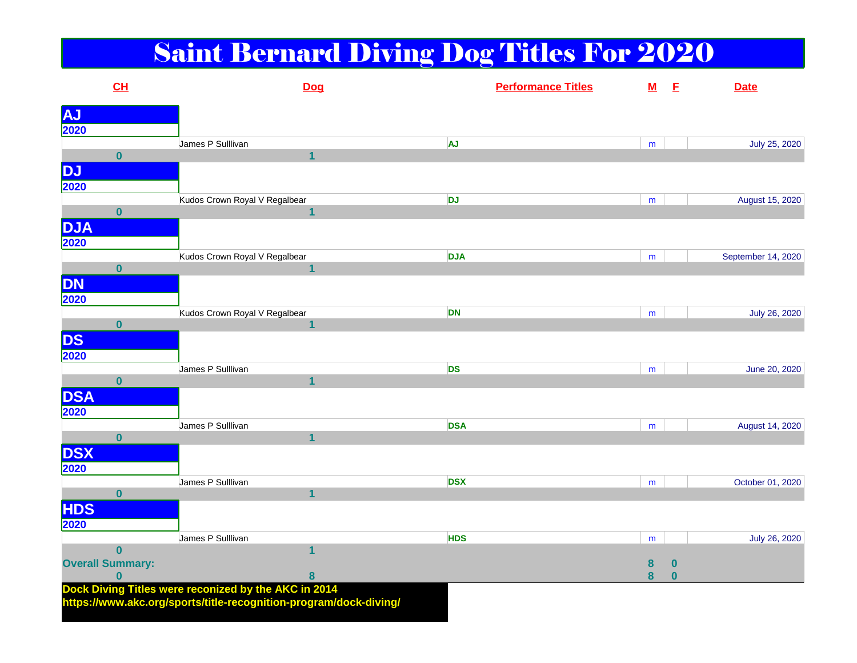# Saint Bernard Diving Dog Titles For 2020

| CL                      |                                                                                                                           | Dog            |            | <b>Performance Titles</b> |   | $M$ E            | <b>Date</b>        |
|-------------------------|---------------------------------------------------------------------------------------------------------------------------|----------------|------------|---------------------------|---|------------------|--------------------|
| <b>AJ</b>               |                                                                                                                           |                |            |                           |   |                  |                    |
| 2020                    |                                                                                                                           |                |            |                           |   |                  |                    |
|                         | James P Sulllivan                                                                                                         |                | <b>AJ</b>  |                           | m |                  | July 25, 2020      |
| $\mathbf{0}$            |                                                                                                                           | $\overline{1}$ |            |                           |   |                  |                    |
| <b>DJ</b>               |                                                                                                                           |                |            |                           |   |                  |                    |
| 2020                    |                                                                                                                           |                |            |                           |   |                  |                    |
|                         | Kudos Crown Royal V Regalbear                                                                                             |                | <b>DJ</b>  |                           | m |                  | August 15, 2020    |
| $\mathbf{0}$            |                                                                                                                           | $\mathbf{1}$   |            |                           |   |                  |                    |
| <b>DJA</b>              |                                                                                                                           |                |            |                           |   |                  |                    |
| 2020                    |                                                                                                                           |                |            |                           |   |                  |                    |
|                         | Kudos Crown Royal V Regalbear                                                                                             |                | <b>DJA</b> |                           | m |                  | September 14, 2020 |
| $\mathbf{0}$            |                                                                                                                           | $\overline{1}$ |            |                           |   |                  |                    |
| <b>DN</b>               |                                                                                                                           |                |            |                           |   |                  |                    |
| 2020                    |                                                                                                                           |                |            |                           |   |                  |                    |
|                         | Kudos Crown Royal V Regalbear                                                                                             |                | <b>DN</b>  |                           | m |                  | July 26, 2020      |
| $\overline{\mathbf{0}}$ |                                                                                                                           | $\overline{1}$ |            |                           |   |                  |                    |
| DS                      |                                                                                                                           |                |            |                           |   |                  |                    |
| 2020                    |                                                                                                                           |                |            |                           |   |                  |                    |
|                         | James P Sulllivan                                                                                                         |                | <b>DS</b>  |                           | m |                  | June 20, 2020      |
| $\bf{0}$                |                                                                                                                           | $\overline{1}$ |            |                           |   |                  |                    |
| <b>DSA</b>              |                                                                                                                           |                |            |                           |   |                  |                    |
| 2020                    |                                                                                                                           |                |            |                           |   |                  |                    |
|                         | James P Sulllivan                                                                                                         |                | <b>DSA</b> |                           | m |                  | August 14, 2020    |
| $\mathbf{0}$            |                                                                                                                           | $\overline{1}$ |            |                           |   |                  |                    |
| <b>DSX</b>              |                                                                                                                           |                |            |                           |   |                  |                    |
| 2020                    |                                                                                                                           |                |            |                           |   |                  |                    |
|                         | James P Sulllivan                                                                                                         |                | <b>DSX</b> |                           | m |                  | October 01, 2020   |
| $\mathbf{0}$            |                                                                                                                           | $\mathbf{1}$   |            |                           |   |                  |                    |
| <b>HDS</b>              |                                                                                                                           |                |            |                           |   |                  |                    |
| 2020                    |                                                                                                                           |                |            |                           |   |                  |                    |
|                         | James P Sulllivan                                                                                                         |                | <b>HDS</b> |                           | m |                  | July 26, 2020      |
| $\mathbf{0}$            |                                                                                                                           | 1              |            |                           |   |                  |                    |
| <b>Overall Summary:</b> |                                                                                                                           |                |            |                           | 8 | $\boldsymbol{0}$ |                    |
| $\bf{0}$                |                                                                                                                           | $\bf{8}$       |            |                           | 8 | $\bf{0}$         |                    |
|                         | Dock Diving Titles were reconized by the AKC in 2014<br>https://www.akc.org/sports/title-recognition-program/dock-diving/ |                |            |                           |   |                  |                    |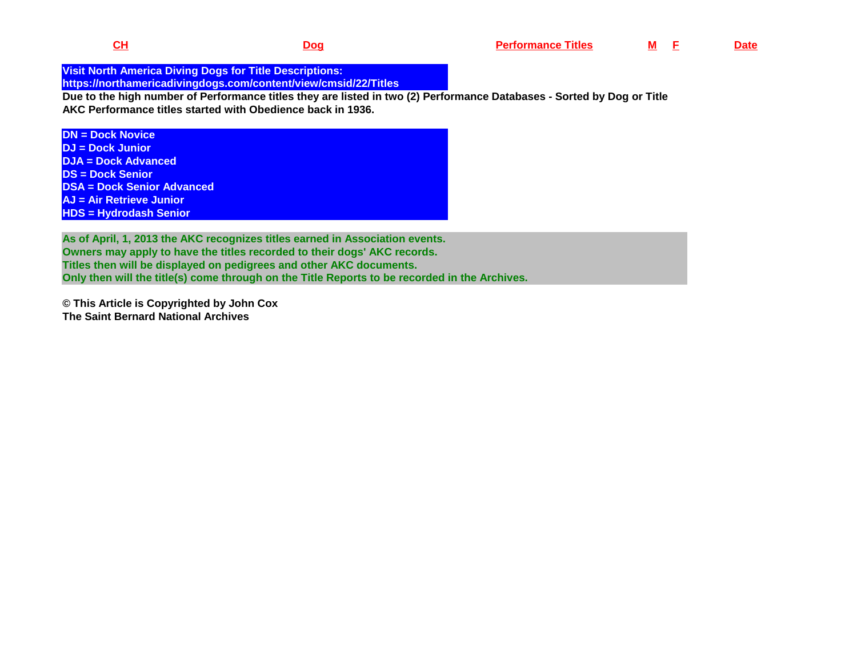**Visit North America Diving Dogs for Title Descriptions: https://northamericadivingdogs.com/content/view/cmsid/22/Titles**

 **Due to the high number of Performance titles they are listed in two (2) Performance Databases - Sorted by Dog or TitleAKC Performance titles started with Obedience back in 1936.**

**DN = Dock Novice DJ = Dock Junior DJA = Dock AdvancedDS = Dock Senior DSA = Dock Senior AdvancedAJ = Air Retrieve JuniorHDS = Hydrodash Senior**

**As of April, 1, 2013 the AKC recognizes titles earned in Association events.Owners may apply to have the titles recorded to their dogs' AKC records. Titles then will be displayed on pedigrees and other AKC documents. Only then will the title(s) come through on the Title Reports to be recorded in the Archives.**